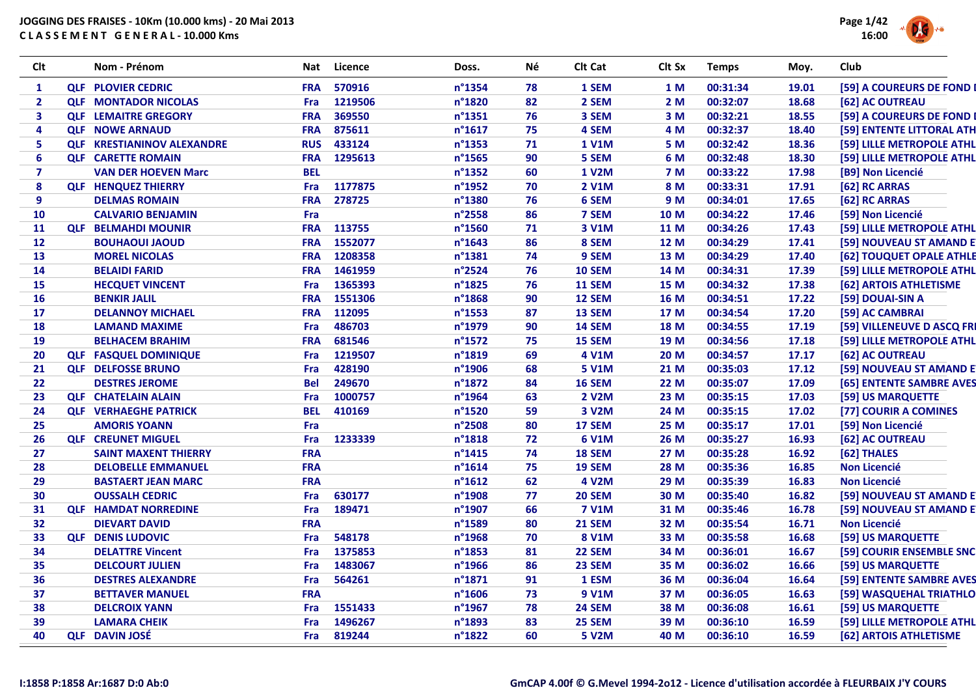

| Clt            | Nom - Prénom                      | Nat        | Licence    | Doss.            | Νé | Clt Cat       | Clt Sx      | <b>Temps</b> | Moy.  | Club                       |
|----------------|-----------------------------------|------------|------------|------------------|----|---------------|-------------|--------------|-------|----------------------------|
| 1              | <b>QLF PLOVIER CEDRIC</b>         | <b>FRA</b> | 570916     | n°1354           | 78 | 1 SEM         | 1 M         | 00:31:34     | 19.01 | [59] A COUREURS DE FOND I  |
| $\overline{2}$ | <b>QLF MONTADOR NICOLAS</b>       | Fra        | 1219506    | n°1820           | 82 | 2 SEM         | 2M          | 00:32:07     | 18.68 | [62] AC OUTREAU            |
| 3              | <b>QLF LEMAITRE GREGORY</b>       | <b>FRA</b> | 369550     | n°1351           | 76 | 3 SEM         | 3 M         | 00:32:21     | 18.55 | [59] A COUREURS DE FOND I  |
| 4              | <b>QLF NOWE ARNAUD</b>            | <b>FRA</b> | 875611     | $n^{\circ}$ 1617 | 75 | 4 SEM         | 4 M         | 00:32:37     | 18.40 | [59] ENTENTE LITTORAL ATH  |
| 5              | <b>QLF KRESTIANINOV ALEXANDRE</b> | <b>RUS</b> | 433124     | n°1353           | 71 | <b>1 V1M</b>  | 5 M         | 00:32:42     | 18.36 | [59] LILLE METROPOLE ATHL  |
| 6              | <b>QLF CARETTE ROMAIN</b>         | <b>FRA</b> | 1295613    | n°1565           | 90 | 5 SEM         | 6 M         | 00:32:48     | 18.30 | [59] LILLE METROPOLE ATHL  |
| $\overline{7}$ | <b>VAN DER HOEVEN Marc</b>        | <b>BEL</b> |            | n°1352           | 60 | <b>1 V2M</b>  | <b>7 M</b>  | 00:33:22     | 17.98 | [B9] Non Licencié          |
| 8              | <b>QLF HENQUEZ THIERRY</b>        | Fra        | 1177875    | n°1952           | 70 | <b>2 V1M</b>  | 8 M         | 00:33:31     | 17.91 | [62] RC ARRAS              |
| 9              | <b>DELMAS ROMAIN</b>              | <b>FRA</b> | 278725     | n°1380           | 76 | 6 SEM         | 9 M         | 00:34:01     | 17.65 | [62] RC ARRAS              |
| 10             | <b>CALVARIO BENJAMIN</b>          | Fra        |            | n°2558           | 86 | 7 SEM         | 10 M        | 00:34:22     | 17.46 | [59] Non Licencié          |
| 11             | <b>QLF BELMAHDI MOUNIR</b>        |            | FRA 113755 | n°1560           | 71 | 3 V1M         | 11 M        | 00:34:26     | 17.43 | [59] LILLE METROPOLE ATHL  |
| 12             | <b>BOUHAOUI JAOUD</b>             | <b>FRA</b> | 1552077    | n°1643           | 86 | 8 SEM         | 12 M        | 00:34:29     | 17.41 | [59] NOUVEAU ST AMAND E    |
| 13             | <b>MOREL NICOLAS</b>              | <b>FRA</b> | 1208358    | n°1381           | 74 | 9 SEM         | 13 M        | 00:34:29     | 17.40 | [62] TOUQUET OPALE ATHLE   |
| 14             | <b>BELAIDI FARID</b>              | <b>FRA</b> | 1461959    | n°2524           | 76 | <b>10 SEM</b> | 14 M        | 00:34:31     | 17.39 | [59] LILLE METROPOLE ATHL  |
| <b>15</b>      | <b>HECQUET VINCENT</b>            | Fra        | 1365393    | n°1825           | 76 | <b>11 SEM</b> | 15 M        | 00:34:32     | 17.38 | [62] ARTOIS ATHLETISME     |
| <b>16</b>      | <b>BENKIR JALIL</b>               | <b>FRA</b> | 1551306    | n°1868           | 90 | 12 SEM        | 16 M        | 00:34:51     | 17.22 | [59] DOUAI-SIN A           |
| 17             | <b>DELANNOY MICHAEL</b>           | <b>FRA</b> | 112095     | n°1553           | 87 | 13 SEM        | 17 M        | 00:34:54     | 17.20 | [59] AC CAMBRAI            |
| 18             | <b>LAMAND MAXIME</b>              | Fra        | 486703     | n°1979           | 90 | <b>14 SEM</b> | 18 M        | 00:34:55     | 17.19 | [59] VILLENEUVE D ASCQ FRI |
| 19             | <b>BELHACEM BRAHIM</b>            | <b>FRA</b> | 681546     | n°1572           | 75 | <b>15 SEM</b> | 19 M        | 00:34:56     | 17.18 | [59] LILLE METROPOLE ATHL  |
| 20             | <b>QLF FASQUEL DOMINIQUE</b>      | Fra        | 1219507    | n°1819           | 69 | 4 V1M         | <b>20 M</b> | 00:34:57     | 17.17 | [62] AC OUTREAU            |
| 21             | <b>QLF DELFOSSE BRUNO</b>         | Fra        | 428190     | n°1906           | 68 | <b>5 V1M</b>  | 21 M        | 00:35:03     | 17.12 | [59] NOUVEAU ST AMAND E    |
| 22             | <b>DESTRES JEROME</b>             | <b>Bel</b> | 249670     | n°1872           | 84 | <b>16 SEM</b> | 22 M        | 00:35:07     | 17.09 | [65] ENTENTE SAMBRE AVES   |
| 23             | <b>QLF CHATELAIN ALAIN</b>        | Fra        | 1000757    | n°1964           | 63 | <b>2 V2M</b>  | 23 M        | 00:35:15     | 17.03 | [59] US MARQUETTE          |
| 24             | <b>QLF VERHAEGHE PATRICK</b>      | <b>BEL</b> | 410169     | n°1520           | 59 | 3 V2M         | 24 M        | 00:35:15     | 17.02 | [77] COURIR A COMINES      |
| 25             | <b>AMORIS YOANN</b>               | Fra        |            | n°2508           | 80 | 17 SEM        | 25 M        | 00:35:17     | 17.01 | [59] Non Licencié          |
| 26             | <b>QLF CREUNET MIGUEL</b>         | Fra        | 1233339    | n°1818           | 72 | <b>6 V1M</b>  | 26 M        | 00:35:27     | 16.93 | [62] AC OUTREAU            |
| 27             | <b>SAINT MAXENT THIERRY</b>       | <b>FRA</b> |            | $n^{\circ}$ 1415 | 74 | <b>18 SEM</b> | 27 M        | 00:35:28     | 16.92 | [62] THALES                |
| 28             | <b>DELOBELLE EMMANUEL</b>         | <b>FRA</b> |            | $n^{\circ}1614$  | 75 | 19 SEM        | 28 M        | 00:35:36     | 16.85 | <b>Non Licencié</b>        |
| 29             | <b>BASTAERT JEAN MARC</b>         | <b>FRA</b> |            | $n^{\circ}$ 1612 | 62 | 4 V2M         | 29 M        | 00:35:39     | 16.83 | <b>Non Licencié</b>        |
| 30             | <b>OUSSALH CEDRIC</b>             | Fra        | 630177     | n°1908           | 77 | <b>20 SEM</b> | 30 M        | 00:35:40     | 16.82 | [59] NOUVEAU ST AMAND E    |
| 31             | <b>QLF HAMDAT NORREDINE</b>       | Fra        | 189471     | n°1907           | 66 | <b>7 V1M</b>  | 31 M        | 00:35:46     | 16.78 | [59] NOUVEAU ST AMAND E    |
| 32             | <b>DIEVART DAVID</b>              | <b>FRA</b> |            | n°1589           | 80 | <b>21 SEM</b> | 32 M        | 00:35:54     | 16.71 | <b>Non Licencié</b>        |
| 33             | <b>QLF DENIS LUDOVIC</b>          | Fra        | 548178     | n°1968           | 70 | <b>8 V1M</b>  | 33 M        | 00:35:58     | 16.68 | [59] US MARQUETTE          |
| 34             | <b>DELATTRE Vincent</b>           | Fra        | 1375853    | n°1853           | 81 | <b>22 SEM</b> | 34 M        | 00:36:01     | 16.67 | [59] COURIR ENSEMBLE SNC   |
| 35             | <b>DELCOURT JULIEN</b>            | Fra        | 1483067    | n°1966           | 86 | <b>23 SEM</b> | 35 M        | 00:36:02     | 16.66 | [59] US MARQUETTE          |
| 36             | <b>DESTRES ALEXANDRE</b>          | Fra        | 564261     | n°1871           | 91 | 1 ESM         | 36 M        | 00:36:04     | 16.64 | [59] ENTENTE SAMBRE AVES   |
| 37             | <b>BETTAVER MANUEL</b>            | <b>FRA</b> |            | n°1606           | 73 | <b>9 V1M</b>  | 37 M        | 00:36:05     | 16.63 | [59] WASQUEHAL TRIATHLO    |
| 38             | <b>DELCROIX YANN</b>              | Fra        | 1551433    | n°1967           | 78 | <b>24 SEM</b> | 38 M        | 00:36:08     | 16.61 | [59] US MARQUETTE          |
| 39             | <b>LAMARA CHEIK</b>               | Fra        | 1496267    | n°1893           | 83 | 25 SEM        | 39 M        | 00:36:10     | 16.59 | [59] LILLE METROPOLE ATHL  |
| 40             | <b>OLF DAVIN JOSÉ</b>             | Fra        | 819244     | n°1822           | 60 | <b>5 V2M</b>  | 40 M        | 00:36:10     | 16.59 | [62] ARTOIS ATHLETISME     |
|                |                                   |            |            |                  |    |               |             |              |       |                            |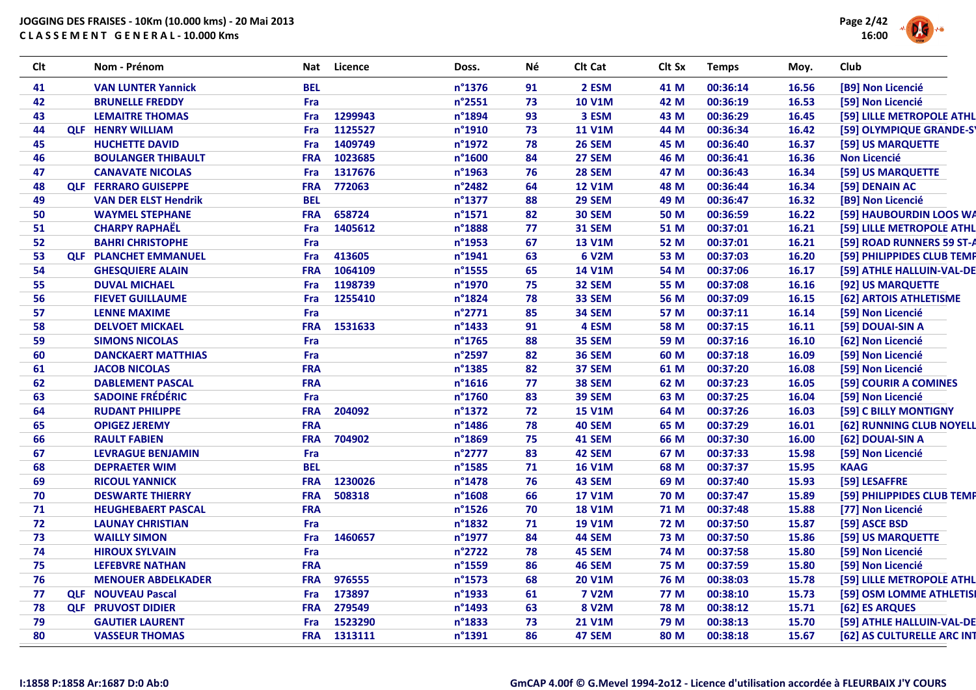

| <b>Clt</b> | Nom - Prénom                 | Nat        | Licence | Doss.            | Νé | Clt Cat       | Clt Sx      | <b>Temps</b> | Moy.  | Club                       |
|------------|------------------------------|------------|---------|------------------|----|---------------|-------------|--------------|-------|----------------------------|
| 41         | <b>VAN LUNTER Yannick</b>    | <b>BEL</b> |         | n°1376           | 91 | 2 ESM         | 41 M        | 00:36:14     | 16.56 | [B9] Non Licencié          |
| 42         | <b>BRUNELLE FREDDY</b>       | Fra        |         | n°2551           | 73 | <b>10 V1M</b> | 42 M        | 00:36:19     | 16.53 | [59] Non Licencié          |
| 43         | <b>LEMAITRE THOMAS</b>       | Fra        | 1299943 | n°1894           | 93 | 3 ESM         | 43 M        | 00:36:29     | 16.45 | [59] LILLE METROPOLE ATHL  |
| 44         | <b>QLF HENRY WILLIAM</b>     | <b>Fra</b> | 1125527 | n°1910           | 73 | <b>11 V1M</b> | 44 M        | 00:36:34     | 16.42 | [59] OLYMPIQUE GRANDE-S'   |
| 45         | <b>HUCHETTE DAVID</b>        | Fra        | 1409749 | n°1972           | 78 | <b>26 SEM</b> | 45 M        | 00:36:40     | 16.37 | [59] US MARQUETTE          |
| 46         | <b>BOULANGER THIBAULT</b>    | <b>FRA</b> | 1023685 | n°1600           | 84 | 27 SEM        | 46 M        | 00:36:41     | 16.36 | <b>Non Licencié</b>        |
| 47         | <b>CANAVATE NICOLAS</b>      | Fra        | 1317676 | $n^{\circ}$ 1963 | 76 | <b>28 SEM</b> | 47 M        | 00:36:43     | 16.34 | [59] US MARQUETTE          |
| 48         | <b>QLF FERRARO GUISEPPE</b>  | <b>FRA</b> | 772063  | n°2482           | 64 | <b>12 V1M</b> | 48 M        | 00:36:44     | 16.34 | [59] DENAIN AC             |
| 49         | <b>VAN DER ELST Hendrik</b>  | <b>BEL</b> |         | n°1377           | 88 | <b>29 SEM</b> | 49 M        | 00:36:47     | 16.32 | [B9] Non Licencié          |
| 50         | <b>WAYMEL STEPHANE</b>       | <b>FRA</b> | 658724  | n°1571           | 82 | <b>30 SEM</b> | 50 M        | 00:36:59     | 16.22 | [59] HAUBOURDIN LOOS WA    |
| 51         | <b>CHARPY RAPHAËL</b>        | Fra        | 1405612 | n°1888           | 77 | <b>31 SEM</b> | 51 M        | 00:37:01     | 16.21 | [59] LILLE METROPOLE ATHL  |
| 52         | <b>BAHRI CHRISTOPHE</b>      | Fra        |         | n°1953           | 67 | <b>13 V1M</b> | 52 M        | 00:37:01     | 16.21 | [59] ROAD RUNNERS 59 ST-A  |
| 53         | <b>QLF PLANCHET EMMANUEL</b> | Fra        | 413605  | n°1941           | 63 | 6 V2M         | 53 M        | 00:37:03     | 16.20 | [59] PHILIPPIDES CLUB TEMP |
| 54         | <b>GHESQUIERE ALAIN</b>      | <b>FRA</b> | 1064109 | n°1555           | 65 | <b>14 V1M</b> | 54 M        | 00:37:06     | 16.17 | [59] ATHLE HALLUIN-VAL-DE  |
| 55         | <b>DUVAL MICHAEL</b>         | Fra        | 1198739 | n°1970           | 75 | 32 SEM        | 55 M        | 00:37:08     | 16.16 | [92] US MARQUETTE          |
| 56         | <b>FIEVET GUILLAUME</b>      | Fra        | 1255410 | n°1824           | 78 | 33 SEM        | 56 M        | 00:37:09     | 16.15 | [62] ARTOIS ATHLETISME     |
| 57         | <b>LENNE MAXIME</b>          | Fra        |         | $n^{\circ}$ 2771 | 85 | <b>34 SEM</b> | 57 M        | 00:37:11     | 16.14 | [59] Non Licencié          |
| 58         | <b>DELVOET MICKAEL</b>       | <b>FRA</b> | 1531633 | n°1433           | 91 | 4 ESM         | 58 M        | 00:37:15     | 16.11 | [59] DOUAI-SIN A           |
| 59         | <b>SIMONS NICOLAS</b>        | Fra        |         | n°1765           | 88 | 35 SEM        | 59 M        | 00:37:16     | 16.10 | [62] Non Licencié          |
| 60         | <b>DANCKAERT MATTHIAS</b>    | Fra        |         | n°2597           | 82 | <b>36 SEM</b> | 60 M        | 00:37:18     | 16.09 | [59] Non Licencié          |
| 61         | <b>JACOB NICOLAS</b>         | <b>FRA</b> |         | n°1385           | 82 | 37 SEM        | 61 M        | 00:37:20     | 16.08 | [59] Non Licencié          |
| 62         | <b>DABLEMENT PASCAL</b>      | <b>FRA</b> |         | $n^{\circ}$ 1616 | 77 | 38 SEM        | 62 M        | 00:37:23     | 16.05 | [59] COURIR A COMINES      |
| 63         | <b>SADOINE FRÉDÉRIC</b>      | Fra        |         | n°1760           | 83 | 39 SEM        | 63 M        | 00:37:25     | 16.04 | [59] Non Licencié          |
| 64         | <b>RUDANT PHILIPPE</b>       | <b>FRA</b> | 204092  | n°1372           | 72 | <b>15 V1M</b> | 64 M        | 00:37:26     | 16.03 | [59] C BILLY MONTIGNY      |
| 65         | <b>OPIGEZ JEREMY</b>         | <b>FRA</b> |         | n°1486           | 78 | <b>40 SEM</b> | 65 M        | 00:37:29     | 16.01 | [62] RUNNING CLUB NOYELL   |
| 66         | <b>RAULT FABIEN</b>          | <b>FRA</b> | 704902  | $n^{\circ}$ 1869 | 75 | <b>41 SEM</b> | 66 M        | 00:37:30     | 16.00 | [62] DOUAI-SIN A           |
| 67         | <b>LEVRAGUE BENJAMIN</b>     | Fra        |         | n°2777           | 83 | 42 SEM        | 67 M        | 00:37:33     | 15.98 | [59] Non Licencié          |
| 68         | <b>DEPRAETER WIM</b>         | <b>BEL</b> |         | n°1585           | 71 | <b>16 V1M</b> | 68 M        | 00:37:37     | 15.95 | <b>KAAG</b>                |
| 69         | <b>RICOUL YANNICK</b>        | <b>FRA</b> | 1230026 | n°1478           | 76 | 43 SEM        | 69 M        | 00:37:40     | 15.93 | [59] LESAFFRE              |
| 70         | <b>DESWARTE THIERRY</b>      | <b>FRA</b> | 508318  | $n^{\circ}$ 1608 | 66 | <b>17 V1M</b> | <b>70 M</b> | 00:37:47     | 15.89 | [59] PHILIPPIDES CLUB TEMP |
| 71         | <b>HEUGHEBAERT PASCAL</b>    | <b>FRA</b> |         | $n^{\circ}$ 1526 | 70 | <b>18 V1M</b> | <b>71 M</b> | 00:37:48     | 15.88 | [77] Non Licencié          |
| 72         | <b>LAUNAY CHRISTIAN</b>      | Fra        |         | $n^{\circ}$ 1832 | 71 | <b>19 V1M</b> | <b>72 M</b> | 00:37:50     | 15.87 | [59] ASCE BSD              |
| 73         | <b>WAILLY SIMON</b>          | Fra        | 1460657 | n°1977           | 84 | <b>44 SEM</b> | 73 M        | 00:37:50     | 15.86 | [59] US MARQUETTE          |
| 74         | <b>HIROUX SYLVAIN</b>        | Fra        |         | n°2722           | 78 | 45 SEM        | 74 M        | 00:37:58     | 15.80 | [59] Non Licencié          |
| 75         | <b>LEFEBVRE NATHAN</b>       | <b>FRA</b> |         | n°1559           | 86 | 46 SEM        | 75 M        | 00:37:59     | 15.80 | [59] Non Licencié          |
| 76         | <b>MENOUER ABDELKADER</b>    | <b>FRA</b> | 976555  | n°1573           | 68 | <b>20 V1M</b> | 76 M        | 00:38:03     | 15.78 | [59] LILLE METROPOLE ATHL  |
| 77         | <b>QLF NOUVEAU Pascal</b>    | Fra        | 173897  | n°1933           | 61 | <b>7 V2M</b>  | 77 M        | 00:38:10     | 15.73 | [59] OSM LOMME ATHLETISI   |
| 78         | <b>QLF PRUVOST DIDIER</b>    | <b>FRA</b> | 279549  | n°1493           | 63 | <b>8 V2M</b>  | <b>78 M</b> | 00:38:12     | 15.71 | [62] ES ARQUES             |
| 79         | <b>GAUTIER LAURENT</b>       | Fra        | 1523290 | n°1833           | 73 | <b>21 V1M</b> | 79 M        | 00:38:13     | 15.70 | [59] ATHLE HALLUIN-VAL-DE  |
| 80         | <b>VASSEUR THOMAS</b>        | <b>FRA</b> | 1313111 | n°1391           | 86 | 47 SEM        | 80 M        | 00:38:18     | 15.67 | [62] AS CULTURELLE ARC INT |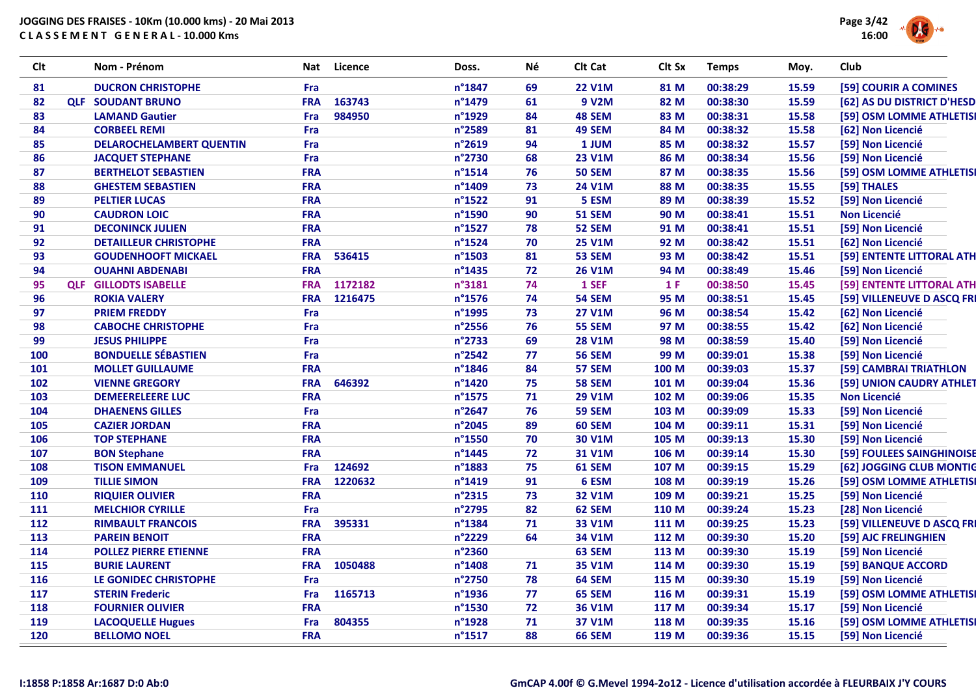

| <b>Clt</b> | Nom - Prénom                    | Nat        | Licence | Doss.            | Νé | Clt Cat       | Clt Sx | <b>Temps</b> | Moy.  | Club                       |
|------------|---------------------------------|------------|---------|------------------|----|---------------|--------|--------------|-------|----------------------------|
| 81         | <b>DUCRON CHRISTOPHE</b>        | Fra        |         | n°1847           | 69 | <b>22 V1M</b> | 81 M   | 00:38:29     | 15.59 | [59] COURIR A COMINES      |
| 82         | <b>QLF SOUDANT BRUNO</b>        | <b>FRA</b> | 163743  | n°1479           | 61 | 9 V2M         | 82 M   | 00:38:30     | 15.59 | [62] AS DU DISTRICT D'HESD |
| 83         | <b>LAMAND Gautier</b>           | <b>Fra</b> | 984950  | n°1929           | 84 | 48 SEM        | 83 M   | 00:38:31     | 15.58 | [59] OSM LOMME ATHLETISI   |
| 84         | <b>CORBEEL REMI</b>             | Fra        |         | n°2589           | 81 | <b>49 SEM</b> | 84 M   | 00:38:32     | 15.58 | [62] Non Licencié          |
| 85         | <b>DELAROCHELAMBERT QUENTIN</b> | Fra        |         | n°2619           | 94 | 1 JUM         | 85 M   | 00:38:32     | 15.57 | [59] Non Licencié          |
| 86         | <b>JACQUET STEPHANE</b>         | Fra        |         | n°2730           | 68 | <b>23 V1M</b> | 86 M   | 00:38:34     | 15.56 | [59] Non Licencié          |
| 87         | <b>BERTHELOT SEBASTIEN</b>      | <b>FRA</b> |         | $n^{\circ}$ 1514 | 76 | <b>50 SEM</b> | 87 M   | 00:38:35     | 15.56 | [59] OSM LOMME ATHLETISI   |
| 88         | <b>GHESTEM SEBASTIEN</b>        | <b>FRA</b> |         | n°1409           | 73 | <b>24 V1M</b> | 88 M   | 00:38:35     | 15.55 | [59] THALES                |
| 89         | <b>PELTIER LUCAS</b>            | <b>FRA</b> |         | $n^{\circ}$ 1522 | 91 | 5 ESM         | 89 M   | 00:38:39     | 15.52 | [59] Non Licencié          |
| 90         | <b>CAUDRON LOIC</b>             | <b>FRA</b> |         | n°1590           | 90 | <b>51 SEM</b> | 90 M   | 00:38:41     | 15.51 | <b>Non Licencié</b>        |
| 91         | <b>DECONINCK JULIEN</b>         | <b>FRA</b> |         | n°1527           | 78 | <b>52 SEM</b> | 91 M   | 00:38:41     | 15.51 | [59] Non Licencié          |
| 92         | <b>DETAILLEUR CHRISTOPHE</b>    | <b>FRA</b> |         | n°1524           | 70 | <b>25 V1M</b> | 92 M   | 00:38:42     | 15.51 | [62] Non Licencié          |
| 93         | <b>GOUDENHOOFT MICKAEL</b>      | <b>FRA</b> | 536415  | n°1503           | 81 | 53 SEM        | 93 M   | 00:38:42     | 15.51 | [59] ENTENTE LITTORAL ATH  |
| 94         | <b>OUAHNI ABDENABI</b>          | <b>FRA</b> |         | n°1435           | 72 | <b>26 V1M</b> | 94 M   | 00:38:49     | 15.46 | [59] Non Licencié          |
| 95         | <b>QLF GILLODTS ISABELLE</b>    | <b>FRA</b> | 1172182 | n°3181           | 74 | 1 SEF         | 1 F    | 00:38:50     | 15.45 | [59] ENTENTE LITTORAL ATH  |
| 96         | <b>ROKIA VALERY</b>             | <b>FRA</b> | 1216475 | n°1576           | 74 | <b>54 SEM</b> | 95 M   | 00:38:51     | 15.45 | [59] VILLENEUVE D ASCQ FRI |
| 97         | <b>PRIEM FREDDY</b>             | Fra        |         | n°1995           | 73 | <b>27 V1M</b> | 96 M   | 00:38:54     | 15.42 | [62] Non Licencié          |
| 98         | <b>CABOCHE CHRISTOPHE</b>       | Fra        |         | n°2556           | 76 | <b>55 SEM</b> | 97 M   | 00:38:55     | 15.42 | [62] Non Licencié          |
| 99         | <b>JESUS PHILIPPE</b>           | Fra        |         | n°2733           | 69 | <b>28 V1M</b> | 98 M   | 00:38:59     | 15.40 | [59] Non Licencié          |
| 100        | <b>BONDUELLE SÉBASTIEN</b>      | Fra        |         | n°2542           | 77 | <b>56 SEM</b> | 99 M   | 00:39:01     | 15.38 | [59] Non Licencié          |
| 101        | <b>MOLLET GUILLAUME</b>         | <b>FRA</b> |         | n°1846           | 84 | 57 SEM        | 100 M  | 00:39:03     | 15.37 | [59] CAMBRAI TRIATHLON     |
| 102        | <b>VIENNE GREGORY</b>           | <b>FRA</b> | 646392  | n°1420           | 75 | <b>58 SEM</b> | 101 M  | 00:39:04     | 15.36 | [59] UNION CAUDRY ATHLET   |
| 103        | <b>DEMEERELEERE LUC</b>         | <b>FRA</b> |         | n°1575           | 71 | <b>29 V1M</b> | 102 M  | 00:39:06     | 15.35 | <b>Non Licencié</b>        |
| 104        | <b>DHAENENS GILLES</b>          | Fra        |         | n°2647           | 76 | <b>59 SEM</b> | 103 M  | 00:39:09     | 15.33 | [59] Non Licencié          |
| 105        | <b>CAZIER JORDAN</b>            | <b>FRA</b> |         | n°2045           | 89 | 60 SEM        | 104 M  | 00:39:11     | 15.31 | [59] Non Licencié          |
| 106        | <b>TOP STEPHANE</b>             | <b>FRA</b> |         | n°1550           | 70 | 30 V1M        | 105 M  | 00:39:13     | 15.30 | [59] Non Licencié          |
| 107        | <b>BON Stephane</b>             | <b>FRA</b> |         | n°1445           | 72 | 31 V1M        | 106 M  | 00:39:14     | 15.30 | [59] FOULEES SAINGHINOISE  |
| 108        | <b>TISON EMMANUEL</b>           | Fra        | 124692  | n°1883           | 75 | 61 SEM        | 107 M  | 00:39:15     | 15.29 | [62] JOGGING CLUB MONTIC   |
| 109        | <b>TILLIE SIMON</b>             | <b>FRA</b> | 1220632 | n°1419           | 91 | 6 ESM         | 108 M  | 00:39:19     | 15.26 | [59] OSM LOMME ATHLETISI   |
| 110        | <b>RIQUIER OLIVIER</b>          | <b>FRA</b> |         | n°2315           | 73 | <b>32 V1M</b> | 109 M  | 00:39:21     | 15.25 | [59] Non Licencié          |
| 111        | <b>MELCHIOR CYRILLE</b>         | Fra        |         | n°2795           | 82 | 62 SEM        | 110 M  | 00:39:24     | 15.23 | [28] Non Licencié          |
| 112        | <b>RIMBAULT FRANCOIS</b>        | <b>FRA</b> | 395331  | n°1384           | 71 | 33 V1M        | 111 M  | 00:39:25     | 15.23 | [59] VILLENEUVE D ASCQ FRI |
| 113        | <b>PAREIN BENOIT</b>            | <b>FRA</b> |         | n°2229           | 64 | 34 V1M        | 112 M  | 00:39:30     | 15.20 | [59] AJC FRELINGHIEN       |
| 114        | <b>POLLEZ PIERRE ETIENNE</b>    | <b>FRA</b> |         | n°2360           |    | 63 SEM        | 113 M  | 00:39:30     | 15.19 | [59] Non Licencié          |
| 115        | <b>BURIE LAURENT</b>            | <b>FRA</b> | 1050488 | n°1408           | 71 | 35 V1M        | 114 M  | 00:39:30     | 15.19 | [59] BANQUE ACCORD         |
| 116        | LE GONIDEC CHRISTOPHE           | Fra        |         | n°2750           | 78 | 64 SEM        | 115 M  | 00:39:30     | 15.19 | [59] Non Licencié          |
| 117        | <b>STERIN Frederic</b>          | Fra        | 1165713 | n°1936           | 77 | 65 SEM        | 116 M  | 00:39:31     | 15.19 | [59] OSM LOMME ATHLETISI   |
| 118        | <b>FOURNIER OLIVIER</b>         | <b>FRA</b> |         | n°1530           | 72 | 36 V1M        | 117 M  | 00:39:34     | 15.17 | [59] Non Licencié          |
| 119        | <b>LACOQUELLE Hugues</b>        | Fra        | 804355  | n°1928           | 71 | 37 V1M        | 118 M  | 00:39:35     | 15.16 | [59] OSM LOMME ATHLETISI   |
| 120        | <b>BELLOMO NOEL</b>             | <b>FRA</b> |         | n°1517           | 88 | <b>66 SEM</b> | 119 M  | 00:39:36     | 15.15 | [59] Non Licencié          |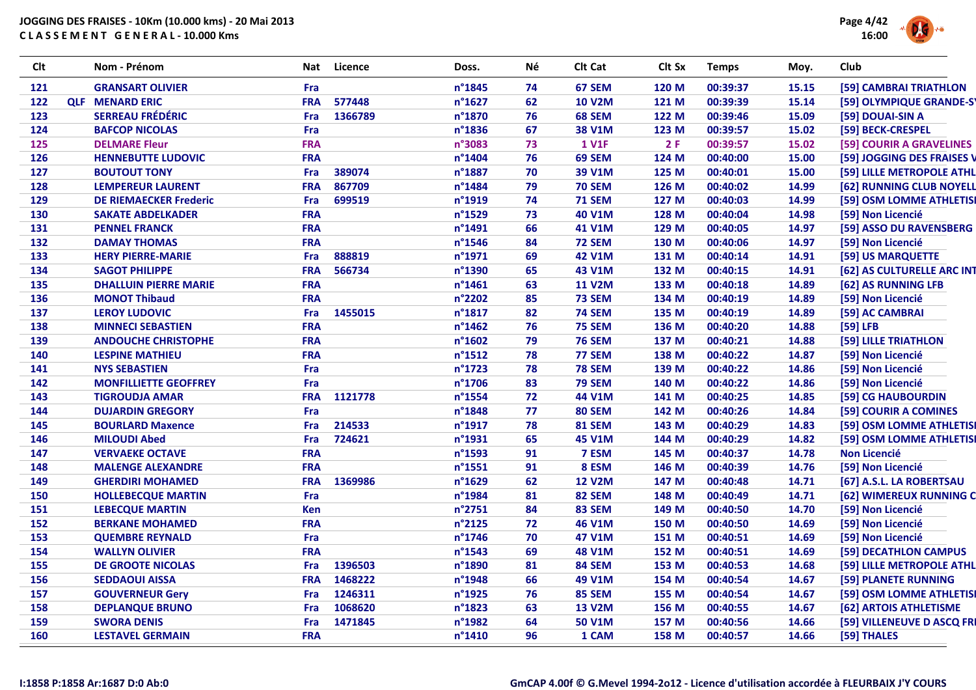

| <b>Clt</b> | Nom - Prénom                  | Nat        | Licence | Doss.            | Né | Clt Cat       | Clt Sx | <b>Temps</b> | Moy.  | Club                       |
|------------|-------------------------------|------------|---------|------------------|----|---------------|--------|--------------|-------|----------------------------|
| 121        | <b>GRANSART OLIVIER</b>       | Fra        |         | n°1845           | 74 | 67 SEM        | 120 M  | 00:39:37     | 15.15 | [59] CAMBRAI TRIATHLON     |
| 122        | <b>OLF MENARD ERIC</b>        | <b>FRA</b> | 577448  | n°1627           | 62 | <b>10 V2M</b> | 121 M  | 00:39:39     | 15.14 | [59] OLYMPIQUE GRANDE-S'   |
| 123        | <b>SERREAU FRÉDÉRIC</b>       | Fra        | 1366789 | n°1870           | 76 | 68 SEM        | 122 M  | 00:39:46     | 15.09 | [59] DOUAI-SIN A           |
| 124        | <b>BAFCOP NICOLAS</b>         | Fra        |         | n°1836           | 67 | <b>38 V1M</b> | 123 M  | 00:39:57     | 15.02 | [59] BECK-CRESPEL          |
| 125        | <b>DELMARE Fleur</b>          | <b>FRA</b> |         | n°3083           | 73 | <b>1 V1F</b>  | 2F     | 00:39:57     | 15.02 | [59] COURIR A GRAVELINES   |
| 126        | <b>HENNEBUTTE LUDOVIC</b>     | <b>FRA</b> |         | n°1404           | 76 | 69 SEM        | 124 M  | 00:40:00     | 15.00 | [59] JOGGING DES FRAISES V |
| 127        | <b>BOUTOUT TONY</b>           | Fra        | 389074  | n°1887           | 70 | 39 V1M        | 125 M  | 00:40:01     | 15.00 | [59] LILLE METROPOLE ATHL  |
| 128        | <b>LEMPEREUR LAURENT</b>      | <b>FRA</b> | 867709  | n°1484           | 79 | <b>70 SEM</b> | 126 M  | 00:40:02     | 14.99 | [62] RUNNING CLUB NOYELL   |
| 129        | <b>DE RIEMAECKER Frederic</b> | Fra        | 699519  | n°1919           | 74 | <b>71 SEM</b> | 127 M  | 00:40:03     | 14.99 | [59] OSM LOMME ATHLETISI   |
| 130        | <b>SAKATE ABDELKADER</b>      | <b>FRA</b> |         | n°1529           | 73 | <b>40 V1M</b> | 128 M  | 00:40:04     | 14.98 | [59] Non Licencié          |
| 131        | <b>PENNEL FRANCK</b>          | <b>FRA</b> |         | n°1491           | 66 | <b>41 V1M</b> | 129 M  | 00:40:05     | 14.97 | [59] ASSO DU RAVENSBERG    |
| 132        | <b>DAMAY THOMAS</b>           | <b>FRA</b> |         | n°1546           | 84 | <b>72 SEM</b> | 130 M  | 00:40:06     | 14.97 | [59] Non Licencié          |
| 133        | <b>HERY PIERRE-MARIE</b>      | Fra        | 888819  | n°1971           | 69 | <b>42 V1M</b> | 131 M  | 00:40:14     | 14.91 | [59] US MARQUETTE          |
| 134        | <b>SAGOT PHILIPPE</b>         | <b>FRA</b> | 566734  | n°1390           | 65 | <b>43 V1M</b> | 132 M  | 00:40:15     | 14.91 | [62] AS CULTURELLE ARC INT |
| 135        | <b>DHALLUIN PIERRE MARIE</b>  | <b>FRA</b> |         | n°1461           | 63 | <b>11 V2M</b> | 133 M  | 00:40:18     | 14.89 | [62] AS RUNNING LFB        |
| 136        | <b>MONOT Thibaud</b>          | <b>FRA</b> |         | n°2202           | 85 | <b>73 SEM</b> | 134 M  | 00:40:19     | 14.89 | [59] Non Licencié          |
| 137        | <b>LEROY LUDOVIC</b>          | Fra        | 1455015 | n°1817           | 82 | <b>74 SEM</b> | 135 M  | 00:40:19     | 14.89 | [59] AC CAMBRAI            |
| 138        | <b>MINNECI SEBASTIEN</b>      | <b>FRA</b> |         | n°1462           | 76 | <b>75 SEM</b> | 136 M  | 00:40:20     | 14.88 | $[59]$ LFB                 |
| 139        | <b>ANDOUCHE CHRISTOPHE</b>    | <b>FRA</b> |         | n°1602           | 79 | <b>76 SEM</b> | 137 M  | 00:40:21     | 14.88 | [59] LILLE TRIATHLON       |
| 140        | <b>LESPINE MATHIEU</b>        | <b>FRA</b> |         | $n^{\circ}$ 1512 | 78 | 77 SEM        | 138 M  | 00:40:22     | 14.87 | [59] Non Licencié          |
| 141        | <b>NYS SEBASTIEN</b>          | Fra        |         | n°1723           | 78 | <b>78 SEM</b> | 139 M  | 00:40:22     | 14.86 | [59] Non Licencié          |
| 142        | <b>MONFILLIETTE GEOFFREY</b>  | Fra        |         | n°1706           | 83 | <b>79 SEM</b> | 140 M  | 00:40:22     | 14.86 | [59] Non Licencié          |
| 143        | <b>TIGROUDJA AMAR</b>         | <b>FRA</b> | 1121778 | n°1554           | 72 | 44 V1M        | 141 M  | 00:40:25     | 14.85 | [59] CG HAUBOURDIN         |
| 144        | <b>DUJARDIN GREGORY</b>       | Fra        |         | n°1848           | 77 | <b>80 SEM</b> | 142 M  | 00:40:26     | 14.84 | [59] COURIR A COMINES      |
| 145        | <b>BOURLARD Maxence</b>       | Fra        | 214533  | n°1917           | 78 | <b>81 SEM</b> | 143 M  | 00:40:29     | 14.83 | [59] OSM LOMME ATHLETISI   |
| 146        | <b>MILOUDI Abed</b>           | Fra        | 724621  | n°1931           | 65 | <b>45 V1M</b> | 144 M  | 00:40:29     | 14.82 | [59] OSM LOMME ATHLETISI   |
| 147        | <b>VERVAEKE OCTAVE</b>        | <b>FRA</b> |         | n°1593           | 91 | 7 ESM         | 145 M  | 00:40:37     | 14.78 | <b>Non Licencié</b>        |
| 148        | <b>MALENGE ALEXANDRE</b>      | <b>FRA</b> |         | $n^{\circ}$ 1551 | 91 | 8 ESM         | 146 M  | 00:40:39     | 14.76 | [59] Non Licencié          |
| 149        | <b>GHERDIRI MOHAMED</b>       | <b>FRA</b> | 1369986 | n°1629           | 62 | <b>12 V2M</b> | 147 M  | 00:40:48     | 14.71 | [67] A.S.L. LA ROBERTSAU   |
| 150        | <b>HOLLEBECQUE MARTIN</b>     | Fra        |         | n°1984           | 81 | <b>82 SEM</b> | 148 M  | 00:40:49     | 14.71 | [62] WIMEREUX RUNNING C    |
| 151        | <b>LEBECQUE MARTIN</b>        | <b>Ken</b> |         | n°2751           | 84 | <b>83 SEM</b> | 149 M  | 00:40:50     | 14.70 | [59] Non Licencié          |
| 152        | <b>BERKANE MOHAMED</b>        | <b>FRA</b> |         | n°2125           | 72 | <b>46 V1M</b> | 150 M  | 00:40:50     | 14.69 | [59] Non Licencié          |
| 153        | <b>QUEMBRE REYNALD</b>        | Fra        |         | n°1746           | 70 | <b>47 V1M</b> | 151 M  | 00:40:51     | 14.69 | [59] Non Licencié          |
| 154        | <b>WALLYN OLIVIER</b>         | <b>FRA</b> |         | n°1543           | 69 | <b>48 V1M</b> | 152 M  | 00:40:51     | 14.69 | [59] DECATHLON CAMPUS      |
| 155        | <b>DE GROOTE NICOLAS</b>      | Fra        | 1396503 | n°1890           | 81 | <b>84 SEM</b> | 153 M  | 00:40:53     | 14.68 | [59] LILLE METROPOLE ATHL  |
| 156        | <b>SEDDAOUI AISSA</b>         | <b>FRA</b> | 1468222 | n°1948           | 66 | 49 V1M        | 154 M  | 00:40:54     | 14.67 | [59] PLANETE RUNNING       |
| 157        | <b>GOUVERNEUR Gery</b>        | <b>Fra</b> | 1246311 | n°1925           | 76 | <b>85 SEM</b> | 155 M  | 00:40:54     | 14.67 | [59] OSM LOMME ATHLETISI   |
| 158        | <b>DEPLANQUE BRUNO</b>        | Fra        | 1068620 | n°1823           | 63 | <b>13 V2M</b> | 156 M  | 00:40:55     | 14.67 | [62] ARTOIS ATHLETISME     |
| 159        | <b>SWORA DENIS</b>            | Fra        | 1471845 | n°1982           | 64 | <b>50 V1M</b> | 157 M  | 00:40:56     | 14.66 | [59] VILLENEUVE D ASCQ FRI |
| 160        | <b>LESTAVEL GERMAIN</b>       | <b>FRA</b> |         | n°1410           | 96 | 1 CAM         | 158 M  | 00:40:57     | 14.66 | [59] THALES                |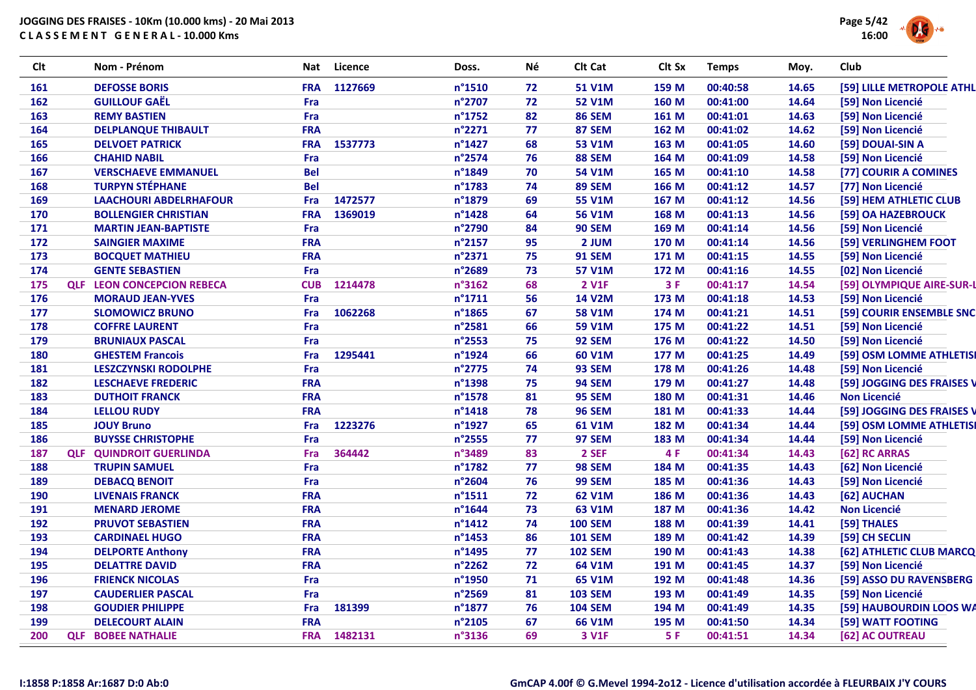

| <b>Clt</b> | Nom - Prénom                      | Nat        | Licence | Doss.            | Νé | Clt Cat        | Clt Sx | <b>Temps</b> | Moy.  | Club                       |
|------------|-----------------------------------|------------|---------|------------------|----|----------------|--------|--------------|-------|----------------------------|
| 161        | <b>DEFOSSE BORIS</b>              | <b>FRA</b> | 1127669 | n°1510           | 72 | <b>51 V1M</b>  | 159 M  | 00:40:58     | 14.65 | [59] LILLE METROPOLE ATHL  |
| 162        | <b>GUILLOUF GAËL</b>              | Fra        |         | n°2707           | 72 | <b>52 V1M</b>  | 160 M  | 00:41:00     | 14.64 | [59] Non Licencié          |
| 163        | <b>REMY BASTIEN</b>               | Fra        |         | n°1752           | 82 | <b>86 SEM</b>  | 161 M  | 00:41:01     | 14.63 | [59] Non Licencié          |
| 164        | <b>DELPLANQUE THIBAULT</b>        | <b>FRA</b> |         | n°2271           | 77 | <b>87 SEM</b>  | 162 M  | 00:41:02     | 14.62 | [59] Non Licencié          |
| 165        | <b>DELVOET PATRICK</b>            | <b>FRA</b> | 1537773 | n°1427           | 68 | <b>53 V1M</b>  | 163 M  | 00:41:05     | 14.60 | [59] DOUAI-SIN A           |
| 166        | <b>CHAHID NABIL</b>               | Fra        |         | n°2574           | 76 | <b>88 SEM</b>  | 164 M  | 00:41:09     | 14.58 | [59] Non Licencié          |
| 167        | <b>VERSCHAEVE EMMANUEL</b>        | <b>Bel</b> |         | n°1849           | 70 | <b>54 V1M</b>  | 165 M  | 00:41:10     | 14.58 | [77] COURIR A COMINES      |
| 168        | <b>TURPYN STÉPHANE</b>            | <b>Bel</b> |         | n°1783           | 74 | <b>89 SEM</b>  | 166 M  | 00:41:12     | 14.57 | [77] Non Licencié          |
| 169        | <b>LAACHOURI ABDELRHAFOUR</b>     | <b>Fra</b> | 1472577 | n°1879           | 69 | <b>55 V1M</b>  | 167 M  | 00:41:12     | 14.56 | [59] HEM ATHLETIC CLUB     |
| 170        | <b>BOLLENGIER CHRISTIAN</b>       | <b>FRA</b> | 1369019 | n°1428           | 64 | <b>56 V1M</b>  | 168 M  | 00:41:13     | 14.56 | [59] OA HAZEBROUCK         |
| 171        | <b>MARTIN JEAN-BAPTISTE</b>       | Fra        |         | n°2790           | 84 | <b>90 SEM</b>  | 169 M  | 00:41:14     | 14.56 | [59] Non Licencié          |
| 172        | <b>SAINGIER MAXIME</b>            | <b>FRA</b> |         | n°2157           | 95 | 2 JUM          | 170 M  | 00:41:14     | 14.56 | [59] VERLINGHEM FOOT       |
| 173        | <b>BOCQUET MATHIEU</b>            | <b>FRA</b> |         | n°2371           | 75 | <b>91 SEM</b>  | 171 M  | 00:41:15     | 14.55 | [59] Non Licencié          |
| 174        | <b>GENTE SEBASTIEN</b>            | Fra        |         | n°2689           | 73 | <b>57 V1M</b>  | 172 M  | 00:41:16     | 14.55 | [02] Non Licencié          |
| 175        | <b>QLF LEON CONCEPCION REBECA</b> | <b>CUB</b> | 1214478 | n°3162           | 68 | <b>2 V1F</b>   | 3F     | 00:41:17     | 14.54 | [59] OLYMPIQUE AIRE-SUR-L  |
| 176        | <b>MORAUD JEAN-YVES</b>           | Fra        |         | $n^{\circ}$ 1711 | 56 | <b>14 V2M</b>  | 173 M  | 00:41:18     | 14.53 | [59] Non Licencié          |
| 177        | <b>SLOMOWICZ BRUNO</b>            | Fra        | 1062268 | n°1865           | 67 | <b>58 V1M</b>  | 174 M  | 00:41:21     | 14.51 | [59] COURIR ENSEMBLE SNC   |
| 178        | <b>COFFRE LAURENT</b>             | Fra        |         | n°2581           | 66 | <b>59 V1M</b>  | 175 M  | 00:41:22     | 14.51 | [59] Non Licencié          |
| 179        | <b>BRUNIAUX PASCAL</b>            | Fra        |         | n°2553           | 75 | <b>92 SEM</b>  | 176 M  | 00:41:22     | 14.50 | [59] Non Licencié          |
| 180        | <b>GHESTEM Francois</b>           | Fra        | 1295441 | n°1924           | 66 | 60 V1M         | 177 M  | 00:41:25     | 14.49 | [59] OSM LOMME ATHLETISI   |
| 181        | <b>LESZCZYNSKI RODOLPHE</b>       | Fra        |         | n°2775           | 74 | 93 SEM         | 178 M  | 00:41:26     | 14.48 | [59] Non Licencié          |
| 182        | <b>LESCHAEVE FREDERIC</b>         | <b>FRA</b> |         | n°1398           | 75 | <b>94 SEM</b>  | 179 M  | 00:41:27     | 14.48 | [59] JOGGING DES FRAISES V |
| 183        | <b>DUTHOIT FRANCK</b>             | <b>FRA</b> |         | n°1578           | 81 | 95 SEM         | 180 M  | 00:41:31     | 14.46 | <b>Non Licencié</b>        |
| 184        | <b>LELLOU RUDY</b>                | <b>FRA</b> |         | $n^{\circ}$ 1418 | 78 | <b>96 SEM</b>  | 181 M  | 00:41:33     | 14.44 | [59] JOGGING DES FRAISES V |
| 185        | <b>JOUY Bruno</b>                 | Fra        | 1223276 | n°1927           | 65 | <b>61 V1M</b>  | 182 M  | 00:41:34     | 14.44 | [59] OSM LOMME ATHLETISI   |
| 186        | <b>BUYSSE CHRISTOPHE</b>          | Fra        |         | n°2555           | 77 | <b>97 SEM</b>  | 183 M  | 00:41:34     | 14.44 | [59] Non Licencié          |
| 187        | <b>QLF QUINDROIT GUERLINDA</b>    | Fra        | 364442  | n°3489           | 83 | 2 SEF          | 4 F    | 00:41:34     | 14.43 | [62] RC ARRAS              |
| 188        | <b>TRUPIN SAMUEL</b>              | Fra        |         | n°1782           | 77 | <b>98 SEM</b>  | 184 M  | 00:41:35     | 14.43 | [62] Non Licencié          |
| 189        | <b>DEBACQ BENOIT</b>              | Fra        |         | n°2604           | 76 | <b>99 SEM</b>  | 185 M  | 00:41:36     | 14.43 | [59] Non Licencié          |
| 190        | <b>LIVENAIS FRANCK</b>            | <b>FRA</b> |         | $n^{\circ}$ 1511 | 72 | 62 V1M         | 186 M  | 00:41:36     | 14.43 | [62] AUCHAN                |
| 191        | <b>MENARD JEROME</b>              | <b>FRA</b> |         | n°1644           | 73 | 63 V1M         | 187 M  | 00:41:36     | 14.42 | <b>Non Licencié</b>        |
| 192        | <b>PRUVOT SEBASTIEN</b>           | <b>FRA</b> |         | $n^{\circ}$ 1412 | 74 | <b>100 SEM</b> | 188 M  | 00:41:39     | 14.41 | [59] THALES                |
| 193        | <b>CARDINAEL HUGO</b>             | <b>FRA</b> |         | n°1453           | 86 | <b>101 SEM</b> | 189 M  | 00:41:42     | 14.39 | [59] CH SECLIN             |
| 194        | <b>DELPORTE Anthony</b>           | <b>FRA</b> |         | n°1495           | 77 | <b>102 SEM</b> | 190 M  | 00:41:43     | 14.38 | [62] ATHLETIC CLUB MARCQ   |
| 195        | <b>DELATTRE DAVID</b>             | <b>FRA</b> |         | n°2262           | 72 | 64 V1M         | 191 M  | 00:41:45     | 14.37 | [59] Non Licencié          |
| 196        | <b>FRIENCK NICOLAS</b>            | Fra        |         | n°1950           | 71 | 65 V1M         | 192 M  | 00:41:48     | 14.36 | [59] ASSO DU RAVENSBERG    |
| 197        | <b>CAUDERLIER PASCAL</b>          | Fra        |         | n°2569           | 81 | <b>103 SEM</b> | 193 M  | 00:41:49     | 14.35 | [59] Non Licencié          |
| 198        | <b>GOUDIER PHILIPPE</b>           | Fra        | 181399  | n°1877           | 76 | <b>104 SEM</b> | 194 M  | 00:41:49     | 14.35 | [59] HAUBOURDIN LOOS WA    |
| 199        | <b>DELECOURT ALAIN</b>            | <b>FRA</b> |         | n°2105           | 67 | <b>66 V1M</b>  | 195 M  | 00:41:50     | 14.34 | [59] WATT FOOTING          |
| 200        | <b>QLF BOBEE NATHALIE</b>         | <b>FRA</b> | 1482131 | n°3136           | 69 | 3 V1F          | 5 F    | 00:41:51     | 14.34 | [62] AC OUTREAU            |
|            |                                   |            |         |                  |    |                |        |              |       |                            |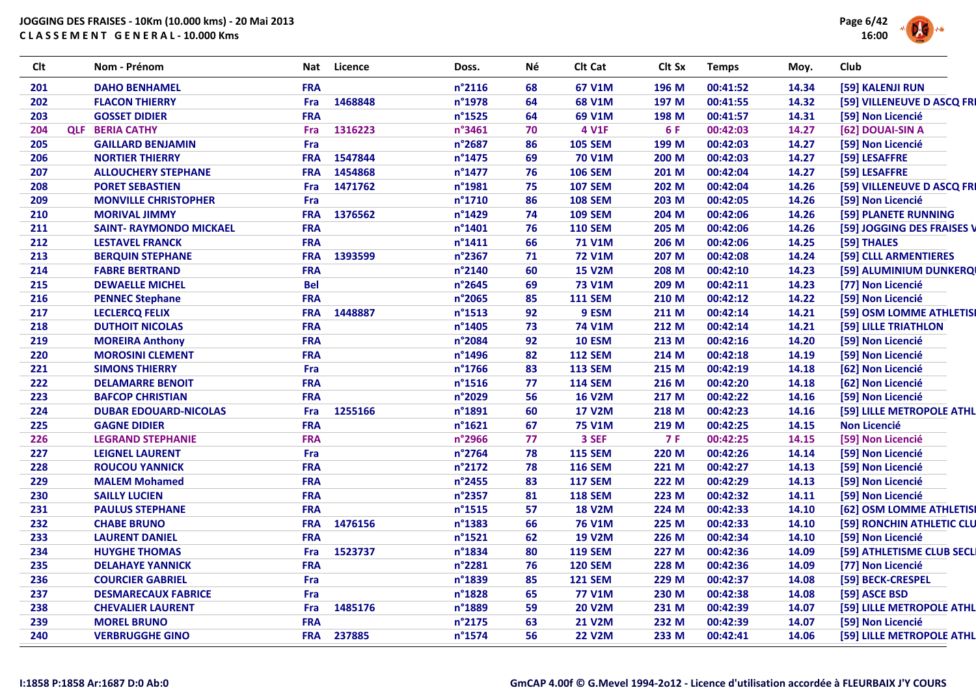

| Clt | Nom - Prénom                   | Nat        | Licence | Doss.            | Νé | Clt Cat        | Clt Sx     | <b>Temps</b> | Moy.  | Club                       |
|-----|--------------------------------|------------|---------|------------------|----|----------------|------------|--------------|-------|----------------------------|
| 201 | <b>DAHO BENHAMEL</b>           | <b>FRA</b> |         | n°2116           | 68 | 67 V1M         | 196 M      | 00:41:52     | 14.34 | [59] KALENJI RUN           |
| 202 | <b>FLACON THIERRY</b>          | Fra        | 1468848 | n°1978           | 64 | <b>68 V1M</b>  | 197 M      | 00:41:55     | 14.32 | [59] VILLENEUVE D ASCQ FRI |
| 203 | <b>GOSSET DIDIER</b>           | <b>FRA</b> |         | $n^{\circ}$ 1525 | 64 | 69 V1M         | 198 M      | 00:41:57     | 14.31 | [59] Non Licencié          |
| 204 | <b>QLF BERIA CATHY</b>         | Fra        | 1316223 | n°3461           | 70 | 4 V1F          | 6 F        | 00:42:03     | 14.27 | [62] DOUAI-SIN A           |
| 205 | <b>GAILLARD BENJAMIN</b>       | Fra        |         | n°2687           | 86 | <b>105 SEM</b> | 199 M      | 00:42:03     | 14.27 | [59] Non Licencié          |
| 206 | <b>NORTIER THIERRY</b>         | <b>FRA</b> | 1547844 | $n^{\circ}$ 1475 | 69 | <b>70 V1M</b>  | 200 M      | 00:42:03     | 14.27 | [59] LESAFFRE              |
| 207 | <b>ALLOUCHERY STEPHANE</b>     | <b>FRA</b> | 1454868 | n°1477           | 76 | <b>106 SEM</b> | 201 M      | 00:42:04     | 14.27 | [59] LESAFFRE              |
| 208 | <b>PORET SEBASTIEN</b>         | Fra        | 1471762 | n°1981           | 75 | <b>107 SEM</b> | 202 M      | 00:42:04     | 14.26 | [59] VILLENEUVE D ASCQ FRI |
| 209 | <b>MONVILLE CHRISTOPHER</b>    | Fra        |         | n°1710           | 86 | <b>108 SEM</b> | 203 M      | 00:42:05     | 14.26 | [59] Non Licencié          |
| 210 | <b>MORIVAL JIMMY</b>           | <b>FRA</b> | 1376562 | n°1429           | 74 | <b>109 SEM</b> | 204 M      | 00:42:06     | 14.26 | [59] PLANETE RUNNING       |
| 211 | <b>SAINT- RAYMONDO MICKAEL</b> | <b>FRA</b> |         | $n^{\circ}$ 1401 | 76 | <b>110 SEM</b> | 205 M      | 00:42:06     | 14.26 | [59] JOGGING DES FRAISES V |
| 212 | <b>LESTAVEL FRANCK</b>         | <b>FRA</b> |         | $n^{\circ}$ 1411 | 66 | <b>71 V1M</b>  | 206 M      | 00:42:06     | 14.25 | [59] THALES                |
| 213 | <b>BERQUIN STEPHANE</b>        | <b>FRA</b> | 1393599 | n°2367           | 71 | <b>72 V1M</b>  | 207 M      | 00:42:08     | 14.24 | [59] CLLL ARMENTIERES      |
| 214 | <b>FABRE BERTRAND</b>          | <b>FRA</b> |         | n°2140           | 60 | <b>15 V2M</b>  | 208 M      | 00:42:10     | 14.23 | [59] ALUMINIUM DUNKERQI    |
| 215 | <b>DEWAELLE MICHEL</b>         | <b>Bel</b> |         | n°2645           | 69 | <b>73 V1M</b>  | 209 M      | 00:42:11     | 14.23 | [77] Non Licencié          |
| 216 | <b>PENNEC Stephane</b>         | <b>FRA</b> |         | n°2065           | 85 | <b>111 SEM</b> | 210 M      | 00:42:12     | 14.22 | [59] Non Licencié          |
| 217 | <b>LECLERCQ FELIX</b>          | <b>FRA</b> | 1448887 | $n^{\circ}$ 1513 | 92 | 9 ESM          | 211 M      | 00:42:14     | 14.21 | [59] OSM LOMME ATHLETISI   |
| 218 | <b>DUTHOIT NICOLAS</b>         | <b>FRA</b> |         | n°1405           | 73 | <b>74 V1M</b>  | 212 M      | 00:42:14     | 14.21 | [59] LILLE TRIATHLON       |
| 219 | <b>MOREIRA Anthony</b>         | <b>FRA</b> |         | n°2084           | 92 | <b>10 ESM</b>  | 213 M      | 00:42:16     | 14.20 | [59] Non Licencié          |
| 220 | <b>MOROSINI CLEMENT</b>        | <b>FRA</b> |         | n°1496           | 82 | <b>112 SEM</b> | 214 M      | 00:42:18     | 14.19 | [59] Non Licencié          |
| 221 | <b>SIMONS THIERRY</b>          | Fra        |         | $n^{\circ}$ 1766 | 83 | <b>113 SEM</b> | 215 M      | 00:42:19     | 14.18 | [62] Non Licencié          |
| 222 | <b>DELAMARRE BENOIT</b>        | <b>FRA</b> |         | $n^{\circ}$ 1516 | 77 | <b>114 SEM</b> | 216 M      | 00:42:20     | 14.18 | [62] Non Licencié          |
| 223 | <b>BAFCOP CHRISTIAN</b>        | <b>FRA</b> |         | n°2029           | 56 | <b>16 V2M</b>  | 217 M      | 00:42:22     | 14.16 | [59] Non Licencié          |
| 224 | <b>DUBAR EDOUARD-NICOLAS</b>   | Fra        | 1255166 | n°1891           | 60 | <b>17 V2M</b>  | 218 M      | 00:42:23     | 14.16 | [59] LILLE METROPOLE ATHL  |
| 225 | <b>GAGNE DIDIER</b>            | <b>FRA</b> |         | $n^{\circ}$ 1621 | 67 | <b>75 V1M</b>  | 219 M      | 00:42:25     | 14.15 | <b>Non Licencié</b>        |
| 226 | <b>LEGRAND STEPHANIE</b>       | <b>FRA</b> |         | n°2966           | 77 | 3 SEF          | <b>7 F</b> | 00:42:25     | 14.15 | [59] Non Licencié          |
| 227 | <b>LEIGNEL LAURENT</b>         | Fra        |         | n°2764           | 78 | <b>115 SEM</b> | 220 M      | 00:42:26     | 14.14 | [59] Non Licencié          |
| 228 | <b>ROUCOU YANNICK</b>          | <b>FRA</b> |         | n°2172           | 78 | <b>116 SEM</b> | 221 M      | 00:42:27     | 14.13 | [59] Non Licencié          |
| 229 | <b>MALEM Mohamed</b>           | <b>FRA</b> |         | n°2455           | 83 | <b>117 SEM</b> | 222 M      | 00:42:29     | 14.13 | [59] Non Licencié          |
| 230 | <b>SAILLY LUCIEN</b>           | <b>FRA</b> |         | n°2357           | 81 | <b>118 SEM</b> | 223 M      | 00:42:32     | 14.11 | [59] Non Licencié          |
| 231 | <b>PAULUS STEPHANE</b>         | <b>FRA</b> |         | $n^{\circ}$ 1515 | 57 | <b>18 V2M</b>  | 224 M      | 00:42:33     | 14.10 | [62] OSM LOMME ATHLETISI   |
| 232 | <b>CHABE BRUNO</b>             | <b>FRA</b> | 1476156 | n°1383           | 66 | <b>76 V1M</b>  | 225 M      | 00:42:33     | 14.10 | [59] RONCHIN ATHLETIC CLU  |
| 233 | <b>LAURENT DANIEL</b>          | <b>FRA</b> |         | $n^{\circ}$ 1521 | 62 | <b>19 V2M</b>  | 226 M      | 00:42:34     | 14.10 | [59] Non Licencié          |
| 234 | <b>HUYGHE THOMAS</b>           | Fra        | 1523737 | n°1834           | 80 | <b>119 SEM</b> | 227 M      | 00:42:36     | 14.09 | [59] ATHLETISME CLUB SECLI |
| 235 | <b>DELAHAYE YANNICK</b>        | <b>FRA</b> |         | n°2281           | 76 | <b>120 SEM</b> | 228 M      | 00:42:36     | 14.09 | [77] Non Licencié          |
| 236 | <b>COURCIER GABRIEL</b>        | Fra        |         | n°1839           | 85 | <b>121 SEM</b> | 229 M      | 00:42:37     | 14.08 | [59] BECK-CRESPEL          |
| 237 | <b>DESMARECAUX FABRICE</b>     | Fra        |         | n°1828           | 65 | <b>77 V1M</b>  | 230 M      | 00:42:38     | 14.08 | [59] ASCE BSD              |
| 238 | <b>CHEVALIER LAURENT</b>       | Fra        | 1485176 | n°1889           | 59 | <b>20 V2M</b>  | 231 M      | 00:42:39     | 14.07 | [59] LILLE METROPOLE ATHL  |
| 239 | <b>MOREL BRUNO</b>             | <b>FRA</b> |         | n°2175           | 63 | <b>21 V2M</b>  | 232 M      | 00:42:39     | 14.07 | [59] Non Licencié          |
| 240 | <b>VERBRUGGHE GINO</b>         | <b>FRA</b> | 237885  | n°1574           | 56 | <b>22 V2M</b>  | 233 M      | 00:42:41     | 14.06 | [59] LILLE METROPOLE ATHL  |
|     |                                |            |         |                  |    |                |            |              |       |                            |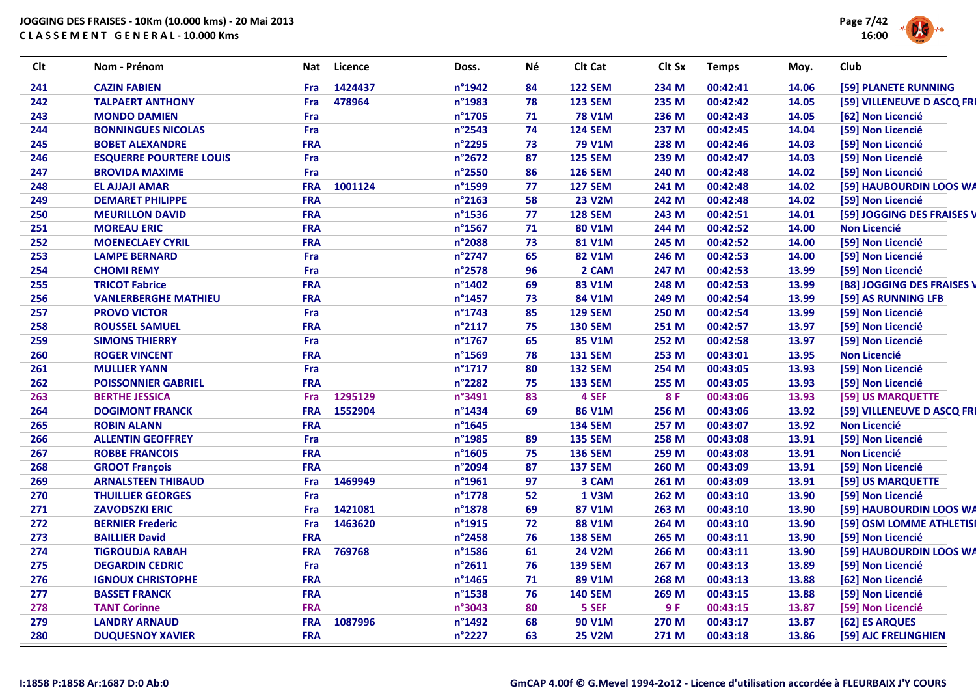

| <b>Clt</b> | Nom - Prénom                   | Nat        | <b>Licence</b> | Doss.  | Né | Clt Cat        | Clt Sx | <b>Temps</b> | Moy.  | Club                       |
|------------|--------------------------------|------------|----------------|--------|----|----------------|--------|--------------|-------|----------------------------|
| 241        | <b>CAZIN FABIEN</b>            | Fra        | 1424437        | n°1942 | 84 | <b>122 SEM</b> | 234 M  | 00:42:41     | 14.06 | [59] PLANETE RUNNING       |
| 242        | <b>TALPAERT ANTHONY</b>        | Fra        | 478964         | n°1983 | 78 | <b>123 SEM</b> | 235 M  | 00:42:42     | 14.05 | [59] VILLENEUVE D ASCQ FRI |
| 243        | <b>MONDO DAMIEN</b>            | Fra        |                | n°1705 | 71 | <b>78 V1M</b>  | 236 M  | 00:42:43     | 14.05 | [62] Non Licencié          |
| 244        | <b>BONNINGUES NICOLAS</b>      | Fra        |                | n°2543 | 74 | <b>124 SEM</b> | 237 M  | 00:42:45     | 14.04 | [59] Non Licencié          |
| 245        | <b>BOBET ALEXANDRE</b>         | <b>FRA</b> |                | n°2295 | 73 | <b>79 V1M</b>  | 238 M  | 00:42:46     | 14.03 | [59] Non Licencié          |
| 246        | <b>ESQUERRE POURTERE LOUIS</b> | Fra        |                | n°2672 | 87 | <b>125 SEM</b> | 239 M  | 00:42:47     | 14.03 | [59] Non Licencié          |
| 247        | <b>BROVIDA MAXIME</b>          | Fra        |                | n°2550 | 86 | <b>126 SEM</b> | 240 M  | 00:42:48     | 14.02 | [59] Non Licencié          |
| 248        | <b>EL AJJAJI AMAR</b>          | <b>FRA</b> | 1001124        | n°1599 | 77 | <b>127 SEM</b> | 241 M  | 00:42:48     | 14.02 | [59] HAUBOURDIN LOOS WA    |
| 249        | <b>DEMARET PHILIPPE</b>        | <b>FRA</b> |                | n°2163 | 58 | <b>23 V2M</b>  | 242 M  | 00:42:48     | 14.02 | [59] Non Licencié          |
| 250        | <b>MEURILLON DAVID</b>         | <b>FRA</b> |                | n°1536 | 77 | <b>128 SEM</b> | 243 M  | 00:42:51     | 14.01 | [59] JOGGING DES FRAISES V |
| 251        | <b>MOREAU ERIC</b>             | <b>FRA</b> |                | n°1567 | 71 | 80 V1M         | 244 M  | 00:42:52     | 14.00 | <b>Non Licencié</b>        |
| 252        | <b>MOENECLAEY CYRIL</b>        | <b>FRA</b> |                | n°2088 | 73 | <b>81 V1M</b>  | 245 M  | 00:42:52     | 14.00 | [59] Non Licencié          |
| 253        | <b>LAMPE BERNARD</b>           | Fra        |                | n°2747 | 65 | 82 V1M         | 246 M  | 00:42:53     | 14.00 | [59] Non Licencié          |
| 254        | <b>CHOMI REMY</b>              | Fra        |                | n°2578 | 96 | 2 CAM          | 247 M  | 00:42:53     | 13.99 | [59] Non Licencié          |
| 255        | <b>TRICOT Fabrice</b>          | <b>FRA</b> |                | n°1402 | 69 | 83 V1M         | 248 M  | 00:42:53     | 13.99 | [B8] JOGGING DES FRAISES \ |
| 256        | <b>VANLERBERGHE MATHIEU</b>    | <b>FRA</b> |                | n°1457 | 73 | 84 V1M         | 249 M  | 00:42:54     | 13.99 | [59] AS RUNNING LFB        |
| 257        | <b>PROVO VICTOR</b>            | Fra        |                | n°1743 | 85 | <b>129 SEM</b> | 250 M  | 00:42:54     | 13.99 | [59] Non Licencié          |
| 258        | <b>ROUSSEL SAMUEL</b>          | <b>FRA</b> |                | n°2117 | 75 | <b>130 SEM</b> | 251 M  | 00:42:57     | 13.97 | [59] Non Licencié          |
| 259        | <b>SIMONS THIERRY</b>          | Fra        |                | n°1767 | 65 | <b>85 V1M</b>  | 252 M  | 00:42:58     | 13.97 | [59] Non Licencié          |
| 260        | <b>ROGER VINCENT</b>           | <b>FRA</b> |                | n°1569 | 78 | <b>131 SEM</b> | 253 M  | 00:43:01     | 13.95 | <b>Non Licencié</b>        |
| 261        | <b>MULLIER YANN</b>            | Fra        |                | n°1717 | 80 | <b>132 SEM</b> | 254 M  | 00:43:05     | 13.93 | [59] Non Licencié          |
| 262        | <b>POISSONNIER GABRIEL</b>     | <b>FRA</b> |                | n°2282 | 75 | <b>133 SEM</b> | 255 M  | 00:43:05     | 13.93 | [59] Non Licencié          |
| 263        | <b>BERTHE JESSICA</b>          | Fra        | 1295129        | n°3491 | 83 | 4 SEF          | 8 F    | 00:43:06     | 13.93 | [59] US MARQUETTE          |
| 264        | <b>DOGIMONT FRANCK</b>         | <b>FRA</b> | 1552904        | n°1434 | 69 | <b>86 V1M</b>  | 256 M  | 00:43:06     | 13.92 | [59] VILLENEUVE D ASCQ FRI |
| 265        | <b>ROBIN ALANN</b>             | <b>FRA</b> |                | n°1645 |    | <b>134 SEM</b> | 257 M  | 00:43:07     | 13.92 | <b>Non Licencié</b>        |
| 266        | <b>ALLENTIN GEOFFREY</b>       | Fra        |                | n°1985 | 89 | <b>135 SEM</b> | 258 M  | 00:43:08     | 13.91 | [59] Non Licencié          |
| 267        | <b>ROBBE FRANCOIS</b>          | <b>FRA</b> |                | n°1605 | 75 | <b>136 SEM</b> | 259 M  | 00:43:08     | 13.91 | <b>Non Licencié</b>        |
| 268        | <b>GROOT François</b>          | <b>FRA</b> |                | n°2094 | 87 | <b>137 SEM</b> | 260 M  | 00:43:09     | 13.91 | [59] Non Licencié          |
| 269        | <b>ARNALSTEEN THIBAUD</b>      | Fra        | 1469949        | n°1961 | 97 | 3 CAM          | 261 M  | 00:43:09     | 13.91 | [59] US MARQUETTE          |
| 270        | <b>THUILLIER GEORGES</b>       | Fra        |                | n°1778 | 52 | <b>1 V3M</b>   | 262 M  | 00:43:10     | 13.90 | [59] Non Licencié          |
| 271        | <b>ZAVODSZKI ERIC</b>          | Fra        | 1421081        | n°1878 | 69 | <b>87 V1M</b>  | 263 M  | 00:43:10     | 13.90 | [59] HAUBOURDIN LOOS WA    |
| 272        | <b>BERNIER Frederic</b>        | Fra        | 1463620        | n°1915 | 72 | <b>88 V1M</b>  | 264 M  | 00:43:10     | 13.90 | [59] OSM LOMME ATHLETISI   |
| 273        | <b>BAILLIER David</b>          | <b>FRA</b> |                | n°2458 | 76 | <b>138 SEM</b> | 265 M  | 00:43:11     | 13.90 | [59] Non Licencié          |
| 274        | <b>TIGROUDJA RABAH</b>         | <b>FRA</b> | 769768         | n°1586 | 61 | <b>24 V2M</b>  | 266 M  | 00:43:11     | 13.90 | [59] HAUBOURDIN LOOS WA    |
| 275        | <b>DEGARDIN CEDRIC</b>         | Fra        |                | n°2611 | 76 | <b>139 SEM</b> | 267 M  | 00:43:13     | 13.89 | [59] Non Licencié          |
| 276        | <b>IGNOUX CHRISTOPHE</b>       | <b>FRA</b> |                | n°1465 | 71 | 89 V1M         | 268 M  | 00:43:13     | 13.88 | [62] Non Licencié          |
| 277        | <b>BASSET FRANCK</b>           | <b>FRA</b> |                | n°1538 | 76 | <b>140 SEM</b> | 269 M  | 00:43:15     | 13.88 | [59] Non Licencié          |
| 278        | <b>TANT Corinne</b>            | <b>FRA</b> |                | n°3043 | 80 | 5 SEF          | 9F     | 00:43:15     | 13.87 | [59] Non Licencié          |
| 279        | <b>LANDRY ARNAUD</b>           | <b>FRA</b> | 1087996        | n°1492 | 68 | <b>90 V1M</b>  | 270 M  | 00:43:17     | 13.87 | [62] ES ARQUES             |
| 280        | <b>DUQUESNOY XAVIER</b>        | <b>FRA</b> |                | n°2227 | 63 | <b>25 V2M</b>  | 271 M  | 00:43:18     | 13.86 | [59] AJC FRELINGHIEN       |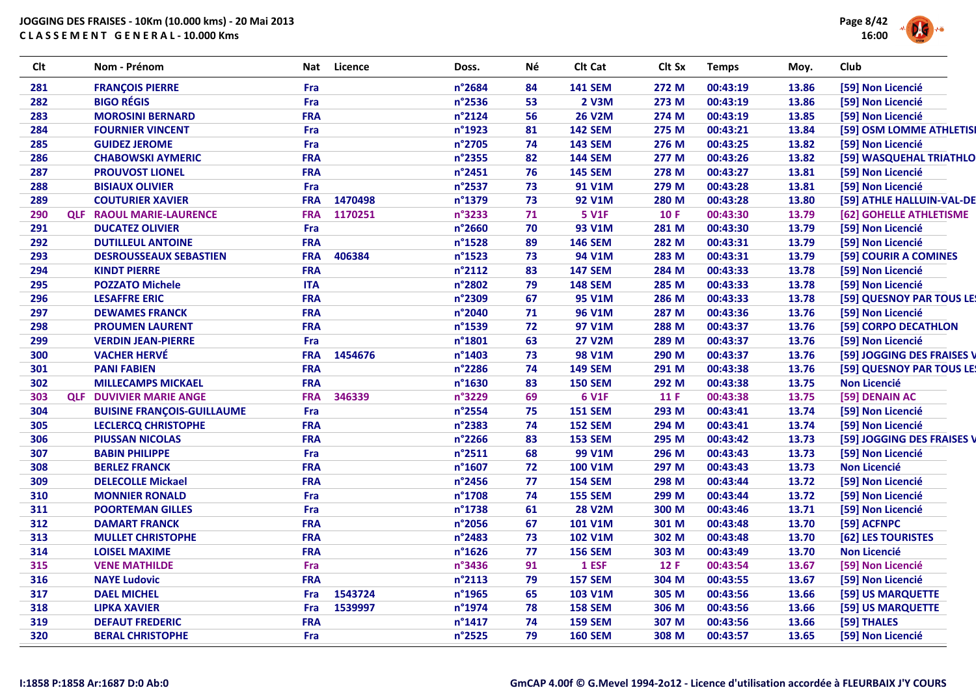

| Clt | Nom - Prénom                      | Nat        | Licence | Doss.            | Νé | Clt Cat        | Clt Sx     | <b>Temps</b> | Moy.  | Club                       |
|-----|-----------------------------------|------------|---------|------------------|----|----------------|------------|--------------|-------|----------------------------|
| 281 | <b>FRANÇOIS PIERRE</b>            | Fra        |         | n°2684           | 84 | <b>141 SEM</b> | 272 M      | 00:43:19     | 13.86 | [59] Non Licencié          |
| 282 | <b>BIGO RÉGIS</b>                 | Fra        |         | n°2536           | 53 | 2 V3M          | 273 M      | 00:43:19     | 13.86 | [59] Non Licencié          |
| 283 | <b>MOROSINI BERNARD</b>           | <b>FRA</b> |         | n°2124           | 56 | <b>26 V2M</b>  | 274 M      | 00:43:19     | 13.85 | [59] Non Licencié          |
| 284 | <b>FOURNIER VINCENT</b>           | Fra        |         | n°1923           | 81 | <b>142 SEM</b> | 275 M      | 00:43:21     | 13.84 | [59] OSM LOMME ATHLETISI   |
| 285 | <b>GUIDEZ JEROME</b>              | Fra        |         | n°2705           | 74 | <b>143 SEM</b> | 276 M      | 00:43:25     | 13.82 | [59] Non Licencié          |
| 286 | <b>CHABOWSKI AYMERIC</b>          | <b>FRA</b> |         | n°2355           | 82 | <b>144 SEM</b> | 277 M      | 00:43:26     | 13.82 | [59] WASQUEHAL TRIATHLO    |
| 287 | <b>PROUVOST LIONEL</b>            | <b>FRA</b> |         | n°2451           | 76 | <b>145 SEM</b> | 278 M      | 00:43:27     | 13.81 | [59] Non Licencié          |
| 288 | <b>BISIAUX OLIVIER</b>            | Fra        |         | n°2537           | 73 | 91 V1M         | 279 M      | 00:43:28     | 13.81 | [59] Non Licencié          |
| 289 | <b>COUTURIER XAVIER</b>           | <b>FRA</b> | 1470498 | n°1379           | 73 | <b>92 V1M</b>  | 280 M      | 00:43:28     | 13.80 | [59] ATHLE HALLUIN-VAL-DE  |
| 290 | <b>QLF RAOUL MARIE-LAURENCE</b>   | <b>FRA</b> | 1170251 | n°3233           | 71 | <b>5 V1F</b>   | <b>10F</b> | 00:43:30     | 13.79 | [62] GOHELLE ATHLETISME    |
| 291 | <b>DUCATEZ OLIVIER</b>            | Fra        |         | n°2660           | 70 | 93 V1M         | 281 M      | 00:43:30     | 13.79 | [59] Non Licencié          |
| 292 | <b>DUTILLEUL ANTOINE</b>          | <b>FRA</b> |         | n°1528           | 89 | <b>146 SEM</b> | 282 M      | 00:43:31     | 13.79 | [59] Non Licencié          |
| 293 | <b>DESROUSSEAUX SEBASTIEN</b>     | <b>FRA</b> | 406384  | n°1523           | 73 | 94 V1M         | 283 M      | 00:43:31     | 13.79 | [59] COURIR A COMINES      |
| 294 | <b>KINDT PIERRE</b>               | <b>FRA</b> |         | n°2112           | 83 | <b>147 SEM</b> | 284 M      | 00:43:33     | 13.78 | [59] Non Licencié          |
| 295 | <b>POZZATO Michele</b>            | <b>ITA</b> |         | n°2802           | 79 | <b>148 SEM</b> | 285 M      | 00:43:33     | 13.78 | [59] Non Licencié          |
| 296 | <b>LESAFFRE ERIC</b>              | <b>FRA</b> |         | n°2309           | 67 | <b>95 V1M</b>  | 286 M      | 00:43:33     | 13.78 | [59] QUESNOY PAR TOUS LE!  |
| 297 | <b>DEWAMES FRANCK</b>             | <b>FRA</b> |         | n°2040           | 71 | <b>96 V1M</b>  | 287 M      | 00:43:36     | 13.76 | [59] Non Licencié          |
| 298 | <b>PROUMEN LAURENT</b>            | <b>FRA</b> |         | n°1539           | 72 | 97 V1M         | 288 M      | 00:43:37     | 13.76 | [59] CORPO DECATHLON       |
| 299 | <b>VERDIN JEAN-PIERRE</b>         | Fra        |         | $n^{\circ}$ 1801 | 63 | <b>27 V2M</b>  | 289 M      | 00:43:37     | 13.76 | [59] Non Licencié          |
| 300 | <b>VACHER HERVÉ</b>               | <b>FRA</b> | 1454676 | $n^{\circ}$ 1403 | 73 | <b>98 V1M</b>  | 290 M      | 00:43:37     | 13.76 | [59] JOGGING DES FRAISES V |
| 301 | <b>PANI FABIEN</b>                | <b>FRA</b> |         | n°2286           | 74 | <b>149 SEM</b> | 291 M      | 00:43:38     | 13.76 | [59] QUESNOY PAR TOUS LE!  |
| 302 | <b>MILLECAMPS MICKAEL</b>         | <b>FRA</b> |         | n°1630           | 83 | <b>150 SEM</b> | 292 M      | 00:43:38     | 13.75 | <b>Non Licencié</b>        |
| 303 | <b>QLF DUVIVIER MARIE ANGE</b>    | <b>FRA</b> | 346339  | n°3229           | 69 | <b>6 V1F</b>   | 11 F       | 00:43:38     | 13.75 | [59] DENAIN AC             |
| 304 | <b>BUISINE FRANÇOIS-GUILLAUME</b> | Fra        |         | n°2554           | 75 | <b>151 SEM</b> | 293 M      | 00:43:41     | 13.74 | [59] Non Licencié          |
| 305 | <b>LECLERCQ CHRISTOPHE</b>        | <b>FRA</b> |         | n°2383           | 74 | <b>152 SEM</b> | 294 M      | 00:43:41     | 13.74 | [59] Non Licencié          |
| 306 | <b>PIUSSAN NICOLAS</b>            | <b>FRA</b> |         | n°2266           | 83 | <b>153 SEM</b> | 295 M      | 00:43:42     | 13.73 | [59] JOGGING DES FRAISES V |
| 307 | <b>BABIN PHILIPPE</b>             | Fra        |         | $n^{\circ}2511$  | 68 | <b>99 V1M</b>  | 296 M      | 00:43:43     | 13.73 | [59] Non Licencié          |
| 308 | <b>BERLEZ FRANCK</b>              | <b>FRA</b> |         | $n^{\circ}$ 1607 | 72 | <b>100 V1M</b> | 297 M      | 00:43:43     | 13.73 | <b>Non Licencié</b>        |
| 309 | <b>DELECOLLE Mickael</b>          | <b>FRA</b> |         | n°2456           | 77 | <b>154 SEM</b> | 298 M      | 00:43:44     | 13.72 | [59] Non Licencié          |
| 310 | <b>MONNIER RONALD</b>             | Fra        |         | n°1708           | 74 | <b>155 SEM</b> | 299 M      | 00:43:44     | 13.72 | [59] Non Licencié          |
| 311 | <b>POORTEMAN GILLES</b>           | Fra        |         | n°1738           | 61 | <b>28 V2M</b>  | 300 M      | 00:43:46     | 13.71 | [59] Non Licencié          |
| 312 | <b>DAMART FRANCK</b>              | <b>FRA</b> |         | n°2056           | 67 | <b>101 V1M</b> | 301 M      | 00:43:48     | 13.70 | [59] ACFNPC                |
| 313 | <b>MULLET CHRISTOPHE</b>          | <b>FRA</b> |         | n°2483           | 73 | <b>102 V1M</b> | 302 M      | 00:43:48     | 13.70 | [62] LES TOURISTES         |
| 314 | <b>LOISEL MAXIME</b>              | <b>FRA</b> |         | $n^{\circ}$ 1626 | 77 | <b>156 SEM</b> | 303 M      | 00:43:49     | 13.70 | <b>Non Licencié</b>        |
| 315 | <b>VENE MATHILDE</b>              | Fra        |         | n°3436           | 91 | 1 ESF          | 12 F       | 00:43:54     | 13.67 | [59] Non Licencié          |
| 316 | <b>NAYE Ludovic</b>               | <b>FRA</b> |         | n°2113           | 79 | <b>157 SEM</b> | 304 M      | 00:43:55     | 13.67 | [59] Non Licencié          |
| 317 | <b>DAEL MICHEL</b>                | Fra        | 1543724 | n°1965           | 65 | <b>103 V1M</b> | 305 M      | 00:43:56     | 13.66 | [59] US MARQUETTE          |
| 318 | <b>LIPKA XAVIER</b>               | Fra        | 1539997 | n°1974           | 78 | <b>158 SEM</b> | 306 M      | 00:43:56     | 13.66 | [59] US MARQUETTE          |
| 319 | <b>DEFAUT FREDERIC</b>            | <b>FRA</b> |         | $n^{\circ}$ 1417 | 74 | <b>159 SEM</b> | 307 M      | 00:43:56     | 13.66 | [59] THALES                |
| 320 | <b>BERAL CHRISTOPHE</b>           | Fra        |         | n°2525           | 79 | <b>160 SEM</b> | 308 M      | 00:43:57     | 13.65 | [59] Non Licencié          |
|     |                                   |            |         |                  |    |                |            |              |       |                            |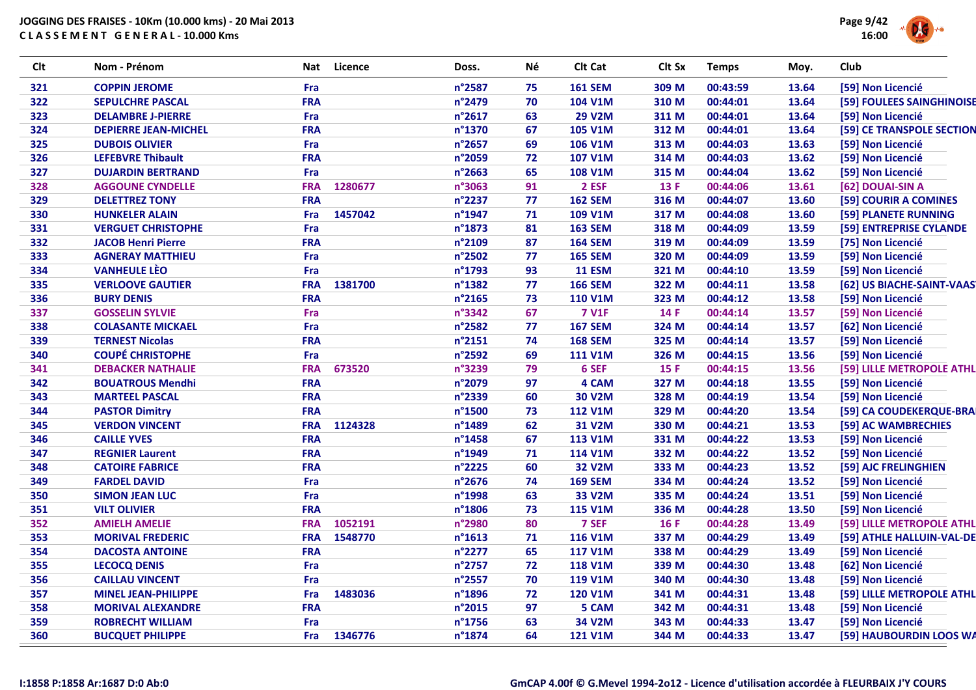

| Clt | Nom - Prénom                | Nat        | Licence | Doss.            | Né | Clt Cat        | Clt Sx      | <b>Temps</b> | Moy.  | Club                      |
|-----|-----------------------------|------------|---------|------------------|----|----------------|-------------|--------------|-------|---------------------------|
| 321 | <b>COPPIN JEROME</b>        | Fra        |         | n°2587           | 75 | <b>161 SEM</b> | 309 M       | 00:43:59     | 13.64 | [59] Non Licencié         |
| 322 | <b>SEPULCHRE PASCAL</b>     | <b>FRA</b> |         | n°2479           | 70 | <b>104 V1M</b> | 310 M       | 00:44:01     | 13.64 | [59] FOULEES SAINGHINOISE |
| 323 | <b>DELAMBRE J-PIERRE</b>    | Fra        |         | n°2617           | 63 | <b>29 V2M</b>  | 311 M       | 00:44:01     | 13.64 | [59] Non Licencié         |
| 324 | <b>DEPIERRE JEAN-MICHEL</b> | <b>FRA</b> |         | n°1370           | 67 | <b>105 V1M</b> | 312 M       | 00:44:01     | 13.64 | [59] CE TRANSPOLE SECTION |
| 325 | <b>DUBOIS OLIVIER</b>       | Fra        |         | n°2657           | 69 | 106 V1M        | 313 M       | 00:44:03     | 13.63 | [59] Non Licencié         |
| 326 | <b>LEFEBVRE Thibault</b>    | <b>FRA</b> |         | n°2059           | 72 | <b>107 V1M</b> | 314 M       | 00:44:03     | 13.62 | [59] Non Licencié         |
| 327 | <b>DUJARDIN BERTRAND</b>    | Fra        |         | n°2663           | 65 | <b>108 V1M</b> | 315 M       | 00:44:04     | 13.62 | [59] Non Licencié         |
| 328 | <b>AGGOUNE CYNDELLE</b>     | <b>FRA</b> | 1280677 | n°3063           | 91 | 2 ESF          | 13 F        | 00:44:06     | 13.61 | [62] DOUAI-SIN A          |
| 329 | <b>DELETTREZ TONY</b>       | <b>FRA</b> |         | n°2237           | 77 | <b>162 SEM</b> | 316 M       | 00:44:07     | 13.60 | [59] COURIR A COMINES     |
| 330 | <b>HUNKELER ALAIN</b>       | Fra        | 1457042 | $n^{\circ}$ 1947 | 71 | 109 V1M        | 317 M       | 00:44:08     | 13.60 | [59] PLANETE RUNNING      |
| 331 | <b>VERGUET CHRISTOPHE</b>   | Fra        |         | n°1873           | 81 | <b>163 SEM</b> | 318 M       | 00:44:09     | 13.59 | [59] ENTREPRISE CYLANDE   |
| 332 | <b>JACOB Henri Pierre</b>   | <b>FRA</b> |         | n°2109           | 87 | <b>164 SEM</b> | 319 M       | 00:44:09     | 13.59 | [75] Non Licencié         |
| 333 | <b>AGNERAY MATTHIEU</b>     | Fra        |         | n°2502           | 77 | <b>165 SEM</b> | 320 M       | 00:44:09     | 13.59 | [59] Non Licencié         |
| 334 | <b>VANHEULE LÈO</b>         | Fra        |         | n°1793           | 93 | <b>11 ESM</b>  | 321 M       | 00:44:10     | 13.59 | [59] Non Licencié         |
| 335 | <b>VERLOOVE GAUTIER</b>     | <b>FRA</b> | 1381700 | n°1382           | 77 | <b>166 SEM</b> | 322 M       | 00:44:11     | 13.58 | [62] US BIACHE-SAINT-VAAS |
| 336 | <b>BURY DENIS</b>           | <b>FRA</b> |         | n°2165           | 73 | <b>110 V1M</b> | 323 M       | 00:44:12     | 13.58 | [59] Non Licencié         |
| 337 | <b>GOSSELIN SYLVIE</b>      | Fra        |         | n°3342           | 67 | <b>7 V1F</b>   | 14 F        | 00:44:14     | 13.57 | [59] Non Licencié         |
| 338 | <b>COLASANTE MICKAEL</b>    | Fra        |         | n°2582           | 77 | <b>167 SEM</b> | 324 M       | 00:44:14     | 13.57 | [62] Non Licencié         |
| 339 | <b>TERNEST Nicolas</b>      | <b>FRA</b> |         | n°2151           | 74 | <b>168 SEM</b> | 325 M       | 00:44:14     | 13.57 | [59] Non Licencié         |
| 340 | <b>COUPÉ CHRISTOPHE</b>     | Fra        |         | n°2592           | 69 | <b>111 V1M</b> | 326 M       | 00:44:15     | 13.56 | [59] Non Licencié         |
| 341 | <b>DEBACKER NATHALIE</b>    | <b>FRA</b> | 673520  | n°3239           | 79 | 6 SEF          | 15 F        | 00:44:15     | 13.56 | [59] LILLE METROPOLE ATHL |
| 342 | <b>BOUATROUS Mendhi</b>     | <b>FRA</b> |         | n°2079           | 97 | 4 CAM          | 327 M       | 00:44:18     | 13.55 | [59] Non Licencié         |
| 343 | <b>MARTEEL PASCAL</b>       | <b>FRA</b> |         | n°2339           | 60 | <b>30 V2M</b>  | 328 M       | 00:44:19     | 13.54 | [59] Non Licencié         |
| 344 | <b>PASTOR Dimitry</b>       | <b>FRA</b> |         | n°1500           | 73 | <b>112 V1M</b> | 329 M       | 00:44:20     | 13.54 | [59] CA COUDEKERQUE-BRA   |
| 345 | <b>VERDON VINCENT</b>       | <b>FRA</b> | 1124328 | n°1489           | 62 | 31 V2M         | 330 M       | 00:44:21     | 13.53 | [59] AC WAMBRECHIES       |
| 346 | <b>CAILLE YVES</b>          | <b>FRA</b> |         | n°1458           | 67 | <b>113 V1M</b> | 331 M       | 00:44:22     | 13.53 | [59] Non Licencié         |
| 347 | <b>REGNIER Laurent</b>      | <b>FRA</b> |         | n°1949           | 71 | <b>114 V1M</b> | 332 M       | 00:44:22     | 13.52 | [59] Non Licencié         |
| 348 | <b>CATOIRE FABRICE</b>      | <b>FRA</b> |         | n°2225           | 60 | <b>32 V2M</b>  | 333 M       | 00:44:23     | 13.52 | [59] AJC FRELINGHIEN      |
| 349 | <b>FARDEL DAVID</b>         | Fra        |         | n°2676           | 74 | <b>169 SEM</b> | 334 M       | 00:44:24     | 13.52 | [59] Non Licencié         |
| 350 | <b>SIMON JEAN LUC</b>       | Fra        |         | n°1998           | 63 | <b>33 V2M</b>  | 335 M       | 00:44:24     | 13.51 | [59] Non Licencié         |
| 351 | <b>VILT OLIVIER</b>         | <b>FRA</b> |         | n°1806           | 73 | <b>115 V1M</b> | 336 M       | 00:44:28     | 13.50 | [59] Non Licencié         |
| 352 | <b>AMIELH AMELIE</b>        | <b>FRA</b> | 1052191 | n°2980           | 80 | 7 SEF          | <b>16 F</b> | 00:44:28     | 13.49 | [59] LILLE METROPOLE ATHL |
| 353 | <b>MORIVAL FREDERIC</b>     | <b>FRA</b> | 1548770 | n°1613           | 71 | <b>116 V1M</b> | 337 M       | 00:44:29     | 13.49 | [59] ATHLE HALLUIN-VAL-DE |
| 354 | <b>DACOSTA ANTOINE</b>      | <b>FRA</b> |         | n°2277           | 65 | <b>117 V1M</b> | 338 M       | 00:44:29     | 13.49 | [59] Non Licencié         |
| 355 | <b>LECOCQ DENIS</b>         | Fra        |         | n°2757           | 72 | <b>118 V1M</b> | 339 M       | 00:44:30     | 13.48 | [62] Non Licencié         |
| 356 | <b>CAILLAU VINCENT</b>      | Fra        |         | n°2557           | 70 | <b>119 V1M</b> | 340 M       | 00:44:30     | 13.48 | [59] Non Licencié         |
| 357 | <b>MINEL JEAN-PHILIPPE</b>  | Fra        | 1483036 | n°1896           | 72 | <b>120 V1M</b> | 341 M       | 00:44:31     | 13.48 | [59] LILLE METROPOLE ATHL |
| 358 | <b>MORIVAL ALEXANDRE</b>    | <b>FRA</b> |         | n°2015           | 97 | 5 CAM          | 342 M       | 00:44:31     | 13.48 | [59] Non Licencié         |
| 359 | <b>ROBRECHT WILLIAM</b>     | Fra        |         | n°1756           | 63 | 34 V2M         | 343 M       | 00:44:33     | 13.47 | [59] Non Licencié         |
| 360 | <b>BUCQUET PHILIPPE</b>     | <b>Fra</b> | 1346776 | n°1874           | 64 | <b>121 V1M</b> | 344 M       | 00:44:33     | 13.47 | [59] HAUBOURDIN LOOS WA   |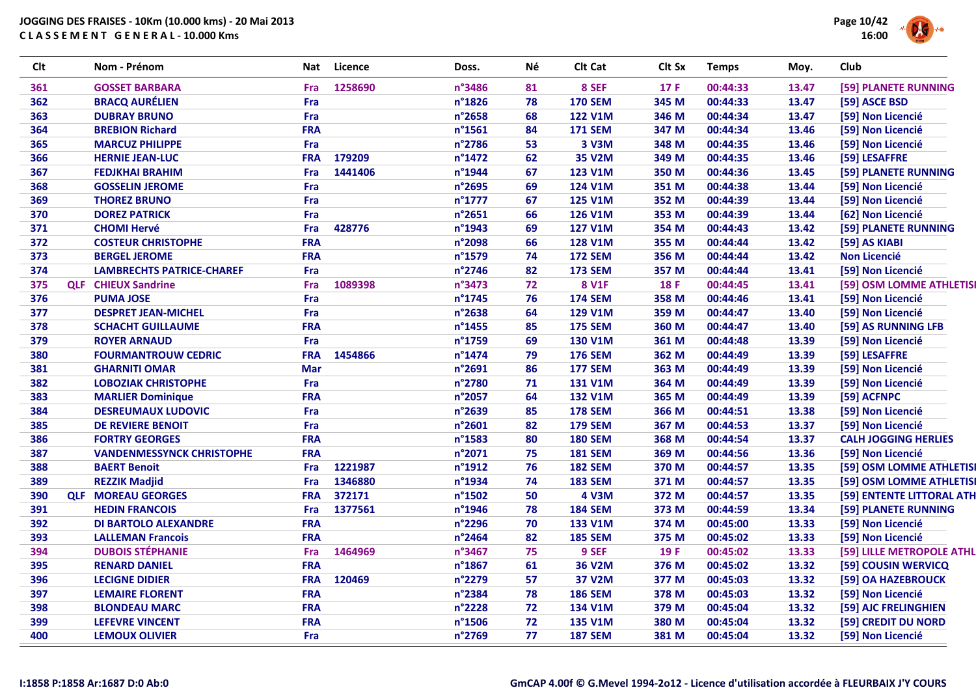

| <b>Clt</b> | Nom - Prénom                     | Nat        | Licence | Doss.            | Νé | Clt Cat        | Clt Sx | <b>Temps</b> | Moy.  | Club                        |
|------------|----------------------------------|------------|---------|------------------|----|----------------|--------|--------------|-------|-----------------------------|
| 361        | <b>GOSSET BARBARA</b>            | Fra        | 1258690 | n°3486           | 81 | 8 SEF          | 17F    | 00:44:33     | 13.47 | [59] PLANETE RUNNING        |
| 362        | <b>BRACQ AURÉLIEN</b>            | Fra        |         | n°1826           | 78 | <b>170 SEM</b> | 345 M  | 00:44:33     | 13.47 | [59] ASCE BSD               |
| 363        | <b>DUBRAY BRUNO</b>              | Fra        |         | n°2658           | 68 | <b>122 V1M</b> | 346 M  | 00:44:34     | 13.47 | [59] Non Licencié           |
| 364        | <b>BREBION Richard</b>           | <b>FRA</b> |         | $n^{\circ}$ 1561 | 84 | <b>171 SEM</b> | 347 M  | 00:44:34     | 13.46 | [59] Non Licencié           |
| 365        | <b>MARCUZ PHILIPPE</b>           | Fra        |         | n°2786           | 53 | 3 V3M          | 348 M  | 00:44:35     | 13.46 | [59] Non Licencié           |
| 366        | <b>HERNIE JEAN-LUC</b>           | <b>FRA</b> | 179209  | n°1472           | 62 | 35 V2M         | 349 M  | 00:44:35     | 13.46 | [59] LESAFFRE               |
| 367        | <b>FEDJKHAI BRAHIM</b>           | Fra        | 1441406 | n°1944           | 67 | <b>123 V1M</b> | 350 M  | 00:44:36     | 13.45 | [59] PLANETE RUNNING        |
| 368        | <b>GOSSELIN JEROME</b>           | Fra        |         | n°2695           | 69 | <b>124 V1M</b> | 351 M  | 00:44:38     | 13.44 | [59] Non Licencié           |
| 369        | <b>THOREZ BRUNO</b>              | Fra        |         | $n^{\circ}$ 1777 | 67 | <b>125 V1M</b> | 352 M  | 00:44:39     | 13.44 | [59] Non Licencié           |
| 370        | <b>DOREZ PATRICK</b>             | Fra        |         | n°2651           | 66 | <b>126 V1M</b> | 353 M  | 00:44:39     | 13.44 | [62] Non Licencié           |
| 371        | <b>CHOMI Hervé</b>               | Fra        | 428776  | n°1943           | 69 | <b>127 V1M</b> | 354 M  | 00:44:43     | 13.42 | [59] PLANETE RUNNING        |
| 372        | <b>COSTEUR CHRISTOPHE</b>        | <b>FRA</b> |         | n°2098           | 66 | <b>128 V1M</b> | 355 M  | 00:44:44     | 13.42 | [59] AS KIABI               |
| 373        | <b>BERGEL JEROME</b>             | <b>FRA</b> |         | n°1579           | 74 | <b>172 SEM</b> | 356 M  | 00:44:44     | 13.42 | <b>Non Licencié</b>         |
| 374        | <b>LAMBRECHTS PATRICE-CHAREF</b> | Fra        |         | n°2746           | 82 | <b>173 SEM</b> | 357 M  | 00:44:44     | 13.41 | [59] Non Licencié           |
| 375        | <b>QLF</b> CHIEUX Sandrine       | Fra        | 1089398 | n°3473           | 72 | <b>8 V1F</b>   | 18 F   | 00:44:45     | 13.41 | [59] OSM LOMME ATHLETIS     |
| 376        | <b>PUMA JOSE</b>                 | Fra        |         | n°1745           | 76 | <b>174 SEM</b> | 358 M  | 00:44:46     | 13.41 | [59] Non Licencié           |
| 377        | <b>DESPRET JEAN-MICHEL</b>       | Fra        |         | n°2638           | 64 | 129 V1M        | 359 M  | 00:44:47     | 13.40 | [59] Non Licencié           |
| 378        | <b>SCHACHT GUILLAUME</b>         | <b>FRA</b> |         | n°1455           | 85 | <b>175 SEM</b> | 360 M  | 00:44:47     | 13.40 | [59] AS RUNNING LFB         |
| 379        | <b>ROYER ARNAUD</b>              | Fra        |         | n°1759           | 69 | <b>130 V1M</b> | 361 M  | 00:44:48     | 13.39 | [59] Non Licencié           |
| 380        | <b>FOURMANTROUW CEDRIC</b>       | <b>FRA</b> | 1454866 | n°1474           | 79 | <b>176 SEM</b> | 362 M  | 00:44:49     | 13.39 | [59] LESAFFRE               |
| 381        | <b>GHARNITI OMAR</b>             | <b>Mar</b> |         | n°2691           | 86 | <b>177 SEM</b> | 363 M  | 00:44:49     | 13.39 | [59] Non Licencié           |
| 382        | <b>LOBOZIAK CHRISTOPHE</b>       | Fra        |         | n°2780           | 71 | <b>131 V1M</b> | 364 M  | 00:44:49     | 13.39 | [59] Non Licencié           |
| 383        | <b>MARLIER Dominique</b>         | <b>FRA</b> |         | n°2057           | 64 | <b>132 V1M</b> | 365 M  | 00:44:49     | 13.39 | [59] ACFNPC                 |
| 384        | <b>DESREUMAUX LUDOVIC</b>        | Fra        |         | n°2639           | 85 | <b>178 SEM</b> | 366 M  | 00:44:51     | 13.38 | [59] Non Licencié           |
| 385        | <b>DE REVIERE BENOIT</b>         | Fra        |         | n°2601           | 82 | <b>179 SEM</b> | 367 M  | 00:44:53     | 13.37 | [59] Non Licencié           |
| 386        | <b>FORTRY GEORGES</b>            | <b>FRA</b> |         | n°1583           | 80 | <b>180 SEM</b> | 368 M  | 00:44:54     | 13.37 | <b>CALH JOGGING HERLIES</b> |
| 387        | <b>VANDENMESSYNCK CHRISTOPHE</b> | <b>FRA</b> |         | n°2071           | 75 | <b>181 SEM</b> | 369 M  | 00:44:56     | 13.36 | [59] Non Licencié           |
| 388        | <b>BAERT Benoit</b>              | Fra        | 1221987 | n°1912           | 76 | <b>182 SEM</b> | 370 M  | 00:44:57     | 13.35 | [59] OSM LOMME ATHLETIS     |
| 389        | <b>REZZIK Madjid</b>             | Fra        | 1346880 | n°1934           | 74 | <b>183 SEM</b> | 371 M  | 00:44:57     | 13.35 | [59] OSM LOMME ATHLETIS     |
| 390        | <b>QLF MOREAU GEORGES</b>        | <b>FRA</b> | 372171  | n°1502           | 50 | <b>4 V3M</b>   | 372 M  | 00:44:57     | 13.35 | [59] ENTENTE LITTORAL ATH   |
| 391        | <b>HEDIN FRANCOIS</b>            | Fra        | 1377561 | n°1946           | 78 | <b>184 SEM</b> | 373 M  | 00:44:59     | 13.34 | [59] PLANETE RUNNING        |
| 392        | <b>DI BARTOLO ALEXANDRE</b>      | <b>FRA</b> |         | n°2296           | 70 | 133 V1M        | 374 M  | 00:45:00     | 13.33 | [59] Non Licencié           |
| 393        | <b>LALLEMAN Francois</b>         | <b>FRA</b> |         | n°2464           | 82 | <b>185 SEM</b> | 375 M  | 00:45:02     | 13.33 | [59] Non Licencié           |
| 394        | <b>DUBOIS STÉPHANIE</b>          | Fra        | 1464969 | n°3467           | 75 | 9 SEF          | 19F    | 00:45:02     | 13.33 | [59] LILLE METROPOLE ATHL   |
| 395        | <b>RENARD DANIEL</b>             | <b>FRA</b> |         | n°1867           | 61 | 36 V2M         | 376 M  | 00:45:02     | 13.32 | [59] COUSIN WERVICQ         |
| 396        | <b>LECIGNE DIDIER</b>            | <b>FRA</b> | 120469  | n°2279           | 57 | 37 V2M         | 377 M  | 00:45:03     | 13.32 | [59] OA HAZEBROUCK          |
| 397        | <b>LEMAIRE FLORENT</b>           | <b>FRA</b> |         | n°2384           | 78 | <b>186 SEM</b> | 378 M  | 00:45:03     | 13.32 | [59] Non Licencié           |
| 398        | <b>BLONDEAU MARC</b>             | <b>FRA</b> |         | n°2228           | 72 | 134 V1M        | 379 M  | 00:45:04     | 13.32 | [59] AJC FRELINGHIEN        |
| 399        | <b>LEFEVRE VINCENT</b>           | <b>FRA</b> |         | n°1506           | 72 | <b>135 V1M</b> | 380 M  | 00:45:04     | 13.32 | [59] CREDIT DU NORD         |
| 400        | <b>LEMOUX OLIVIER</b>            | Fra        |         | n°2769           | 77 | <b>187 SEM</b> | 381 M  | 00:45:04     | 13.32 | [59] Non Licencié           |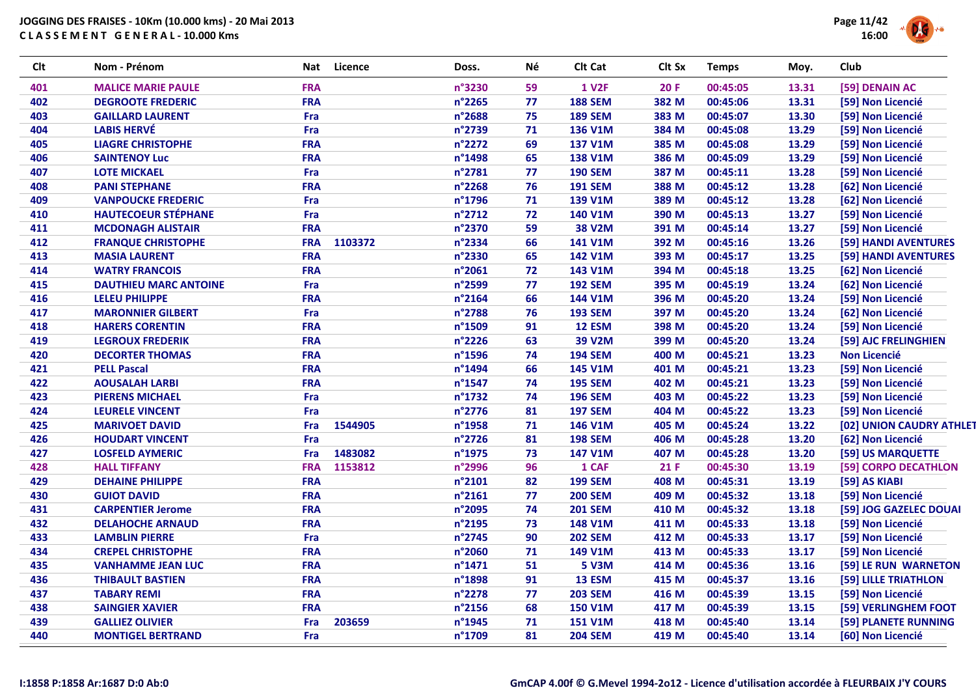

| <b>Clt</b> | Nom - Prénom                 | Nat        | Licence | Doss.  | Né | Clt Cat        | Clt Sx     | <b>Temps</b> | Moy.  | Club                     |
|------------|------------------------------|------------|---------|--------|----|----------------|------------|--------------|-------|--------------------------|
| 401        | <b>MALICE MARIE PAULE</b>    | <b>FRA</b> |         | n°3230 | 59 | <b>1 V2F</b>   | <b>20F</b> | 00:45:05     | 13.31 | [59] DENAIN AC           |
| 402        | <b>DEGROOTE FREDERIC</b>     | <b>FRA</b> |         | n°2265 | 77 | <b>188 SEM</b> | 382 M      | 00:45:06     | 13.31 | [59] Non Licencié        |
| 403        | <b>GAILLARD LAURENT</b>      | Fra        |         | n°2688 | 75 | <b>189 SEM</b> | 383 M      | 00:45:07     | 13.30 | [59] Non Licencié        |
| 404        | <b>LABIS HERVÉ</b>           | Fra        |         | n°2739 | 71 | 136 V1M        | 384 M      | 00:45:08     | 13.29 | [59] Non Licencié        |
| 405        | <b>LIAGRE CHRISTOPHE</b>     | <b>FRA</b> |         | n°2272 | 69 | <b>137 V1M</b> | 385 M      | 00:45:08     | 13.29 | [59] Non Licencié        |
| 406        | <b>SAINTENOY Luc</b>         | <b>FRA</b> |         | n°1498 | 65 | <b>138 V1M</b> | 386 M      | 00:45:09     | 13.29 | [59] Non Licencié        |
| 407        | <b>LOTE MICKAEL</b>          | Fra        |         | n°2781 | 77 | <b>190 SEM</b> | 387 M      | 00:45:11     | 13.28 | [59] Non Licencié        |
| 408        | <b>PANI STEPHANE</b>         | <b>FRA</b> |         | n°2268 | 76 | <b>191 SEM</b> | 388 M      | 00:45:12     | 13.28 | [62] Non Licencié        |
| 409        | <b>VANPOUCKE FREDERIC</b>    | Fra        |         | n°1796 | 71 | 139 V1M        | 389 M      | 00:45:12     | 13.28 | [62] Non Licencié        |
| 410        | <b>HAUTECOEUR STÉPHANE</b>   | Fra        |         | n°2712 | 72 | <b>140 V1M</b> | 390 M      | 00:45:13     | 13.27 | [59] Non Licencié        |
| 411        | <b>MCDONAGH ALISTAIR</b>     | <b>FRA</b> |         | n°2370 | 59 | <b>38 V2M</b>  | 391 M      | 00:45:14     | 13.27 | [59] Non Licencié        |
| 412        | <b>FRANQUE CHRISTOPHE</b>    | <b>FRA</b> | 1103372 | n°2334 | 66 | <b>141 V1M</b> | 392 M      | 00:45:16     | 13.26 | [59] HANDI AVENTURES     |
| 413        | <b>MASIA LAURENT</b>         | <b>FRA</b> |         | n°2330 | 65 | 142 V1M        | 393 M      | 00:45:17     | 13.25 | [59] HANDI AVENTURES     |
| 414        | <b>WATRY FRANCOIS</b>        | <b>FRA</b> |         | n°2061 | 72 | 143 V1M        | 394 M      | 00:45:18     | 13.25 | [62] Non Licencié        |
| 415        | <b>DAUTHIEU MARC ANTOINE</b> | Fra        |         | n°2599 | 77 | <b>192 SEM</b> | 395 M      | 00:45:19     | 13.24 | [62] Non Licencié        |
| 416        | <b>LELEU PHILIPPE</b>        | <b>FRA</b> |         | n°2164 | 66 | 144 V1M        | 396 M      | 00:45:20     | 13.24 | [59] Non Licencié        |
| 417        | <b>MARONNIER GILBERT</b>     | Fra        |         | n°2788 | 76 | <b>193 SEM</b> | 397 M      | 00:45:20     | 13.24 | [62] Non Licencié        |
| 418        | <b>HARERS CORENTIN</b>       | <b>FRA</b> |         | n°1509 | 91 | <b>12 ESM</b>  | 398 M      | 00:45:20     | 13.24 | [59] Non Licencié        |
| 419        | <b>LEGROUX FREDERIK</b>      | <b>FRA</b> |         | n°2226 | 63 | 39 V2M         | 399 M      | 00:45:20     | 13.24 | [59] AJC FRELINGHIEN     |
| 420        | <b>DECORTER THOMAS</b>       | <b>FRA</b> |         | n°1596 | 74 | <b>194 SEM</b> | 400 M      | 00:45:21     | 13.23 | <b>Non Licencié</b>      |
| 421        | <b>PELL Pascal</b>           | <b>FRA</b> |         | n°1494 | 66 | <b>145 V1M</b> | 401 M      | 00:45:21     | 13.23 | [59] Non Licencié        |
| 422        | <b>AOUSALAH LARBI</b>        | <b>FRA</b> |         | n°1547 | 74 | <b>195 SEM</b> | 402 M      | 00:45:21     | 13.23 | [59] Non Licencié        |
| 423        | <b>PIERENS MICHAEL</b>       | Fra        |         | n°1732 | 74 | <b>196 SEM</b> | 403 M      | 00:45:22     | 13.23 | [59] Non Licencié        |
| 424        | <b>LEURELE VINCENT</b>       | Fra        |         | n°2776 | 81 | <b>197 SEM</b> | 404 M      | 00:45:22     | 13.23 | [59] Non Licencié        |
| 425        | <b>MARIVOET DAVID</b>        | Fra        | 1544905 | n°1958 | 71 | 146 V1M        | 405 M      | 00:45:24     | 13.22 | [02] UNION CAUDRY ATHLET |
| 426        | <b>HOUDART VINCENT</b>       | Fra        |         | n°2726 | 81 | <b>198 SEM</b> | 406 M      | 00:45:28     | 13.20 | [62] Non Licencié        |
| 427        | <b>LOSFELD AYMERIC</b>       | Fra        | 1483082 | n°1975 | 73 | 147 V1M        | 407 M      | 00:45:28     | 13.20 | [59] US MARQUETTE        |
| 428        | <b>HALL TIFFANY</b>          | <b>FRA</b> | 1153812 | n°2996 | 96 | 1 CAF          | 21F        | 00:45:30     | 13.19 | [59] CORPO DECATHLON     |
| 429        | <b>DEHAINE PHILIPPE</b>      | <b>FRA</b> |         | n°2101 | 82 | <b>199 SEM</b> | 408 M      | 00:45:31     | 13.19 | [59] AS KIABI            |
| 430        | <b>GUIOT DAVID</b>           | <b>FRA</b> |         | n°2161 | 77 | <b>200 SEM</b> | 409 M      | 00:45:32     | 13.18 | [59] Non Licencié        |
| 431        | <b>CARPENTIER Jerome</b>     | <b>FRA</b> |         | n°2095 | 74 | <b>201 SEM</b> | 410 M      | 00:45:32     | 13.18 | [59] JOG GAZELEC DOUAI   |
| 432        | <b>DELAHOCHE ARNAUD</b>      | <b>FRA</b> |         | n°2195 | 73 | 148 V1M        | 411 M      | 00:45:33     | 13.18 | [59] Non Licencié        |
| 433        | <b>LAMBLIN PIERRE</b>        | Fra        |         | n°2745 | 90 | <b>202 SEM</b> | 412 M      | 00:45:33     | 13.17 | [59] Non Licencié        |
| 434        | <b>CREPEL CHRISTOPHE</b>     | <b>FRA</b> |         | n°2060 | 71 | 149 V1M        | 413 M      | 00:45:33     | 13.17 | [59] Non Licencié        |
| 435        | <b>VANHAMME JEAN LUC</b>     | <b>FRA</b> |         | n°1471 | 51 | <b>5 V3M</b>   | 414 M      | 00:45:36     | 13.16 | [59] LE RUN WARNETON     |
| 436        | <b>THIBAULT BASTIEN</b>      | <b>FRA</b> |         | n°1898 | 91 | 13 ESM         | 415 M      | 00:45:37     | 13.16 | [59] LILLE TRIATHLON     |
| 437        | <b>TABARY REMI</b>           | <b>FRA</b> |         | n°2278 | 77 | <b>203 SEM</b> | 416 M      | 00:45:39     | 13.15 | [59] Non Licencié        |
| 438        | <b>SAINGIER XAVIER</b>       | <b>FRA</b> |         | n°2156 | 68 | <b>150 V1M</b> | 417 M      | 00:45:39     | 13.15 | [59] VERLINGHEM FOOT     |
| 439        | <b>GALLIEZ OLIVIER</b>       | Fra        | 203659  | n°1945 | 71 | <b>151 V1M</b> | 418 M      | 00:45:40     | 13.14 | [59] PLANETE RUNNING     |
| 440        | <b>MONTIGEL BERTRAND</b>     | Fra        |         | n°1709 | 81 | <b>204 SEM</b> | 419 M      | 00:45:40     | 13.14 | [60] Non Licencié        |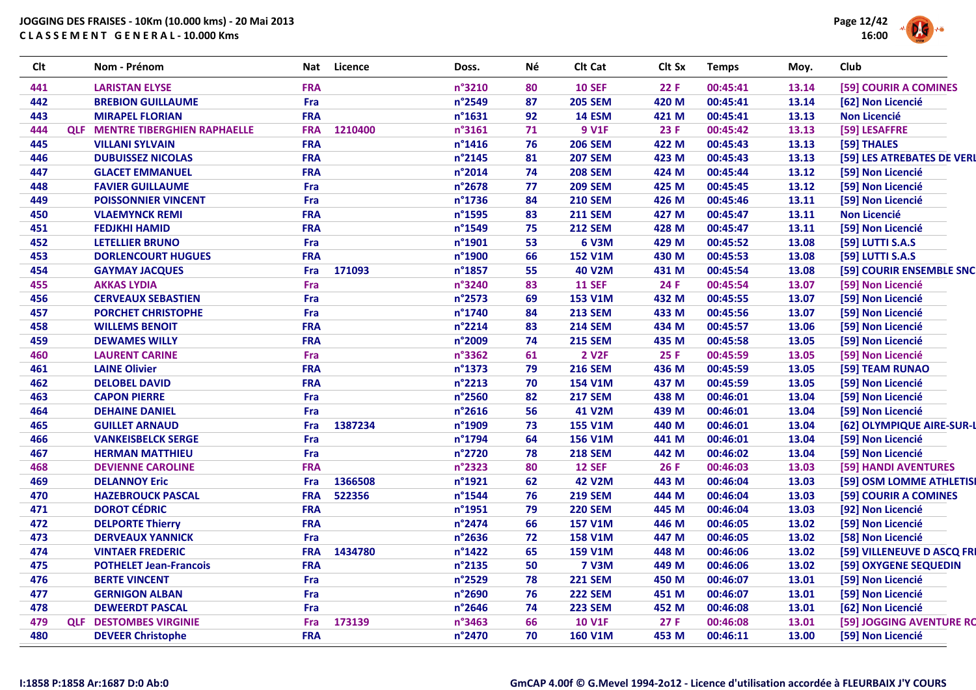

| Clt | Nom - Prénom                           | Nat        | Licence | Doss.            | Νé | Clt Cat        | Clt Sx | <b>Temps</b> | Moy.  | Club                       |
|-----|----------------------------------------|------------|---------|------------------|----|----------------|--------|--------------|-------|----------------------------|
| 441 | <b>LARISTAN ELYSE</b>                  | <b>FRA</b> |         | n°3210           | 80 | <b>10 SEF</b>  | 22F    | 00:45:41     | 13.14 | [59] COURIR A COMINES      |
| 442 | <b>BREBION GUILLAUME</b>               | Fra        |         | n°2549           | 87 | <b>205 SEM</b> | 420 M  | 00:45:41     | 13.14 | [62] Non Licencié          |
| 443 | <b>MIRAPEL FLORIAN</b>                 | <b>FRA</b> |         | n°1631           | 92 | <b>14 ESM</b>  | 421 M  | 00:45:41     | 13.13 | <b>Non Licencié</b>        |
| 444 | <b>QLF MENTRE TIBERGHIEN RAPHAELLE</b> | <b>FRA</b> | 1210400 | n°3161           | 71 | <b>9 V1F</b>   | 23 F   | 00:45:42     | 13.13 | [59] LESAFFRE              |
| 445 | <b>VILLANI SYLVAIN</b>                 | <b>FRA</b> |         | $n^{\circ}$ 1416 | 76 | <b>206 SEM</b> | 422 M  | 00:45:43     | 13.13 | [59] THALES                |
| 446 | <b>DUBUISSEZ NICOLAS</b>               | <b>FRA</b> |         | n°2145           | 81 | <b>207 SEM</b> | 423 M  | 00:45:43     | 13.13 | [59] LES ATREBATES DE VERL |
| 447 | <b>GLACET EMMANUEL</b>                 | <b>FRA</b> |         | n°2014           | 74 | <b>208 SEM</b> | 424 M  | 00:45:44     | 13.12 | [59] Non Licencié          |
| 448 | <b>FAVIER GUILLAUME</b>                | Fra        |         | n°2678           | 77 | <b>209 SEM</b> | 425 M  | 00:45:45     | 13.12 | [59] Non Licencié          |
| 449 | <b>POISSONNIER VINCENT</b>             | Fra        |         | n°1736           | 84 | <b>210 SEM</b> | 426 M  | 00:45:46     | 13.11 | [59] Non Licencié          |
| 450 | <b>VLAEMYNCK REMI</b>                  | <b>FRA</b> |         | n°1595           | 83 | <b>211 SEM</b> | 427 M  | 00:45:47     | 13.11 | <b>Non Licencié</b>        |
| 451 | <b>FEDJKHI HAMID</b>                   | <b>FRA</b> |         | n°1549           | 75 | <b>212 SEM</b> | 428 M  | 00:45:47     | 13.11 | [59] Non Licencié          |
| 452 | <b>LETELLIER BRUNO</b>                 | Fra        |         | n°1901           | 53 | <b>6 V3M</b>   | 429 M  | 00:45:52     | 13.08 | [59] LUTTI S.A.S           |
| 453 | <b>DORLENCOURT HUGUES</b>              | <b>FRA</b> |         | n°1900           | 66 | <b>152 V1M</b> | 430 M  | 00:45:53     | 13.08 | [59] LUTTI S.A.S           |
| 454 | <b>GAYMAY JACQUES</b>                  | Fra        | 171093  | n°1857           | 55 | <b>40 V2M</b>  | 431 M  | 00:45:54     | 13.08 | [59] COURIR ENSEMBLE SNC   |
| 455 | <b>AKKAS LYDIA</b>                     | Fra        |         | n°3240           | 83 | <b>11 SEF</b>  | 24 F   | 00:45:54     | 13.07 | [59] Non Licencié          |
| 456 | <b>CERVEAUX SEBASTIEN</b>              | Fra        |         | n°2573           | 69 | <b>153 V1M</b> | 432 M  | 00:45:55     | 13.07 | [59] Non Licencié          |
| 457 | <b>PORCHET CHRISTOPHE</b>              | Fra        |         | n°1740           | 84 | <b>213 SEM</b> | 433 M  | 00:45:56     | 13.07 | [59] Non Licencié          |
| 458 | <b>WILLEMS BENOIT</b>                  | <b>FRA</b> |         | n°2214           | 83 | <b>214 SEM</b> | 434 M  | 00:45:57     | 13.06 | [59] Non Licencié          |
| 459 | <b>DEWAMES WILLY</b>                   | <b>FRA</b> |         | n°2009           | 74 | <b>215 SEM</b> | 435 M  | 00:45:58     | 13.05 | [59] Non Licencié          |
| 460 | <b>LAURENT CARINE</b>                  | Fra        |         | n°3362           | 61 | <b>2 V2F</b>   | 25 F   | 00:45:59     | 13.05 | [59] Non Licencié          |
| 461 | <b>LAINE Olivier</b>                   | <b>FRA</b> |         | n°1373           | 79 | <b>216 SEM</b> | 436 M  | 00:45:59     | 13.05 | [59] TEAM RUNAO            |
| 462 | <b>DELOBEL DAVID</b>                   | <b>FRA</b> |         | n°2213           | 70 | <b>154 V1M</b> | 437 M  | 00:45:59     | 13.05 | [59] Non Licencié          |
| 463 | <b>CAPON PIERRE</b>                    | Fra        |         | n°2560           | 82 | <b>217 SEM</b> | 438 M  | 00:46:01     | 13.04 | [59] Non Licencié          |
| 464 | <b>DEHAINE DANIEL</b>                  | Fra        |         | n°2616           | 56 | 41 V2M         | 439 M  | 00:46:01     | 13.04 | [59] Non Licencié          |
| 465 | <b>GUILLET ARNAUD</b>                  | Fra        | 1387234 | n°1909           | 73 | <b>155 V1M</b> | 440 M  | 00:46:01     | 13.04 | [62] OLYMPIQUE AIRE-SUR-L  |
| 466 | <b>VANKEISBELCK SERGE</b>              | Fra        |         | n°1794           | 64 | <b>156 V1M</b> | 441 M  | 00:46:01     | 13.04 | [59] Non Licencié          |
| 467 | <b>HERMAN MATTHIEU</b>                 | Fra        |         | n°2720           | 78 | <b>218 SEM</b> | 442 M  | 00:46:02     | 13.04 | [59] Non Licencié          |
| 468 | <b>DEVIENNE CAROLINE</b>               | <b>FRA</b> |         | n°2323           | 80 | <b>12 SEF</b>  | 26 F   | 00:46:03     | 13.03 | [59] HANDI AVENTURES       |
| 469 | <b>DELANNOY Eric</b>                   | Fra        | 1366508 | n°1921           | 62 | <b>42 V2M</b>  | 443 M  | 00:46:04     | 13.03 | [59] OSM LOMME ATHLETISI   |
| 470 | <b>HAZEBROUCK PASCAL</b>               | <b>FRA</b> | 522356  | n°1544           | 76 | <b>219 SEM</b> | 444 M  | 00:46:04     | 13.03 | [59] COURIR A COMINES      |
| 471 | <b>DOROT CÉDRIC</b>                    | <b>FRA</b> |         | n°1951           | 79 | <b>220 SEM</b> | 445 M  | 00:46:04     | 13.03 | [92] Non Licencié          |
| 472 | <b>DELPORTE Thierry</b>                | <b>FRA</b> |         | n°2474           | 66 | <b>157 V1M</b> | 446 M  | 00:46:05     | 13.02 | [59] Non Licencié          |
| 473 | <b>DERVEAUX YANNICK</b>                | Fra        |         | n°2636           | 72 | <b>158 V1M</b> | 447 M  | 00:46:05     | 13.02 | [58] Non Licencié          |
| 474 | <b>VINTAER FREDERIC</b>                | <b>FRA</b> | 1434780 | n°1422           | 65 | <b>159 V1M</b> | 448 M  | 00:46:06     | 13.02 | [59] VILLENEUVE D ASCQ FRI |
| 475 | <b>POTHELET Jean-Francois</b>          | <b>FRA</b> |         | n°2135           | 50 | <b>7 V3M</b>   | 449 M  | 00:46:06     | 13.02 | [59] OXYGENE SEQUEDIN      |
| 476 | <b>BERTE VINCENT</b>                   | Fra        |         | n°2529           | 78 | <b>221 SEM</b> | 450 M  | 00:46:07     | 13.01 | [59] Non Licencié          |
| 477 | <b>GERNIGON ALBAN</b>                  | Fra        |         | n°2690           | 76 | <b>222 SEM</b> | 451 M  | 00:46:07     | 13.01 | [59] Non Licencié          |
| 478 | <b>DEWEERDT PASCAL</b>                 | Fra        |         | n°2646           | 74 | <b>223 SEM</b> | 452 M  | 00:46:08     | 13.01 | [62] Non Licencié          |
| 479 | <b>QLF DESTOMBES VIRGINIE</b>          | Fra        | 173139  | n°3463           | 66 | <b>10 V1F</b>  | 27 F   | 00:46:08     | 13.01 | [59] JOGGING AVENTURE RO   |
| 480 | <b>DEVEER Christophe</b>               | <b>FRA</b> |         | n°2470           | 70 | <b>160 V1M</b> | 453 M  | 00:46:11     | 13.00 | [59] Non Licencié          |
|     |                                        |            |         |                  |    |                |        |              |       |                            |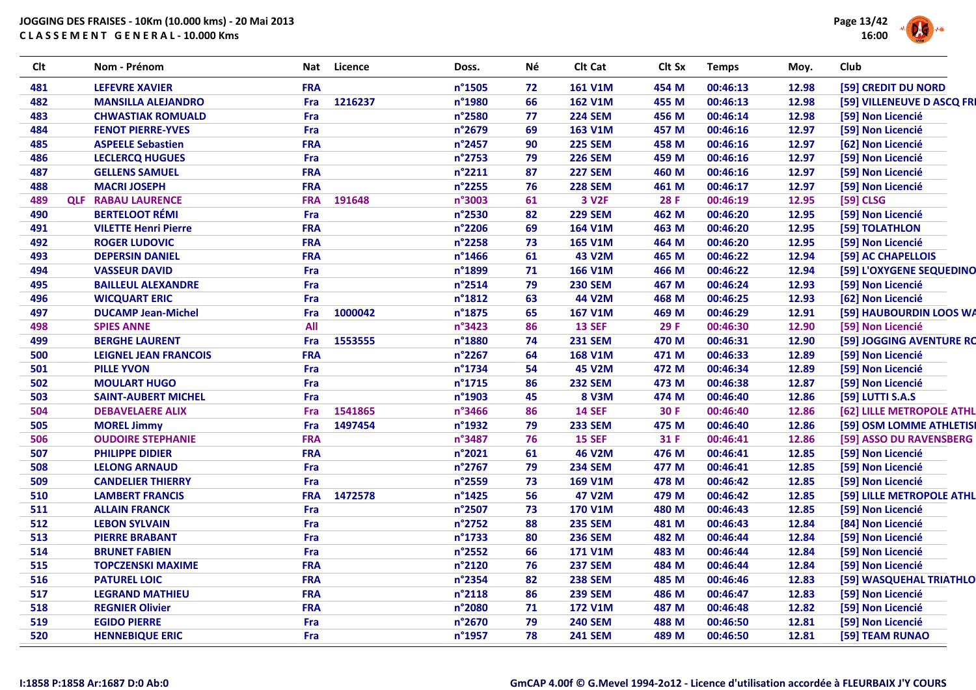

| <b>Clt</b> | Nom - Prénom                 | Nat        | <b>Licence</b> | Doss.            | Né | Clt Cat           | Clt Sx | <b>Temps</b> | Moy.  | Club                       |
|------------|------------------------------|------------|----------------|------------------|----|-------------------|--------|--------------|-------|----------------------------|
| 481        | <b>LEFEVRE XAVIER</b>        | <b>FRA</b> |                | n°1505           | 72 | <b>161 V1M</b>    | 454 M  | 00:46:13     | 12.98 | [59] CREDIT DU NORD        |
| 482        | <b>MANSILLA ALEJANDRO</b>    | Fra        | 1216237        | n°1980           | 66 | <b>162 V1M</b>    | 455 M  | 00:46:13     | 12.98 | [59] VILLENEUVE D ASCQ FRI |
| 483        | <b>CHWASTIAK ROMUALD</b>     | Fra        |                | n°2580           | 77 | <b>224 SEM</b>    | 456 M  | 00:46:14     | 12.98 | [59] Non Licencié          |
| 484        | <b>FENOT PIERRE-YVES</b>     | Fra        |                | n°2679           | 69 | 163 V1M           | 457 M  | 00:46:16     | 12.97 | [59] Non Licencié          |
| 485        | <b>ASPEELE Sebastien</b>     | <b>FRA</b> |                | n°2457           | 90 | <b>225 SEM</b>    | 458 M  | 00:46:16     | 12.97 | [62] Non Licencié          |
| 486        | <b>LECLERCQ HUGUES</b>       | Fra        |                | n°2753           | 79 | <b>226 SEM</b>    | 459 M  | 00:46:16     | 12.97 | [59] Non Licencié          |
| 487        | <b>GELLENS SAMUEL</b>        | <b>FRA</b> |                | n°2211           | 87 | <b>227 SEM</b>    | 460 M  | 00:46:16     | 12.97 | [59] Non Licencié          |
| 488        | <b>MACRI JOSEPH</b>          | <b>FRA</b> |                | n°2255           | 76 | <b>228 SEM</b>    | 461 M  | 00:46:17     | 12.97 | [59] Non Licencié          |
| 489        | <b>QLF RABAU LAURENCE</b>    | <b>FRA</b> | 191648         | n°3003           | 61 | 3 V <sub>2F</sub> | 28 F   | 00:46:19     | 12.95 | [59] CLSG                  |
| 490        | <b>BERTELOOT RÉMI</b>        | Fra        |                | n°2530           | 82 | <b>229 SEM</b>    | 462 M  | 00:46:20     | 12.95 | [59] Non Licencié          |
| 491        | <b>VILETTE Henri Pierre</b>  | <b>FRA</b> |                | n°2206           | 69 | <b>164 V1M</b>    | 463 M  | 00:46:20     | 12.95 | [59] TOLATHLON             |
| 492        | <b>ROGER LUDOVIC</b>         | <b>FRA</b> |                | n°2258           | 73 | <b>165 V1M</b>    | 464 M  | 00:46:20     | 12.95 | [59] Non Licencié          |
| 493        | <b>DEPERSIN DANIEL</b>       | <b>FRA</b> |                | $n^{\circ}$ 1466 | 61 | <b>43 V2M</b>     | 465 M  | 00:46:22     | 12.94 | [59] AC CHAPELLOIS         |
| 494        | <b>VASSEUR DAVID</b>         | Fra        |                | n°1899           | 71 | <b>166 V1M</b>    | 466 M  | 00:46:22     | 12.94 | [59] L'OXYGENE SEQUEDINO   |
| 495        | <b>BAILLEUL ALEXANDRE</b>    | Fra        |                | n°2514           | 79 | <b>230 SEM</b>    | 467 M  | 00:46:24     | 12.93 | [59] Non Licencié          |
| 496        | <b>WICQUART ERIC</b>         | Fra        |                | $n^{\circ}$ 1812 | 63 | 44 V2M            | 468 M  | 00:46:25     | 12.93 | [62] Non Licencié          |
| 497        | <b>DUCAMP Jean-Michel</b>    | Fra        | 1000042        | $n^{\circ}$ 1875 | 65 | <b>167 V1M</b>    | 469 M  | 00:46:29     | 12.91 | [59] HAUBOURDIN LOOS WA    |
| 498        | <b>SPIES ANNE</b>            | All        |                | n°3423           | 86 | <b>13 SEF</b>     | 29 F   | 00:46:30     | 12.90 | [59] Non Licencié          |
| 499        | <b>BERGHE LAURENT</b>        | Fra        | 1553555        | n°1880           | 74 | <b>231 SEM</b>    | 470 M  | 00:46:31     | 12.90 | [59] JOGGING AVENTURE RC   |
| 500        | <b>LEIGNEL JEAN FRANCOIS</b> | <b>FRA</b> |                | n°2267           | 64 | <b>168 V1M</b>    | 471 M  | 00:46:33     | 12.89 | [59] Non Licencié          |
| 501        | <b>PILLE YVON</b>            | Fra        |                | n°1734           | 54 | <b>45 V2M</b>     | 472 M  | 00:46:34     | 12.89 | [59] Non Licencié          |
| 502        | <b>MOULART HUGO</b>          | Fra        |                | $n^{\circ}$ 1715 | 86 | <b>232 SEM</b>    | 473 M  | 00:46:38     | 12.87 | [59] Non Licencié          |
| 503        | <b>SAINT-AUBERT MICHEL</b>   | Fra        |                | n°1903           | 45 | <b>8 V3M</b>      | 474 M  | 00:46:40     | 12.86 | [59] LUTTI S.A.S           |
| 504        | <b>DEBAVELAERE ALIX</b>      | Fra        | 1541865        | n°3466           | 86 | <b>14 SEF</b>     | 30 F   | 00:46:40     | 12.86 | [62] LILLE METROPOLE ATHL  |
| 505        | <b>MOREL Jimmy</b>           | Fra        | 1497454        | n°1932           | 79 | <b>233 SEM</b>    | 475 M  | 00:46:40     | 12.86 | [59] OSM LOMME ATHLETISI   |
| 506        | <b>OUDOIRE STEPHANIE</b>     | <b>FRA</b> |                | n°3487           | 76 | <b>15 SEF</b>     | 31 F   | 00:46:41     | 12.86 | [59] ASSO DU RAVENSBERG    |
| 507        | <b>PHILIPPE DIDIER</b>       | <b>FRA</b> |                | n°2021           | 61 | <b>46 V2M</b>     | 476 M  | 00:46:41     | 12.85 | [59] Non Licencié          |
| 508        | <b>LELONG ARNAUD</b>         | Fra        |                | n°2767           | 79 | <b>234 SEM</b>    | 477 M  | 00:46:41     | 12.85 | [59] Non Licencié          |
| 509        | <b>CANDELIER THIERRY</b>     | Fra        |                | n°2559           | 73 | <b>169 V1M</b>    | 478 M  | 00:46:42     | 12.85 | [59] Non Licencié          |
| 510        | <b>LAMBERT FRANCIS</b>       | <b>FRA</b> | 1472578        | n°1425           | 56 | <b>47 V2M</b>     | 479 M  | 00:46:42     | 12.85 | [59] LILLE METROPOLE ATHL  |
| 511        | <b>ALLAIN FRANCK</b>         | Fra        |                | n°2507           | 73 | <b>170 V1M</b>    | 480 M  | 00:46:43     | 12.85 | [59] Non Licencié          |
| 512        | <b>LEBON SYLVAIN</b>         | Fra        |                | n°2752           | 88 | <b>235 SEM</b>    | 481 M  | 00:46:43     | 12.84 | [84] Non Licencié          |
| 513        | <b>PIERRE BRABANT</b>        | Fra        |                | $n^{\circ}$ 1733 | 80 | <b>236 SEM</b>    | 482 M  | 00:46:44     | 12.84 | [59] Non Licencié          |
| 514        | <b>BRUNET FABIEN</b>         | Fra        |                | $n^{\circ}$ 2552 | 66 | <b>171 V1M</b>    | 483 M  | 00:46:44     | 12.84 | [59] Non Licencié          |
| 515        | <b>TOPCZENSKI MAXIME</b>     | <b>FRA</b> |                | n°2120           | 76 | <b>237 SEM</b>    | 484 M  | 00:46:44     | 12.84 | [59] Non Licencié          |
| 516        | <b>PATUREL LOIC</b>          | <b>FRA</b> |                | n°2354           | 82 | <b>238 SEM</b>    | 485 M  | 00:46:46     | 12.83 | [59] WASQUEHAL TRIATHLO    |
| 517        | <b>LEGRAND MATHIEU</b>       | <b>FRA</b> |                | n°2118           | 86 | <b>239 SEM</b>    | 486 M  | 00:46:47     | 12.83 | [59] Non Licencié          |
| 518        | <b>REGNIER Olivier</b>       | <b>FRA</b> |                | n°2080           | 71 | <b>172 V1M</b>    | 487 M  | 00:46:48     | 12.82 | [59] Non Licencié          |
| 519        | <b>EGIDO PIERRE</b>          | Fra        |                | n°2670           | 79 | <b>240 SEM</b>    | 488 M  | 00:46:50     | 12.81 | [59] Non Licencié          |
| 520        | <b>HENNEBIQUE ERIC</b>       | Fra        |                | n°1957           | 78 | <b>241 SEM</b>    | 489 M  | 00:46:50     | 12.81 | [59] TEAM RUNAO            |
|            |                              |            |                |                  |    |                   |        |              |       |                            |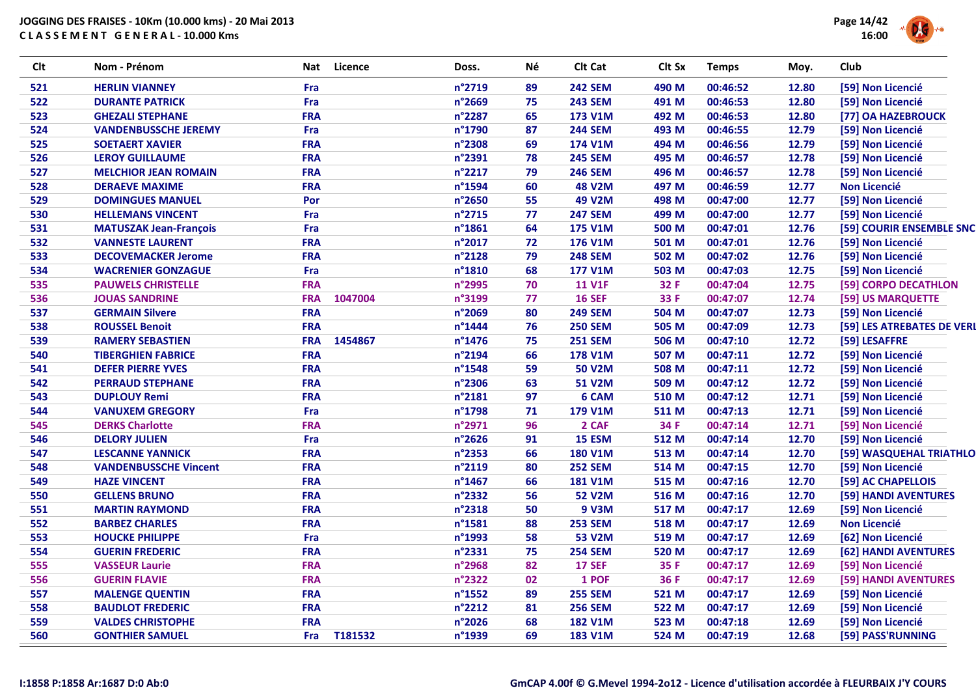

| <b>Clt</b> | Nom - Prénom                  |            | Nat Licence | Doss.  | Νé | Clt Cat        | Clt Sx | <b>Temps</b> | Moy.  | <b>Club</b>               |
|------------|-------------------------------|------------|-------------|--------|----|----------------|--------|--------------|-------|---------------------------|
| 521        | <b>HERLIN VIANNEY</b>         | Fra        |             | n°2719 | 89 | <b>242 SEM</b> | 490 M  | 00:46:52     | 12.80 | [59] Non Licencié         |
| 522        | <b>DURANTE PATRICK</b>        | Fra        |             | n°2669 | 75 | <b>243 SEM</b> | 491 M  | 00:46:53     | 12.80 | [59] Non Licencié         |
| 523        | <b>GHEZALI STEPHANE</b>       | <b>FRA</b> |             | n°2287 | 65 | 173 V1M        | 492 M  | 00:46:53     | 12.80 | [77] OA HAZEBROUCK        |
| 524        | <b>VANDENBUSSCHE JEREMY</b>   | Fra        |             | n°1790 | 87 | <b>244 SEM</b> | 493 M  | 00:46:55     | 12.79 | [59] Non Licencié         |
| 525        | <b>SOETAERT XAVIER</b>        | <b>FRA</b> |             | n°2308 | 69 | 174 V1M        | 494 M  | 00:46:56     | 12.79 | [59] Non Licencié         |
| 526        | <b>LEROY GUILLAUME</b>        | <b>FRA</b> |             | n°2391 | 78 | <b>245 SEM</b> | 495 M  | 00:46:57     | 12.78 | [59] Non Licencié         |
| 527        | <b>MELCHIOR JEAN ROMAIN</b>   | <b>FRA</b> |             | n°2217 | 79 | <b>246 SEM</b> | 496 M  | 00:46:57     | 12.78 | [59] Non Licencié         |
| 528        | <b>DERAEVE MAXIME</b>         | <b>FRA</b> |             | n°1594 | 60 | <b>48 V2M</b>  | 497 M  | 00:46:59     | 12.77 | <b>Non Licencié</b>       |
| 529        | <b>DOMINGUES MANUEL</b>       | Por        |             | n°2650 | 55 | 49 V2M         | 498 M  | 00:47:00     | 12.77 | [59] Non Licencié         |
| 530        | <b>HELLEMANS VINCENT</b>      | Fra        |             | n°2715 | 77 | <b>247 SEM</b> | 499 M  | 00:47:00     | 12.77 | [59] Non Licencié         |
| 531        | <b>MATUSZAK Jean-François</b> | Fra        |             | n°1861 | 64 | 175 V1M        | 500 M  | 00:47:01     | 12.76 | [59] COURIR ENSEMBLE SNC  |
| 532        | <b>VANNESTE LAURENT</b>       | <b>FRA</b> |             | n°2017 | 72 | <b>176 V1M</b> | 501 M  | 00:47:01     | 12.76 | [59] Non Licencié         |
| 533        | <b>DECOVEMACKER Jerome</b>    | <b>FRA</b> |             | n°2128 | 79 | <b>248 SEM</b> | 502 M  | 00:47:02     | 12.76 | [59] Non Licencié         |
| 534        | <b>WACRENIER GONZAGUE</b>     | Fra        |             | n°1810 | 68 | <b>177 V1M</b> | 503 M  | 00:47:03     | 12.75 | [59] Non Licencié         |
| 535        | <b>PAUWELS CHRISTELLE</b>     | <b>FRA</b> |             | n°2995 | 70 | <b>11 V1F</b>  | 32 F   | 00:47:04     | 12.75 | [59] CORPO DECATHLON      |
| 536        | <b>JOUAS SANDRINE</b>         | <b>FRA</b> | 1047004     | n°3199 | 77 | <b>16 SEF</b>  | 33 F   | 00:47:07     | 12.74 | [59] US MARQUETTE         |
| 537        | <b>GERMAIN Silvere</b>        | <b>FRA</b> |             | n°2069 | 80 | <b>249 SEM</b> | 504 M  | 00:47:07     | 12.73 | [59] Non Licencié         |
| 538        | <b>ROUSSEL Benoit</b>         | <b>FRA</b> |             | n°1444 | 76 | <b>250 SEM</b> | 505 M  | 00:47:09     | 12.73 | [59] LES ATREBATES DE VER |
| 539        | <b>RAMERY SEBASTIEN</b>       | <b>FRA</b> | 1454867     | n°1476 | 75 | <b>251 SEM</b> | 506 M  | 00:47:10     | 12.72 | [59] LESAFFRE             |
| 540        | <b>TIBERGHIEN FABRICE</b>     | <b>FRA</b> |             | n°2194 | 66 | <b>178 V1M</b> | 507 M  | 00:47:11     | 12.72 | [59] Non Licencié         |
| 541        | <b>DEFER PIERRE YVES</b>      | <b>FRA</b> |             | n°1548 | 59 | <b>50 V2M</b>  | 508 M  | 00:47:11     | 12.72 | [59] Non Licencié         |
| 542        | <b>PERRAUD STEPHANE</b>       | <b>FRA</b> |             | n°2306 | 63 | 51 V2M         | 509 M  | 00:47:12     | 12.72 | [59] Non Licencié         |
| 543        | <b>DUPLOUY Remi</b>           | <b>FRA</b> |             | n°2181 | 97 | 6 CAM          | 510 M  | 00:47:12     | 12.71 | [59] Non Licencié         |
| 544        | <b>VANUXEM GREGORY</b>        | Fra        |             | n°1798 | 71 | <b>179 V1M</b> | 511 M  | 00:47:13     | 12.71 | [59] Non Licencié         |
| 545        | <b>DERKS Charlotte</b>        | <b>FRA</b> |             | n°2971 | 96 | 2 CAF          | 34 F   | 00:47:14     | 12.71 | [59] Non Licencié         |
| 546        | <b>DELORY JULIEN</b>          | Fra        |             | n°2626 | 91 | 15 ESM         | 512 M  | 00:47:14     | 12.70 | [59] Non Licencié         |
| 547        | <b>LESCANNE YANNICK</b>       | <b>FRA</b> |             | n°2353 | 66 | <b>180 V1M</b> | 513 M  | 00:47:14     | 12.70 | [59] WASQUEHAL TRIATHLO   |
| 548        | <b>VANDENBUSSCHE Vincent</b>  | <b>FRA</b> |             | n°2119 | 80 | <b>252 SEM</b> | 514 M  | 00:47:15     | 12.70 | [59] Non Licencié         |
| 549        | <b>HAZE VINCENT</b>           | <b>FRA</b> |             | n°1467 | 66 | <b>181 V1M</b> | 515 M  | 00:47:16     | 12.70 | [59] AC CHAPELLOIS        |
| 550        | <b>GELLENS BRUNO</b>          | <b>FRA</b> |             | n°2332 | 56 | <b>52 V2M</b>  | 516 M  | 00:47:16     | 12.70 | [59] HANDI AVENTURES      |
| 551        | <b>MARTIN RAYMOND</b>         | <b>FRA</b> |             | n°2318 | 50 | 9 V3M          | 517 M  | 00:47:17     | 12.69 | [59] Non Licencié         |
| 552        | <b>BARBEZ CHARLES</b>         | <b>FRA</b> |             | n°1581 | 88 | <b>253 SEM</b> | 518 M  | 00:47:17     | 12.69 | <b>Non Licencié</b>       |
| 553        | <b>HOUCKE PHILIPPE</b>        | Fra        |             | n°1993 | 58 | <b>53 V2M</b>  | 519 M  | 00:47:17     | 12.69 | [62] Non Licencié         |
| 554        | <b>GUERIN FREDERIC</b>        | <b>FRA</b> |             | n°2331 | 75 | <b>254 SEM</b> | 520 M  | 00:47:17     | 12.69 | [62] HANDI AVENTURES      |
| 555        | <b>VASSEUR Laurie</b>         | <b>FRA</b> |             | n°2968 | 82 | <b>17 SEF</b>  | 35 F   | 00:47:17     | 12.69 | [59] Non Licencié         |
| 556        | <b>GUERIN FLAVIE</b>          | <b>FRA</b> |             | n°2322 | 02 | 1 POF          | 36 F   | 00:47:17     | 12.69 | [59] HANDI AVENTURES      |
| 557        | <b>MALENGE QUENTIN</b>        | <b>FRA</b> |             | n°1552 | 89 | <b>255 SEM</b> | 521 M  | 00:47:17     | 12.69 | [59] Non Licencié         |
| 558        | <b>BAUDLOT FREDERIC</b>       | <b>FRA</b> |             | n°2212 | 81 | <b>256 SEM</b> | 522 M  | 00:47:17     | 12.69 | [59] Non Licencié         |
| 559        | <b>VALDES CHRISTOPHE</b>      | <b>FRA</b> |             | n°2026 | 68 | <b>182 V1M</b> | 523 M  | 00:47:18     | 12.69 | [59] Non Licencié         |
| 560        | <b>GONTHIER SAMUEL</b>        | Fra        | T181532     | n°1939 | 69 | <b>183 V1M</b> | 524 M  | 00:47:19     | 12.68 | [59] PASS'RUNNING         |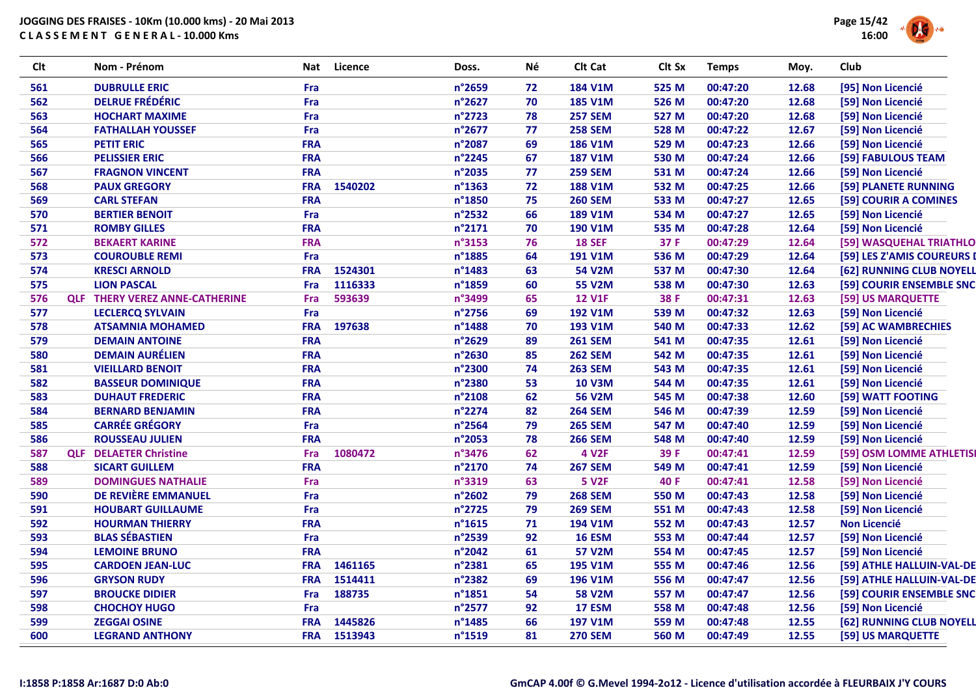

| Clt |            | Nom - Prénom                      | Nat        | Licence     | Doss.            | Né | Clt Cat        | Clt Sx | <b>Temps</b> | Moy.  | <b>Club</b>                |
|-----|------------|-----------------------------------|------------|-------------|------------------|----|----------------|--------|--------------|-------|----------------------------|
| 561 |            | <b>DUBRULLE ERIC</b>              | Fra        |             | n°2659           | 72 | <b>184 V1M</b> | 525 M  | 00:47:20     | 12.68 | [95] Non Licencié          |
| 562 |            | <b>DELRUE FRÉDÉRIC</b>            | Fra        |             | n°2627           | 70 | <b>185 V1M</b> | 526 M  | 00:47:20     | 12.68 | [59] Non Licencié          |
| 563 |            | <b>HOCHART MAXIME</b>             | Fra        |             | n°2723           | 78 | <b>257 SEM</b> | 527 M  | 00:47:20     | 12.68 | [59] Non Licencié          |
| 564 |            | <b>FATHALLAH YOUSSEF</b>          | Fra        |             | n°2677           | 77 | <b>258 SEM</b> | 528 M  | 00:47:22     | 12.67 | [59] Non Licencié          |
| 565 |            | <b>PETIT ERIC</b>                 | <b>FRA</b> |             | n°2087           | 69 | <b>186 V1M</b> | 529 M  | 00:47:23     | 12.66 | [59] Non Licencié          |
| 566 |            | <b>PELISSIER ERIC</b>             | <b>FRA</b> |             | n°2245           | 67 | <b>187 V1M</b> | 530 M  | 00:47:24     | 12.66 | [59] FABULOUS TEAM         |
| 567 |            | <b>FRAGNON VINCENT</b>            | <b>FRA</b> |             | n°2035           | 77 | <b>259 SEM</b> | 531 M  | 00:47:24     | 12.66 | [59] Non Licencié          |
| 568 |            | <b>PAUX GREGORY</b>               | <b>FRA</b> | 1540202     | n°1363           | 72 | <b>188 V1M</b> | 532 M  | 00:47:25     | 12.66 | [59] PLANETE RUNNING       |
| 569 |            | <b>CARL STEFAN</b>                | <b>FRA</b> |             | n°1850           | 75 | <b>260 SEM</b> | 533 M  | 00:47:27     | 12.65 | [59] COURIR A COMINES      |
| 570 |            | <b>BERTIER BENOIT</b>             | Fra        |             | n°2532           | 66 | <b>189 V1M</b> | 534 M  | 00:47:27     | 12.65 | [59] Non Licencié          |
| 571 |            | <b>ROMBY GILLES</b>               | <b>FRA</b> |             | n°2171           | 70 | <b>190 V1M</b> | 535 M  | 00:47:28     | 12.64 | [59] Non Licencié          |
| 572 |            | <b>BEKAERT KARINE</b>             | <b>FRA</b> |             | n°3153           | 76 | <b>18 SEF</b>  | 37 F   | 00:47:29     | 12.64 | [59] WASQUEHAL TRIATHLO    |
| 573 |            | <b>COUROUBLE REMI</b>             | Fra        |             | n°1885           | 64 | <b>191 V1M</b> | 536 M  | 00:47:29     | 12.64 | [59] LES Z'AMIS COUREURS I |
| 574 |            | <b>KRESCI ARNOLD</b>              | <b>FRA</b> | 1524301     | n°1483           | 63 | <b>54 V2M</b>  | 537 M  | 00:47:30     | 12.64 | [62] RUNNING CLUB NOYELL   |
| 575 |            | <b>LION PASCAL</b>                | Fra        | 1116333     | n°1859           | 60 | <b>55 V2M</b>  | 538 M  | 00:47:30     | 12.63 | [59] COURIR ENSEMBLE SNC   |
| 576 | <b>QLF</b> | <b>THERY VEREZ ANNE-CATHERINE</b> | Fra        | 593639      | n°3499           | 65 | <b>12 V1F</b>  | 38 F   | 00:47:31     | 12.63 | [59] US MARQUETTE          |
| 577 |            | <b>LECLERCQ SYLVAIN</b>           | Fra        |             | n°2756           | 69 | <b>192 V1M</b> | 539 M  | 00:47:32     | 12.63 | [59] Non Licencié          |
| 578 |            | <b>ATSAMNIA MOHAMED</b>           | <b>FRA</b> | 197638      | n°1488           | 70 | 193 V1M        | 540 M  | 00:47:33     | 12.62 | [59] AC WAMBRECHIES        |
| 579 |            | <b>DEMAIN ANTOINE</b>             | <b>FRA</b> |             | n°2629           | 89 | <b>261 SEM</b> | 541 M  | 00:47:35     | 12.61 | [59] Non Licencié          |
| 580 |            | <b>DEMAIN AURÉLIEN</b>            | <b>FRA</b> |             | n°2630           | 85 | <b>262 SEM</b> | 542 M  | 00:47:35     | 12.61 | [59] Non Licencié          |
| 581 |            | <b>VIEILLARD BENOIT</b>           | <b>FRA</b> |             | n°2300           | 74 | <b>263 SEM</b> | 543 M  | 00:47:35     | 12.61 | [59] Non Licencié          |
| 582 |            | <b>BASSEUR DOMINIQUE</b>          | <b>FRA</b> |             | n°2380           | 53 | <b>10 V3M</b>  | 544 M  | 00:47:35     | 12.61 | [59] Non Licencié          |
| 583 |            | <b>DUHAUT FREDERIC</b>            | <b>FRA</b> |             | n°2108           | 62 | <b>56 V2M</b>  | 545 M  | 00:47:38     | 12.60 | [59] WATT FOOTING          |
| 584 |            | <b>BERNARD BENJAMIN</b>           | <b>FRA</b> |             | n°2274           | 82 | <b>264 SEM</b> | 546 M  | 00:47:39     | 12.59 | [59] Non Licencié          |
| 585 |            | <b>CARRÉE GRÉGORY</b>             | Fra        |             | n°2564           | 79 | <b>265 SEM</b> | 547 M  | 00:47:40     | 12.59 | [59] Non Licencié          |
| 586 |            | <b>ROUSSEAU JULIEN</b>            | <b>FRA</b> |             | n°2053           | 78 | <b>266 SEM</b> | 548 M  | 00:47:40     | 12.59 | [59] Non Licencié          |
| 587 | <b>QLF</b> | <b>DELAETER Christine</b>         | <b>Fra</b> | 1080472     | n°3476           | 62 | <b>4 V2F</b>   | 39 F   | 00:47:41     | 12.59 | [59] OSM LOMME ATHLETISI   |
| 588 |            | <b>SICART GUILLEM</b>             | <b>FRA</b> |             | n°2170           | 74 | <b>267 SEM</b> | 549 M  | 00:47:41     | 12.59 | [59] Non Licencié          |
| 589 |            | <b>DOMINGUES NATHALIE</b>         | Fra        |             | n°3319           | 63 | <b>5 V2F</b>   | 40 F   | 00:47:41     | 12.58 | [59] Non Licencié          |
| 590 |            | DE REVIÈRE EMMANUEL               | Fra        |             | n°2602           | 79 | <b>268 SEM</b> | 550 M  | 00:47:43     | 12.58 | [59] Non Licencié          |
| 591 |            | <b>HOUBART GUILLAUME</b>          | Fra        |             | n°2725           | 79 | <b>269 SEM</b> | 551 M  | 00:47:43     | 12.58 | [59] Non Licencié          |
| 592 |            | <b>HOURMAN THIERRY</b>            | <b>FRA</b> |             | n°1615           | 71 | <b>194 V1M</b> | 552 M  | 00:47:43     | 12.57 | <b>Non Licencié</b>        |
| 593 |            | <b>BLAS SÉBASTIEN</b>             | Fra        |             | n°2539           | 92 | <b>16 ESM</b>  | 553 M  | 00:47:44     | 12.57 | [59] Non Licencié          |
| 594 |            | <b>LEMOINE BRUNO</b>              | <b>FRA</b> |             | n°2042           | 61 | <b>57 V2M</b>  | 554 M  | 00:47:45     | 12.57 | [59] Non Licencié          |
| 595 |            | <b>CARDOEN JEAN-LUC</b>           | <b>FRA</b> | 1461165     | n°2381           | 65 | <b>195 V1M</b> | 555 M  | 00:47:46     | 12.56 | [59] ATHLE HALLUIN-VAL-DE  |
| 596 |            | <b>GRYSON RUDY</b>                | <b>FRA</b> | 1514411     | n°2382           | 69 | <b>196 V1M</b> | 556 M  | 00:47:47     | 12.56 | [59] ATHLE HALLUIN-VAL-DE  |
| 597 |            | <b>BROUCKE DIDIER</b>             | Fra        | 188735      | $n^{\circ}$ 1851 | 54 | <b>58 V2M</b>  | 557 M  | 00:47:47     | 12.56 | [59] COURIR ENSEMBLE SNC   |
| 598 |            | <b>CHOCHOY HUGO</b>               | Fra        |             | n°2577           | 92 | <b>17 ESM</b>  | 558 M  | 00:47:48     | 12.56 | [59] Non Licencié          |
| 599 |            | <b>ZEGGAI OSINE</b>               | <b>FRA</b> | 1445826     | n°1485           | 66 | <b>197 V1M</b> | 559 M  | 00:47:48     | 12.55 | [62] RUNNING CLUB NOYELL   |
| 600 |            | <b>LEGRAND ANTHONY</b>            |            | FRA 1513943 | n°1519           | 81 | <b>270 SEM</b> | 560 M  | 00:47:49     | 12.55 | [59] US MARQUETTE          |
|     |            |                                   |            |             |                  |    |                |        |              |       |                            |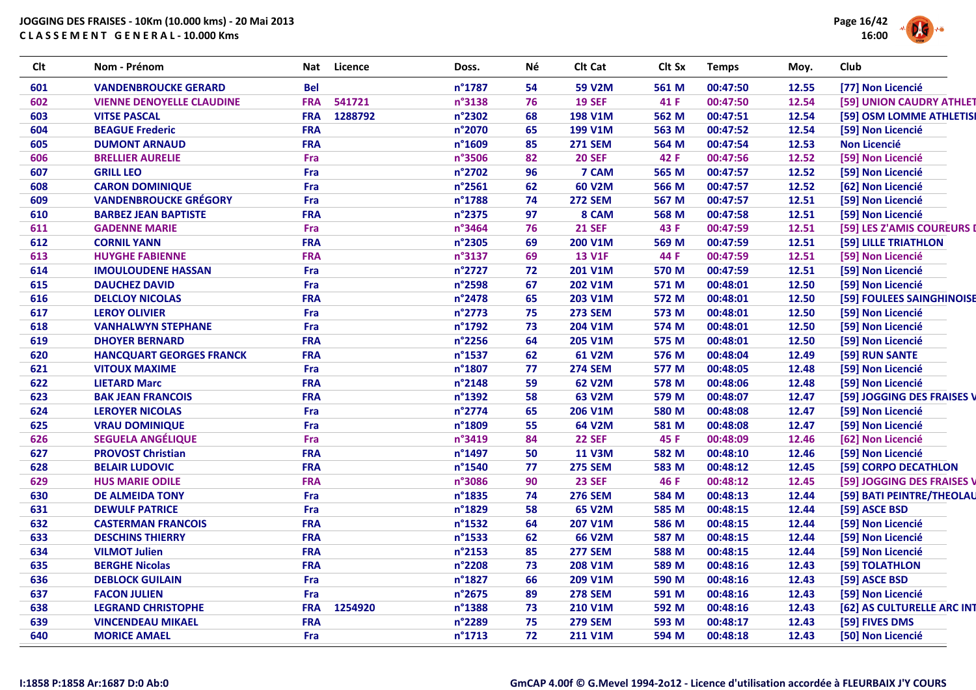

| Clt | Nom - Prénom                     | Licence<br>Nat        | Doss.            | Νé | Clt Cat        | Clt Sx | <b>Temps</b> | Moy.  | Club                       |
|-----|----------------------------------|-----------------------|------------------|----|----------------|--------|--------------|-------|----------------------------|
| 601 | <b>VANDENBROUCKE GERARD</b>      | <b>Bel</b>            | n°1787           | 54 | <b>59 V2M</b>  | 561 M  | 00:47:50     | 12.55 | [77] Non Licencié          |
| 602 | <b>VIENNE DENOYELLE CLAUDINE</b> | 541721<br><b>FRA</b>  | n°3138           | 76 | <b>19 SEF</b>  | 41 F   | 00:47:50     | 12.54 | [59] UNION CAUDRY ATHLET   |
| 603 | <b>VITSE PASCAL</b>              | 1288792<br><b>FRA</b> | n°2302           | 68 | <b>198 V1M</b> | 562 M  | 00:47:51     | 12.54 | [59] OSM LOMME ATHLETISI   |
| 604 | <b>BEAGUE Frederic</b>           | <b>FRA</b>            | n°2070           | 65 | 199 V1M        | 563 M  | 00:47:52     | 12.54 | [59] Non Licencié          |
| 605 | <b>DUMONT ARNAUD</b>             | <b>FRA</b>            | n°1609           | 85 | <b>271 SEM</b> | 564 M  | 00:47:54     | 12.53 | <b>Non Licencié</b>        |
| 606 | <b>BRELLIER AURELIE</b>          | Fra                   | n°3506           | 82 | <b>20 SEF</b>  | 42 F   | 00:47:56     | 12.52 | [59] Non Licencié          |
| 607 | <b>GRILL LEO</b>                 | Fra                   | n°2702           | 96 | 7 CAM          | 565 M  | 00:47:57     | 12.52 | [59] Non Licencié          |
| 608 | <b>CARON DOMINIQUE</b>           | Fra                   | $n^{\circ}$ 2561 | 62 | 60 V2M         | 566 M  | 00:47:57     | 12.52 | [62] Non Licencié          |
| 609 | <b>VANDENBROUCKE GRÉGORY</b>     | Fra                   | n°1788           | 74 | <b>272 SEM</b> | 567 M  | 00:47:57     | 12.51 | [59] Non Licencié          |
| 610 | <b>BARBEZ JEAN BAPTISTE</b>      | <b>FRA</b>            | n°2375           | 97 | 8 CAM          | 568 M  | 00:47:58     | 12.51 | [59] Non Licencié          |
| 611 | <b>GADENNE MARIE</b>             | Fra                   | n°3464           | 76 | <b>21 SEF</b>  | 43 F   | 00:47:59     | 12.51 | [59] LES Z'AMIS COUREURS I |
| 612 | <b>CORNIL YANN</b>               | <b>FRA</b>            | n°2305           | 69 | 200 V1M        | 569 M  | 00:47:59     | 12.51 | [59] LILLE TRIATHLON       |
| 613 | <b>HUYGHE FABIENNE</b>           | <b>FRA</b>            | n°3137           | 69 | <b>13 V1F</b>  | 44 F   | 00:47:59     | 12.51 | [59] Non Licencié          |
| 614 | <b>IMOULOUDENE HASSAN</b>        | Fra                   | n°2727           | 72 | 201 V1M        | 570 M  | 00:47:59     | 12.51 | [59] Non Licencié          |
| 615 | <b>DAUCHEZ DAVID</b>             | Fra                   | n°2598           | 67 | <b>202 V1M</b> | 571 M  | 00:48:01     | 12.50 | [59] Non Licencié          |
| 616 | <b>DELCLOY NICOLAS</b>           | <b>FRA</b>            | n°2478           | 65 | 203 V1M        | 572 M  | 00:48:01     | 12.50 | [59] FOULEES SAINGHINOISE  |
| 617 | <b>LEROY OLIVIER</b>             | Fra                   | n°2773           | 75 | <b>273 SEM</b> | 573 M  | 00:48:01     | 12.50 | [59] Non Licencié          |
| 618 | <b>VANHALWYN STEPHANE</b>        | Fra                   | n°1792           | 73 | 204 V1M        | 574 M  | 00:48:01     | 12.50 | [59] Non Licencié          |
| 619 | <b>DHOYER BERNARD</b>            | <b>FRA</b>            | n°2256           | 64 | 205 V1M        | 575 M  | 00:48:01     | 12.50 | [59] Non Licencié          |
| 620 | <b>HANCQUART GEORGES FRANCK</b>  | <b>FRA</b>            | n°1537           | 62 | 61 V2M         | 576 M  | 00:48:04     | 12.49 | [59] RUN SANTE             |
| 621 | <b>VITOUX MAXIME</b>             | Fra                   | n°1807           | 77 | <b>274 SEM</b> | 577 M  | 00:48:05     | 12.48 | [59] Non Licencié          |
| 622 | <b>LIETARD Marc</b>              | <b>FRA</b>            | n°2148           | 59 | 62 V2M         | 578 M  | 00:48:06     | 12.48 | [59] Non Licencié          |
| 623 | <b>BAK JEAN FRANCOIS</b>         | <b>FRA</b>            | n°1392           | 58 | 63 V2M         | 579 M  | 00:48:07     | 12.47 | [59] JOGGING DES FRAISES V |
| 624 | <b>LEROYER NICOLAS</b>           | Fra                   | n°2774           | 65 | 206 V1M        | 580 M  | 00:48:08     | 12.47 | [59] Non Licencié          |
| 625 | <b>VRAU DOMINIQUE</b>            | Fra                   | n°1809           | 55 | 64 V2M         | 581 M  | 00:48:08     | 12.47 | [59] Non Licencié          |
| 626 | <b>SEGUELA ANGÉLIQUE</b>         | Fra                   | n°3419           | 84 | <b>22 SEF</b>  | 45 F   | 00:48:09     | 12.46 | [62] Non Licencié          |
| 627 | <b>PROVOST Christian</b>         | <b>FRA</b>            | n°1497           | 50 | <b>11 V3M</b>  | 582 M  | 00:48:10     | 12.46 | [59] Non Licencié          |
| 628 | <b>BELAIR LUDOVIC</b>            | <b>FRA</b>            | n°1540           | 77 | <b>275 SEM</b> | 583 M  | 00:48:12     | 12.45 | [59] CORPO DECATHLON       |
| 629 | <b>HUS MARIE ODILE</b>           | <b>FRA</b>            | n°3086           | 90 | <b>23 SEF</b>  | 46 F   | 00:48:12     | 12.45 | [59] JOGGING DES FRAISES V |
| 630 | <b>DE ALMEIDA TONY</b>           | Fra                   | n°1835           | 74 | <b>276 SEM</b> | 584 M  | 00:48:13     | 12.44 | [59] BATI PEINTRE/THEOLAU  |
| 631 | <b>DEWULF PATRICE</b>            | Fra                   | n°1829           | 58 | 65 V2M         | 585 M  | 00:48:15     | 12.44 | [59] ASCE BSD              |
| 632 | <b>CASTERMAN FRANCOIS</b>        | <b>FRA</b>            | n°1532           | 64 | 207 V1M        | 586 M  | 00:48:15     | 12.44 | [59] Non Licencié          |
| 633 | <b>DESCHINS THIERRY</b>          | <b>FRA</b>            | $n^{\circ}$ 1533 | 62 | <b>66 V2M</b>  | 587 M  | 00:48:15     | 12.44 | [59] Non Licencié          |
| 634 | <b>VILMOT Julien</b>             | <b>FRA</b>            | n°2153           | 85 | <b>277 SEM</b> | 588 M  | 00:48:15     | 12.44 | [59] Non Licencié          |
| 635 | <b>BERGHE Nicolas</b>            | <b>FRA</b>            | n°2208           | 73 | 208 V1M        | 589 M  | 00:48:16     | 12.43 | [59] TOLATHLON             |
| 636 | <b>DEBLOCK GUILAIN</b>           | Fra                   | n°1827           | 66 | 209 V1M        | 590 M  | 00:48:16     | 12.43 | [59] ASCE BSD              |
| 637 | <b>FACON JULIEN</b>              | Fra                   | n°2675           | 89 | <b>278 SEM</b> | 591 M  | 00:48:16     | 12.43 | [59] Non Licencié          |
| 638 | <b>LEGRAND CHRISTOPHE</b>        | <b>FRA</b><br>1254920 | n°1388           | 73 | <b>210 V1M</b> | 592 M  | 00:48:16     | 12.43 | [62] AS CULTURELLE ARC INT |
| 639 | <b>VINCENDEAU MIKAEL</b>         | <b>FRA</b>            | n°2289           | 75 | <b>279 SEM</b> | 593 M  | 00:48:17     | 12.43 | [59] FIVES DMS             |
| 640 | <b>MORICE AMAEL</b>              | Fra                   | n°1713           | 72 | 211 V1M        | 594 M  | 00:48:18     | 12.43 | [50] Non Licencié          |
|     |                                  |                       |                  |    |                |        |              |       |                            |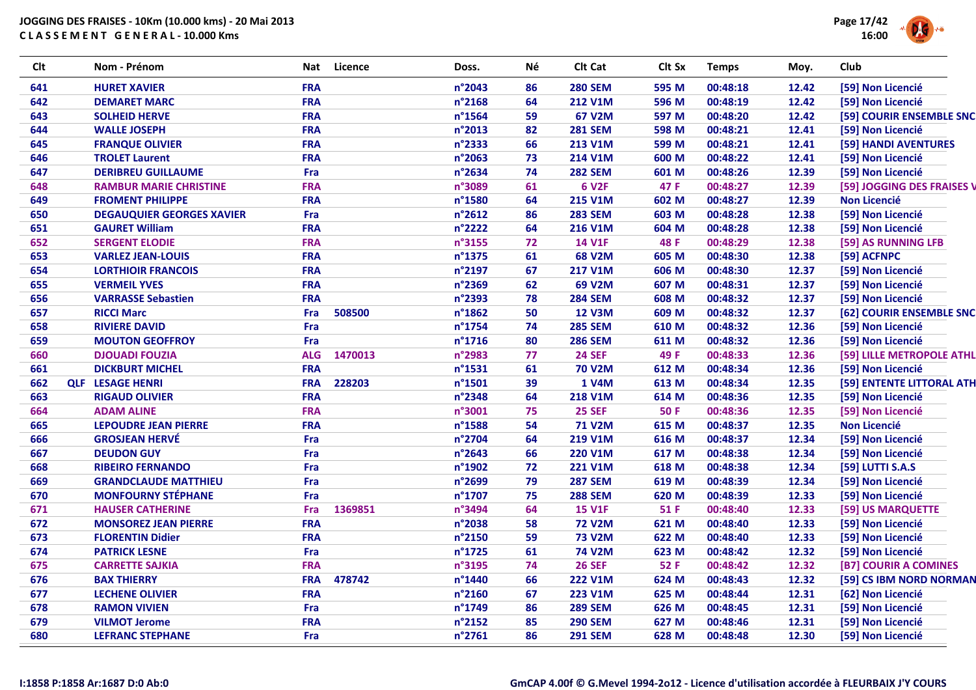

| <b>Clt</b> | Nom - Prénom                     | Nat        | <b>Licence</b> | Doss.            | Né | Clt Cat        | Clt Sx      | <b>Temps</b> | Moy.  | Club                       |
|------------|----------------------------------|------------|----------------|------------------|----|----------------|-------------|--------------|-------|----------------------------|
| 641        | <b>HURET XAVIER</b>              | <b>FRA</b> |                | n°2043           | 86 | <b>280 SEM</b> | 595 M       | 00:48:18     | 12.42 | [59] Non Licencié          |
| 642        | <b>DEMARET MARC</b>              | <b>FRA</b> |                | n°2168           | 64 | <b>212 V1M</b> | 596 M       | 00:48:19     | 12.42 | [59] Non Licencié          |
| 643        | <b>SOLHEID HERVE</b>             | <b>FRA</b> |                | $n^{\circ}$ 1564 | 59 | 67 V2M         | 597 M       | 00:48:20     | 12.42 | [59] COURIR ENSEMBLE SNC   |
| 644        | <b>WALLE JOSEPH</b>              | <b>FRA</b> |                | n°2013           | 82 | <b>281 SEM</b> | 598 M       | 00:48:21     | 12.41 | [59] Non Licencié          |
| 645        | <b>FRANQUE OLIVIER</b>           | <b>FRA</b> |                | n°2333           | 66 | 213 V1M        | 599 M       | 00:48:21     | 12.41 | [59] HANDI AVENTURES       |
| 646        | <b>TROLET Laurent</b>            | <b>FRA</b> |                | n°2063           | 73 | <b>214 V1M</b> | 600 M       | 00:48:22     | 12.41 | [59] Non Licencié          |
| 647        | <b>DERIBREU GUILLAUME</b>        | Fra        |                | n°2634           | 74 | <b>282 SEM</b> | 601 M       | 00:48:26     | 12.39 | [59] Non Licencié          |
| 648        | <b>RAMBUR MARIE CHRISTINE</b>    | <b>FRA</b> |                | n°3089           | 61 | <b>6 V2F</b>   | 47 F        | 00:48:27     | 12.39 | [59] JOGGING DES FRAISES V |
| 649        | <b>FROMENT PHILIPPE</b>          | <b>FRA</b> |                | n°1580           | 64 | <b>215 V1M</b> | 602 M       | 00:48:27     | 12.39 | <b>Non Licencié</b>        |
| 650        | <b>DEGAUQUIER GEORGES XAVIER</b> | Fra        |                | n°2612           | 86 | <b>283 SEM</b> | 603 M       | 00:48:28     | 12.38 | [59] Non Licencié          |
| 651        | <b>GAURET William</b>            | <b>FRA</b> |                | n°2222           | 64 | 216 V1M        | 604 M       | 00:48:28     | 12.38 | [59] Non Licencié          |
| 652        | <b>SERGENT ELODIE</b>            | <b>FRA</b> |                | n°3155           | 72 | <b>14 V1F</b>  | 48 F        | 00:48:29     | 12.38 | [59] AS RUNNING LFB        |
| 653        | <b>VARLEZ JEAN-LOUIS</b>         | <b>FRA</b> |                | $n^{\circ}$ 1375 | 61 | <b>68 V2M</b>  | 605 M       | 00:48:30     | 12.38 | [59] ACFNPC                |
| 654        | <b>LORTHIOIR FRANCOIS</b>        | <b>FRA</b> |                | n°2197           | 67 | <b>217 V1M</b> | 606 M       | 00:48:30     | 12.37 | [59] Non Licencié          |
| 655        | <b>VERMEIL YVES</b>              | <b>FRA</b> |                | n°2369           | 62 | 69 V2M         | 607 M       | 00:48:31     | 12.37 | [59] Non Licencié          |
| 656        | <b>VARRASSE Sebastien</b>        | <b>FRA</b> |                | n°2393           | 78 | <b>284 SEM</b> | 608 M       | 00:48:32     | 12.37 | [59] Non Licencié          |
| 657        | <b>RICCI Marc</b>                | Fra        | 508500         | $n^{\circ}$ 1862 | 50 | <b>12 V3M</b>  | 609 M       | 00:48:32     | 12.37 | [62] COURIR ENSEMBLE SNC   |
| 658        | <b>RIVIERE DAVID</b>             | Fra        |                | $n^{\circ}$ 1754 | 74 | <b>285 SEM</b> | 610 M       | 00:48:32     | 12.36 | [59] Non Licencié          |
| 659        | <b>MOUTON GEOFFROY</b>           | Fra        |                | $n^{\circ}$ 1716 | 80 | <b>286 SEM</b> | 611 M       | 00:48:32     | 12.36 | [59] Non Licencié          |
| 660        | <b>DJOUADI FOUZIA</b>            | <b>ALG</b> | 1470013        | n°2983           | 77 | <b>24 SEF</b>  | 49 F        | 00:48:33     | 12.36 | [59] LILLE METROPOLE ATHL  |
| 661        | <b>DICKBURT MICHEL</b>           | <b>FRA</b> |                | $n^{\circ}$ 1531 | 61 | <b>70 V2M</b>  | 612 M       | 00:48:34     | 12.36 | [59] Non Licencié          |
| 662        | <b>QLF LESAGE HENRI</b>          | <b>FRA</b> | 228203         | $n^{\circ}$ 1501 | 39 | 1 V4M          | 613 M       | 00:48:34     | 12.35 | [59] ENTENTE LITTORAL ATH  |
| 663        | <b>RIGAUD OLIVIER</b>            | <b>FRA</b> |                | n°2348           | 64 | <b>218 V1M</b> | 614 M       | 00:48:36     | 12.35 | [59] Non Licencié          |
| 664        | <b>ADAM ALINE</b>                | <b>FRA</b> |                | n°3001           | 75 | <b>25 SEF</b>  | <b>50 F</b> | 00:48:36     | 12.35 | [59] Non Licencié          |
| 665        | <b>LEPOUDRE JEAN PIERRE</b>      | <b>FRA</b> |                | n°1588           | 54 | <b>71 V2M</b>  | 615 M       | 00:48:37     | 12.35 | <b>Non Licencié</b>        |
| 666        | <b>GROSJEAN HERVÉ</b>            | Fra        |                | n°2704           | 64 | <b>219 V1M</b> | 616 M       | 00:48:37     | 12.34 | [59] Non Licencié          |
| 667        | <b>DEUDON GUY</b>                | Fra        |                | $n^{\circ}$ 2643 | 66 | <b>220 V1M</b> | 617 M       | 00:48:38     | 12.34 | [59] Non Licencié          |
| 668        | <b>RIBEIRO FERNANDO</b>          | Fra        |                | n°1902           | 72 | <b>221 V1M</b> | 618 M       | 00:48:38     | 12.34 | [59] LUTTI S.A.S           |
| 669        | <b>GRANDCLAUDE MATTHIEU</b>      | Fra        |                | n°2699           | 79 | <b>287 SEM</b> | 619 M       | 00:48:39     | 12.34 | [59] Non Licencié          |
| 670        | <b>MONFOURNY STÉPHANE</b>        | Fra        |                | n°1707           | 75 | <b>288 SEM</b> | 620 M       | 00:48:39     | 12.33 | [59] Non Licencié          |
| 671        | <b>HAUSER CATHERINE</b>          | Fra        | 1369851        | n°3494           | 64 | <b>15 V1F</b>  | 51 F        | 00:48:40     | 12.33 | [59] US MARQUETTE          |
| 672        | <b>MONSOREZ JEAN PIERRE</b>      | <b>FRA</b> |                | n°2038           | 58 | <b>72 V2M</b>  | 621 M       | 00:48:40     | 12.33 | [59] Non Licencié          |
| 673        | <b>FLORENTIN Didier</b>          | <b>FRA</b> |                | n°2150           | 59 | <b>73 V2M</b>  | 622 M       | 00:48:40     | 12.33 | [59] Non Licencié          |
| 674        | <b>PATRICK LESNE</b>             | Fra        |                | n°1725           | 61 | <b>74 V2M</b>  | 623 M       | 00:48:42     | 12.32 | [59] Non Licencié          |
| 675        | <b>CARRETTE SAJKIA</b>           | <b>FRA</b> |                | n°3195           | 74 | <b>26 SEF</b>  | 52 F        | 00:48:42     | 12.32 | [B7] COURIR A COMINES      |
| 676        | <b>BAX THIERRY</b>               | <b>FRA</b> | 478742         | $n^{\circ}$ 1440 | 66 | <b>222 V1M</b> | 624 M       | 00:48:43     | 12.32 | [59] CS IBM NORD NORMAN    |
| 677        | <b>LECHENE OLIVIER</b>           | <b>FRA</b> |                | n°2160           | 67 | <b>223 V1M</b> | 625 M       | 00:48:44     | 12.31 | [62] Non Licencié          |
| 678        | <b>RAMON VIVIEN</b>              | Fra        |                | n°1749           | 86 | <b>289 SEM</b> | 626 M       | 00:48:45     | 12.31 | [59] Non Licencié          |
| 679        | <b>VILMOT Jerome</b>             | <b>FRA</b> |                | n°2152           | 85 | <b>290 SEM</b> | 627 M       | 00:48:46     | 12.31 | [59] Non Licencié          |
| 680        | <b>LEFRANC STEPHANE</b>          | Fra        |                | n°2761           | 86 | <b>291 SEM</b> | 628 M       | 00:48:48     | 12.30 | [59] Non Licencié          |
|            |                                  |            |                |                  |    |                |             |              |       |                            |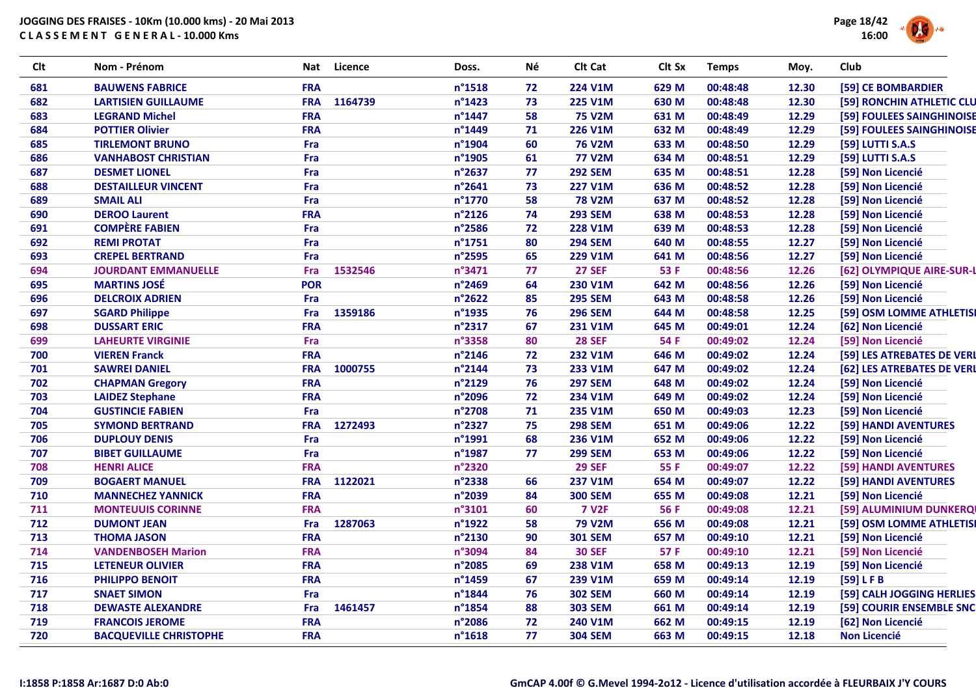

| Clt | Nom - Prénom                  | Nat<br>Licence        | Doss.            | Νé | Clt Cat        | Clt Sx      | <b>Temps</b> | Moy.  | Club                       |
|-----|-------------------------------|-----------------------|------------------|----|----------------|-------------|--------------|-------|----------------------------|
| 681 | <b>BAUWENS FABRICE</b>        | <b>FRA</b>            | $n^{\circ}$ 1518 | 72 | 224 V1M        | 629 M       | 00:48:48     | 12.30 | [59] CE BOMBARDIER         |
| 682 | <b>LARTISIEN GUILLAUME</b>    | <b>FRA</b><br>1164739 | $n^{\circ}$ 1423 | 73 | <b>225 V1M</b> | 630 M       | 00:48:48     | 12.30 | [59] RONCHIN ATHLETIC CLU  |
| 683 | <b>LEGRAND Michel</b>         | <b>FRA</b>            | $n^{\circ}$ 1447 | 58 | <b>75 V2M</b>  | 631 M       | 00:48:49     | 12.29 | [59] FOULEES SAINGHINOISE  |
| 684 | <b>POTTIER Olivier</b>        | <b>FRA</b>            | n°1449           | 71 | <b>226 V1M</b> | 632 M       | 00:48:49     | 12.29 | [59] FOULEES SAINGHINOISE  |
| 685 | <b>TIRLEMONT BRUNO</b>        | Fra                   | n°1904           | 60 | <b>76 V2M</b>  | 633 M       | 00:48:50     | 12.29 | [59] LUTTI S.A.S           |
| 686 | <b>VANHABOST CHRISTIAN</b>    | Fra                   | n°1905           | 61 | <b>77 V2M</b>  | 634 M       | 00:48:51     | 12.29 | [59] LUTTI S.A.S           |
| 687 | <b>DESMET LIONEL</b>          | Fra                   | n°2637           | 77 | <b>292 SEM</b> | 635 M       | 00:48:51     | 12.28 | [59] Non Licencié          |
| 688 | <b>DESTAILLEUR VINCENT</b>    | Fra                   | n°2641           | 73 | <b>227 V1M</b> | 636 M       | 00:48:52     | 12.28 | [59] Non Licencié          |
| 689 | <b>SMAIL ALI</b>              | Fra                   | n°1770           | 58 | <b>78 V2M</b>  | 637 M       | 00:48:52     | 12.28 | [59] Non Licencié          |
| 690 | <b>DEROO Laurent</b>          | <b>FRA</b>            | n°2126           | 74 | <b>293 SEM</b> | 638 M       | 00:48:53     | 12.28 | [59] Non Licencié          |
| 691 | <b>COMPÈRE FABIEN</b>         | Fra                   | n°2586           | 72 | <b>228 V1M</b> | 639 M       | 00:48:53     | 12.28 | [59] Non Licencié          |
| 692 | <b>REMI PROTAT</b>            | Fra                   | $n^{\circ}$ 1751 | 80 | <b>294 SEM</b> | 640 M       | 00:48:55     | 12.27 | [59] Non Licencié          |
| 693 | <b>CREPEL BERTRAND</b>        | Fra                   | n°2595           | 65 | <b>229 V1M</b> | 641 M       | 00:48:56     | 12.27 | [59] Non Licencié          |
| 694 | <b>JOURDANT EMMANUELLE</b>    | 1532546<br>Fra        | n°3471           | 77 | <b>27 SEF</b>  | 53 F        | 00:48:56     | 12.26 | [62] OLYMPIQUE AIRE-SUR-L  |
| 695 | <b>MARTINS JOSÉ</b>           | <b>POR</b>            | n°2469           | 64 | 230 V1M        | 642 M       | 00:48:56     | 12.26 | [59] Non Licencié          |
| 696 | <b>DELCROIX ADRIEN</b>        | Fra                   | n°2622           | 85 | <b>295 SEM</b> | 643 M       | 00:48:58     | 12.26 | [59] Non Licencié          |
| 697 | <b>SGARD Philippe</b>         | 1359186<br>Fra        | n°1935           | 76 | <b>296 SEM</b> | 644 M       | 00:48:58     | 12.25 | [59] OSM LOMME ATHLETISI   |
| 698 | <b>DUSSART ERIC</b>           | <b>FRA</b>            | n°2317           | 67 | 231 V1M        | 645 M       | 00:49:01     | 12.24 | [62] Non Licencié          |
| 699 | <b>LAHEURTE VIRGINIE</b>      | Fra                   | n°3358           | 80 | <b>28 SEF</b>  | 54 F        | 00:49:02     | 12.24 | [59] Non Licencié          |
| 700 | <b>VIEREN Franck</b>          | <b>FRA</b>            | n°2146           | 72 | 232 V1M        | 646 M       | 00:49:02     | 12.24 | [59] LES ATREBATES DE VERL |
| 701 | <b>SAWREI DANIEL</b>          | <b>FRA</b><br>1000755 | n°2144           | 73 | 233 V1M        | 647 M       | 00:49:02     | 12.24 | [62] LES ATREBATES DE VERL |
| 702 | <b>CHAPMAN Gregory</b>        | <b>FRA</b>            | n°2129           | 76 | <b>297 SEM</b> | 648 M       | 00:49:02     | 12.24 | [59] Non Licencié          |
| 703 | <b>LAIDEZ Stephane</b>        | <b>FRA</b>            | n°2096           | 72 | 234 V1M        | 649 M       | 00:49:02     | 12.24 | [59] Non Licencié          |
| 704 | <b>GUSTINCIE FABIEN</b>       | Fra                   | n°2708           | 71 | 235 V1M        | 650 M       | 00:49:03     | 12.23 | [59] Non Licencié          |
| 705 | <b>SYMOND BERTRAND</b>        | <b>FRA</b><br>1272493 | n°2327           | 75 | <b>298 SEM</b> | 651 M       | 00:49:06     | 12.22 | [59] HANDI AVENTURES       |
| 706 | <b>DUPLOUY DENIS</b>          | Fra                   | n°1991           | 68 | 236 V1M        | 652 M       | 00:49:06     | 12.22 | [59] Non Licencié          |
| 707 | <b>BIBET GUILLAUME</b>        | Fra                   | n°1987           | 77 | <b>299 SEM</b> | 653 M       | 00:49:06     | 12.22 | [59] Non Licencié          |
| 708 | <b>HENRI ALICE</b>            | <b>FRA</b>            | n°2320           |    | <b>29 SEF</b>  | 55 F        | 00:49:07     | 12.22 | [59] HANDI AVENTURES       |
| 709 | <b>BOGAERT MANUEL</b>         | 1122021<br><b>FRA</b> | n°2338           | 66 | 237 V1M        | 654 M       | 00:49:07     | 12.22 | [59] HANDI AVENTURES       |
| 710 | <b>MANNECHEZ YANNICK</b>      | <b>FRA</b>            | n°2039           | 84 | <b>300 SEM</b> | 655 M       | 00:49:08     | 12.21 | [59] Non Licencié          |
| 711 | <b>MONTEUUIS CORINNE</b>      | <b>FRA</b>            | n°3101           | 60 | <b>7 V2F</b>   | <b>56 F</b> | 00:49:08     | 12.21 | [59] ALUMINIUM DUNKERQI    |
| 712 | <b>DUMONT JEAN</b>            | Fra<br>1287063        | n°1922           | 58 | <b>79 V2M</b>  | 656 M       | 00:49:08     | 12.21 | [59] OSM LOMME ATHLETISI   |
| 713 | <b>THOMA JASON</b>            | <b>FRA</b>            | n°2130           | 90 | <b>301 SEM</b> | 657 M       | 00:49:10     | 12.21 | [59] Non Licencié          |
| 714 | <b>VANDENBOSEH Marion</b>     | <b>FRA</b>            | n°3094           | 84 | <b>30 SEF</b>  | 57 F        | 00:49:10     | 12.21 | [59] Non Licencié          |
| 715 | <b>LETENEUR OLIVIER</b>       | <b>FRA</b>            | n°2085           | 69 | 238 V1M        | 658 M       | 00:49:13     | 12.19 | [59] Non Licencié          |
| 716 | PHILIPPO BENOIT               | <b>FRA</b>            | n°1459           | 67 | 239 V1M        | 659 M       | 00:49:14     | 12.19 | [59] LFB                   |
| 717 | <b>SNAET SIMON</b>            | Fra                   | n°1844           | 76 | <b>302 SEM</b> | 660 M       | 00:49:14     | 12.19 | [59] CALH JOGGING HERLIES  |
| 718 | <b>DEWASTE ALEXANDRE</b>      | Fra<br>1461457        | n°1854           | 88 | <b>303 SEM</b> | 661 M       | 00:49:14     | 12.19 | [59] COURIR ENSEMBLE SNC   |
| 719 | <b>FRANCOIS JEROME</b>        | <b>FRA</b>            | n°2086           | 72 | 240 V1M        | 662 M       | 00:49:15     | 12.19 | [62] Non Licencié          |
| 720 | <b>BACQUEVILLE CHRISTOPHE</b> | <b>FRA</b>            | $n^{\circ}$ 1618 | 77 | <b>304 SEM</b> | 663 M       | 00:49:15     | 12.18 | <b>Non Licencié</b>        |
|     |                               |                       |                  |    |                |             |              |       |                            |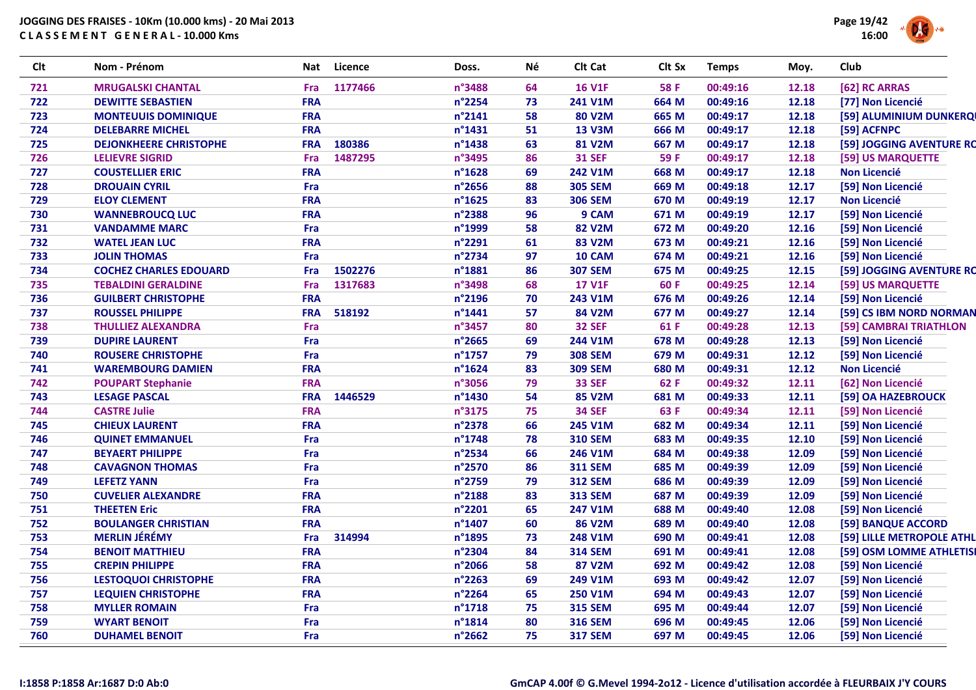

| Clt | Nom - Prénom                  | Nat        | Licence | Doss.  | Né | Clt Cat        | Clt Sx | <b>Temps</b> | Moy.  | Club                      |
|-----|-------------------------------|------------|---------|--------|----|----------------|--------|--------------|-------|---------------------------|
| 721 | <b>MRUGALSKI CHANTAL</b>      | Fra        | 1177466 | n°3488 | 64 | <b>16 V1F</b>  | 58 F   | 00:49:16     | 12.18 | [62] RC ARRAS             |
| 722 | <b>DEWITTE SEBASTIEN</b>      | <b>FRA</b> |         | n°2254 | 73 | 241 V1M        | 664 M  | 00:49:16     | 12.18 | [77] Non Licencié         |
| 723 | <b>MONTEUUIS DOMINIQUE</b>    | <b>FRA</b> |         | n°2141 | 58 | <b>80 V2M</b>  | 665 M  | 00:49:17     | 12.18 | [59] ALUMINIUM DUNKERQI   |
| 724 | <b>DELEBARRE MICHEL</b>       | <b>FRA</b> |         | n°1431 | 51 | <b>13 V3M</b>  | 666 M  | 00:49:17     | 12.18 | [59] ACFNPC               |
| 725 | <b>DEJONKHEERE CHRISTOPHE</b> | <b>FRA</b> | 180386  | n°1438 | 63 | <b>81 V2M</b>  | 667 M  | 00:49:17     | 12.18 | [59] JOGGING AVENTURE RC  |
| 726 | <b>LELIEVRE SIGRID</b>        | Fra        | 1487295 | n°3495 | 86 | <b>31 SEF</b>  | 59 F   | 00:49:17     | 12.18 | [59] US MARQUETTE         |
| 727 | <b>COUSTELLIER ERIC</b>       | <b>FRA</b> |         | n°1628 | 69 | 242 V1M        | 668 M  | 00:49:17     | 12.18 | <b>Non Licencié</b>       |
| 728 | <b>DROUAIN CYRIL</b>          | Fra        |         | n°2656 | 88 | <b>305 SEM</b> | 669 M  | 00:49:18     | 12.17 | [59] Non Licencié         |
| 729 | <b>ELOY CLEMENT</b>           | <b>FRA</b> |         | n°1625 | 83 | <b>306 SEM</b> | 670 M  | 00:49:19     | 12.17 | <b>Non Licencié</b>       |
| 730 | <b>WANNEBROUCQ LUC</b>        | <b>FRA</b> |         | n°2388 | 96 | 9 CAM          | 671 M  | 00:49:19     | 12.17 | [59] Non Licencié         |
| 731 | <b>VANDAMME MARC</b>          | Fra        |         | n°1999 | 58 | <b>82 V2M</b>  | 672 M  | 00:49:20     | 12.16 | [59] Non Licencié         |
| 732 | <b>WATEL JEAN LUC</b>         | <b>FRA</b> |         | n°2291 | 61 | <b>83 V2M</b>  | 673 M  | 00:49:21     | 12.16 | [59] Non Licencié         |
| 733 | <b>JOLIN THOMAS</b>           | Fra        |         | n°2734 | 97 | 10 CAM         | 674 M  | 00:49:21     | 12.16 | [59] Non Licencié         |
| 734 | <b>COCHEZ CHARLES EDOUARD</b> | Fra        | 1502276 | n°1881 | 86 | <b>307 SEM</b> | 675 M  | 00:49:25     | 12.15 | [59] JOGGING AVENTURE RC  |
| 735 | <b>TEBALDINI GERALDINE</b>    | Fra        | 1317683 | n°3498 | 68 | <b>17 V1F</b>  | 60 F   | 00:49:25     | 12.14 | [59] US MARQUETTE         |
| 736 | <b>GUILBERT CHRISTOPHE</b>    | <b>FRA</b> |         | n°2196 | 70 | 243 V1M        | 676 M  | 00:49:26     | 12.14 | [59] Non Licencié         |
| 737 | <b>ROUSSEL PHILIPPE</b>       | <b>FRA</b> | 518192  | n°1441 | 57 | <b>84 V2M</b>  | 677 M  | 00:49:27     | 12.14 | [59] CS IBM NORD NORMAN   |
| 738 | <b>THULLIEZ ALEXANDRA</b>     | Fra        |         | n°3457 | 80 | <b>32 SEF</b>  | 61 F   | 00:49:28     | 12.13 | [59] CAMBRAI TRIATHLON    |
| 739 | <b>DUPIRE LAURENT</b>         | Fra        |         | n°2665 | 69 | 244 V1M        | 678 M  | 00:49:28     | 12.13 | [59] Non Licencié         |
| 740 | <b>ROUSERE CHRISTOPHE</b>     | Fra        |         | n°1757 | 79 | <b>308 SEM</b> | 679 M  | 00:49:31     | 12.12 | [59] Non Licencié         |
| 741 | <b>WAREMBOURG DAMIEN</b>      | <b>FRA</b> |         | n°1624 | 83 | <b>309 SEM</b> | 680 M  | 00:49:31     | 12.12 | <b>Non Licencié</b>       |
| 742 | <b>POUPART Stephanie</b>      | <b>FRA</b> |         | n°3056 | 79 | <b>33 SEF</b>  | 62 F   | 00:49:32     | 12.11 | [62] Non Licencié         |
| 743 | <b>LESAGE PASCAL</b>          | <b>FRA</b> | 1446529 | n°1430 | 54 | <b>85 V2M</b>  | 681 M  | 00:49:33     | 12.11 | [59] OA HAZEBROUCK        |
| 744 | <b>CASTRE Julie</b>           | <b>FRA</b> |         | n°3175 | 75 | <b>34 SEF</b>  | 63 F   | 00:49:34     | 12.11 | [59] Non Licencié         |
| 745 | <b>CHIEUX LAURENT</b>         | <b>FRA</b> |         | n°2378 | 66 | 245 V1M        | 682 M  | 00:49:34     | 12.11 | [59] Non Licencié         |
| 746 | <b>QUINET EMMANUEL</b>        | Fra        |         | n°1748 | 78 | <b>310 SEM</b> | 683 M  | 00:49:35     | 12.10 | [59] Non Licencié         |
| 747 | <b>BEYAERT PHILIPPE</b>       | Fra        |         | n°2534 | 66 | 246 V1M        | 684 M  | 00:49:38     | 12.09 | [59] Non Licencié         |
| 748 | <b>CAVAGNON THOMAS</b>        | Fra        |         | n°2570 | 86 | <b>311 SEM</b> | 685 M  | 00:49:39     | 12.09 | [59] Non Licencié         |
| 749 | <b>LEFETZ YANN</b>            | Fra        |         | n°2759 | 79 | <b>312 SEM</b> | 686 M  | 00:49:39     | 12.09 | [59] Non Licencié         |
| 750 | <b>CUVELIER ALEXANDRE</b>     | <b>FRA</b> |         | n°2188 | 83 | <b>313 SEM</b> | 687 M  | 00:49:39     | 12.09 | [59] Non Licencié         |
| 751 | <b>THEETEN Eric</b>           | <b>FRA</b> |         | n°2201 | 65 | 247 V1M        | 688 M  | 00:49:40     | 12.08 | [59] Non Licencié         |
| 752 | <b>BOULANGER CHRISTIAN</b>    | <b>FRA</b> |         | n°1407 | 60 | <b>86 V2M</b>  | 689 M  | 00:49:40     | 12.08 | [59] BANQUE ACCORD        |
| 753 | <b>MERLIN JÉRÉMY</b>          | Fra        | 314994  | n°1895 | 73 | 248 V1M        | 690 M  | 00:49:41     | 12.08 | [59] LILLE METROPOLE ATHL |
| 754 | <b>BENOIT MATTHIEU</b>        | <b>FRA</b> |         | n°2304 | 84 | <b>314 SEM</b> | 691 M  | 00:49:41     | 12.08 | [59] OSM LOMME ATHLETISI  |
| 755 | <b>CREPIN PHILIPPE</b>        | <b>FRA</b> |         | n°2066 | 58 | <b>87 V2M</b>  | 692 M  | 00:49:42     | 12.08 | [59] Non Licencié         |
| 756 | <b>LESTOQUOI CHRISTOPHE</b>   | <b>FRA</b> |         | n°2263 | 69 | 249 V1M        | 693 M  | 00:49:42     | 12.07 | [59] Non Licencié         |
| 757 | <b>LEQUIEN CHRISTOPHE</b>     | <b>FRA</b> |         | n°2264 | 65 | 250 V1M        | 694 M  | 00:49:43     | 12.07 | [59] Non Licencié         |
| 758 | <b>MYLLER ROMAIN</b>          | Fra        |         | n°1718 | 75 | <b>315 SEM</b> | 695 M  | 00:49:44     | 12.07 | [59] Non Licencié         |
| 759 | <b>WYART BENOIT</b>           | Fra        |         | n°1814 | 80 | <b>316 SEM</b> | 696 M  | 00:49:45     | 12.06 | [59] Non Licencié         |
| 760 | <b>DUHAMEL BENOIT</b>         | Fra        |         | n°2662 | 75 | <b>317 SEM</b> | 697 M  | 00:49:45     | 12.06 | [59] Non Licencié         |
|     |                               |            |         |        |    |                |        |              |       |                           |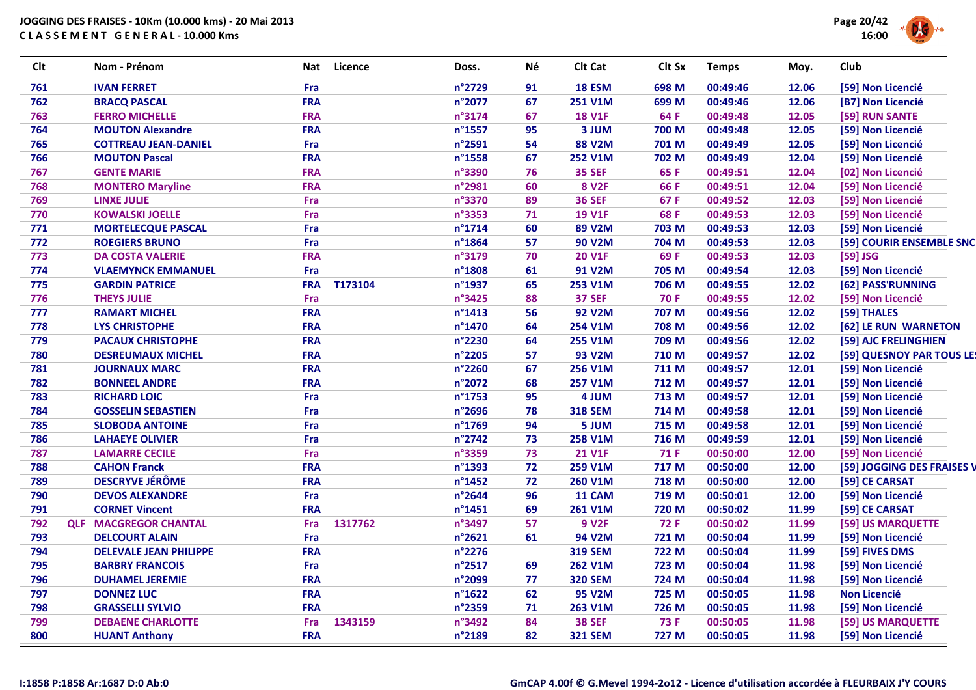| <b>Clt</b> | Nom - Prénom                  | <b>Nat</b> | Licence | Doss.            | Né | Clt Cat        | Clt Sx      | <b>Temps</b> | Moy.  | Club                       |
|------------|-------------------------------|------------|---------|------------------|----|----------------|-------------|--------------|-------|----------------------------|
| 761        | <b>IVAN FERRET</b>            | Fra        |         | n°2729           | 91 | <b>18 ESM</b>  | 698 M       | 00:49:46     | 12.06 | [59] Non Licencié          |
| 762        | <b>BRACQ PASCAL</b>           | <b>FRA</b> |         | n°2077           | 67 | 251 V1M        | 699 M       | 00:49:46     | 12.06 | [B7] Non Licencié          |
| 763        | <b>FERRO MICHELLE</b>         | <b>FRA</b> |         | n°3174           | 67 | <b>18 V1F</b>  | 64 F        | 00:49:48     | 12.05 | [59] RUN SANTE             |
| 764        | <b>MOUTON Alexandre</b>       | <b>FRA</b> |         | n°1557           | 95 | 3 JUM          | 700 M       | 00:49:48     | 12.05 | [59] Non Licencié          |
| 765        | <b>COTTREAU JEAN-DANIEL</b>   | Fra        |         | n°2591           | 54 | <b>88 V2M</b>  | 701 M       | 00:49:49     | 12.05 | [59] Non Licencié          |
| 766        | <b>MOUTON Pascal</b>          | <b>FRA</b> |         | n°1558           | 67 | <b>252 V1M</b> | 702 M       | 00:49:49     | 12.04 | [59] Non Licencié          |
| 767        | <b>GENTE MARIE</b>            | <b>FRA</b> |         | n°3390           | 76 | <b>35 SEF</b>  | 65 F        | 00:49:51     | 12.04 | [02] Non Licencié          |
| 768        | <b>MONTERO Maryline</b>       | <b>FRA</b> |         | n°2981           | 60 | <b>8 V2F</b>   | 66 F        | 00:49:51     | 12.04 | [59] Non Licencié          |
| 769        | <b>LINXE JULIE</b>            | Fra        |         | n°3370           | 89 | <b>36 SEF</b>  | 67 F        | 00:49:52     | 12.03 | [59] Non Licencié          |
| 770        | <b>KOWALSKI JOELLE</b>        | Fra        |         | n°3353           | 71 | <b>19 V1F</b>  | 68 F        | 00:49:53     | 12.03 | [59] Non Licencié          |
| 771        | <b>MORTELECQUE PASCAL</b>     | Fra        |         | $n^{\circ}$ 1714 | 60 | <b>89 V2M</b>  | 703 M       | 00:49:53     | 12.03 | [59] Non Licencié          |
| 772        | <b>ROEGIERS BRUNO</b>         | Fra        |         | n°1864           | 57 | <b>90 V2M</b>  | 704 M       | 00:49:53     | 12.03 | [59] COURIR ENSEMBLE SNC   |
| 773        | <b>DA COSTA VALERIE</b>       | <b>FRA</b> |         | n°3179           | 70 | <b>20 V1F</b>  | 69F         | 00:49:53     | 12.03 | [59] JSG                   |
| 774        | <b>VLAEMYNCK EMMANUEL</b>     | Fra        |         | n°1808           | 61 | <b>91 V2M</b>  | 705 M       | 00:49:54     | 12.03 | [59] Non Licencié          |
| 775        | <b>GARDIN PATRICE</b>         | <b>FRA</b> | T173104 | n°1937           | 65 | 253 V1M        | 706 M       | 00:49:55     | 12.02 | [62] PASS'RUNNING          |
| 776        | <b>THEYS JULIE</b>            | Fra        |         | n°3425           | 88 | <b>37 SEF</b>  | <b>70 F</b> | 00:49:55     | 12.02 | [59] Non Licencié          |
| 777        | <b>RAMART MICHEL</b>          | <b>FRA</b> |         | $n^{\circ}$ 1413 | 56 | <b>92 V2M</b>  | 707 M       | 00:49:56     | 12.02 | [59] THALES                |
| 778        | <b>LYS CHRISTOPHE</b>         | <b>FRA</b> |         | n°1470           | 64 | 254 V1M        | 708 M       | 00:49:56     | 12.02 | [62] LE RUN WARNETON       |
| 779        | <b>PACAUX CHRISTOPHE</b>      | <b>FRA</b> |         | n°2230           | 64 | 255 V1M        | 709 M       | 00:49:56     | 12.02 | [59] AJC FRELINGHIEN       |
| 780        | <b>DESREUMAUX MICHEL</b>      | <b>FRA</b> |         | n°2205           | 57 | <b>93 V2M</b>  | 710 M       | 00:49:57     | 12.02 | [59] QUESNOY PAR TOUS LE!  |
| 781        | <b>JOURNAUX MARC</b>          | <b>FRA</b> |         | n°2260           | 67 | <b>256 V1M</b> | 711 M       | 00:49:57     | 12.01 | [59] Non Licencié          |
| 782        | <b>BONNEEL ANDRE</b>          | <b>FRA</b> |         | n°2072           | 68 | <b>257 V1M</b> | 712 M       | 00:49:57     | 12.01 | [59] Non Licencié          |
| 783        | <b>RICHARD LOIC</b>           | Fra        |         | n°1753           | 95 | 4 JUM          | 713 M       | 00:49:57     | 12.01 | [59] Non Licencié          |
| 784        | <b>GOSSELIN SEBASTIEN</b>     | Fra        |         | n°2696           | 78 | <b>318 SEM</b> | 714 M       | 00:49:58     | 12.01 | [59] Non Licencié          |
| 785        | <b>SLOBODA ANTOINE</b>        | Fra        |         | n°1769           | 94 | 5 JUM          | 715 M       | 00:49:58     | 12.01 | [59] Non Licencié          |
| 786        | <b>LAHAEYE OLIVIER</b>        | Fra        |         | n°2742           | 73 | 258 V1M        | 716 M       | 00:49:59     | 12.01 | [59] Non Licencié          |
| 787        | <b>LAMARRE CECILE</b>         | Fra        |         | n°3359           | 73 | <b>21 V1F</b>  | 71 F        | 00:50:00     | 12.00 | [59] Non Licencié          |
| 788        | <b>CAHON Franck</b>           | <b>FRA</b> |         | n°1393           | 72 | 259 V1M        | 717 M       | 00:50:00     | 12.00 | [59] JOGGING DES FRAISES V |
| 789        | <b>DESCRYVE JÉRÔME</b>        | <b>FRA</b> |         | n°1452           | 72 | 260 V1M        | 718 M       | 00:50:00     | 12.00 | [59] CE CARSAT             |
| 790        | <b>DEVOS ALEXANDRE</b>        | Fra        |         | n°2644           | 96 | 11 CAM         | 719 M       | 00:50:01     | 12.00 | [59] Non Licencié          |
| 791        | <b>CORNET Vincent</b>         | <b>FRA</b> |         | $n^{\circ}$ 1451 | 69 | 261 V1M        | 720 M       | 00:50:02     | 11.99 | [59] CE CARSAT             |
| 792        | <b>QLF MACGREGOR CHANTAL</b>  | <b>Fra</b> | 1317762 | n°3497           | 57 | <b>9 V2F</b>   | <b>72 F</b> | 00:50:02     | 11.99 | [59] US MARQUETTE          |
| 793        | <b>DELCOURT ALAIN</b>         | Fra        |         | n°2621           | 61 | <b>94 V2M</b>  | 721 M       | 00:50:04     | 11.99 | [59] Non Licencié          |
| 794        | <b>DELEVALE JEAN PHILIPPE</b> | <b>FRA</b> |         | n°2276           |    | <b>319 SEM</b> | 722 M       | 00:50:04     | 11.99 | [59] FIVES DMS             |
| 795        | <b>BARBRY FRANCOIS</b>        | Fra        |         | n°2517           | 69 | 262 V1M        | 723 M       | 00:50:04     | 11.98 | [59] Non Licencié          |
| 796        | <b>DUHAMEL JEREMIE</b>        | <b>FRA</b> |         | n°2099           | 77 | <b>320 SEM</b> | 724 M       | 00:50:04     | 11.98 | [59] Non Licencié          |
| 797        | <b>DONNEZ LUC</b>             | <b>FRA</b> |         | $n^{\circ}$ 1622 | 62 | <b>95 V2M</b>  | 725 M       | 00:50:05     | 11.98 | <b>Non Licencié</b>        |
| 798        | <b>GRASSELLI SYLVIO</b>       | <b>FRA</b> |         | n°2359           | 71 | 263 V1M        | 726 M       | 00:50:05     | 11.98 | [59] Non Licencié          |
| 799        | <b>DEBAENE CHARLOTTE</b>      | Fra        | 1343159 | n°3492           | 84 | <b>38 SEF</b>  | <b>73 F</b> | 00:50:05     | 11.98 | [59] US MARQUETTE          |
| 800        | <b>HUANT Anthony</b>          | <b>FRA</b> |         | n°2189           | 82 | <b>321 SEM</b> | 727 M       | 00:50:05     | 11.98 | [59] Non Licencié          |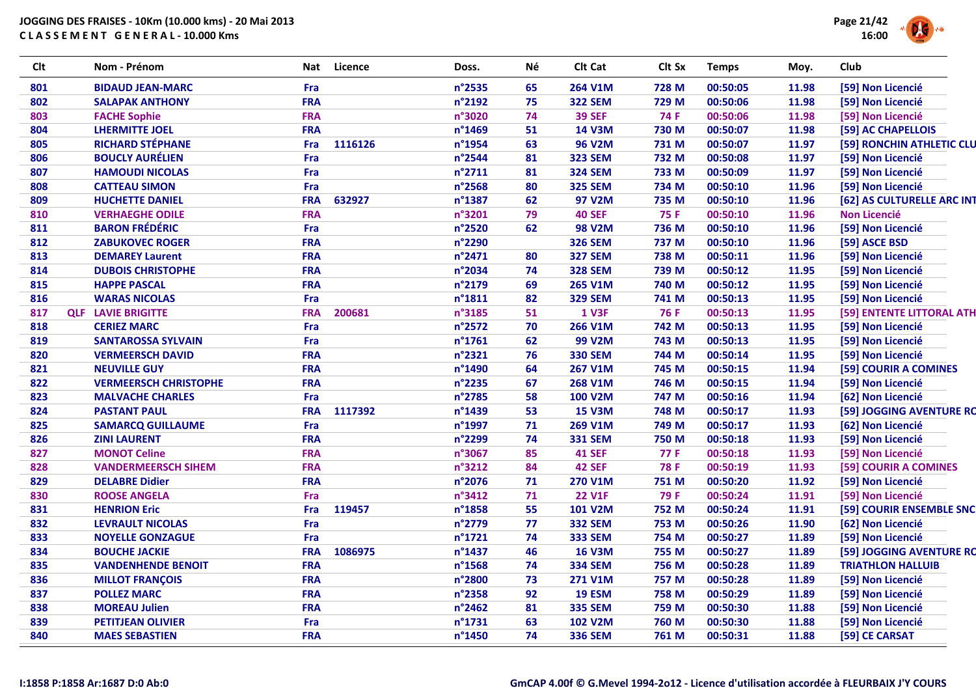

| <b>Clt</b> | Nom - Prénom                 | Nat        | <b>Licence</b> | Doss.            | Né | Clt Cat        | Clt Sx      | <b>Temps</b> | Moy.  | Club                       |
|------------|------------------------------|------------|----------------|------------------|----|----------------|-------------|--------------|-------|----------------------------|
| 801        | <b>BIDAUD JEAN-MARC</b>      | Fra        |                | n°2535           | 65 | 264 V1M        | 728 M       | 00:50:05     | 11.98 | [59] Non Licencié          |
| 802        | <b>SALAPAK ANTHONY</b>       | <b>FRA</b> |                | n°2192           | 75 | <b>322 SEM</b> | 729 M       | 00:50:06     | 11.98 | [59] Non Licencié          |
| 803        | <b>FACHE Sophie</b>          | <b>FRA</b> |                | n°3020           | 74 | <b>39 SEF</b>  | 74 F        | 00:50:06     | 11.98 | [59] Non Licencié          |
| 804        | <b>LHERMITTE JOEL</b>        | <b>FRA</b> |                | n°1469           | 51 | <b>14 V3M</b>  | 730 M       | 00:50:07     | 11.98 | [59] AC CHAPELLOIS         |
| 805        | <b>RICHARD STÉPHANE</b>      | Fra        | 1116126        | n°1954           | 63 | <b>96 V2M</b>  | 731 M       | 00:50:07     | 11.97 | [59] RONCHIN ATHLETIC CLU  |
| 806        | <b>BOUCLY AURÉLIEN</b>       | Fra        |                | n°2544           | 81 | <b>323 SEM</b> | 732 M       | 00:50:08     | 11.97 | [59] Non Licencié          |
| 807        | <b>HAMOUDI NICOLAS</b>       | Fra        |                | n°2711           | 81 | <b>324 SEM</b> | 733 M       | 00:50:09     | 11.97 | [59] Non Licencié          |
| 808        | <b>CATTEAU SIMON</b>         | Fra        |                | n°2568           | 80 | <b>325 SEM</b> | 734 M       | 00:50:10     | 11.96 | [59] Non Licencié          |
| 809        | <b>HUCHETTE DANIEL</b>       | <b>FRA</b> | 632927         | n°1387           | 62 | 97 V2M         | 735 M       | 00:50:10     | 11.96 | [62] AS CULTURELLE ARC INT |
| 810        | <b>VERHAEGHE ODILE</b>       | <b>FRA</b> |                | n°3201           | 79 | <b>40 SEF</b>  | <b>75 F</b> | 00:50:10     | 11.96 | <b>Non Licencié</b>        |
| 811        | <b>BARON FRÉDÉRIC</b>        | Fra        |                | n°2520           | 62 | <b>98 V2M</b>  | 736 M       | 00:50:10     | 11.96 | [59] Non Licencié          |
| 812        | <b>ZABUKOVEC ROGER</b>       | <b>FRA</b> |                | n°2290           |    | <b>326 SEM</b> | 737 M       | 00:50:10     | 11.96 | [59] ASCE BSD              |
| 813        | <b>DEMAREY Laurent</b>       | <b>FRA</b> |                | n°2471           | 80 | <b>327 SEM</b> | 738 M       | 00:50:11     | 11.96 | [59] Non Licencié          |
| 814        | <b>DUBOIS CHRISTOPHE</b>     | <b>FRA</b> |                | n°2034           | 74 | <b>328 SEM</b> | 739 M       | 00:50:12     | 11.95 | [59] Non Licencié          |
| 815        | <b>HAPPE PASCAL</b>          | <b>FRA</b> |                | n°2179           | 69 | 265 V1M        | 740 M       | 00:50:12     | 11.95 | [59] Non Licencié          |
| 816        | <b>WARAS NICOLAS</b>         | Fra        |                | $n^{\circ}1811$  | 82 | <b>329 SEM</b> | 741 M       | 00:50:13     | 11.95 | [59] Non Licencié          |
| 817        | <b>QLF LAVIE BRIGITTE</b>    | <b>FRA</b> | 200681         | n°3185           | 51 | <b>1 V3F</b>   | <b>76 F</b> | 00:50:13     | 11.95 | [59] ENTENTE LITTORAL ATH  |
| 818        | <b>CERIEZ MARC</b>           | Fra        |                | n°2572           | 70 | 266 V1M        | 742 M       | 00:50:13     | 11.95 | [59] Non Licencié          |
| 819        | <b>SANTAROSSA SYLVAIN</b>    | Fra        |                | $n^{\circ}$ 1761 | 62 | 99 V2M         | 743 M       | 00:50:13     | 11.95 | [59] Non Licencié          |
| 820        | <b>VERMEERSCH DAVID</b>      | <b>FRA</b> |                | n°2321           | 76 | <b>330 SEM</b> | 744 M       | 00:50:14     | 11.95 | [59] Non Licencié          |
| 821        | <b>NEUVILLE GUY</b>          | <b>FRA</b> |                | n°1490           | 64 | 267 V1M        | 745 M       | 00:50:15     | 11.94 | [59] COURIR A COMINES      |
| 822        | <b>VERMEERSCH CHRISTOPHE</b> | <b>FRA</b> |                | n°2235           | 67 | 268 V1M        | 746 M       | 00:50:15     | 11.94 | [59] Non Licencié          |
| 823        | <b>MALVACHE CHARLES</b>      | Fra        |                | n°2785           | 58 | <b>100 V2M</b> | 747 M       | 00:50:16     | 11.94 | [62] Non Licencié          |
| 824        | <b>PASTANT PAUL</b>          | <b>FRA</b> | 1117392        | n°1439           | 53 | <b>15 V3M</b>  | 748 M       | 00:50:17     | 11.93 | [59] JOGGING AVENTURE RO   |
| 825        | <b>SAMARCQ GUILLAUME</b>     | Fra        |                | n°1997           | 71 | 269 V1M        | 749 M       | 00:50:17     | 11.93 | [62] Non Licencié          |
| 826        | <b>ZINI LAURENT</b>          | <b>FRA</b> |                | n°2299           | 74 | <b>331 SEM</b> | 750 M       | 00:50:18     | 11.93 | [59] Non Licencié          |
| 827        | <b>MONOT Celine</b>          | <b>FRA</b> |                | n°3067           | 85 | <b>41 SEF</b>  | 77 F        | 00:50:18     | 11.93 | [59] Non Licencié          |
| 828        | <b>VANDERMEERSCH SIHEM</b>   | <b>FRA</b> |                | n°3212           | 84 | <b>42 SEF</b>  | <b>78 F</b> | 00:50:19     | 11.93 | [59] COURIR A COMINES      |
| 829        | <b>DELABRE Didier</b>        | <b>FRA</b> |                | n°2076           | 71 | <b>270 V1M</b> | 751 M       | 00:50:20     | 11.92 | [59] Non Licencié          |
| 830        | <b>ROOSE ANGELA</b>          | Fra        |                | n°3412           | 71 | <b>22 V1F</b>  | 79 F        | 00:50:24     | 11.91 | [59] Non Licencié          |
| 831        | <b>HENRION Eric</b>          | Fra        | 119457         | n°1858           | 55 | <b>101 V2M</b> | 752 M       | 00:50:24     | 11.91 | [59] COURIR ENSEMBLE SNC   |
| 832        | <b>LEVRAULT NICOLAS</b>      | Fra        |                | n°2779           | 77 | <b>332 SEM</b> | 753 M       | 00:50:26     | 11.90 | [62] Non Licencié          |
| 833        | <b>NOYELLE GONZAGUE</b>      | Fra        |                | $n^{\circ}$ 1721 | 74 | <b>333 SEM</b> | 754 M       | 00:50:27     | 11.89 | [59] Non Licencié          |
| 834        | <b>BOUCHE JACKIE</b>         | <b>FRA</b> | 1086975        | n°1437           | 46 | <b>16 V3M</b>  | 755 M       | 00:50:27     | 11.89 | [59] JOGGING AVENTURE RO   |
| 835        | <b>VANDENHENDE BENOIT</b>    | <b>FRA</b> |                | n°1568           | 74 | <b>334 SEM</b> | 756 M       | 00:50:28     | 11.89 | <b>TRIATHLON HALLUIB</b>   |
| 836        | <b>MILLOT FRANÇOIS</b>       | <b>FRA</b> |                | n°2800           | 73 | <b>271 V1M</b> | 757 M       | 00:50:28     | 11.89 | [59] Non Licencié          |
| 837        | <b>POLLEZ MARC</b>           | <b>FRA</b> |                | n°2358           | 92 | <b>19 ESM</b>  | 758 M       | 00:50:29     | 11.89 | [59] Non Licencié          |
| 838        | <b>MOREAU Julien</b>         | <b>FRA</b> |                | n°2462           | 81 | <b>335 SEM</b> | 759 M       | 00:50:30     | 11.88 | [59] Non Licencié          |
| 839        | <b>PETITJEAN OLIVIER</b>     | Fra        |                | $n^{\circ}$ 1731 | 63 | <b>102 V2M</b> | 760 M       | 00:50:30     | 11.88 | [59] Non Licencié          |
| 840        | <b>MAES SEBASTIEN</b>        | <b>FRA</b> |                | n°1450           | 74 | <b>336 SEM</b> | 761 M       | 00:50:31     | 11.88 | [59] CE CARSAT             |
|            |                              |            |                |                  |    |                |             |              |       |                            |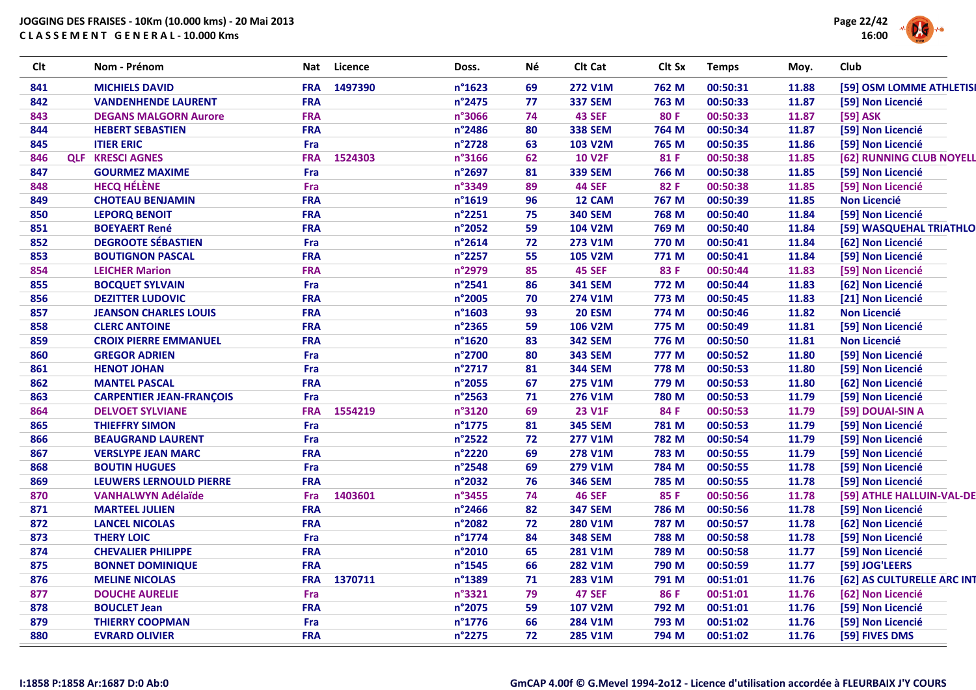

| <b>Clt</b> |            | Nom - Prénom                    | Nat        | Licence | Doss.  | Né | Clt Cat        | Clt Sx | <b>Temps</b> | Moy.  | Club                       |
|------------|------------|---------------------------------|------------|---------|--------|----|----------------|--------|--------------|-------|----------------------------|
| 841        |            | <b>MICHIELS DAVID</b>           | <b>FRA</b> | 1497390 | n°1623 | 69 | <b>272 V1M</b> | 762 M  | 00:50:31     | 11.88 | [59] OSM LOMME ATHLETISI   |
| 842        |            | <b>VANDENHENDE LAURENT</b>      | <b>FRA</b> |         | n°2475 | 77 | <b>337 SEM</b> | 763 M  | 00:50:33     | 11.87 | [59] Non Licencié          |
| 843        |            | <b>DEGANS MALGORN Aurore</b>    | <b>FRA</b> |         | n°3066 | 74 | <b>43 SEF</b>  | 80 F   | 00:50:33     | 11.87 | [59] ASK                   |
| 844        |            | <b>HEBERT SEBASTIEN</b>         | <b>FRA</b> |         | n°2486 | 80 | <b>338 SEM</b> | 764 M  | 00:50:34     | 11.87 | [59] Non Licencié          |
| 845        |            | <b>ITIER ERIC</b>               | Fra        |         | n°2728 | 63 | <b>103 V2M</b> | 765 M  | 00:50:35     | 11.86 | [59] Non Licencié          |
| 846        | <b>QLF</b> | <b>KRESCI AGNES</b>             | <b>FRA</b> | 1524303 | n°3166 | 62 | <b>10 V2F</b>  | 81 F   | 00:50:38     | 11.85 | [62] RUNNING CLUB NOYELL   |
| 847        |            | <b>GOURMEZ MAXIME</b>           | Fra        |         | n°2697 | 81 | <b>339 SEM</b> | 766 M  | 00:50:38     | 11.85 | [59] Non Licencié          |
| 848        |            | <b>HECQ HÉLÈNE</b>              | Fra        |         | n°3349 | 89 | <b>44 SEF</b>  | 82 F   | 00:50:38     | 11.85 | [59] Non Licencié          |
| 849        |            | <b>CHOTEAU BENJAMIN</b>         | <b>FRA</b> |         | n°1619 | 96 | 12 CAM         | 767 M  | 00:50:39     | 11.85 | <b>Non Licencié</b>        |
| 850        |            | <b>LEPORQ BENOIT</b>            | <b>FRA</b> |         | n°2251 | 75 | <b>340 SEM</b> | 768 M  | 00:50:40     | 11.84 | [59] Non Licencié          |
| 851        |            | <b>BOEYAERT René</b>            | <b>FRA</b> |         | n°2052 | 59 | <b>104 V2M</b> | 769 M  | 00:50:40     | 11.84 | [59] WASQUEHAL TRIATHLO    |
| 852        |            | <b>DEGROOTE SÉBASTIEN</b>       | Fra        |         | n°2614 | 72 | <b>273 V1M</b> | 770 M  | 00:50:41     | 11.84 | [62] Non Licencié          |
| 853        |            | <b>BOUTIGNON PASCAL</b>         | <b>FRA</b> |         | n°2257 | 55 | <b>105 V2M</b> | 771 M  | 00:50:41     | 11.84 | [59] Non Licencié          |
| 854        |            | <b>LEICHER Marion</b>           | <b>FRA</b> |         | n°2979 | 85 | <b>45 SEF</b>  | 83 F   | 00:50:44     | 11.83 | [59] Non Licencié          |
| 855        |            | <b>BOCQUET SYLVAIN</b>          | Fra        |         | n°2541 | 86 | <b>341 SEM</b> | 772 M  | 00:50:44     | 11.83 | [62] Non Licencié          |
| 856        |            | <b>DEZITTER LUDOVIC</b>         | <b>FRA</b> |         | n°2005 | 70 | 274 V1M        | 773 M  | 00:50:45     | 11.83 | [21] Non Licencié          |
| 857        |            | <b>JEANSON CHARLES LOUIS</b>    | <b>FRA</b> |         | n°1603 | 93 | <b>20 ESM</b>  | 774 M  | 00:50:46     | 11.82 | <b>Non Licencié</b>        |
| 858        |            | <b>CLERC ANTOINE</b>            | <b>FRA</b> |         | n°2365 | 59 | <b>106 V2M</b> | 775 M  | 00:50:49     | 11.81 | [59] Non Licencié          |
| 859        |            | <b>CROIX PIERRE EMMANUEL</b>    | <b>FRA</b> |         | n°1620 | 83 | <b>342 SEM</b> | 776 M  | 00:50:50     | 11.81 | <b>Non Licencié</b>        |
| 860        |            | <b>GREGOR ADRIEN</b>            | Fra        |         | n°2700 | 80 | <b>343 SEM</b> | 777 M  | 00:50:52     | 11.80 | [59] Non Licencié          |
| 861        |            | <b>HENOT JOHAN</b>              | Fra        |         | n°2717 | 81 | <b>344 SEM</b> | 778 M  | 00:50:53     | 11.80 | [59] Non Licencié          |
| 862        |            | <b>MANTEL PASCAL</b>            | <b>FRA</b> |         | n°2055 | 67 | <b>275 V1M</b> | 779 M  | 00:50:53     | 11.80 | [62] Non Licencié          |
| 863        |            | <b>CARPENTIER JEAN-FRANÇOIS</b> | Fra        |         | n°2563 | 71 | 276 V1M        | 780 M  | 00:50:53     | 11.79 | [59] Non Licencié          |
| 864        |            | <b>DELVOET SYLVIANE</b>         | <b>FRA</b> | 1554219 | n°3120 | 69 | <b>23 V1F</b>  | 84 F   | 00:50:53     | 11.79 | [59] DOUAI-SIN A           |
| 865        |            | <b>THIEFFRY SIMON</b>           | Fra        |         | n°1775 | 81 | <b>345 SEM</b> | 781 M  | 00:50:53     | 11.79 | [59] Non Licencié          |
| 866        |            | <b>BEAUGRAND LAURENT</b>        | Fra        |         | n°2522 | 72 | <b>277 V1M</b> | 782 M  | 00:50:54     | 11.79 | [59] Non Licencié          |
| 867        |            | <b>VERSLYPE JEAN MARC</b>       | <b>FRA</b> |         | n°2220 | 69 | <b>278 V1M</b> | 783 M  | 00:50:55     | 11.79 | [59] Non Licencié          |
| 868        |            | <b>BOUTIN HUGUES</b>            | Fra        |         | n°2548 | 69 | 279 V1M        | 784 M  | 00:50:55     | 11.78 | [59] Non Licencié          |
| 869        |            | LEUWERS LERNOULD PIERRE         | <b>FRA</b> |         | n°2032 | 76 | <b>346 SEM</b> | 785 M  | 00:50:55     | 11.78 | [59] Non Licencié          |
| 870        |            | <b>VANHALWYN Adélaïde</b>       | Fra        | 1403601 | n°3455 | 74 | <b>46 SEF</b>  | 85 F   | 00:50:56     | 11.78 | [59] ATHLE HALLUIN-VAL-DE  |
| 871        |            | <b>MARTEEL JULIEN</b>           | <b>FRA</b> |         | n°2466 | 82 | <b>347 SEM</b> | 786 M  | 00:50:56     | 11.78 | [59] Non Licencié          |
| 872        |            | <b>LANCEL NICOLAS</b>           | <b>FRA</b> |         | n°2082 | 72 | 280 V1M        | 787 M  | 00:50:57     | 11.78 | [62] Non Licencié          |
| 873        |            | <b>THERY LOIC</b>               | Fra        |         | n°1774 | 84 | <b>348 SEM</b> | 788 M  | 00:50:58     | 11.78 | [59] Non Licencié          |
| 874        |            | <b>CHEVALIER PHILIPPE</b>       | <b>FRA</b> |         | n°2010 | 65 | <b>281 V1M</b> | 789 M  | 00:50:58     | 11.77 | [59] Non Licencié          |
| 875        |            | <b>BONNET DOMINIQUE</b>         | <b>FRA</b> |         | n°1545 | 66 | <b>282 V1M</b> | 790 M  | 00:50:59     | 11.77 | [59] JOG'LEERS             |
| 876        |            | <b>MELINE NICOLAS</b>           | <b>FRA</b> | 1370711 | n°1389 | 71 | 283 V1M        | 791 M  | 00:51:01     | 11.76 | [62] AS CULTURELLE ARC INT |
| 877        |            | <b>DOUCHE AURELIE</b>           | Fra        |         | n°3321 | 79 | <b>47 SEF</b>  | 86 F   | 00:51:01     | 11.76 | [62] Non Licencié          |
| 878        |            | <b>BOUCLET Jean</b>             | <b>FRA</b> |         | n°2075 | 59 | <b>107 V2M</b> | 792 M  | 00:51:01     | 11.76 | [59] Non Licencié          |
| 879        |            | <b>THIERRY COOPMAN</b>          | Fra        |         | n°1776 | 66 | 284 V1M        | 793 M  | 00:51:02     | 11.76 | [59] Non Licencié          |
| 880        |            | <b>EVRARD OLIVIER</b>           | <b>FRA</b> |         | n°2275 | 72 | 285 V1M        | 794 M  | 00:51:02     | 11.76 | [59] FIVES DMS             |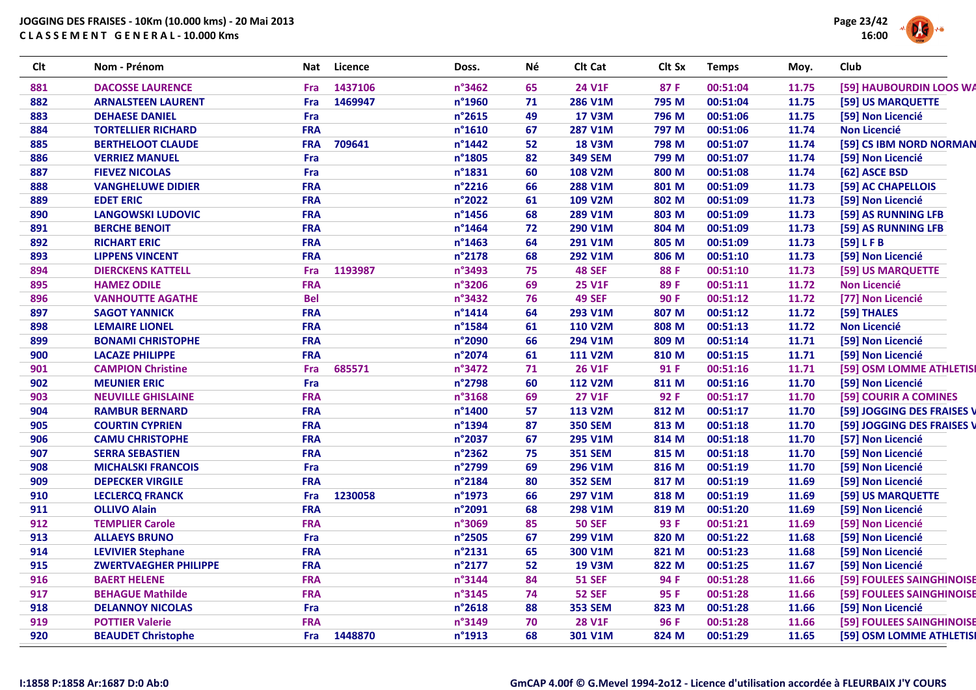

| Clt | Nom - Prénom                 | Nat        | <b>Licence</b> | Doss.            | Né | Clt Cat        | Clt Sx      | <b>Temps</b> | Moy.  | Club                       |
|-----|------------------------------|------------|----------------|------------------|----|----------------|-------------|--------------|-------|----------------------------|
| 881 | <b>DACOSSE LAURENCE</b>      | Fra        | 1437106        | n°3462           | 65 | <b>24 V1F</b>  | 87 F        | 00:51:04     | 11.75 | [59] HAUBOURDIN LOOS WA    |
| 882 | <b>ARNALSTEEN LAURENT</b>    | Fra        | 1469947        | n°1960           | 71 | 286 V1M        | 795 M       | 00:51:04     | 11.75 | [59] US MARQUETTE          |
| 883 | <b>DEHAESE DANIEL</b>        | Fra        |                | n°2615           | 49 | <b>17 V3M</b>  | 796 M       | 00:51:06     | 11.75 | [59] Non Licencié          |
| 884 | <b>TORTELLIER RICHARD</b>    | <b>FRA</b> |                | $n^{\circ}$ 1610 | 67 | <b>287 V1M</b> | 797 M       | 00:51:06     | 11.74 | <b>Non Licencié</b>        |
| 885 | <b>BERTHELOOT CLAUDE</b>     | <b>FRA</b> | 709641         | n°1442           | 52 | <b>18 V3M</b>  | 798 M       | 00:51:07     | 11.74 | [59] CS IBM NORD NORMAN    |
| 886 | <b>VERRIEZ MANUEL</b>        | Fra        |                | n°1805           | 82 | <b>349 SEM</b> | 799 M       | 00:51:07     | 11.74 | [59] Non Licencié          |
| 887 | <b>FIEVEZ NICOLAS</b>        | Fra        |                | n°1831           | 60 | <b>108 V2M</b> | 800 M       | 00:51:08     | 11.74 | [62] ASCE BSD              |
| 888 | <b>VANGHELUWE DIDIER</b>     | <b>FRA</b> |                | n°2216           | 66 | <b>288 V1M</b> | 801 M       | 00:51:09     | 11.73 | [59] AC CHAPELLOIS         |
| 889 | <b>EDET ERIC</b>             | <b>FRA</b> |                | n°2022           | 61 | 109 V2M        | 802 M       | 00:51:09     | 11.73 | [59] Non Licencié          |
| 890 | <b>LANGOWSKI LUDOVIC</b>     | <b>FRA</b> |                | n°1456           | 68 | 289 V1M        | 803 M       | 00:51:09     | 11.73 | [59] AS RUNNING LFB        |
| 891 | <b>BERCHE BENOIT</b>         | <b>FRA</b> |                | n°1464           | 72 | 290 V1M        | 804 M       | 00:51:09     | 11.73 | [59] AS RUNNING LFB        |
| 892 | <b>RICHART ERIC</b>          | <b>FRA</b> |                | n°1463           | 64 | <b>291 V1M</b> | 805 M       | 00:51:09     | 11.73 | [59] LFB                   |
| 893 | <b>LIPPENS VINCENT</b>       | <b>FRA</b> |                | n°2178           | 68 | 292 V1M        | 806 M       | 00:51:10     | 11.73 | [59] Non Licencié          |
| 894 | <b>DIERCKENS KATTELL</b>     | Fra        | 1193987        | n°3493           | 75 | <b>48 SEF</b>  | 88F         | 00:51:10     | 11.73 | [59] US MARQUETTE          |
| 895 | <b>HAMEZ ODILE</b>           | <b>FRA</b> |                | n°3206           | 69 | <b>25 V1F</b>  | 89F         | 00:51:11     | 11.72 | <b>Non Licencié</b>        |
| 896 | <b>VANHOUTTE AGATHE</b>      | <b>Bel</b> |                | n°3432           | 76 | <b>49 SEF</b>  | <b>90 F</b> | 00:51:12     | 11.72 | [77] Non Licencié          |
| 897 | <b>SAGOT YANNICK</b>         | <b>FRA</b> |                | $n^{\circ}$ 1414 | 64 | 293 V1M        | 807 M       | 00:51:12     | 11.72 | [59] THALES                |
| 898 | <b>LEMAIRE LIONEL</b>        | <b>FRA</b> |                | n°1584           | 61 | <b>110 V2M</b> | 808 M       | 00:51:13     | 11.72 | <b>Non Licencié</b>        |
| 899 | <b>BONAMI CHRISTOPHE</b>     | <b>FRA</b> |                | n°2090           | 66 | 294 V1M        | 809 M       | 00:51:14     | 11.71 | [59] Non Licencié          |
| 900 | <b>LACAZE PHILIPPE</b>       | <b>FRA</b> |                | n°2074           | 61 | <b>111 V2M</b> | 810 M       | 00:51:15     | 11.71 | [59] Non Licencié          |
| 901 | <b>CAMPION Christine</b>     | Fra        | 685571         | n°3472           | 71 | <b>26 V1F</b>  | 91 F        | 00:51:16     | 11.71 | [59] OSM LOMME ATHLETISI   |
| 902 | <b>MEUNIER ERIC</b>          | Fra        |                | n°2798           | 60 | <b>112 V2M</b> | 811 M       | 00:51:16     | 11.70 | [59] Non Licencié          |
| 903 | <b>NEUVILLE GHISLAINE</b>    | <b>FRA</b> |                | n°3168           | 69 | <b>27 V1F</b>  | 92 F        | 00:51:17     | 11.70 | [59] COURIR A COMINES      |
| 904 | <b>RAMBUR BERNARD</b>        | <b>FRA</b> |                | n°1400           | 57 | 113 V2M        | 812 M       | 00:51:17     | 11.70 | [59] JOGGING DES FRAISES V |
| 905 | <b>COURTIN CYPRIEN</b>       | <b>FRA</b> |                | n°1394           | 87 | <b>350 SEM</b> | 813 M       | 00:51:18     | 11.70 | [59] JOGGING DES FRAISES V |
| 906 | <b>CAMU CHRISTOPHE</b>       | <b>FRA</b> |                | n°2037           | 67 | 295 V1M        | 814 M       | 00:51:18     | 11.70 | [57] Non Licencié          |
| 907 | <b>SERRA SEBASTIEN</b>       | <b>FRA</b> |                | n°2362           | 75 | <b>351 SEM</b> | 815 M       | 00:51:18     | 11.70 | [59] Non Licencié          |
| 908 | <b>MICHALSKI FRANCOIS</b>    | Fra        |                | n°2799           | 69 | 296 V1M        | 816 M       | 00:51:19     | 11.70 | [59] Non Licencié          |
| 909 | <b>DEPECKER VIRGILE</b>      | <b>FRA</b> |                | n°2184           | 80 | <b>352 SEM</b> | 817 M       | 00:51:19     | 11.69 | [59] Non Licencié          |
| 910 | <b>LECLERCQ FRANCK</b>       | Fra        | 1230058        | n°1973           | 66 | 297 V1M        | 818 M       | 00:51:19     | 11.69 | [59] US MARQUETTE          |
| 911 | <b>OLLIVO Alain</b>          | <b>FRA</b> |                | n°2091           | 68 | 298 V1M        | 819 M       | 00:51:20     | 11.69 | [59] Non Licencié          |
| 912 | <b>TEMPLIER Carole</b>       | <b>FRA</b> |                | n°3069           | 85 | <b>50 SEF</b>  | 93 F        | 00:51:21     | 11.69 | [59] Non Licencié          |
| 913 | <b>ALLAEYS BRUNO</b>         | Fra        |                | n°2505           | 67 | 299 V1M        | 820 M       | 00:51:22     | 11.68 | [59] Non Licencié          |
| 914 | <b>LEVIVIER Stephane</b>     | <b>FRA</b> |                | n°2131           | 65 | 300 V1M        | 821 M       | 00:51:23     | 11.68 | [59] Non Licencié          |
| 915 | <b>ZWERTVAEGHER PHILIPPE</b> | <b>FRA</b> |                | n°2177           | 52 | <b>19 V3M</b>  | 822 M       | 00:51:25     | 11.67 | [59] Non Licencié          |
| 916 | <b>BAERT HELENE</b>          | <b>FRA</b> |                | n°3144           | 84 | <b>51 SEF</b>  | 94 F        | 00:51:28     | 11.66 | [59] FOULEES SAINGHINOISE  |
| 917 | <b>BEHAGUE Mathilde</b>      | <b>FRA</b> |                | n°3145           | 74 | <b>52 SEF</b>  | 95 F        | 00:51:28     | 11.66 | [59] FOULEES SAINGHINOISE  |
| 918 | <b>DELANNOY NICOLAS</b>      | Fra        |                | n°2618           | 88 | <b>353 SEM</b> | 823 M       | 00:51:28     | 11.66 | [59] Non Licencié          |
| 919 | <b>POTTIER Valerie</b>       | <b>FRA</b> |                | n°3149           | 70 | <b>28 V1F</b>  | 96 F        | 00:51:28     | 11.66 | [59] FOULEES SAINGHINOISE  |
| 920 | <b>BEAUDET Christophe</b>    | Fra        | 1448870        | n°1913           | 68 | 301 V1M        | 824 M       | 00:51:29     | 11.65 | [59] OSM LOMME ATHLETISI   |
|     |                              |            |                |                  |    |                |             |              |       |                            |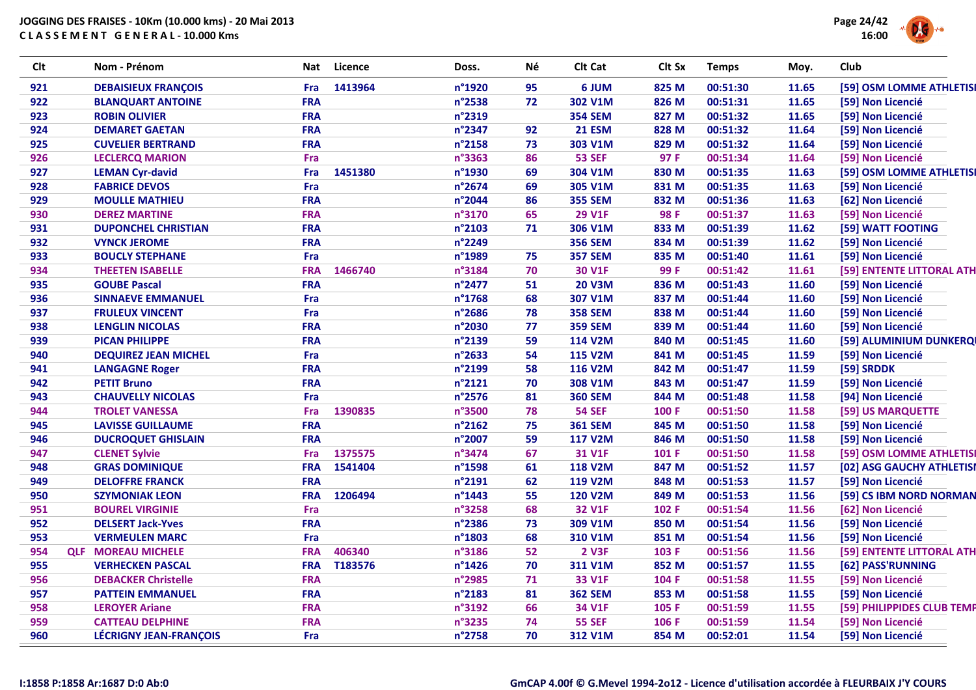

| <b>Clt</b> | Nom - Prénom                  | Nat        | Licence | Doss.  | Νé | Clt Cat        | Clt Sx | <b>Temps</b> | Moy.  | Club                       |
|------------|-------------------------------|------------|---------|--------|----|----------------|--------|--------------|-------|----------------------------|
| 921        | <b>DEBAISIEUX FRANCOIS</b>    | Fra        | 1413964 | n°1920 | 95 | 6 JUM          | 825 M  | 00:51:30     | 11.65 | [59] OSM LOMME ATHLETISI   |
| 922        | <b>BLANQUART ANTOINE</b>      | <b>FRA</b> |         | n°2538 | 72 | 302 V1M        | 826 M  | 00:51:31     | 11.65 | [59] Non Licencié          |
| 923        | <b>ROBIN OLIVIER</b>          | <b>FRA</b> |         | n°2319 |    | <b>354 SEM</b> | 827 M  | 00:51:32     | 11.65 | [59] Non Licencié          |
| 924        | <b>DEMARET GAETAN</b>         | <b>FRA</b> |         | n°2347 | 92 | <b>21 ESM</b>  | 828 M  | 00:51:32     | 11.64 | [59] Non Licencié          |
| 925        | <b>CUVELIER BERTRAND</b>      | <b>FRA</b> |         | n°2158 | 73 | 303 V1M        | 829 M  | 00:51:32     | 11.64 | [59] Non Licencié          |
| 926        | <b>LECLERCQ MARION</b>        | Fra        |         | n°3363 | 86 | <b>53 SEF</b>  | 97 F   | 00:51:34     | 11.64 | [59] Non Licencié          |
| 927        | <b>LEMAN Cyr-david</b>        | Fra        | 1451380 | n°1930 | 69 | 304 V1M        | 830 M  | 00:51:35     | 11.63 | [59] OSM LOMME ATHLETISI   |
| 928        | <b>FABRICE DEVOS</b>          | Fra        |         | n°2674 | 69 | 305 V1M        | 831 M  | 00:51:35     | 11.63 | [59] Non Licencié          |
| 929        | <b>MOULLE MATHIEU</b>         | <b>FRA</b> |         | n°2044 | 86 | <b>355 SEM</b> | 832 M  | 00:51:36     | 11.63 | [62] Non Licencié          |
| 930        | <b>DEREZ MARTINE</b>          | <b>FRA</b> |         | n°3170 | 65 | <b>29 V1F</b>  | 98 F   | 00:51:37     | 11.63 | [59] Non Licencié          |
| 931        | <b>DUPONCHEL CHRISTIAN</b>    | <b>FRA</b> |         | n°2103 | 71 | 306 V1M        | 833 M  | 00:51:39     | 11.62 | [59] WATT FOOTING          |
| 932        | <b>VYNCK JEROME</b>           | <b>FRA</b> |         | n°2249 |    | <b>356 SEM</b> | 834 M  | 00:51:39     | 11.62 | [59] Non Licencié          |
| 933        | <b>BOUCLY STEPHANE</b>        | Fra        |         | n°1989 | 75 | <b>357 SEM</b> | 835 M  | 00:51:40     | 11.61 | [59] Non Licencié          |
| 934        | <b>THEETEN ISABELLE</b>       | <b>FRA</b> | 1466740 | n°3184 | 70 | <b>30 V1F</b>  | 99 F   | 00:51:42     | 11.61 | [59] ENTENTE LITTORAL ATH  |
| 935        | <b>GOUBE Pascal</b>           | <b>FRA</b> |         | n°2477 | 51 | <b>20 V3M</b>  | 836 M  | 00:51:43     | 11.60 | [59] Non Licencié          |
| 936        | <b>SINNAEVE EMMANUEL</b>      | Fra        |         | n°1768 | 68 | 307 V1M        | 837 M  | 00:51:44     | 11.60 | [59] Non Licencié          |
| 937        | <b>FRULEUX VINCENT</b>        | Fra        |         | n°2686 | 78 | <b>358 SEM</b> | 838 M  | 00:51:44     | 11.60 | [59] Non Licencié          |
| 938        | <b>LENGLIN NICOLAS</b>        | <b>FRA</b> |         | n°2030 | 77 | <b>359 SEM</b> | 839 M  | 00:51:44     | 11.60 | [59] Non Licencié          |
| 939        | <b>PICAN PHILIPPE</b>         | <b>FRA</b> |         | n°2139 | 59 | <b>114 V2M</b> | 840 M  | 00:51:45     | 11.60 | [59] ALUMINIUM DUNKERQI    |
| 940        | <b>DEQUIREZ JEAN MICHEL</b>   | Fra        |         | n°2633 | 54 | <b>115 V2M</b> | 841 M  | 00:51:45     | 11.59 | [59] Non Licencié          |
| 941        | <b>LANGAGNE Roger</b>         | <b>FRA</b> |         | n°2199 | 58 | <b>116 V2M</b> | 842 M  | 00:51:47     | 11.59 | [59] SRDDK                 |
| 942        | <b>PETIT Bruno</b>            | <b>FRA</b> |         | n°2121 | 70 | 308 V1M        | 843 M  | 00:51:47     | 11.59 | [59] Non Licencié          |
| 943        | <b>CHAUVELLY NICOLAS</b>      | Fra        |         | n°2576 | 81 | <b>360 SEM</b> | 844 M  | 00:51:48     | 11.58 | [94] Non Licencié          |
| 944        | <b>TROLET VANESSA</b>         | Fra        | 1390835 | n°3500 | 78 | <b>54 SEF</b>  | 100 F  | 00:51:50     | 11.58 | [59] US MARQUETTE          |
| 945        | <b>LAVISSE GUILLAUME</b>      | <b>FRA</b> |         | n°2162 | 75 | <b>361 SEM</b> | 845 M  | 00:51:50     | 11.58 | [59] Non Licencié          |
| 946        | <b>DUCROQUET GHISLAIN</b>     | <b>FRA</b> |         | n°2007 | 59 | <b>117 V2M</b> | 846 M  | 00:51:50     | 11.58 | [59] Non Licencié          |
| 947        | <b>CLENET Sylvie</b>          | Fra        | 1375575 | n°3474 | 67 | 31 V1F         | 101 F  | 00:51:50     | 11.58 | [59] OSM LOMME ATHLETISI   |
| 948        | <b>GRAS DOMINIQUE</b>         | <b>FRA</b> | 1541404 | n°1598 | 61 | <b>118 V2M</b> | 847 M  | 00:51:52     | 11.57 | [02] ASG GAUCHY ATHLETISI  |
| 949        | <b>DELOFFRE FRANCK</b>        | <b>FRA</b> |         | n°2191 | 62 | 119 V2M        | 848 M  | 00:51:53     | 11.57 | [59] Non Licencié          |
| 950        | <b>SZYMONIAK LEON</b>         | <b>FRA</b> | 1206494 | n°1443 | 55 | <b>120 V2M</b> | 849 M  | 00:51:53     | 11.56 | [59] CS IBM NORD NORMAN    |
| 951        | <b>BOUREL VIRGINIE</b>        | Fra        |         | n°3258 | 68 | <b>32 V1F</b>  | 102 F  | 00:51:54     | 11.56 | [62] Non Licencié          |
| 952        | <b>DELSERT Jack-Yves</b>      | <b>FRA</b> |         | n°2386 | 73 | 309 V1M        | 850 M  | 00:51:54     | 11.56 | [59] Non Licencié          |
| 953        | <b>VERMEULEN MARC</b>         | Fra        |         | n°1803 | 68 | 310 V1M        | 851 M  | 00:51:54     | 11.56 | [59] Non Licencié          |
| 954        | <b>QLF MOREAU MICHELE</b>     | <b>FRA</b> | 406340  | n°3186 | 52 | <b>2 V3F</b>   | 103 F  | 00:51:56     | 11.56 | [59] ENTENTE LITTORAL ATH  |
| 955        | <b>VERHECKEN PASCAL</b>       | <b>FRA</b> | T183576 | n°1426 | 70 | 311 V1M        | 852 M  | 00:51:57     | 11.55 | [62] PASS'RUNNING          |
| 956        | <b>DEBACKER Christelle</b>    | <b>FRA</b> |         | n°2985 | 71 | 33 V1F         | 104 F  | 00:51:58     | 11.55 | [59] Non Licencié          |
| 957        | <b>PATTEIN EMMANUEL</b>       | <b>FRA</b> |         | n°2183 | 81 | <b>362 SEM</b> | 853 M  | 00:51:58     | 11.55 | [59] Non Licencié          |
| 958        | <b>LEROYER Ariane</b>         | <b>FRA</b> |         | n°3192 | 66 | 34 V1F         | 105 F  | 00:51:59     | 11.55 | [59] PHILIPPIDES CLUB TEMP |
| 959        | <b>CATTEAU DELPHINE</b>       | <b>FRA</b> |         | n°3235 | 74 | <b>55 SEF</b>  | 106 F  | 00:51:59     | 11.54 | [59] Non Licencié          |
| 960        | <b>LÉCRIGNY JEAN-FRANÇOIS</b> | Fra        |         | n°2758 | 70 | 312 V1M        | 854 M  | 00:52:01     | 11.54 | [59] Non Licencié          |
|            |                               |            |         |        |    |                |        |              |       |                            |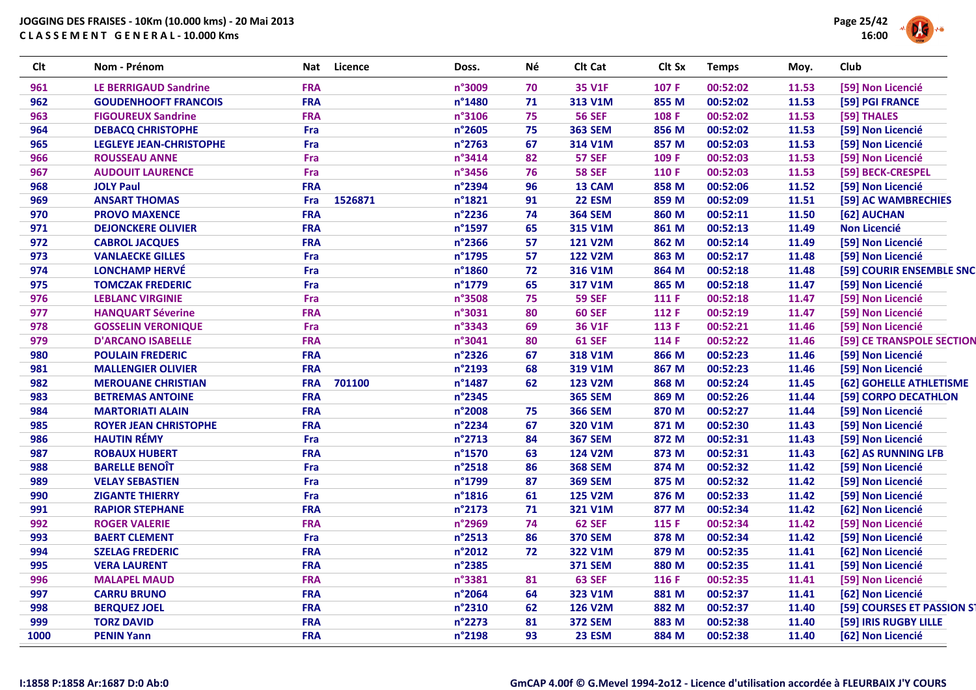| <b>Clt</b> | Nom - Prénom                   | <b>Nat</b> | Licence | Doss.  | Né | Clt Cat        | Clt Sx | <b>Temps</b> | Moy.  | Club                       |
|------------|--------------------------------|------------|---------|--------|----|----------------|--------|--------------|-------|----------------------------|
| 961        | <b>LE BERRIGAUD Sandrine</b>   | <b>FRA</b> |         | n°3009 | 70 | <b>35 V1F</b>  | 107 F  | 00:52:02     | 11.53 | [59] Non Licencié          |
| 962        | <b>GOUDENHOOFT FRANCOIS</b>    | <b>FRA</b> |         | n°1480 | 71 | 313 V1M        | 855 M  | 00:52:02     | 11.53 | [59] PGI FRANCE            |
| 963        | <b>FIGOUREUX Sandrine</b>      | <b>FRA</b> |         | n°3106 | 75 | <b>56 SEF</b>  | 108 F  | 00:52:02     | 11.53 | [59] THALES                |
| 964        | <b>DEBACQ CHRISTOPHE</b>       | Fra        |         | n°2605 | 75 | <b>363 SEM</b> | 856 M  | 00:52:02     | 11.53 | [59] Non Licencié          |
| 965        | <b>LEGLEYE JEAN-CHRISTOPHE</b> | Fra        |         | n°2763 | 67 | 314 V1M        | 857 M  | 00:52:03     | 11.53 | [59] Non Licencié          |
| 966        | <b>ROUSSEAU ANNE</b>           | Fra        |         | n°3414 | 82 | <b>57 SEF</b>  | 109 F  | 00:52:03     | 11.53 | [59] Non Licencié          |
| 967        | <b>AUDOUIT LAURENCE</b>        | Fra        |         | n°3456 | 76 | <b>58 SEF</b>  | 110 F  | 00:52:03     | 11.53 | [59] BECK-CRESPEL          |
| 968        | <b>JOLY Paul</b>               | <b>FRA</b> |         | n°2394 | 96 | 13 CAM         | 858 M  | 00:52:06     | 11.52 | [59] Non Licencié          |
| 969        | <b>ANSART THOMAS</b>           | Fra        | 1526871 | n°1821 | 91 | <b>22 ESM</b>  | 859 M  | 00:52:09     | 11.51 | [59] AC WAMBRECHIES        |
| 970        | <b>PROVO MAXENCE</b>           | <b>FRA</b> |         | n°2236 | 74 | <b>364 SEM</b> | 860 M  | 00:52:11     | 11.50 | [62] AUCHAN                |
| 971        | <b>DEJONCKERE OLIVIER</b>      | <b>FRA</b> |         | n°1597 | 65 | 315 V1M        | 861 M  | 00:52:13     | 11.49 | <b>Non Licencié</b>        |
| 972        | <b>CABROL JACQUES</b>          | <b>FRA</b> |         | n°2366 | 57 | <b>121 V2M</b> | 862 M  | 00:52:14     | 11.49 | [59] Non Licencié          |
| 973        | <b>VANLAECKE GILLES</b>        | Fra        |         | n°1795 | 57 | <b>122 V2M</b> | 863 M  | 00:52:17     | 11.48 | [59] Non Licencié          |
| 974        | <b>LONCHAMP HERVÉ</b>          | Fra        |         | n°1860 | 72 | 316 V1M        | 864 M  | 00:52:18     | 11.48 | [59] COURIR ENSEMBLE SNC   |
| 975        | <b>TOMCZAK FREDERIC</b>        | Fra        |         | n°1779 | 65 | 317 V1M        | 865 M  | 00:52:18     | 11.47 | [59] Non Licencié          |
| 976        | <b>LEBLANC VIRGINIE</b>        | Fra        |         | n°3508 | 75 | <b>59 SEF</b>  | 111 F  | 00:52:18     | 11.47 | [59] Non Licencié          |
| 977        | <b>HANQUART Séverine</b>       | <b>FRA</b> |         | n°3031 | 80 | <b>60 SEF</b>  | 112 F  | 00:52:19     | 11.47 | [59] Non Licencié          |
| 978        | <b>GOSSELIN VERONIQUE</b>      | Fra        |         | n°3343 | 69 | <b>36 V1F</b>  | 113 F  | 00:52:21     | 11.46 | [59] Non Licencié          |
| 979        | <b>D'ARCANO ISABELLE</b>       | <b>FRA</b> |         | n°3041 | 80 | <b>61 SEF</b>  | 114 F  | 00:52:22     | 11.46 | [59] CE TRANSPOLE SECTION  |
| 980        | <b>POULAIN FREDERIC</b>        | <b>FRA</b> |         | n°2326 | 67 | 318 V1M        | 866 M  | 00:52:23     | 11.46 | [59] Non Licencié          |
| 981        | <b>MALLENGIER OLIVIER</b>      | <b>FRA</b> |         | n°2193 | 68 | 319 V1M        | 867 M  | 00:52:23     | 11.46 | [59] Non Licencié          |
| 982        | <b>MEROUANE CHRISTIAN</b>      | <b>FRA</b> | 701100  | n°1487 | 62 | <b>123 V2M</b> | 868 M  | 00:52:24     | 11.45 | [62] GOHELLE ATHLETISME    |
| 983        | <b>BETREMAS ANTOINE</b>        | <b>FRA</b> |         | n°2345 |    | <b>365 SEM</b> | 869 M  | 00:52:26     | 11.44 | [59] CORPO DECATHLON       |
| 984        | <b>MARTORIATI ALAIN</b>        | <b>FRA</b> |         | n°2008 | 75 | <b>366 SEM</b> | 870 M  | 00:52:27     | 11.44 | [59] Non Licencié          |
| 985        | <b>ROYER JEAN CHRISTOPHE</b>   | <b>FRA</b> |         | n°2234 | 67 | 320 V1M        | 871 M  | 00:52:30     | 11.43 | [59] Non Licencié          |
| 986        | <b>HAUTIN RÉMY</b>             | Fra        |         | n°2713 | 84 | <b>367 SEM</b> | 872 M  | 00:52:31     | 11.43 | [59] Non Licencié          |
| 987        | <b>ROBAUX HUBERT</b>           | <b>FRA</b> |         | n°1570 | 63 | <b>124 V2M</b> | 873 M  | 00:52:31     | 11.43 | [62] AS RUNNING LFB        |
| 988        | <b>BARELLE BENOIT</b>          | Fra        |         | n°2518 | 86 | <b>368 SEM</b> | 874 M  | 00:52:32     | 11.42 | [59] Non Licencié          |
| 989        | <b>VELAY SEBASTIEN</b>         | Fra        |         | n°1799 | 87 | <b>369 SEM</b> | 875 M  | 00:52:32     | 11.42 | [59] Non Licencié          |
| 990        | <b>ZIGANTE THIERRY</b>         | Fra        |         | n°1816 | 61 | <b>125 V2M</b> | 876 M  | 00:52:33     | 11.42 | [59] Non Licencié          |
| 991        | <b>RAPIOR STEPHANE</b>         | <b>FRA</b> |         | n°2173 | 71 | 321 V1M        | 877 M  | 00:52:34     | 11.42 | [62] Non Licencié          |
| 992        | <b>ROGER VALERIE</b>           | <b>FRA</b> |         | n°2969 | 74 | <b>62 SEF</b>  | 115 F  | 00:52:34     | 11.42 | [59] Non Licencié          |
| 993        | <b>BAERT CLEMENT</b>           | Fra        |         | n°2513 | 86 | <b>370 SEM</b> | 878 M  | 00:52:34     | 11.42 | [59] Non Licencié          |
| 994        | <b>SZELAG FREDERIC</b>         | <b>FRA</b> |         | n°2012 | 72 | 322 V1M        | 879 M  | 00:52:35     | 11.41 | [62] Non Licencié          |
| 995        | <b>VERA LAURENT</b>            | <b>FRA</b> |         | n°2385 |    | <b>371 SEM</b> | 880 M  | 00:52:35     | 11.41 | [59] Non Licencié          |
| 996        | <b>MALAPEL MAUD</b>            | <b>FRA</b> |         | n°3381 | 81 | <b>63 SEF</b>  | 116 F  | 00:52:35     | 11.41 | [59] Non Licencié          |
| 997        | <b>CARRU BRUNO</b>             | <b>FRA</b> |         | n°2064 | 64 | 323 V1M        | 881 M  | 00:52:37     | 11.41 | [62] Non Licencié          |
| 998        | <b>BERQUEZ JOEL</b>            | <b>FRA</b> |         | n°2310 | 62 | <b>126 V2M</b> | 882 M  | 00:52:37     | 11.40 | [59] COURSES ET PASSION ST |
| 999        | <b>TORZ DAVID</b>              | <b>FRA</b> |         | n°2273 | 81 | <b>372 SEM</b> | 883 M  | 00:52:38     | 11.40 | [59] IRIS RUGBY LILLE      |
| 1000       | <b>PENIN Yann</b>              | <b>FRA</b> |         | n°2198 | 93 | 23 ESM         | 884 M  | 00:52:38     | 11.40 | [62] Non Licencié          |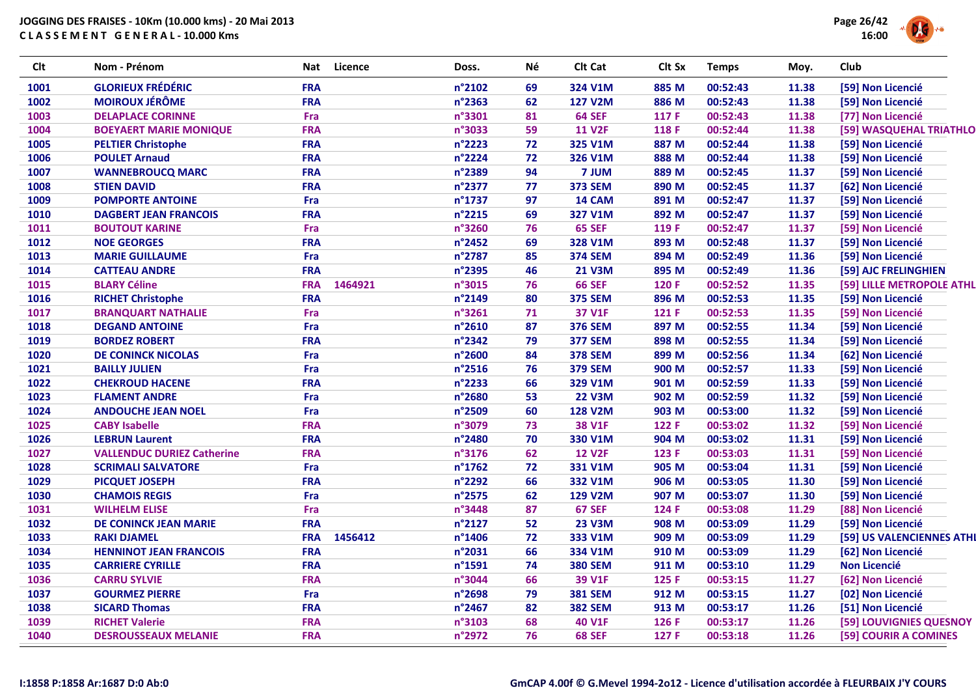

| <b>Clt</b> | Nom - Prénom                      | Nat        | <b>Licence</b> | Doss.            | Né | Clt Cat        | Clt Sx | <b>Temps</b> | Moy.  | Club                      |
|------------|-----------------------------------|------------|----------------|------------------|----|----------------|--------|--------------|-------|---------------------------|
| 1001       | <b>GLORIEUX FRÉDÉRIC</b>          | <b>FRA</b> |                | n°2102           | 69 | 324 V1M        | 885 M  | 00:52:43     | 11.38 | [59] Non Licencié         |
| 1002       | <b>MOIROUX JÉRÔME</b>             | <b>FRA</b> |                | n°2363           | 62 | <b>127 V2M</b> | 886 M  | 00:52:43     | 11.38 | [59] Non Licencié         |
| 1003       | <b>DELAPLACE CORINNE</b>          | Fra        |                | n°3301           | 81 | <b>64 SEF</b>  | 117 F  | 00:52:43     | 11.38 | [77] Non Licencié         |
| 1004       | <b>BOEYAERT MARIE MONIQUE</b>     | <b>FRA</b> |                | n°3033           | 59 | <b>11 V2F</b>  | 118 F  | 00:52:44     | 11.38 | [59] WASQUEHAL TRIATHLO   |
| 1005       | <b>PELTIER Christophe</b>         | <b>FRA</b> |                | n°2223           | 72 | 325 V1M        | 887 M  | 00:52:44     | 11.38 | [59] Non Licencié         |
| 1006       | <b>POULET Arnaud</b>              | <b>FRA</b> |                | n°2224           | 72 | 326 V1M        | 888 M  | 00:52:44     | 11.38 | [59] Non Licencié         |
| 1007       | <b>WANNEBROUCQ MARC</b>           | <b>FRA</b> |                | n°2389           | 94 | 7 JUM          | 889 M  | 00:52:45     | 11.37 | [59] Non Licencié         |
| 1008       | <b>STIEN DAVID</b>                | <b>FRA</b> |                | n°2377           | 77 | <b>373 SEM</b> | 890 M  | 00:52:45     | 11.37 | [62] Non Licencié         |
| 1009       | <b>POMPORTE ANTOINE</b>           | Fra        |                | $n^{\circ}$ 1737 | 97 | 14 CAM         | 891 M  | 00:52:47     | 11.37 | [59] Non Licencié         |
| 1010       | <b>DAGBERT JEAN FRANCOIS</b>      | <b>FRA</b> |                | n°2215           | 69 | 327 V1M        | 892 M  | 00:52:47     | 11.37 | [59] Non Licencié         |
| 1011       | <b>BOUTOUT KARINE</b>             | Fra        |                | n°3260           | 76 | <b>65 SEF</b>  | 119 F  | 00:52:47     | 11.37 | [59] Non Licencié         |
| 1012       | <b>NOE GEORGES</b>                | <b>FRA</b> |                | n°2452           | 69 | 328 V1M        | 893 M  | 00:52:48     | 11.37 | [59] Non Licencié         |
| 1013       | <b>MARIE GUILLAUME</b>            | Fra        |                | n°2787           | 85 | <b>374 SEM</b> | 894 M  | 00:52:49     | 11.36 | [59] Non Licencié         |
| 1014       | <b>CATTEAU ANDRE</b>              | <b>FRA</b> |                | n°2395           | 46 | <b>21 V3M</b>  | 895 M  | 00:52:49     | 11.36 | [59] AJC FRELINGHIEN      |
| 1015       | <b>BLARY Céline</b>               | <b>FRA</b> | 1464921        | n°3015           | 76 | <b>66 SEF</b>  | 120 F  | 00:52:52     | 11.35 | [59] LILLE METROPOLE ATHL |
| 1016       | <b>RICHET Christophe</b>          | <b>FRA</b> |                | n°2149           | 80 | <b>375 SEM</b> | 896 M  | 00:52:53     | 11.35 | [59] Non Licencié         |
| 1017       | <b>BRANQUART NATHALIE</b>         | Fra        |                | n°3261           | 71 | 37 V1F         | 121 F  | 00:52:53     | 11.35 | [59] Non Licencié         |
| 1018       | <b>DEGAND ANTOINE</b>             | Fra        |                | n°2610           | 87 | <b>376 SEM</b> | 897 M  | 00:52:55     | 11.34 | [59] Non Licencié         |
| 1019       | <b>BORDEZ ROBERT</b>              | <b>FRA</b> |                | n°2342           | 79 | <b>377 SEM</b> | 898 M  | 00:52:55     | 11.34 | [59] Non Licencié         |
| 1020       | <b>DE CONINCK NICOLAS</b>         | Fra        |                | n°2600           | 84 | <b>378 SEM</b> | 899 M  | 00:52:56     | 11.34 | [62] Non Licencié         |
| 1021       | <b>BAILLY JULIEN</b>              | Fra        |                | n°2516           | 76 | <b>379 SEM</b> | 900 M  | 00:52:57     | 11.33 | [59] Non Licencié         |
| 1022       | <b>CHEKROUD HACENE</b>            | <b>FRA</b> |                | n°2233           | 66 | 329 V1M        | 901 M  | 00:52:59     | 11.33 | [59] Non Licencié         |
| 1023       | <b>FLAMENT ANDRE</b>              | Fra        |                | n°2680           | 53 | <b>22 V3M</b>  | 902 M  | 00:52:59     | 11.32 | [59] Non Licencié         |
| 1024       | <b>ANDOUCHE JEAN NOEL</b>         | Fra        |                | n°2509           | 60 | <b>128 V2M</b> | 903 M  | 00:53:00     | 11.32 | [59] Non Licencié         |
| 1025       | <b>CABY Isabelle</b>              | <b>FRA</b> |                | n°3079           | 73 | <b>38 V1F</b>  | 122 F  | 00:53:02     | 11.32 | [59] Non Licencié         |
| 1026       | <b>LEBRUN Laurent</b>             | <b>FRA</b> |                | n°2480           | 70 | 330 V1M        | 904 M  | 00:53:02     | 11.31 | [59] Non Licencié         |
| 1027       | <b>VALLENDUC DURIEZ Catherine</b> | <b>FRA</b> |                | n°3176           | 62 | <b>12 V2F</b>  | 123 F  | 00:53:03     | 11.31 | [59] Non Licencié         |
| 1028       | <b>SCRIMALI SALVATORE</b>         | Fra        |                | n°1762           | 72 | 331 V1M        | 905 M  | 00:53:04     | 11.31 | [59] Non Licencié         |
| 1029       | <b>PICQUET JOSEPH</b>             | <b>FRA</b> |                | n°2292           | 66 | 332 V1M        | 906 M  | 00:53:05     | 11.30 | [59] Non Licencié         |
| 1030       | <b>CHAMOIS REGIS</b>              | Fra        |                | n°2575           | 62 | <b>129 V2M</b> | 907 M  | 00:53:07     | 11.30 | [59] Non Licencié         |
| 1031       | <b>WILHELM ELISE</b>              | Fra        |                | n°3448           | 87 | <b>67 SEF</b>  | 124 F  | 00:53:08     | 11.29 | [88] Non Licencié         |
| 1032       | DE CONINCK JEAN MARIE             | <b>FRA</b> |                | n°2127           | 52 | <b>23 V3M</b>  | 908 M  | 00:53:09     | 11.29 | [59] Non Licencié         |
| 1033       | <b>RAKI DJAMEL</b>                | <b>FRA</b> | 1456412        | n°1406           | 72 | 333 V1M        | 909 M  | 00:53:09     | 11.29 | [59] US VALENCIENNES ATHI |
| 1034       | <b>HENNINOT JEAN FRANCOIS</b>     | <b>FRA</b> |                | n°2031           | 66 | 334 V1M        | 910 M  | 00:53:09     | 11.29 | [62] Non Licencié         |
| 1035       | <b>CARRIERE CYRILLE</b>           | <b>FRA</b> |                | n°1591           | 74 | <b>380 SEM</b> | 911 M  | 00:53:10     | 11.29 | <b>Non Licencié</b>       |
| 1036       | <b>CARRU SYLVIE</b>               | <b>FRA</b> |                | n°3044           | 66 | 39 V1F         | 125 F  | 00:53:15     | 11.27 | [62] Non Licencié         |
| 1037       | <b>GOURMEZ PIERRE</b>             | Fra        |                | n°2698           | 79 | <b>381 SEM</b> | 912 M  | 00:53:15     | 11.27 | [02] Non Licencié         |
| 1038       | <b>SICARD Thomas</b>              | <b>FRA</b> |                | n°2467           | 82 | <b>382 SEM</b> | 913 M  | 00:53:17     | 11.26 | [51] Non Licencié         |
| 1039       | <b>RICHET Valerie</b>             | <b>FRA</b> |                | n°3103           | 68 | <b>40 V1F</b>  | 126 F  | 00:53:17     | 11.26 | [59] LOUVIGNIES QUESNOY   |
| 1040       | <b>DESROUSSEAUX MELANIE</b>       | <b>FRA</b> |                | n°2972           | 76 | <b>68 SEF</b>  | 127 F  | 00:53:18     | 11.26 | [59] COURIR A COMINES     |
|            |                                   |            |                |                  |    |                |        |              |       |                           |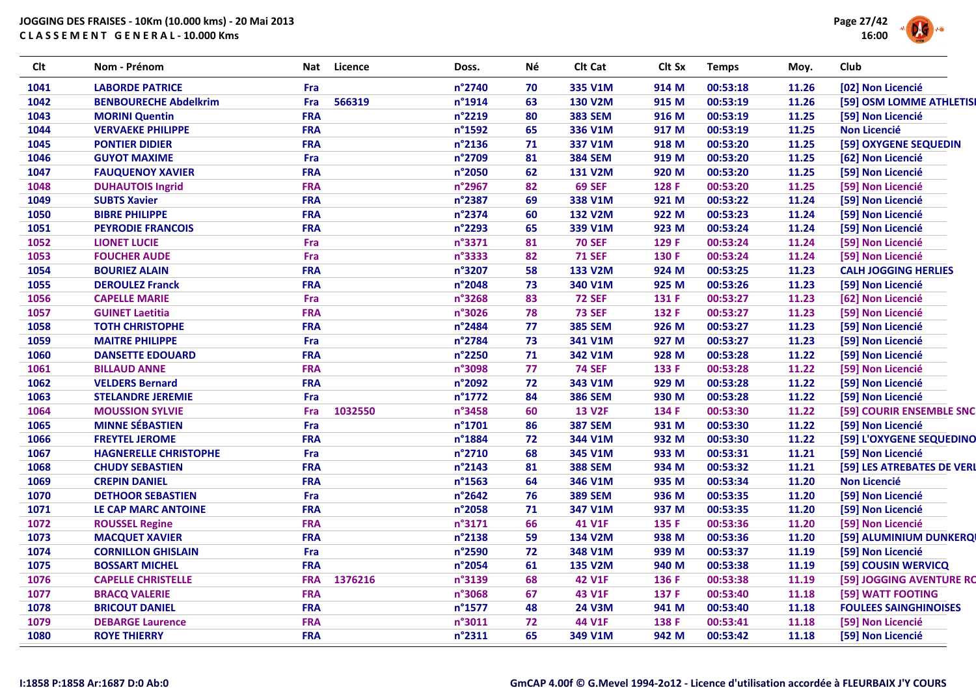

| <b>Clt</b> | Nom - Prénom                 | Nat        | Licence | Doss.            | Né | Clt Cat        | Clt Sx | <b>Temps</b> | Moy.  | <b>Club</b>                  |
|------------|------------------------------|------------|---------|------------------|----|----------------|--------|--------------|-------|------------------------------|
| 1041       | <b>LABORDE PATRICE</b>       | Fra        |         | n°2740           | 70 | 335 V1M        | 914 M  | 00:53:18     | 11.26 | [02] Non Licencié            |
| 1042       | <b>BENBOURECHE Abdelkrim</b> | Fra        | 566319  | n°1914           | 63 | <b>130 V2M</b> | 915 M  | 00:53:19     | 11.26 | [59] OSM LOMME ATHLETISI     |
| 1043       | <b>MORINI Quentin</b>        | <b>FRA</b> |         | n°2219           | 80 | <b>383 SEM</b> | 916 M  | 00:53:19     | 11.25 | [59] Non Licencié            |
| 1044       | <b>VERVAEKE PHILIPPE</b>     | <b>FRA</b> |         | n°1592           | 65 | 336 V1M        | 917 M  | 00:53:19     | 11.25 | <b>Non Licencié</b>          |
| 1045       | <b>PONTIER DIDIER</b>        | <b>FRA</b> |         | n°2136           | 71 | 337 V1M        | 918 M  | 00:53:20     | 11.25 | [59] OXYGENE SEQUEDIN        |
| 1046       | <b>GUYOT MAXIME</b>          | Fra        |         | n°2709           | 81 | <b>384 SEM</b> | 919 M  | 00:53:20     | 11.25 | [62] Non Licencié            |
| 1047       | <b>FAUQUENOY XAVIER</b>      | <b>FRA</b> |         | n°2050           | 62 | <b>131 V2M</b> | 920 M  | 00:53:20     | 11.25 | [59] Non Licencié            |
| 1048       | <b>DUHAUTOIS Ingrid</b>      | <b>FRA</b> |         | n°2967           | 82 | <b>69 SEF</b>  | 128 F  | 00:53:20     | 11.25 | [59] Non Licencié            |
| 1049       | <b>SUBTS Xavier</b>          | <b>FRA</b> |         | n°2387           | 69 | 338 V1M        | 921 M  | 00:53:22     | 11.24 | [59] Non Licencié            |
| 1050       | <b>BIBRE PHILIPPE</b>        | <b>FRA</b> |         | n°2374           | 60 | <b>132 V2M</b> | 922 M  | 00:53:23     | 11.24 | [59] Non Licencié            |
| 1051       | <b>PEYRODIE FRANCOIS</b>     | <b>FRA</b> |         | n°2293           | 65 | 339 V1M        | 923 M  | 00:53:24     | 11.24 | [59] Non Licencié            |
| 1052       | <b>LIONET LUCIE</b>          | Fra        |         | n°3371           | 81 | <b>70 SEF</b>  | 129 F  | 00:53:24     | 11.24 | [59] Non Licencié            |
| 1053       | <b>FOUCHER AUDE</b>          | Fra        |         | n°3333           | 82 | <b>71 SEF</b>  | 130 F  | 00:53:24     | 11.24 | [59] Non Licencié            |
| 1054       | <b>BOURIEZ ALAIN</b>         | <b>FRA</b> |         | n°3207           | 58 | 133 V2M        | 924 M  | 00:53:25     | 11.23 | <b>CALH JOGGING HERLIES</b>  |
| 1055       | <b>DEROULEZ Franck</b>       | <b>FRA</b> |         | n°2048           | 73 | 340 V1M        | 925 M  | 00:53:26     | 11.23 | [59] Non Licencié            |
| 1056       | <b>CAPELLE MARIE</b>         | Fra        |         | n°3268           | 83 | <b>72 SEF</b>  | 131 F  | 00:53:27     | 11.23 | [62] Non Licencié            |
| 1057       | <b>GUINET Laetitia</b>       | <b>FRA</b> |         | n°3026           | 78 | <b>73 SEF</b>  | 132 F  | 00:53:27     | 11.23 | [59] Non Licencié            |
| 1058       | <b>TOTH CHRISTOPHE</b>       | <b>FRA</b> |         | n°2484           | 77 | <b>385 SEM</b> | 926 M  | 00:53:27     | 11.23 | [59] Non Licencié            |
| 1059       | <b>MAITRE PHILIPPE</b>       | Fra        |         | n°2784           | 73 | 341 V1M        | 927 M  | 00:53:27     | 11.23 | [59] Non Licencié            |
| 1060       | <b>DANSETTE EDOUARD</b>      | <b>FRA</b> |         | n°2250           | 71 | 342 V1M        | 928 M  | 00:53:28     | 11.22 | [59] Non Licencié            |
| 1061       | <b>BILLAUD ANNE</b>          | <b>FRA</b> |         | n°3098           | 77 | <b>74 SEF</b>  | 133 F  | 00:53:28     | 11.22 | [59] Non Licencié            |
| 1062       | <b>VELDERS Bernard</b>       | <b>FRA</b> |         | n°2092           | 72 | 343 V1M        | 929 M  | 00:53:28     | 11.22 | [59] Non Licencié            |
| 1063       | <b>STELANDRE JEREMIE</b>     | Fra        |         | n°1772           | 84 | <b>386 SEM</b> | 930 M  | 00:53:28     | 11.22 | [59] Non Licencié            |
| 1064       | <b>MOUSSION SYLVIE</b>       | Fra        | 1032550 | n°3458           | 60 | <b>13 V2F</b>  | 134 F  | 00:53:30     | 11.22 | [59] COURIR ENSEMBLE SNC     |
| 1065       | <b>MINNE SÉBASTIEN</b>       | Fra        |         | $n^{\circ}$ 1701 | 86 | <b>387 SEM</b> | 931 M  | 00:53:30     | 11.22 | [59] Non Licencié            |
| 1066       | <b>FREYTEL JEROME</b>        | <b>FRA</b> |         | n°1884           | 72 | 344 V1M        | 932 M  | 00:53:30     | 11.22 | [59] L'OXYGENE SEQUEDINO     |
| 1067       | <b>HAGNERELLE CHRISTOPHE</b> | Fra        |         | n°2710           | 68 | 345 V1M        | 933 M  | 00:53:31     | 11.21 | [59] Non Licencié            |
| 1068       | <b>CHUDY SEBASTIEN</b>       | <b>FRA</b> |         | n°2143           | 81 | <b>388 SEM</b> | 934 M  | 00:53:32     | 11.21 | [59] LES ATREBATES DE VERL   |
| 1069       | <b>CREPIN DANIEL</b>         | <b>FRA</b> |         | n°1563           | 64 | 346 V1M        | 935 M  | 00:53:34     | 11.20 | <b>Non Licencié</b>          |
| 1070       | <b>DETHOOR SEBASTIEN</b>     | Fra        |         | n°2642           | 76 | <b>389 SEM</b> | 936 M  | 00:53:35     | 11.20 | [59] Non Licencié            |
| 1071       | LE CAP MARC ANTOINE          | <b>FRA</b> |         | n°2058           | 71 | 347 V1M        | 937 M  | 00:53:35     | 11.20 | [59] Non Licencié            |
| 1072       | <b>ROUSSEL Regine</b>        | <b>FRA</b> |         | n°3171           | 66 | 41 V1F         | 135 F  | 00:53:36     | 11.20 | [59] Non Licencié            |
| 1073       | <b>MACQUET XAVIER</b>        | <b>FRA</b> |         | n°2138           | 59 | 134 V2M        | 938 M  | 00:53:36     | 11.20 | [59] ALUMINIUM DUNKERQI      |
| 1074       | <b>CORNILLON GHISLAIN</b>    | Fra        |         | n°2590           | 72 | 348 V1M        | 939 M  | 00:53:37     | 11.19 | [59] Non Licencié            |
| 1075       | <b>BOSSART MICHEL</b>        | <b>FRA</b> |         | n°2054           | 61 | 135 V2M        | 940 M  | 00:53:38     | 11.19 | [59] COUSIN WERVICQ          |
| 1076       | <b>CAPELLE CHRISTELLE</b>    | <b>FRA</b> | 1376216 | n°3139           | 68 | <b>42 V1F</b>  | 136 F  | 00:53:38     | 11.19 | [59] JOGGING AVENTURE RO     |
| 1077       | <b>BRACQ VALERIE</b>         | <b>FRA</b> |         | n°3068           | 67 | 43 V1F         | 137 F  | 00:53:40     | 11.18 | [59] WATT FOOTING            |
| 1078       | <b>BRICOUT DANIEL</b>        | <b>FRA</b> |         | n°1577           | 48 | <b>24 V3M</b>  | 941 M  | 00:53:40     | 11.18 | <b>FOULEES SAINGHINOISES</b> |
| 1079       | <b>DEBARGE Laurence</b>      | <b>FRA</b> |         | n°3011           | 72 | 44 V1F         | 138 F  | 00:53:41     | 11.18 | [59] Non Licencié            |
| 1080       | <b>ROYE THIERRY</b>          | <b>FRA</b> |         | n°2311           | 65 | 349 V1M        | 942 M  | 00:53:42     | 11.18 | [59] Non Licencié            |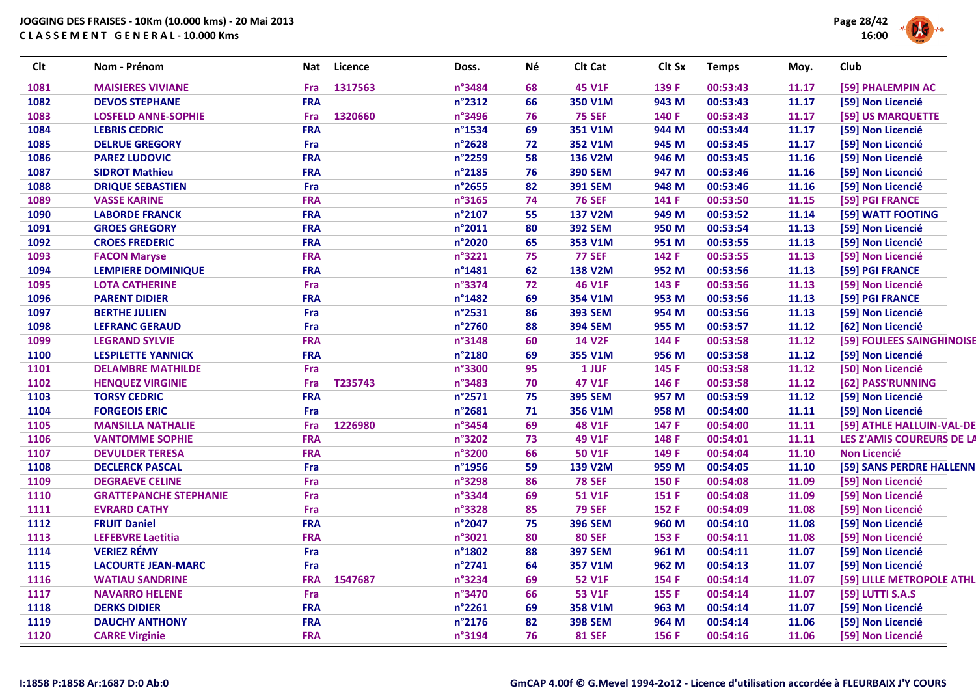| <b>Clt</b> | Nom - Prénom                  | Nat        | Licence | Doss.  | Né | Clt Cat        | Clt Sx | <b>Temps</b> | Moy.  | Club |                          |
|------------|-------------------------------|------------|---------|--------|----|----------------|--------|--------------|-------|------|--------------------------|
| 1081       | <b>MAISIERES VIVIANE</b>      | Fra        | 1317563 | n°3484 | 68 | <b>45 V1F</b>  | 139 F  | 00:53:43     | 11.17 |      | [59] PHALEMPIN AC        |
| 1082       | <b>DEVOS STEPHANE</b>         | <b>FRA</b> |         | n°2312 | 66 | 350 V1M        | 943 M  | 00:53:43     | 11.17 |      | [59] Non Licencié        |
| 1083       | <b>LOSFELD ANNE-SOPHIE</b>    | Fra        | 1320660 | n°3496 | 76 | <b>75 SEF</b>  | 140 F  | 00:53:43     | 11.17 |      | [59] US MARQUETTE        |
| 1084       | <b>LEBRIS CEDRIC</b>          | <b>FRA</b> |         | n°1534 | 69 | 351 V1M        | 944 M  | 00:53:44     | 11.17 |      | [59] Non Licencié        |
| 1085       | <b>DELRUE GREGORY</b>         | Fra        |         | n°2628 | 72 | 352 V1M        | 945 M  | 00:53:45     | 11.17 |      | [59] Non Licencié        |
| 1086       | <b>PAREZ LUDOVIC</b>          | <b>FRA</b> |         | n°2259 | 58 | 136 V2M        | 946 M  | 00:53:45     | 11.16 |      | [59] Non Licencié        |
| 1087       | <b>SIDROT Mathieu</b>         | <b>FRA</b> |         | n°2185 | 76 | <b>390 SEM</b> | 947 M  | 00:53:46     | 11.16 |      | [59] Non Licencié        |
| 1088       | <b>DRIQUE SEBASTIEN</b>       | Fra        |         | n°2655 | 82 | <b>391 SEM</b> | 948 M  | 00:53:46     | 11.16 |      | [59] Non Licencié        |
| 1089       | <b>VASSE KARINE</b>           | <b>FRA</b> |         | n°3165 | 74 | <b>76 SEF</b>  | 141 F  | 00:53:50     | 11.15 |      | [59] PGI FRANCE          |
| 1090       | <b>LABORDE FRANCK</b>         | <b>FRA</b> |         | n°2107 | 55 | <b>137 V2M</b> | 949 M  | 00:53:52     | 11.14 |      | [59] WATT FOOTING        |
| 1091       | <b>GROES GREGORY</b>          | <b>FRA</b> |         | n°2011 | 80 | <b>392 SEM</b> | 950 M  | 00:53:54     | 11.13 |      | [59] Non Licencié        |
| 1092       | <b>CROES FREDERIC</b>         | <b>FRA</b> |         | n°2020 | 65 | 353 V1M        | 951 M  | 00:53:55     | 11.13 |      | [59] Non Licencié        |
| 1093       | <b>FACON Maryse</b>           | <b>FRA</b> |         | n°3221 | 75 | <b>77 SEF</b>  | 142 F  | 00:53:55     | 11.13 |      | [59] Non Licencié        |
| 1094       | <b>LEMPIERE DOMINIQUE</b>     | <b>FRA</b> |         | n°1481 | 62 | <b>138 V2M</b> | 952 M  | 00:53:56     | 11.13 |      | [59] PGI FRANCE          |
| 1095       | <b>LOTA CATHERINE</b>         | Fra        |         | n°3374 | 72 | <b>46 V1F</b>  | 143 F  | 00:53:56     | 11.13 |      | [59] Non Licencié        |
| 1096       | <b>PARENT DIDIER</b>          | <b>FRA</b> |         | n°1482 | 69 | 354 V1M        | 953 M  | 00:53:56     | 11.13 |      | [59] PGI FRANCE          |
| 1097       | <b>BERTHE JULIEN</b>          | Fra        |         | n°2531 | 86 | <b>393 SEM</b> | 954 M  | 00:53:56     | 11.13 |      | [59] Non Licencié        |
| 1098       | <b>LEFRANC GERAUD</b>         | Fra        |         | n°2760 | 88 | <b>394 SEM</b> | 955 M  | 00:53:57     | 11.12 |      | [62] Non Licencié        |
| 1099       | <b>LEGRAND SYLVIE</b>         | <b>FRA</b> |         | n°3148 | 60 | <b>14 V2F</b>  | 144 F  | 00:53:58     | 11.12 |      | [59] FOULEES SAINGHINOIS |
| 1100       | <b>LESPILETTE YANNICK</b>     | <b>FRA</b> |         | n°2180 | 69 | 355 V1M        | 956 M  | 00:53:58     | 11.12 |      | [59] Non Licencié        |
| 1101       | <b>DELAMBRE MATHILDE</b>      | Fra        |         | n°3300 | 95 | 1 JUF          | 145 F  | 00:53:58     | 11.12 |      | [50] Non Licencié        |
| 1102       | <b>HENQUEZ VIRGINIE</b>       | Fra        | T235743 | n°3483 | 70 | 47 V1F         | 146 F  | 00:53:58     | 11.12 |      | [62] PASS'RUNNING        |
| 1103       | <b>TORSY CEDRIC</b>           | <b>FRA</b> |         | n°2571 | 75 | <b>395 SEM</b> | 957 M  | 00:53:59     | 11.12 |      | [59] Non Licencié        |
| 1104       | <b>FORGEOIS ERIC</b>          | Fra        |         | n°2681 | 71 | 356 V1M        | 958 M  | 00:54:00     | 11.11 |      | [59] Non Licencié        |
| 1105       | <b>MANSILLA NATHALIE</b>      | Fra        | 1226980 | n°3454 | 69 | <b>48 V1F</b>  | 147 F  | 00:54:00     | 11.11 |      | [59] ATHLE HALLUIN-VAL-D |
| 1106       | <b>VANTOMME SOPHIE</b>        | <b>FRA</b> |         | n°3202 | 73 | 49 V1F         | 148 F  | 00:54:01     | 11.11 |      | LES Z'AMIS COUREURS DE L |
| 1107       | <b>DEVULDER TERESA</b>        | <b>FRA</b> |         | n°3200 | 66 | <b>50 V1F</b>  | 149 F  | 00:54:04     | 11.10 |      | <b>Non Licencié</b>      |
| 1108       | <b>DECLERCK PASCAL</b>        | Fra        |         | n°1956 | 59 | <b>139 V2M</b> | 959 M  | 00:54:05     | 11.10 |      | [59] SANS PERDRE HALLENI |
| 1109       | <b>DEGRAEVE CELINE</b>        | Fra        |         | n°3298 | 86 | <b>78 SEF</b>  | 150 F  | 00:54:08     | 11.09 |      | [59] Non Licencié        |
| 1110       | <b>GRATTEPANCHE STEPHANIE</b> | Fra        |         | n°3344 | 69 | 51 V1F         | 151 F  | 00:54:08     | 11.09 |      | [59] Non Licencié        |
| 1111       | <b>EVRARD CATHY</b>           | Fra        |         | n°3328 | 85 | <b>79 SEF</b>  | 152 F  | 00:54:09     | 11.08 |      | [59] Non Licencié        |
| 1112       | <b>FRUIT Daniel</b>           | <b>FRA</b> |         | n°2047 | 75 | <b>396 SEM</b> | 960 M  | 00:54:10     | 11.08 |      | [59] Non Licencié        |
| 1113       | <b>LEFEBVRE Laetitia</b>      | <b>FRA</b> |         | n°3021 | 80 | <b>80 SEF</b>  | 153 F  | 00:54:11     | 11.08 |      | [59] Non Licencié        |
| 1114       | <b>VERIEZ RÉMY</b>            | Fra        |         | n°1802 | 88 | <b>397 SEM</b> | 961 M  | 00:54:11     | 11.07 |      | [59] Non Licencié        |
| 1115       | <b>LACOURTE JEAN-MARC</b>     | Fra        |         | n°2741 | 64 | 357 V1M        | 962 M  | 00:54:13     | 11.07 |      | [59] Non Licencié        |
| 1116       | <b>WATIAU SANDRINE</b>        | <b>FRA</b> | 1547687 | n°3234 | 69 | <b>52 V1F</b>  | 154 F  | 00:54:14     | 11.07 |      | [59] LILLE METROPOLE ATH |
| 1117       | <b>NAVARRO HELENE</b>         | Fra        |         | n°3470 | 66 | 53 V1F         | 155 F  | 00:54:14     | 11.07 |      | [59] LUTTI S.A.S         |
| 1118       | <b>DERKS DIDIER</b>           | <b>FRA</b> |         | n°2261 | 69 | 358 V1M        | 963 M  | 00:54:14     | 11.07 |      | [59] Non Licencié        |
| 1119       | <b>DAUCHY ANTHONY</b>         | <b>FRA</b> |         | n°2176 | 82 | <b>398 SEM</b> | 964 M  | 00:54:14     | 11.06 |      | [59] Non Licencié        |
| 1120       | <b>CARRE Virginie</b>         | <b>FRA</b> |         | n°3194 | 76 | <b>81 SEF</b>  | 156 F  | 00:54:16     | 11.06 |      | [59] Non Licencié        |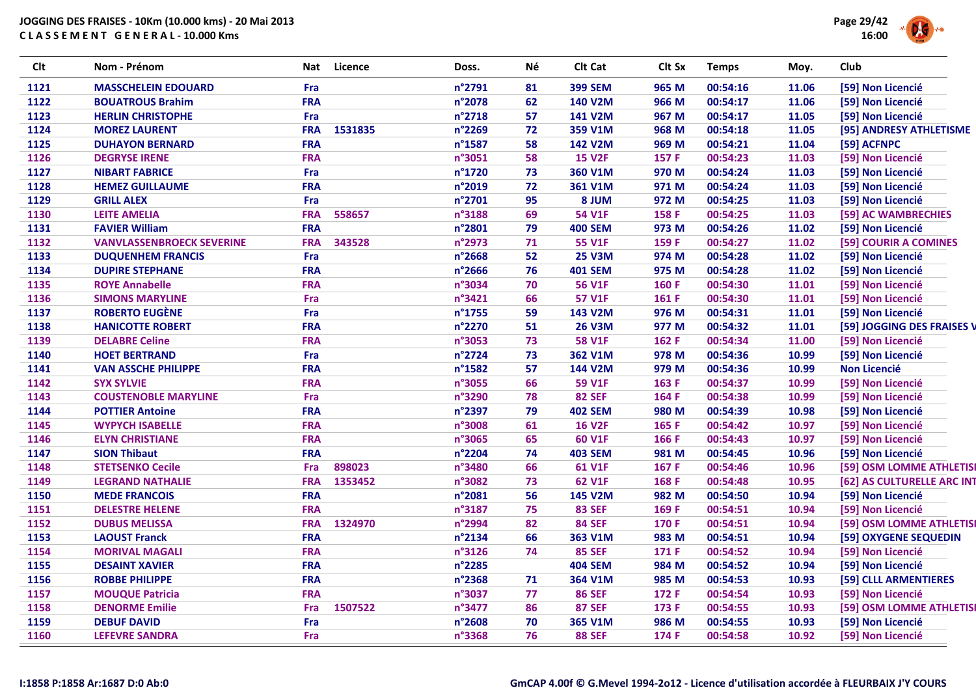

| <b>Clt</b> | Nom - Prénom                     |            | Nat Licence | Doss.  | Né | Clt Cat        | Clt Sx | <b>Temps</b> | Moy.  | Club                       |
|------------|----------------------------------|------------|-------------|--------|----|----------------|--------|--------------|-------|----------------------------|
| 1121       | <b>MASSCHELEIN EDOUARD</b>       | Fra        |             | n°2791 | 81 | <b>399 SEM</b> | 965 M  | 00:54:16     | 11.06 | [59] Non Licencié          |
| 1122       | <b>BOUATROUS Brahim</b>          | <b>FRA</b> |             | n°2078 | 62 | 140 V2M        | 966 M  | 00:54:17     | 11.06 | [59] Non Licencié          |
| 1123       | <b>HERLIN CHRISTOPHE</b>         | Fra        |             | n°2718 | 57 | 141 V2M        | 967 M  | 00:54:17     | 11.05 | [59] Non Licencié          |
| 1124       | <b>MOREZ LAURENT</b>             | <b>FRA</b> | 1531835     | n°2269 | 72 | 359 V1M        | 968 M  | 00:54:18     | 11.05 | [95] ANDRESY ATHLETISME    |
| 1125       | <b>DUHAYON BERNARD</b>           | <b>FRA</b> |             | n°1587 | 58 | 142 V2M        | 969 M  | 00:54:21     | 11.04 | [59] ACFNPC                |
| 1126       | <b>DEGRYSE IRENE</b>             | <b>FRA</b> |             | n°3051 | 58 | <b>15 V2F</b>  | 157 F  | 00:54:23     | 11.03 | [59] Non Licencié          |
| 1127       | <b>NIBART FABRICE</b>            | Fra        |             | n°1720 | 73 | 360 V1M        | 970 M  | 00:54:24     | 11.03 | [59] Non Licencié          |
| 1128       | <b>HEMEZ GUILLAUME</b>           | <b>FRA</b> |             | n°2019 | 72 | 361 V1M        | 971 M  | 00:54:24     | 11.03 | [59] Non Licencié          |
| 1129       | <b>GRILL ALEX</b>                | Fra        |             | n°2701 | 95 | 8 JUM          | 972 M  | 00:54:25     | 11.03 | [59] Non Licencié          |
| 1130       | <b>LEITE AMELIA</b>              | <b>FRA</b> | 558657      | n°3188 | 69 | <b>54 V1F</b>  | 158 F  | 00:54:25     | 11.03 | [59] AC WAMBRECHIES        |
| 1131       | <b>FAVIER William</b>            | <b>FRA</b> |             | n°2801 | 79 | <b>400 SEM</b> | 973 M  | 00:54:26     | 11.02 | [59] Non Licencié          |
| 1132       | <b>VANVLASSENBROECK SEVERINE</b> | <b>FRA</b> | 343528      | n°2973 | 71 | <b>55 V1F</b>  | 159 F  | 00:54:27     | 11.02 | [59] COURIR A COMINES      |
| 1133       | <b>DUQUENHEM FRANCIS</b>         | Fra        |             | n°2668 | 52 | <b>25 V3M</b>  | 974 M  | 00:54:28     | 11.02 | [59] Non Licencié          |
| 1134       | <b>DUPIRE STEPHANE</b>           | <b>FRA</b> |             | n°2666 | 76 | <b>401 SEM</b> | 975 M  | 00:54:28     | 11.02 | [59] Non Licencié          |
| 1135       | <b>ROYE Annabelle</b>            | <b>FRA</b> |             | n°3034 | 70 | <b>56 V1F</b>  | 160 F  | 00:54:30     | 11.01 | [59] Non Licencié          |
| 1136       | <b>SIMONS MARYLINE</b>           | Fra        |             | n°3421 | 66 | 57 V1F         | 161 F  | 00:54:30     | 11.01 | [59] Non Licencié          |
| 1137       | <b>ROBERTO EUGÈNE</b>            | Fra        |             | n°1755 | 59 | 143 V2M        | 976 M  | 00:54:31     | 11.01 | [59] Non Licencié          |
| 1138       | <b>HANICOTTE ROBERT</b>          | <b>FRA</b> |             | n°2270 | 51 | <b>26 V3M</b>  | 977 M  | 00:54:32     | 11.01 | [59] JOGGING DES FRAISES \ |
| 1139       | <b>DELABRE Celine</b>            | <b>FRA</b> |             | n°3053 | 73 | <b>58 V1F</b>  | 162 F  | 00:54:34     | 11.00 | [59] Non Licencié          |
| 1140       | <b>HOET BERTRAND</b>             | Fra        |             | n°2724 | 73 | 362 V1M        | 978 M  | 00:54:36     | 10.99 | [59] Non Licencié          |
| 1141       | <b>VAN ASSCHE PHILIPPE</b>       | <b>FRA</b> |             | n°1582 | 57 | 144 V2M        | 979 M  | 00:54:36     | 10.99 | <b>Non Licencié</b>        |
| 1142       | <b>SYX SYLVIE</b>                | <b>FRA</b> |             | n°3055 | 66 | 59 V1F         | 163 F  | 00:54:37     | 10.99 | [59] Non Licencié          |
| 1143       | <b>COUSTENOBLE MARYLINE</b>      | Fra        |             | n°3290 | 78 | <b>82 SEF</b>  | 164 F  | 00:54:38     | 10.99 | [59] Non Licencié          |
| 1144       | <b>POTTIER Antoine</b>           | <b>FRA</b> |             | n°2397 | 79 | <b>402 SEM</b> | 980 M  | 00:54:39     | 10.98 | [59] Non Licencié          |
| 1145       | <b>WYPYCH ISABELLE</b>           | <b>FRA</b> |             | n°3008 | 61 | <b>16 V2F</b>  | 165 F  | 00:54:42     | 10.97 | [59] Non Licencié          |
| 1146       | <b>ELYN CHRISTIANE</b>           | <b>FRA</b> |             | n°3065 | 65 | 60 V1F         | 166 F  | 00:54:43     | 10.97 | [59] Non Licencié          |
| 1147       | <b>SION Thibaut</b>              | <b>FRA</b> |             | n°2204 | 74 | <b>403 SEM</b> | 981 M  | 00:54:45     | 10.96 | [59] Non Licencié          |
| 1148       | <b>STETSENKO Cecile</b>          | Fra        | 898023      | n°3480 | 66 | 61 V1F         | 167 F  | 00:54:46     | 10.96 | [59] OSM LOMME ATHLETIS    |
| 1149       | <b>LEGRAND NATHALIE</b>          | <b>FRA</b> | 1353452     | n°3082 | 73 | 62 V1F         | 168 F  | 00:54:48     | 10.95 | [62] AS CULTURELLE ARC INT |
| 1150       | <b>MEDE FRANCOIS</b>             | <b>FRA</b> |             | n°2081 | 56 | 145 V2M        | 982 M  | 00:54:50     | 10.94 | [59] Non Licencié          |
| 1151       | <b>DELESTRE HELENE</b>           | <b>FRA</b> |             | n°3187 | 75 | <b>83 SEF</b>  | 169 F  | 00:54:51     | 10.94 | [59] Non Licencié          |
| 1152       | <b>DUBUS MELISSA</b>             | <b>FRA</b> | 1324970     | n°2994 | 82 | <b>84 SEF</b>  | 170 F  | 00:54:51     | 10.94 | [59] OSM LOMME ATHLETIS    |
| 1153       | <b>LAOUST Franck</b>             | <b>FRA</b> |             | n°2134 | 66 | 363 V1M        | 983 M  | 00:54:51     | 10.94 | [59] OXYGENE SEQUEDIN      |
| 1154       | <b>MORIVAL MAGALI</b>            | <b>FRA</b> |             | n°3126 | 74 | <b>85 SEF</b>  | 171 F  | 00:54:52     | 10.94 | [59] Non Licencié          |
| 1155       | <b>DESAINT XAVIER</b>            | <b>FRA</b> |             | n°2285 |    | <b>404 SEM</b> | 984 M  | 00:54:52     | 10.94 | [59] Non Licencié          |
| 1156       | <b>ROBBE PHILIPPE</b>            | <b>FRA</b> |             | n°2368 | 71 | 364 V1M        | 985 M  | 00:54:53     | 10.93 | [59] CLLL ARMENTIERES      |
| 1157       | <b>MOUQUE Patricia</b>           | <b>FRA</b> |             | n°3037 | 77 | <b>86 SEF</b>  | 172 F  | 00:54:54     | 10.93 | [59] Non Licencié          |
| 1158       | <b>DENORME Emilie</b>            | Fra        | 1507522     | n°3477 | 86 | <b>87 SEF</b>  | 173 F  | 00:54:55     | 10.93 | [59] OSM LOMME ATHLETIS    |
| 1159       | <b>DEBUF DAVID</b>               | Fra        |             | n°2608 | 70 | 365 V1M        | 986 M  | 00:54:55     | 10.93 | [59] Non Licencié          |
| 1160       | <b>LEFEVRE SANDRA</b>            | Fra        |             | n°3368 | 76 | <b>88 SEF</b>  | 174 F  | 00:54:58     | 10.92 | [59] Non Licencié          |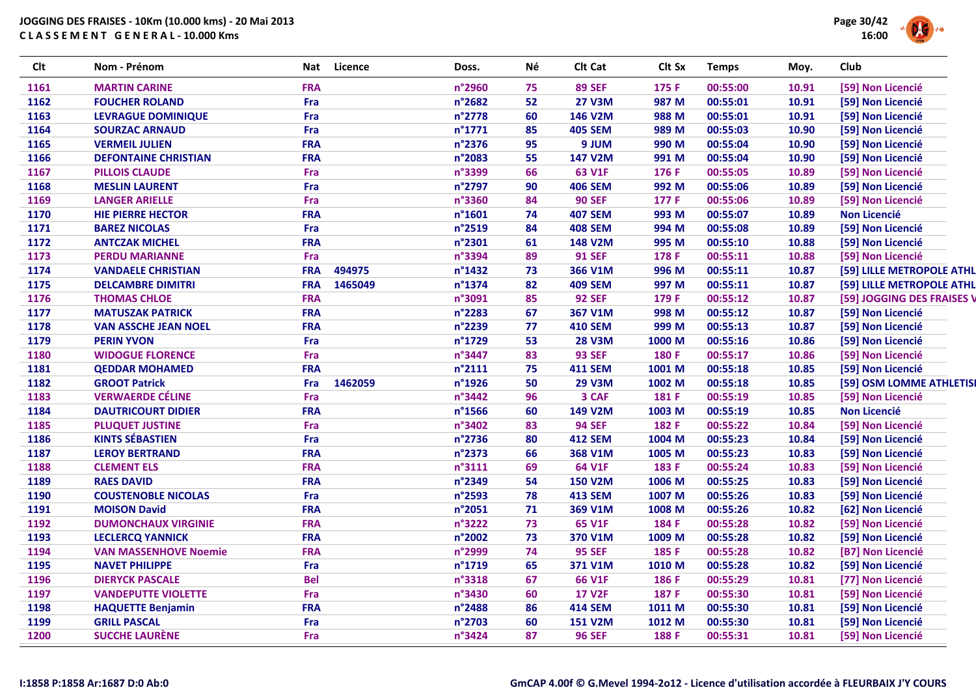

| <b>Clt</b> | Nom - Prénom                 | Nat        | Licence | Doss.            | Νé | Clt Cat        | Clt Sx            | <b>Temps</b> | Moy.  | Club                       |
|------------|------------------------------|------------|---------|------------------|----|----------------|-------------------|--------------|-------|----------------------------|
| 1161       | <b>MARTIN CARINE</b>         | <b>FRA</b> |         | n°2960           | 75 | <b>89 SEF</b>  | 175 F             | 00:55:00     | 10.91 | [59] Non Licencié          |
| 1162       | <b>FOUCHER ROLAND</b>        | Fra        |         | n°2682           | 52 | <b>27 V3M</b>  | 987 M             | 00:55:01     | 10.91 | [59] Non Licencié          |
| 1163       | <b>LEVRAGUE DOMINIQUE</b>    | Fra        |         | n°2778           | 60 | 146 V2M        | 988 M             | 00:55:01     | 10.91 | [59] Non Licencié          |
| 1164       | <b>SOURZAC ARNAUD</b>        | Fra        |         | $n^{\circ}$ 1771 | 85 | <b>405 SEM</b> | 989 M             | 00:55:03     | 10.90 | [59] Non Licencié          |
| 1165       | <b>VERMEIL JULIEN</b>        | <b>FRA</b> |         | n°2376           | 95 | 9 JUM          | 990 M             | 00:55:04     | 10.90 | [59] Non Licencié          |
| 1166       | <b>DEFONTAINE CHRISTIAN</b>  | <b>FRA</b> |         | n°2083           | 55 | 147 V2M        | 991 M             | 00:55:04     | 10.90 | [59] Non Licencié          |
| 1167       | <b>PILLOIS CLAUDE</b>        | Fra        |         | n°3399           | 66 | 63 V1F         | 176 F             | 00:55:05     | 10.89 | [59] Non Licencié          |
| 1168       | <b>MESLIN LAURENT</b>        | Fra        |         | n°2797           | 90 | <b>406 SEM</b> | 992 M             | 00:55:06     | 10.89 | [59] Non Licencié          |
| 1169       | <b>LANGER ARIELLE</b>        | Fra        |         | n°3360           | 84 | <b>90 SEF</b>  | 177 F             | 00:55:06     | 10.89 | [59] Non Licencié          |
| 1170       | <b>HIE PIERRE HECTOR</b>     | <b>FRA</b> |         | $n^{\circ}$ 1601 | 74 | <b>407 SEM</b> | 993 M             | 00:55:07     | 10.89 | <b>Non Licencié</b>        |
| 1171       | <b>BAREZ NICOLAS</b>         | Fra        |         | n°2519           | 84 | <b>408 SEM</b> | 994 M             | 00:55:08     | 10.89 | [59] Non Licencié          |
| 1172       | <b>ANTCZAK MICHEL</b>        | <b>FRA</b> |         | n°2301           | 61 | <b>148 V2M</b> | 995 M             | 00:55:10     | 10.88 | [59] Non Licencié          |
| 1173       | <b>PERDU MARIANNE</b>        | Fra        |         | n°3394           | 89 | <b>91 SEF</b>  | 178 F             | 00:55:11     | 10.88 | [59] Non Licencié          |
| 1174       | <b>VANDAELE CHRISTIAN</b>    | <b>FRA</b> | 494975  | $n^{\circ}$ 1432 | 73 | 366 V1M        | 996 M             | 00:55:11     | 10.87 | [59] LILLE METROPOLE ATHL  |
| 1175       | <b>DELCAMBRE DIMITRI</b>     | <b>FRA</b> | 1465049 | n°1374           | 82 | <b>409 SEM</b> | 997 M             | 00:55:11     | 10.87 | [59] LILLE METROPOLE ATHL  |
| 1176       | <b>THOMAS CHLOE</b>          | <b>FRA</b> |         | n°3091           | 85 | <b>92 SEF</b>  | 179 F             | 00:55:12     | 10.87 | [59] JOGGING DES FRAISES V |
| 1177       | <b>MATUSZAK PATRICK</b>      | <b>FRA</b> |         | n°2283           | 67 | 367 V1M        | 998 M             | 00:55:12     | 10.87 | [59] Non Licencié          |
| 1178       | <b>VAN ASSCHE JEAN NOEL</b>  | <b>FRA</b> |         | n°2239           | 77 | <b>410 SEM</b> | 999 M             | 00:55:13     | 10.87 | [59] Non Licencié          |
| 1179       | <b>PERIN YVON</b>            | Fra        |         | n°1729           | 53 | <b>28 V3M</b>  | 1000 M            | 00:55:16     | 10.86 | [59] Non Licencié          |
| 1180       | <b>WIDOGUE FLORENCE</b>      | Fra        |         | n°3447           | 83 | <b>93 SEF</b>  | 180 F             | 00:55:17     | 10.86 | [59] Non Licencié          |
| 1181       | <b>QEDDAR MOHAMED</b>        | <b>FRA</b> |         | $n^{\circ}2111$  | 75 | <b>411 SEM</b> | 1001 M            | 00:55:18     | 10.85 | [59] Non Licencié          |
| 1182       | <b>GROOT Patrick</b>         | Fra        | 1462059 | n°1926           | 50 | <b>29 V3M</b>  | 1002 M            | 00:55:18     | 10.85 | [59] OSM LOMME ATHLETISI   |
| 1183       | <b>VERWAERDE CÉLINE</b>      | Fra        |         | n°3442           | 96 | 3 CAF          | 181 F             | 00:55:19     | 10.85 | [59] Non Licencié          |
| 1184       | <b>DAUTRICOURT DIDIER</b>    | <b>FRA</b> |         | n°1566           | 60 | 149 V2M        | 1003 M            | 00:55:19     | 10.85 | <b>Non Licencié</b>        |
| 1185       | <b>PLUQUET JUSTINE</b>       | Fra        |         | n°3402           | 83 | <b>94 SEF</b>  | 182 F             | 00:55:22     | 10.84 | [59] Non Licencié          |
| 1186       | <b>KINTS SÉBASTIEN</b>       | Fra        |         | n°2736           | 80 | <b>412 SEM</b> | 1004 M            | 00:55:23     | 10.84 | [59] Non Licencié          |
| 1187       | <b>LEROY BERTRAND</b>        | <b>FRA</b> |         | n°2373           | 66 | 368 V1M        | 1005 M            | 00:55:23     | 10.83 | [59] Non Licencié          |
| 1188       | <b>CLEMENT ELS</b>           | <b>FRA</b> |         | n°3111           | 69 | 64 V1F         | 183 F             | 00:55:24     | 10.83 | [59] Non Licencié          |
| 1189       | <b>RAES DAVID</b>            | <b>FRA</b> |         | n°2349           | 54 | <b>150 V2M</b> | 1006 <sub>M</sub> | 00:55:25     | 10.83 | [59] Non Licencié          |
| 1190       | <b>COUSTENOBLE NICOLAS</b>   | Fra        |         | n°2593           | 78 | <b>413 SEM</b> | 1007 M            | 00:55:26     | 10.83 | [59] Non Licencié          |
| 1191       | <b>MOISON David</b>          | <b>FRA</b> |         | n°2051           | 71 | 369 V1M        | 1008 M            | 00:55:26     | 10.82 | [62] Non Licencié          |
| 1192       | <b>DUMONCHAUX VIRGINIE</b>   | <b>FRA</b> |         | n°3222           | 73 | 65 V1F         | 184 F             | 00:55:28     | 10.82 | [59] Non Licencié          |
| 1193       | <b>LECLERCQ YANNICK</b>      | <b>FRA</b> |         | n°2002           | 73 | 370 V1M        | 1009 M            | 00:55:28     | 10.82 | [59] Non Licencié          |
| 1194       | <b>VAN MASSENHOVE Noemie</b> | <b>FRA</b> |         | n°2999           | 74 | <b>95 SEF</b>  | 185 F             | 00:55:28     | 10.82 | [B7] Non Licencié          |
| 1195       | <b>NAVET PHILIPPE</b>        | Fra        |         | n°1719           | 65 | 371 V1M        | 1010 M            | 00:55:28     | 10.82 | [59] Non Licencié          |
| 1196       | <b>DIERYCK PASCALE</b>       | <b>Bel</b> |         | n°3318           | 67 | 66 V1F         | 186 F             | 00:55:29     | 10.81 | [77] Non Licencié          |
| 1197       | <b>VANDEPUTTE VIOLETTE</b>   | Fra        |         | n°3430           | 60 | <b>17 V2F</b>  | 187 F             | 00:55:30     | 10.81 | [59] Non Licencié          |
| 1198       | <b>HAQUETTE Benjamin</b>     | <b>FRA</b> |         | n°2488           | 86 | <b>414 SEM</b> | 1011 M            | 00:55:30     | 10.81 | [59] Non Licencié          |
| 1199       | <b>GRILL PASCAL</b>          | Fra        |         | n°2703           | 60 | <b>151 V2M</b> | 1012 M            | 00:55:30     | 10.81 | [59] Non Licencié          |
| 1200       | <b>SUCCHE LAURÈNE</b>        | Fra        |         | n°3424           | 87 | <b>96 SEF</b>  | 188 F             | 00:55:31     | 10.81 | [59] Non Licencié          |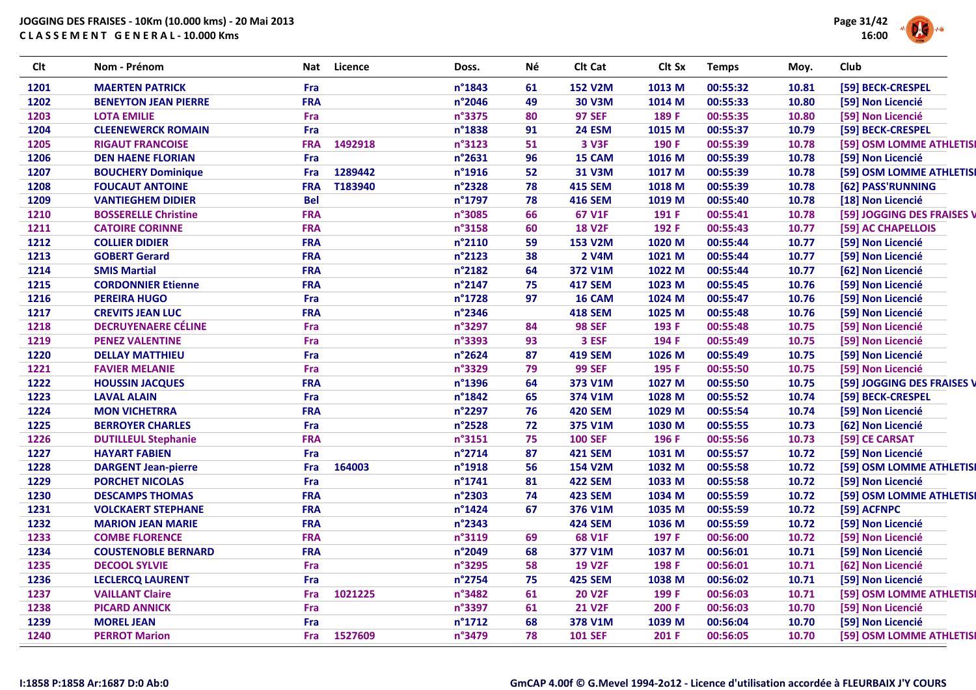

| <b>Clt</b> | Nom - Prénom                | <b>Nat</b> | Licence | Doss.  | Νé | Clt Cat        | Clt Sx            | <b>Temps</b> | Moy.  | Club                       |
|------------|-----------------------------|------------|---------|--------|----|----------------|-------------------|--------------|-------|----------------------------|
| 1201       | <b>MAERTEN PATRICK</b>      | Fra        |         | n°1843 | 61 | <b>152 V2M</b> | 1013 M            | 00:55:32     | 10.81 | [59] BECK-CRESPEL          |
| 1202       | <b>BENEYTON JEAN PIERRE</b> | <b>FRA</b> |         | n°2046 | 49 | <b>30 V3M</b>  | 1014 M            | 00:55:33     | 10.80 | [59] Non Licencié          |
| 1203       | <b>LOTA EMILIE</b>          | <b>Fra</b> |         | n°3375 | 80 | <b>97 SEF</b>  | 189 F             | 00:55:35     | 10.80 | [59] Non Licencié          |
| 1204       | <b>CLEENEWERCK ROMAIN</b>   | Fra        |         | n°1838 | 91 | <b>24 ESM</b>  | 1015 M            | 00:55:37     | 10.79 | [59] BECK-CRESPEL          |
| 1205       | <b>RIGAUT FRANCOISE</b>     | <b>FRA</b> | 1492918 | n°3123 | 51 | 3 V3F          | 190 F             | 00:55:39     | 10.78 | [59] OSM LOMME ATHLETISI   |
| 1206       | <b>DEN HAENE FLORIAN</b>    | Fra        |         | n°2631 | 96 | 15 CAM         | 1016 M            | 00:55:39     | 10.78 | [59] Non Licencié          |
| 1207       | <b>BOUCHERY Dominique</b>   | <b>Fra</b> | 1289442 | n°1916 | 52 | 31 V3M         | 1017 M            | 00:55:39     | 10.78 | [59] OSM LOMME ATHLETISI   |
| 1208       | <b>FOUCAUT ANTOINE</b>      | <b>FRA</b> | T183940 | n°2328 | 78 | <b>415 SEM</b> | 1018 <sub>M</sub> | 00:55:39     | 10.78 | [62] PASS'RUNNING          |
| 1209       | <b>VANTIEGHEM DIDIER</b>    | <b>Bel</b> |         | n°1797 | 78 | <b>416 SEM</b> | 1019 <sub>M</sub> | 00:55:40     | 10.78 | [18] Non Licencié          |
| 1210       | <b>BOSSERELLE Christine</b> | <b>FRA</b> |         | n°3085 | 66 | 67 V1F         | 191 F             | 00:55:41     | 10.78 | [59] JOGGING DES FRAISES V |
| 1211       | <b>CATOIRE CORINNE</b>      | <b>FRA</b> |         | n°3158 | 60 | <b>18 V2F</b>  | 192 F             | 00:55:43     | 10.77 | [59] AC CHAPELLOIS         |
| 1212       | <b>COLLIER DIDIER</b>       | <b>FRA</b> |         | n°2110 | 59 | <b>153 V2M</b> | 1020 M            | 00:55:44     | 10.77 | [59] Non Licencié          |
| 1213       | <b>GOBERT Gerard</b>        | <b>FRA</b> |         | n°2123 | 38 | 2 V4M          | 1021 M            | 00:55:44     | 10.77 | [59] Non Licencié          |
| 1214       | <b>SMIS Martial</b>         | <b>FRA</b> |         | n°2182 | 64 | 372 V1M        | 1022 M            | 00:55:44     | 10.77 | [62] Non Licencié          |
| 1215       | <b>CORDONNIER Etienne</b>   | <b>FRA</b> |         | n°2147 | 75 | <b>417 SEM</b> | 1023 M            | 00:55:45     | 10.76 | [59] Non Licencié          |
| 1216       | <b>PEREIRA HUGO</b>         | Fra        |         | n°1728 | 97 | 16 CAM         | 1024 M            | 00:55:47     | 10.76 | [59] Non Licencié          |
| 1217       | <b>CREVITS JEAN LUC</b>     | <b>FRA</b> |         | n°2346 |    | <b>418 SEM</b> | 1025 M            | 00:55:48     | 10.76 | [59] Non Licencié          |
| 1218       | <b>DECRUYENAERE CÉLINE</b>  | Fra        |         | n°3297 | 84 | <b>98 SEF</b>  | 193 F             | 00:55:48     | 10.75 | [59] Non Licencié          |
| 1219       | <b>PENEZ VALENTINE</b>      | Fra        |         | n°3393 | 93 | 3 ESF          | 194 F             | 00:55:49     | 10.75 | [59] Non Licencié          |
| 1220       | <b>DELLAY MATTHIEU</b>      | Fra        |         | n°2624 | 87 | <b>419 SEM</b> | 1026 M            | 00:55:49     | 10.75 | [59] Non Licencié          |
| 1221       | <b>FAVIER MELANIE</b>       | <b>Fra</b> |         | n°3329 | 79 | <b>99 SEF</b>  | 195 F             | 00:55:50     | 10.75 | [59] Non Licencié          |
| 1222       | <b>HOUSSIN JACQUES</b>      | <b>FRA</b> |         | n°1396 | 64 | 373 V1M        | 1027 M            | 00:55:50     | 10.75 | [59] JOGGING DES FRAISES V |
| 1223       | <b>LAVAL ALAIN</b>          | Fra        |         | n°1842 | 65 | 374 V1M        | 1028 M            | 00:55:52     | 10.74 | [59] BECK-CRESPEL          |
| 1224       | <b>MON VICHETRRA</b>        | <b>FRA</b> |         | n°2297 | 76 | <b>420 SEM</b> | 1029 M            | 00:55:54     | 10.74 | [59] Non Licencié          |
| 1225       | <b>BERROYER CHARLES</b>     | Fra        |         | n°2528 | 72 | 375 V1M        | 1030 M            | 00:55:55     | 10.73 | [62] Non Licencié          |
| 1226       | <b>DUTILLEUL Stephanie</b>  | <b>FRA</b> |         | n°3151 | 75 | <b>100 SEF</b> | 196 F             | 00:55:56     | 10.73 | [59] CE CARSAT             |
| 1227       | <b>HAYART FABIEN</b>        | Fra        |         | n°2714 | 87 | <b>421 SEM</b> | 1031 M            | 00:55:57     | 10.72 | [59] Non Licencié          |
| 1228       | <b>DARGENT Jean-pierre</b>  | Fra        | 164003  | n°1918 | 56 | <b>154 V2M</b> | 1032 M            | 00:55:58     | 10.72 | [59] OSM LOMME ATHLETISI   |
| 1229       | <b>PORCHET NICOLAS</b>      | Fra        |         | n°1741 | 81 | <b>422 SEM</b> | 1033 M            | 00:55:58     | 10.72 | [59] Non Licencié          |
| 1230       | <b>DESCAMPS THOMAS</b>      | <b>FRA</b> |         | n°2303 | 74 | <b>423 SEM</b> | 1034 M            | 00:55:59     | 10.72 | [59] OSM LOMME ATHLETISI   |
| 1231       | <b>VOLCKAERT STEPHANE</b>   | <b>FRA</b> |         | n°1424 | 67 | 376 V1M        | 1035 M            | 00:55:59     | 10.72 | [59] ACFNPC                |
| 1232       | <b>MARION JEAN MARIE</b>    | <b>FRA</b> |         | n°2343 |    | <b>424 SEM</b> | 1036 M            | 00:55:59     | 10.72 | [59] Non Licencié          |
| 1233       | <b>COMBE FLORENCE</b>       | <b>FRA</b> |         | n°3119 | 69 | <b>68 V1F</b>  | 197 F             | 00:56:00     | 10.72 | [59] Non Licencié          |
| 1234       | <b>COUSTENOBLE BERNARD</b>  | <b>FRA</b> |         | n°2049 | 68 | 377 V1M        | 1037 M            | 00:56:01     | 10.71 | [59] Non Licencié          |
| 1235       | <b>DECOOL SYLVIE</b>        | Fra        |         | n°3295 | 58 | <b>19 V2F</b>  | 198 F             | 00:56:01     | 10.71 | [62] Non Licencié          |
| 1236       | <b>LECLERCQ LAURENT</b>     | Fra        |         | n°2754 | 75 | <b>425 SEM</b> | 1038 M            | 00:56:02     | 10.71 | [59] Non Licencié          |
| 1237       | <b>VAILLANT Claire</b>      | Fra        | 1021225 | n°3482 | 61 | <b>20 V2F</b>  | 199 F             | 00:56:03     | 10.71 | [59] OSM LOMME ATHLETISI   |
| 1238       | <b>PICARD ANNICK</b>        | Fra        |         | n°3397 | 61 | <b>21 V2F</b>  | 200 F             | 00:56:03     | 10.70 | [59] Non Licencié          |
| 1239       | <b>MOREL JEAN</b>           | Fra        |         | n°1712 | 68 | 378 V1M        | 1039 M            | 00:56:04     | 10.70 | [59] Non Licencié          |
| 1240       | <b>PERROT Marion</b>        | Fra        | 1527609 | n°3479 | 78 | <b>101 SEF</b> | 201 F             | 00:56:05     | 10.70 | [59] OSM LOMME ATHLETISI   |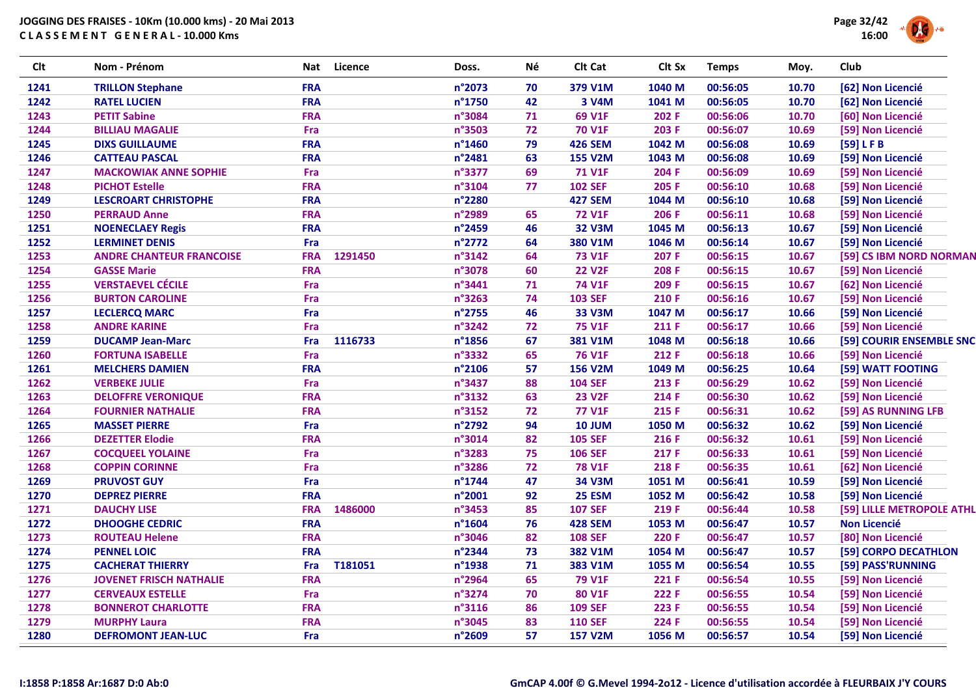

| <b>Clt</b> | Nom - Prénom                    | Nat        | <b>Licence</b> | Doss.  | Né | Clt Cat        | Clt Sx | <b>Temps</b> | Moy.  | Club                      |
|------------|---------------------------------|------------|----------------|--------|----|----------------|--------|--------------|-------|---------------------------|
| 1241       | <b>TRILLON Stephane</b>         | <b>FRA</b> |                | n°2073 | 70 | 379 V1M        | 1040 M | 00:56:05     | 10.70 | [62] Non Licencié         |
| 1242       | <b>RATEL LUCIEN</b>             | <b>FRA</b> |                | n°1750 | 42 | 3 V4M          | 1041 M | 00:56:05     | 10.70 | [62] Non Licencié         |
| 1243       | <b>PETIT Sabine</b>             | <b>FRA</b> |                | n°3084 | 71 | 69 V1F         | 202 F  | 00:56:06     | 10.70 | [60] Non Licencié         |
| 1244       | <b>BILLIAU MAGALIE</b>          | Fra        |                | n°3503 | 72 | <b>70 V1F</b>  | 203 F  | 00:56:07     | 10.69 | [59] Non Licencié         |
| 1245       | <b>DIXS GUILLAUME</b>           | <b>FRA</b> |                | n°1460 | 79 | <b>426 SEM</b> | 1042 M | 00:56:08     | 10.69 | [59] LFB                  |
| 1246       | <b>CATTEAU PASCAL</b>           | <b>FRA</b> |                | n°2481 | 63 | <b>155 V2M</b> | 1043 M | 00:56:08     | 10.69 | [59] Non Licencié         |
| 1247       | <b>MACKOWIAK ANNE SOPHIE</b>    | Fra        |                | n°3377 | 69 | <b>71 V1F</b>  | 204 F  | 00:56:09     | 10.69 | [59] Non Licencié         |
| 1248       | <b>PICHOT Estelle</b>           | <b>FRA</b> |                | n°3104 | 77 | <b>102 SEF</b> | 205 F  | 00:56:10     | 10.68 | [59] Non Licencié         |
| 1249       | <b>LESCROART CHRISTOPHE</b>     | <b>FRA</b> |                | n°2280 |    | <b>427 SEM</b> | 1044 M | 00:56:10     | 10.68 | [59] Non Licencié         |
| 1250       | <b>PERRAUD Anne</b>             | <b>FRA</b> |                | n°2989 | 65 | <b>72 V1F</b>  | 206 F  | 00:56:11     | 10.68 | [59] Non Licencié         |
| 1251       | <b>NOENECLAEY Regis</b>         | <b>FRA</b> |                | n°2459 | 46 | <b>32 V3M</b>  | 1045 M | 00:56:13     | 10.67 | [59] Non Licencié         |
| 1252       | <b>LERMINET DENIS</b>           | Fra        |                | n°2772 | 64 | 380 V1M        | 1046 M | 00:56:14     | 10.67 | [59] Non Licencié         |
| 1253       | <b>ANDRE CHANTEUR FRANCOISE</b> | <b>FRA</b> | 1291450        | n°3142 | 64 | <b>73 V1F</b>  | 207 F  | 00:56:15     | 10.67 | [59] CS IBM NORD NORMAN   |
| 1254       | <b>GASSE Marie</b>              | <b>FRA</b> |                | n°3078 | 60 | <b>22 V2F</b>  | 208 F  | 00:56:15     | 10.67 | [59] Non Licencié         |
| 1255       | <b>VERSTAEVEL CÉCILE</b>        | Fra        |                | n°3441 | 71 | <b>74 V1F</b>  | 209 F  | 00:56:15     | 10.67 | [62] Non Licencié         |
| 1256       | <b>BURTON CAROLINE</b>          | Fra        |                | n°3263 | 74 | <b>103 SEF</b> | 210 F  | 00:56:16     | 10.67 | [59] Non Licencié         |
| 1257       | <b>LECLERCQ MARC</b>            | Fra        |                | n°2755 | 46 | <b>33 V3M</b>  | 1047 M | 00:56:17     | 10.66 | [59] Non Licencié         |
| 1258       | <b>ANDRE KARINE</b>             | Fra        |                | n°3242 | 72 | <b>75 V1F</b>  | 211 F  | 00:56:17     | 10.66 | [59] Non Licencié         |
| 1259       | <b>DUCAMP Jean-Marc</b>         | Fra        | 1116733        | n°1856 | 67 | 381 V1M        | 1048 M | 00:56:18     | 10.66 | [59] COURIR ENSEMBLE SNC  |
| 1260       | <b>FORTUNA ISABELLE</b>         | Fra        |                | n°3332 | 65 | <b>76 V1F</b>  | 212 F  | 00:56:18     | 10.66 | [59] Non Licencié         |
| 1261       | <b>MELCHERS DAMIEN</b>          | <b>FRA</b> |                | n°2106 | 57 | <b>156 V2M</b> | 1049 M | 00:56:25     | 10.64 | [59] WATT FOOTING         |
| 1262       | <b>VERBEKE JULIE</b>            | Fra        |                | n°3437 | 88 | <b>104 SEF</b> | 213 F  | 00:56:29     | 10.62 | [59] Non Licencié         |
| 1263       | <b>DELOFFRE VERONIQUE</b>       | <b>FRA</b> |                | n°3132 | 63 | <b>23 V2F</b>  | 214 F  | 00:56:30     | 10.62 | [59] Non Licencié         |
| 1264       | <b>FOURNIER NATHALIE</b>        | <b>FRA</b> |                | n°3152 | 72 | <b>77 V1F</b>  | 215 F  | 00:56:31     | 10.62 | [59] AS RUNNING LFB       |
| 1265       | <b>MASSET PIERRE</b>            | Fra        |                | n°2792 | 94 | <b>10 JUM</b>  | 1050 M | 00:56:32     | 10.62 | [59] Non Licencié         |
| 1266       | <b>DEZETTER Elodie</b>          | <b>FRA</b> |                | n°3014 | 82 | <b>105 SEF</b> | 216 F  | 00:56:32     | 10.61 | [59] Non Licencié         |
| 1267       | <b>COCQUEEL YOLAINE</b>         | Fra        |                | n°3283 | 75 | <b>106 SEF</b> | 217 F  | 00:56:33     | 10.61 | [59] Non Licencié         |
| 1268       | <b>COPPIN CORINNE</b>           | Fra        |                | n°3286 | 72 | <b>78 V1F</b>  | 218 F  | 00:56:35     | 10.61 | [62] Non Licencié         |
| 1269       | <b>PRUVOST GUY</b>              | Fra        |                | n°1744 | 47 | 34 V3M         | 1051 M | 00:56:41     | 10.59 | [59] Non Licencié         |
| 1270       | <b>DEPREZ PIERRE</b>            | <b>FRA</b> |                | n°2001 | 92 | <b>25 ESM</b>  | 1052 M | 00:56:42     | 10.58 | [59] Non Licencié         |
| 1271       | <b>DAUCHY LISE</b>              | <b>FRA</b> | 1486000        | n°3453 | 85 | <b>107 SEF</b> | 219 F  | 00:56:44     | 10.58 | [59] LILLE METROPOLE ATHL |
| 1272       | <b>DHOOGHE CEDRIC</b>           | <b>FRA</b> |                | n°1604 | 76 | <b>428 SEM</b> | 1053 M | 00:56:47     | 10.57 | <b>Non Licencié</b>       |
| 1273       | <b>ROUTEAU Helene</b>           | <b>FRA</b> |                | n°3046 | 82 | <b>108 SEF</b> | 220 F  | 00:56:47     | 10.57 | [80] Non Licencié         |
| 1274       | <b>PENNEL LOIC</b>              | <b>FRA</b> |                | n°2344 | 73 | 382 V1M        | 1054 M | 00:56:47     | 10.57 | [59] CORPO DECATHLON      |
| 1275       | <b>CACHERAT THIERRY</b>         | Fra        | T181051        | n°1938 | 71 | 383 V1M        | 1055 M | 00:56:54     | 10.55 | [59] PASS'RUNNING         |
| 1276       | <b>JOVENET FRISCH NATHALIE</b>  | <b>FRA</b> |                | n°2964 | 65 | <b>79 V1F</b>  | 221 F  | 00:56:54     | 10.55 | [59] Non Licencié         |
| 1277       | <b>CERVEAUX ESTELLE</b>         | Fra        |                | n°3274 | 70 | 80 V1F         | 222 F  | 00:56:55     | 10.54 | [59] Non Licencié         |
| 1278       | <b>BONNEROT CHARLOTTE</b>       | <b>FRA</b> |                | n°3116 | 86 | <b>109 SEF</b> | 223 F  | 00:56:55     | 10.54 | [59] Non Licencié         |
| 1279       | <b>MURPHY Laura</b>             | <b>FRA</b> |                | n°3045 | 83 | <b>110 SEF</b> | 224 F  | 00:56:55     | 10.54 | [59] Non Licencié         |
| 1280       | <b>DEFROMONT JEAN-LUC</b>       | Fra        |                | n°2609 | 57 | <b>157 V2M</b> | 1056 M | 00:56:57     | 10.54 | [59] Non Licencié         |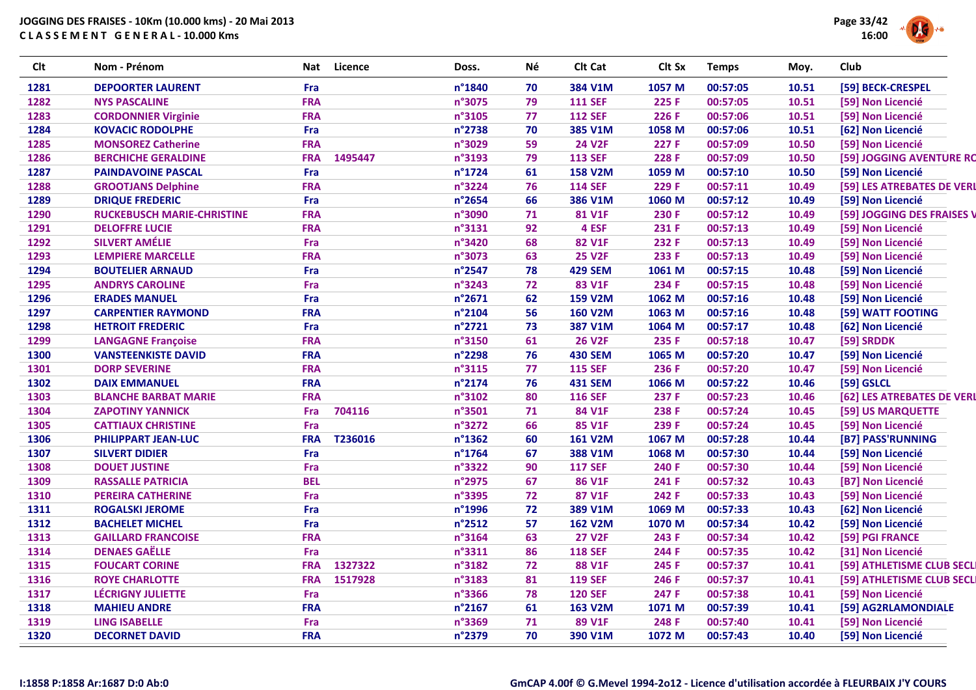

| <b>Clt</b> | Nom - Prénom                      | <b>Nat</b> | Licence | Doss.  | Né | Clt Cat        | Clt Sx            | <b>Temps</b> | Moy.  | Club                       |
|------------|-----------------------------------|------------|---------|--------|----|----------------|-------------------|--------------|-------|----------------------------|
| 1281       | <b>DEPOORTER LAURENT</b>          | Fra        |         | n°1840 | 70 | 384 V1M        | 1057 M            | 00:57:05     | 10.51 | [59] BECK-CRESPEL          |
| 1282       | <b>NYS PASCALINE</b>              | <b>FRA</b> |         | n°3075 | 79 | <b>111 SEF</b> | 225 F             | 00:57:05     | 10.51 | [59] Non Licencié          |
| 1283       | <b>CORDONNIER Virginie</b>        | <b>FRA</b> |         | n°3105 | 77 | <b>112 SEF</b> | 226 F             | 00:57:06     | 10.51 | [59] Non Licencié          |
| 1284       | <b>KOVACIC RODOLPHE</b>           | Fra        |         | n°2738 | 70 | 385 V1M        | 1058 M            | 00:57:06     | 10.51 | [62] Non Licencié          |
| 1285       | <b>MONSOREZ Catherine</b>         | <b>FRA</b> |         | n°3029 | 59 | <b>24 V2F</b>  | 227 F             | 00:57:09     | 10.50 | [59] Non Licencié          |
| 1286       | <b>BERCHICHE GERALDINE</b>        | <b>FRA</b> | 1495447 | n°3193 | 79 | <b>113 SEF</b> | 228 F             | 00:57:09     | 10.50 | [59] JOGGING AVENTURE RC   |
| 1287       | <b>PAINDAVOINE PASCAL</b>         | Fra        |         | n°1724 | 61 | <b>158 V2M</b> | 1059 M            | 00:57:10     | 10.50 | [59] Non Licencié          |
| 1288       | <b>GROOTJANS Delphine</b>         | <b>FRA</b> |         | n°3224 | 76 | <b>114 SEF</b> | 229 F             | 00:57:11     | 10.49 | [59] LES ATREBATES DE VERL |
| 1289       | <b>DRIQUE FREDERIC</b>            | Fra        |         | n°2654 | 66 | 386 V1M        | 1060 M            | 00:57:12     | 10.49 | [59] Non Licencié          |
| 1290       | <b>RUCKEBUSCH MARIE-CHRISTINE</b> | <b>FRA</b> |         | n°3090 | 71 | 81 V1F         | 230 F             | 00:57:12     | 10.49 | [59] JOGGING DES FRAISES V |
| 1291       | <b>DELOFFRE LUCIE</b>             | <b>FRA</b> |         | n°3131 | 92 | 4 ESF          | 231 F             | 00:57:13     | 10.49 | [59] Non Licencié          |
| 1292       | <b>SILVERT AMÉLIE</b>             | Fra        |         | n°3420 | 68 | 82 V1F         | 232 F             | 00:57:13     | 10.49 | [59] Non Licencié          |
| 1293       | <b>LEMPIERE MARCELLE</b>          | <b>FRA</b> |         | n°3073 | 63 | <b>25 V2F</b>  | 233 F             | 00:57:13     | 10.49 | [59] Non Licencié          |
| 1294       | <b>BOUTELIER ARNAUD</b>           | Fra        |         | n°2547 | 78 | <b>429 SEM</b> | 1061 M            | 00:57:15     | 10.48 | [59] Non Licencié          |
| 1295       | <b>ANDRYS CAROLINE</b>            | Fra        |         | n°3243 | 72 | 83 V1F         | 234 F             | 00:57:15     | 10.48 | [59] Non Licencié          |
| 1296       | <b>ERADES MANUEL</b>              | Fra        |         | n°2671 | 62 | <b>159 V2M</b> | 1062 M            | 00:57:16     | 10.48 | [59] Non Licencié          |
| 1297       | <b>CARPENTIER RAYMOND</b>         | <b>FRA</b> |         | n°2104 | 56 | <b>160 V2M</b> | 1063 M            | 00:57:16     | 10.48 | [59] WATT FOOTING          |
| 1298       | <b>HETROIT FREDERIC</b>           | Fra        |         | n°2721 | 73 | 387 V1M        | 1064 M            | 00:57:17     | 10.48 | [62] Non Licencié          |
| 1299       | <b>LANGAGNE Françoise</b>         | <b>FRA</b> |         | n°3150 | 61 | <b>26 V2F</b>  | 235 F             | 00:57:18     | 10.47 | [59] SRDDK                 |
| 1300       | <b>VANSTEENKISTE DAVID</b>        | <b>FRA</b> |         | n°2298 | 76 | <b>430 SEM</b> | 1065 M            | 00:57:20     | 10.47 | [59] Non Licencié          |
| 1301       | <b>DORP SEVERINE</b>              | <b>FRA</b> |         | n°3115 | 77 | <b>115 SEF</b> | 236 F             | 00:57:20     | 10.47 | [59] Non Licencié          |
| 1302       | <b>DAIX EMMANUEL</b>              | <b>FRA</b> |         | n°2174 | 76 | <b>431 SEM</b> | 1066 <sub>M</sub> | 00:57:22     | 10.46 | [59] GSLCL                 |
| 1303       | <b>BLANCHE BARBAT MARIE</b>       | <b>FRA</b> |         | n°3102 | 80 | <b>116 SEF</b> | 237 F             | 00:57:23     | 10.46 | [62] LES ATREBATES DE VERL |
| 1304       | <b>ZAPOTINY YANNICK</b>           | Fra        | 704116  | n°3501 | 71 | 84 V1F         | 238 F             | 00:57:24     | 10.45 | [59] US MARQUETTE          |
| 1305       | <b>CATTIAUX CHRISTINE</b>         | Fra        |         | n°3272 | 66 | 85 V1F         | 239 F             | 00:57:24     | 10.45 | [59] Non Licencié          |
| 1306       | <b>PHILIPPART JEAN-LUC</b>        | <b>FRA</b> | T236016 | n°1362 | 60 | <b>161 V2M</b> | 1067 M            | 00:57:28     | 10.44 | [B7] PASS'RUNNING          |
| 1307       | <b>SILVERT DIDIER</b>             | Fra        |         | n°1764 | 67 | 388 V1M        | 1068 M            | 00:57:30     | 10.44 | [59] Non Licencié          |
| 1308       | <b>DOUET JUSTINE</b>              | Fra        |         | n°3322 | 90 | <b>117 SEF</b> | 240 F             | 00:57:30     | 10.44 | [59] Non Licencié          |
| 1309       | <b>RASSALLE PATRICIA</b>          | <b>BEL</b> |         | n°2975 | 67 | <b>86 V1F</b>  | 241 F             | 00:57:32     | 10.43 | [B7] Non Licencié          |
| 1310       | <b>PEREIRA CATHERINE</b>          | Fra        |         | n°3395 | 72 | 87 V1F         | 242 F             | 00:57:33     | 10.43 | [59] Non Licencié          |
| 1311       | <b>ROGALSKI JEROME</b>            | Fra        |         | n°1996 | 72 | 389 V1M        | 1069 M            | 00:57:33     | 10.43 | [62] Non Licencié          |
| 1312       | <b>BACHELET MICHEL</b>            | Fra        |         | n°2512 | 57 | <b>162 V2M</b> | 1070 M            | 00:57:34     | 10.42 | [59] Non Licencié          |
| 1313       | <b>GAILLARD FRANCOISE</b>         | <b>FRA</b> |         | n°3164 | 63 | <b>27 V2F</b>  | 243 F             | 00:57:34     | 10.42 | [59] PGI FRANCE            |
| 1314       | <b>DENAES GAËLLE</b>              | Fra        |         | n°3311 | 86 | <b>118 SEF</b> | 244 F             | 00:57:35     | 10.42 | [31] Non Licencié          |
| 1315       | <b>FOUCART CORINE</b>             | <b>FRA</b> | 1327322 | n°3182 | 72 | <b>88 V1F</b>  | 245 F             | 00:57:37     | 10.41 | [59] ATHLETISME CLUB SECLI |
| 1316       | <b>ROYE CHARLOTTE</b>             | <b>FRA</b> | 1517928 | n°3183 | 81 | <b>119 SEF</b> | 246 F             | 00:57:37     | 10.41 | [59] ATHLETISME CLUB SECLI |
| 1317       | <b>LÉCRIGNY JULIETTE</b>          | Fra        |         | n°3366 | 78 | <b>120 SEF</b> | 247 F             | 00:57:38     | 10.41 | [59] Non Licencié          |
| 1318       | <b>MAHIEU ANDRE</b>               | <b>FRA</b> |         | n°2167 | 61 | <b>163 V2M</b> | 1071 M            | 00:57:39     | 10.41 | [59] AG2RLAMONDIALE        |
| 1319       | <b>LING ISABELLE</b>              | Fra        |         | n°3369 | 71 | 89 V1F         | 248 F             | 00:57:40     | 10.41 | [59] Non Licencié          |
| 1320       | <b>DECORNET DAVID</b>             | <b>FRA</b> |         | n°2379 | 70 | 390 V1M        | 1072 M            | 00:57:43     | 10.40 | [59] Non Licencié          |
|            |                                   |            |         |        |    |                |                   |              |       |                            |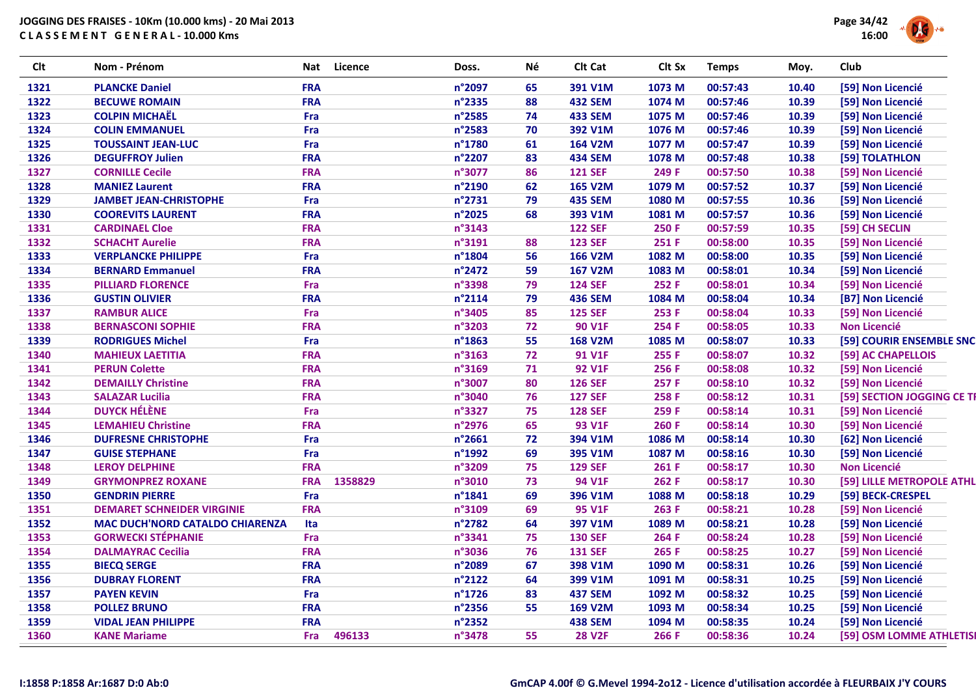

| <b>Clt</b> | Nom - Prénom                           | Nat        | Licence | Doss.  | Né | Clt Cat        | Clt Sx            | <b>Temps</b> | Moy.  | Club                       |
|------------|----------------------------------------|------------|---------|--------|----|----------------|-------------------|--------------|-------|----------------------------|
| 1321       | <b>PLANCKE Daniel</b>                  | <b>FRA</b> |         | n°2097 | 65 | 391 V1M        | 1073 M            | 00:57:43     | 10.40 | [59] Non Licencié          |
| 1322       | <b>BECUWE ROMAIN</b>                   | <b>FRA</b> |         | n°2335 | 88 | <b>432 SEM</b> | 1074 M            | 00:57:46     | 10.39 | [59] Non Licencié          |
| 1323       | <b>COLPIN MICHAËL</b>                  | Fra        |         | n°2585 | 74 | <b>433 SEM</b> | 1075 M            | 00:57:46     | 10.39 | [59] Non Licencié          |
| 1324       | <b>COLIN EMMANUEL</b>                  | Fra        |         | n°2583 | 70 | 392 V1M        | 1076 M            | 00:57:46     | 10.39 | [59] Non Licencié          |
| 1325       | <b>TOUSSAINT JEAN-LUC</b>              | Fra        |         | n°1780 | 61 | 164 V2M        | 1077 M            | 00:57:47     | 10.39 | [59] Non Licencié          |
| 1326       | <b>DEGUFFROY Julien</b>                | <b>FRA</b> |         | n°2207 | 83 | <b>434 SEM</b> | 1078 M            | 00:57:48     | 10.38 | [59] TOLATHLON             |
| 1327       | <b>CORNILLE Cecile</b>                 | <b>FRA</b> |         | n°3077 | 86 | <b>121 SEF</b> | 249 F             | 00:57:50     | 10.38 | [59] Non Licencié          |
| 1328       | <b>MANIEZ Laurent</b>                  | <b>FRA</b> |         | n°2190 | 62 | <b>165 V2M</b> | 1079 M            | 00:57:52     | 10.37 | [59] Non Licencié          |
| 1329       | <b>JAMBET JEAN-CHRISTOPHE</b>          | Fra        |         | n°2731 | 79 | <b>435 SEM</b> | 1080 M            | 00:57:55     | 10.36 | [59] Non Licencié          |
| 1330       | <b>COOREVITS LAURENT</b>               | <b>FRA</b> |         | n°2025 | 68 | 393 V1M        | 1081 M            | 00:57:57     | 10.36 | [59] Non Licencié          |
| 1331       | <b>CARDINAEL Cloe</b>                  | <b>FRA</b> |         | n°3143 |    | <b>122 SEF</b> | 250 F             | 00:57:59     | 10.35 | [59] CH SECLIN             |
| 1332       | <b>SCHACHT Aurelie</b>                 | <b>FRA</b> |         | n°3191 | 88 | <b>123 SEF</b> | 251 F             | 00:58:00     | 10.35 | [59] Non Licencié          |
| 1333       | <b>VERPLANCKE PHILIPPE</b>             | Fra        |         | n°1804 | 56 | <b>166 V2M</b> | 1082 M            | 00:58:00     | 10.35 | [59] Non Licencié          |
| 1334       | <b>BERNARD Emmanuel</b>                | <b>FRA</b> |         | n°2472 | 59 | <b>167 V2M</b> | 1083 M            | 00:58:01     | 10.34 | [59] Non Licencié          |
| 1335       | <b>PILLIARD FLORENCE</b>               | Fra        |         | n°3398 | 79 | <b>124 SEF</b> | 252 F             | 00:58:01     | 10.34 | [59] Non Licencié          |
| 1336       | <b>GUSTIN OLIVIER</b>                  | <b>FRA</b> |         | n°2114 | 79 | <b>436 SEM</b> | 1084 M            | 00:58:04     | 10.34 | [B7] Non Licencié          |
| 1337       | <b>RAMBUR ALICE</b>                    | Fra        |         | n°3405 | 85 | <b>125 SEF</b> | 253 F             | 00:58:04     | 10.33 | [59] Non Licencié          |
| 1338       | <b>BERNASCONI SOPHIE</b>               | <b>FRA</b> |         | n°3203 | 72 | <b>90 V1F</b>  | 254 F             | 00:58:05     | 10.33 | <b>Non Licencié</b>        |
| 1339       | <b>RODRIGUES Michel</b>                | Fra        |         | n°1863 | 55 | <b>168 V2M</b> | 1085 M            | 00:58:07     | 10.33 | [59] COURIR ENSEMBLE SNC   |
| 1340       | <b>MAHIEUX LAETITIA</b>                | <b>FRA</b> |         | n°3163 | 72 | <b>91 V1F</b>  | 255 F             | 00:58:07     | 10.32 | [59] AC CHAPELLOIS         |
| 1341       | <b>PERUN Colette</b>                   | <b>FRA</b> |         | n°3169 | 71 | <b>92 V1F</b>  | 256 F             | 00:58:08     | 10.32 | [59] Non Licencié          |
| 1342       | <b>DEMAILLY Christine</b>              | <b>FRA</b> |         | n°3007 | 80 | <b>126 SEF</b> | 257 F             | 00:58:10     | 10.32 | [59] Non Licencié          |
| 1343       | <b>SALAZAR Lucilia</b>                 | <b>FRA</b> |         | n°3040 | 76 | <b>127 SEF</b> | 258 F             | 00:58:12     | 10.31 | [59] SECTION JOGGING CE TH |
| 1344       | <b>DUYCK HÉLÈNE</b>                    | Fra        |         | n°3327 | 75 | <b>128 SEF</b> | 259 F             | 00:58:14     | 10.31 | [59] Non Licencié          |
| 1345       | <b>LEMAHIEU Christine</b>              | <b>FRA</b> |         | n°2976 | 65 | <b>93 V1F</b>  | 260 F             | 00:58:14     | 10.30 | [59] Non Licencié          |
| 1346       | <b>DUFRESNE CHRISTOPHE</b>             | Fra        |         | n°2661 | 72 | 394 V1M        | 1086 M            | 00:58:14     | 10.30 | [62] Non Licencié          |
| 1347       | <b>GUISE STEPHANE</b>                  | Fra        |         | n°1992 | 69 | 395 V1M        | 1087 M            | 00:58:16     | 10.30 | [59] Non Licencié          |
| 1348       | <b>LEROY DELPHINE</b>                  | <b>FRA</b> |         | n°3209 | 75 | <b>129 SEF</b> | 261 F             | 00:58:17     | 10.30 | <b>Non Licencié</b>        |
| 1349       | <b>GRYMONPREZ ROXANE</b>               | <b>FRA</b> | 1358829 | n°3010 | 73 | <b>94 V1F</b>  | 262 F             | 00:58:17     | 10.30 | [59] LILLE METROPOLE ATHL  |
| 1350       | <b>GENDRIN PIERRE</b>                  | Fra        |         | n°1841 | 69 | 396 V1M        | 1088 <sub>M</sub> | 00:58:18     | 10.29 | [59] BECK-CRESPEL          |
| 1351       | <b>DEMARET SCHNEIDER VIRGINIE</b>      | <b>FRA</b> |         | n°3109 | 69 | <b>95 V1F</b>  | 263 F             | 00:58:21     | 10.28 | [59] Non Licencié          |
| 1352       | <b>MAC DUCH'NORD CATALDO CHIARENZA</b> | Ita        |         | n°2782 | 64 | 397 V1M        | 1089 M            | 00:58:21     | 10.28 | [59] Non Licencié          |
| 1353       | <b>GORWECKI STÉPHANIE</b>              | Fra        |         | n°3341 | 75 | <b>130 SEF</b> | 264 F             | 00:58:24     | 10.28 | [59] Non Licencié          |
| 1354       | <b>DALMAYRAC Cecilia</b>               | <b>FRA</b> |         | n°3036 | 76 | <b>131 SEF</b> | 265 F             | 00:58:25     | 10.27 | [59] Non Licencié          |
| 1355       | <b>BIECQ SERGE</b>                     | <b>FRA</b> |         | n°2089 | 67 | 398 V1M        | 1090 M            | 00:58:31     | 10.26 | [59] Non Licencié          |
| 1356       | <b>DUBRAY FLORENT</b>                  | <b>FRA</b> |         | n°2122 | 64 | 399 V1M        | 1091 M            | 00:58:31     | 10.25 | [59] Non Licencié          |
| 1357       | <b>PAYEN KEVIN</b>                     | Fra        |         | n°1726 | 83 | <b>437 SEM</b> | 1092 M            | 00:58:32     | 10.25 | [59] Non Licencié          |
| 1358       | <b>POLLEZ BRUNO</b>                    | <b>FRA</b> |         | n°2356 | 55 | <b>169 V2M</b> | 1093 M            | 00:58:34     | 10.25 | [59] Non Licencié          |
| 1359       | <b>VIDAL JEAN PHILIPPE</b>             | <b>FRA</b> |         | n°2352 |    | <b>438 SEM</b> | 1094 M            | 00:58:35     | 10.24 | [59] Non Licencié          |
| 1360       | <b>KANE Mariame</b>                    | <b>Fra</b> | 496133  | n°3478 | 55 | <b>28 V2F</b>  | 266 F             | 00:58:36     | 10.24 | [59] OSM LOMME ATHLETISI   |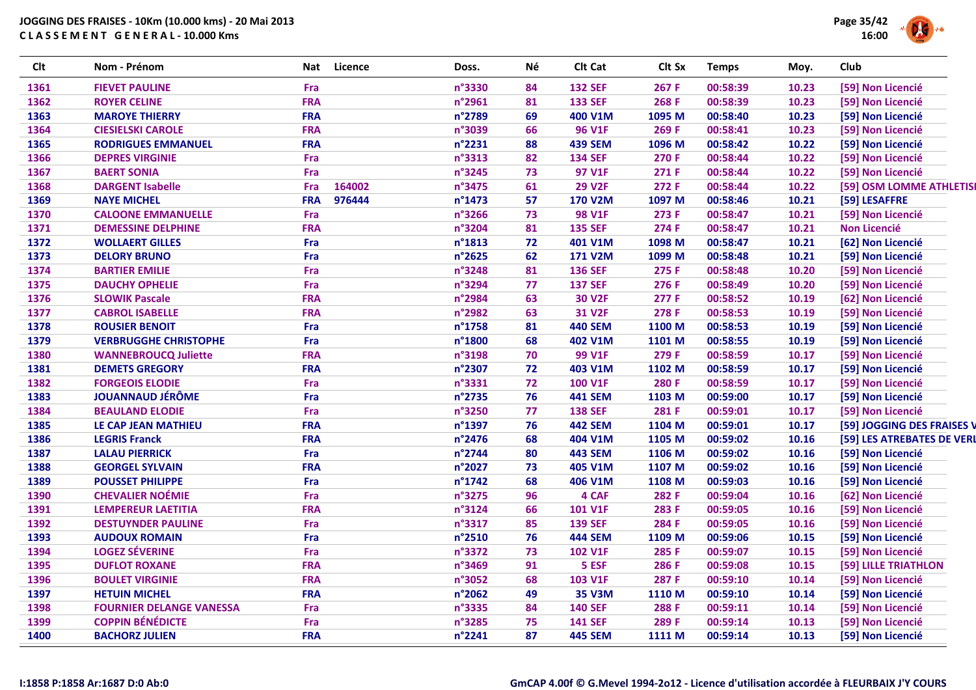

| <b>Clt</b> | Nom - Prénom                    | Nat        | <b>Licence</b> | Doss.            | Né | Clt Cat        | Clt Sx | <b>Temps</b> | Moy.  | Club                       |
|------------|---------------------------------|------------|----------------|------------------|----|----------------|--------|--------------|-------|----------------------------|
| 1361       | <b>FIEVET PAULINE</b>           | Fra        |                | n°3330           | 84 | <b>132 SEF</b> | 267 F  | 00:58:39     | 10.23 | [59] Non Licencié          |
| 1362       | <b>ROYER CELINE</b>             | <b>FRA</b> |                | n°2961           | 81 | <b>133 SEF</b> | 268 F  | 00:58:39     | 10.23 | [59] Non Licencié          |
| 1363       | <b>MAROYE THIERRY</b>           | <b>FRA</b> |                | n°2789           | 69 | 400 V1M        | 1095 M | 00:58:40     | 10.23 | [59] Non Licencié          |
| 1364       | <b>CIESIELSKI CAROLE</b>        | <b>FRA</b> |                | n°3039           | 66 | <b>96 V1F</b>  | 269 F  | 00:58:41     | 10.23 | [59] Non Licencié          |
| 1365       | <b>RODRIGUES EMMANUEL</b>       | <b>FRA</b> |                | n°2231           | 88 | <b>439 SEM</b> | 1096 M | 00:58:42     | 10.22 | [59] Non Licencié          |
| 1366       | <b>DEPRES VIRGINIE</b>          | Fra        |                | n°3313           | 82 | <b>134 SEF</b> | 270 F  | 00:58:44     | 10.22 | [59] Non Licencié          |
| 1367       | <b>BAERT SONIA</b>              | <b>Fra</b> |                | n°3245           | 73 | 97 V1F         | 271 F  | 00:58:44     | 10.22 | [59] Non Licencié          |
| 1368       | <b>DARGENT Isabelle</b>         | Fra        | 164002         | n°3475           | 61 | <b>29 V2F</b>  | 272 F  | 00:58:44     | 10.22 | [59] OSM LOMME ATHLETIS    |
| 1369       | <b>NAYE MICHEL</b>              | <b>FRA</b> | 976444         | n°1473           | 57 | <b>170 V2M</b> | 1097 M | 00:58:46     | 10.21 | [59] LESAFFRE              |
| 1370       | <b>CALOONE EMMANUELLE</b>       | Fra        |                | n°3266           | 73 | <b>98 V1F</b>  | 273 F  | 00:58:47     | 10.21 | [59] Non Licencié          |
| 1371       | <b>DEMESSINE DELPHINE</b>       | <b>FRA</b> |                | n°3204           | 81 | <b>135 SEF</b> | 274 F  | 00:58:47     | 10.21 | <b>Non Licencié</b>        |
| 1372       | <b>WOLLAERT GILLES</b>          | Fra        |                | n°1813           | 72 | 401 V1M        | 1098 M | 00:58:47     | 10.21 | [62] Non Licencié          |
| 1373       | <b>DELORY BRUNO</b>             | Fra        |                | n°2625           | 62 | <b>171 V2M</b> | 1099 M | 00:58:48     | 10.21 | [59] Non Licencié          |
| 1374       | <b>BARTIER EMILIE</b>           | Fra        |                | n°3248           | 81 | <b>136 SEF</b> | 275 F  | 00:58:48     | 10.20 | [59] Non Licencié          |
| 1375       | <b>DAUCHY OPHELIE</b>           | Fra        |                | n°3294           | 77 | <b>137 SEF</b> | 276 F  | 00:58:49     | 10.20 | [59] Non Licencié          |
| 1376       | <b>SLOWIK Pascale</b>           | <b>FRA</b> |                | n°2984           | 63 | <b>30 V2F</b>  | 277 F  | 00:58:52     | 10.19 | [62] Non Licencié          |
| 1377       | <b>CABROL ISABELLE</b>          | <b>FRA</b> |                | n°2982           | 63 | <b>31 V2F</b>  | 278 F  | 00:58:53     | 10.19 | [59] Non Licencié          |
| 1378       | <b>ROUSIER BENOIT</b>           | Fra        |                | $n^{\circ}$ 1758 | 81 | <b>440 SEM</b> | 1100 M | 00:58:53     | 10.19 | [59] Non Licencié          |
| 1379       | <b>VERBRUGGHE CHRISTOPHE</b>    | Fra        |                | n°1800           | 68 | 402 V1M        | 1101 M | 00:58:55     | 10.19 | [59] Non Licencié          |
| 1380       | <b>WANNEBROUCQ Juliette</b>     | <b>FRA</b> |                | n°3198           | 70 | <b>99 V1F</b>  | 279 F  | 00:58:59     | 10.17 | [59] Non Licencié          |
| 1381       | <b>DEMETS GREGORY</b>           | <b>FRA</b> |                | n°2307           | 72 | 403 V1M        | 1102 M | 00:58:59     | 10.17 | [59] Non Licencié          |
| 1382       | <b>FORGEOIS ELODIE</b>          | Fra        |                | n°3331           | 72 | <b>100 V1F</b> | 280 F  | 00:58:59     | 10.17 | [59] Non Licencié          |
| 1383       | <b>JOUANNAUD JÉRÔME</b>         | Fra        |                | n°2735           | 76 | <b>441 SEM</b> | 1103 M | 00:59:00     | 10.17 | [59] Non Licencié          |
| 1384       | <b>BEAULAND ELODIE</b>          | Fra        |                | n°3250           | 77 | <b>138 SEF</b> | 281 F  | 00:59:01     | 10.17 | [59] Non Licencié          |
| 1385       | LE CAP JEAN MATHIEU             | <b>FRA</b> |                | n°1397           | 76 | <b>442 SEM</b> | 1104 M | 00:59:01     | 10.17 | [59] JOGGING DES FRAISES \ |
| 1386       | <b>LEGRIS Franck</b>            | <b>FRA</b> |                | n°2476           | 68 | 404 V1M        | 1105 M | 00:59:02     | 10.16 | [59] LES ATREBATES DE VER  |
| 1387       | <b>LALAU PIERRICK</b>           | Fra        |                | n°2744           | 80 | <b>443 SEM</b> | 1106 M | 00:59:02     | 10.16 | [59] Non Licencié          |
| 1388       | <b>GEORGEL SYLVAIN</b>          | <b>FRA</b> |                | n°2027           | 73 | 405 V1M        | 1107 M | 00:59:02     | 10.16 | [59] Non Licencié          |
| 1389       | <b>POUSSET PHILIPPE</b>         | Fra        |                | $n^{\circ}$ 1742 | 68 | 406 V1M        | 1108 M | 00:59:03     | 10.16 | [59] Non Licencié          |
| 1390       | <b>CHEVALIER NOÉMIE</b>         | Fra        |                | n°3275           | 96 | 4 CAF          | 282 F  | 00:59:04     | 10.16 | [62] Non Licencié          |
| 1391       | <b>LEMPEREUR LAETITIA</b>       | <b>FRA</b> |                | n°3124           | 66 | 101 V1F        | 283 F  | 00:59:05     | 10.16 | [59] Non Licencié          |
| 1392       | <b>DESTUYNDER PAULINE</b>       | Fra        |                | n°3317           | 85 | <b>139 SEF</b> | 284 F  | 00:59:05     | 10.16 | [59] Non Licencié          |
| 1393       | <b>AUDOUX ROMAIN</b>            | Fra        |                | n°2510           | 76 | <b>444 SEM</b> | 1109 M | 00:59:06     | 10.15 | [59] Non Licencié          |
| 1394       | <b>LOGEZ SÉVERINE</b>           | Fra        |                | n°3372           | 73 | 102 V1F        | 285 F  | 00:59:07     | 10.15 | [59] Non Licencié          |
| 1395       | <b>DUFLOT ROXANE</b>            | <b>FRA</b> |                | n°3469           | 91 | 5 ESF          | 286 F  | 00:59:08     | 10.15 | [59] LILLE TRIATHLON       |
| 1396       | <b>BOULET VIRGINIE</b>          | <b>FRA</b> |                | n°3052           | 68 | 103 V1F        | 287 F  | 00:59:10     | 10.14 | [59] Non Licencié          |
| 1397       | <b>HETUIN MICHEL</b>            | <b>FRA</b> |                | n°2062           | 49 | <b>35 V3M</b>  | 1110 M | 00:59:10     | 10.14 | [59] Non Licencié          |
| 1398       | <b>FOURNIER DELANGE VANESSA</b> | Fra        |                | n°3335           | 84 | <b>140 SEF</b> | 288 F  | 00:59:11     | 10.14 | [59] Non Licencié          |
| 1399       | <b>COPPIN BÉNÉDICTE</b>         | Fra        |                | n°3285           | 75 | <b>141 SEF</b> | 289 F  | 00:59:14     | 10.13 | [59] Non Licencié          |
| 1400       | <b>BACHORZ JULIEN</b>           | <b>FRA</b> |                | n°2241           | 87 | <b>445 SEM</b> | 1111 M | 00:59:14     | 10.13 | [59] Non Licencié          |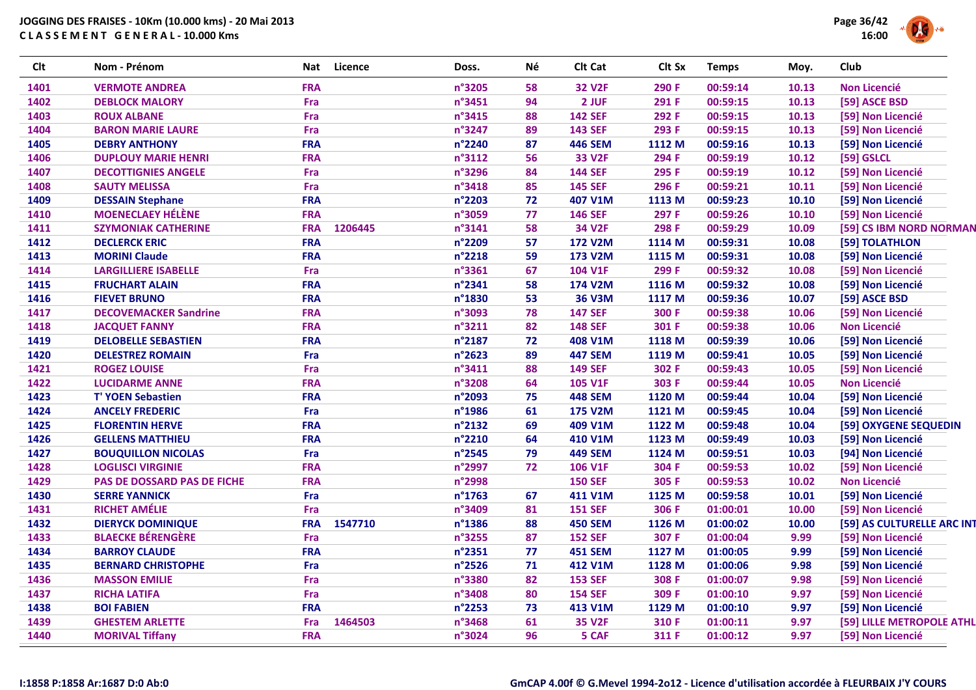

| <b>Clt</b> | Nom - Prénom                       | Nat        | <b>Licence</b> | Doss.  | Né | Clt Cat        | Clt Sx | <b>Temps</b> | Moy.  | Club                       |
|------------|------------------------------------|------------|----------------|--------|----|----------------|--------|--------------|-------|----------------------------|
| 1401       | <b>VERMOTE ANDREA</b>              | <b>FRA</b> |                | n°3205 | 58 | <b>32 V2F</b>  | 290 F  | 00:59:14     | 10.13 | <b>Non Licencié</b>        |
| 1402       | <b>DEBLOCK MALORY</b>              | Fra        |                | n°3451 | 94 | 2 JUF          | 291 F  | 00:59:15     | 10.13 | [59] ASCE BSD              |
| 1403       | <b>ROUX ALBANE</b>                 | Fra        |                | n°3415 | 88 | <b>142 SEF</b> | 292 F  | 00:59:15     | 10.13 | [59] Non Licencié          |
| 1404       | <b>BARON MARIE LAURE</b>           | Fra        |                | n°3247 | 89 | <b>143 SEF</b> | 293 F  | 00:59:15     | 10.13 | [59] Non Licencié          |
| 1405       | <b>DEBRY ANTHONY</b>               | <b>FRA</b> |                | n°2240 | 87 | <b>446 SEM</b> | 1112 M | 00:59:16     | 10.13 | [59] Non Licencié          |
| 1406       | <b>DUPLOUY MARIE HENRI</b>         | <b>FRA</b> |                | n°3112 | 56 | <b>33 V2F</b>  | 294 F  | 00:59:19     | 10.12 | [59] GSLCL                 |
| 1407       | <b>DECOTTIGNIES ANGELE</b>         | <b>Fra</b> |                | n°3296 | 84 | <b>144 SEF</b> | 295 F  | 00:59:19     | 10.12 | [59] Non Licencié          |
| 1408       | <b>SAUTY MELISSA</b>               | Fra        |                | n°3418 | 85 | <b>145 SEF</b> | 296 F  | 00:59:21     | 10.11 | [59] Non Licencié          |
| 1409       | <b>DESSAIN Stephane</b>            | <b>FRA</b> |                | n°2203 | 72 | 407 V1M        | 1113 M | 00:59:23     | 10.10 | [59] Non Licencié          |
| 1410       | <b>MOENECLAEY HÉLÈNE</b>           | <b>FRA</b> |                | n°3059 | 77 | <b>146 SEF</b> | 297 F  | 00:59:26     | 10.10 | [59] Non Licencié          |
| 1411       | <b>SZYMONIAK CATHERINE</b>         | <b>FRA</b> | 1206445        | n°3141 | 58 | <b>34 V2F</b>  | 298 F  | 00:59:29     | 10.09 | [59] CS IBM NORD NORMAN    |
| 1412       | <b>DECLERCK ERIC</b>               | <b>FRA</b> |                | n°2209 | 57 | <b>172 V2M</b> | 1114 M | 00:59:31     | 10.08 | [59] TOLATHLON             |
| 1413       | <b>MORINI Claude</b>               | <b>FRA</b> |                | n°2218 | 59 | 173 V2M        | 1115 M | 00:59:31     | 10.08 | [59] Non Licencié          |
| 1414       | <b>LARGILLIERE ISABELLE</b>        | Fra        |                | n°3361 | 67 | 104 V1F        | 299 F  | 00:59:32     | 10.08 | [59] Non Licencié          |
| 1415       | <b>FRUCHART ALAIN</b>              | <b>FRA</b> |                | n°2341 | 58 | 174 V2M        | 1116 M | 00:59:32     | 10.08 | [59] Non Licencié          |
| 1416       | <b>FIEVET BRUNO</b>                | <b>FRA</b> |                | n°1830 | 53 | <b>36 V3M</b>  | 1117 M | 00:59:36     | 10.07 | [59] ASCE BSD              |
| 1417       | <b>DECOVEMACKER Sandrine</b>       | <b>FRA</b> |                | n°3093 | 78 | <b>147 SEF</b> | 300 F  | 00:59:38     | 10.06 | [59] Non Licencié          |
| 1418       | <b>JACQUET FANNY</b>               | <b>FRA</b> |                | n°3211 | 82 | <b>148 SEF</b> | 301 F  | 00:59:38     | 10.06 | <b>Non Licencié</b>        |
| 1419       | <b>DELOBELLE SEBASTIEN</b>         | <b>FRA</b> |                | n°2187 | 72 | 408 V1M        | 1118 M | 00:59:39     | 10.06 | [59] Non Licencié          |
| 1420       | <b>DELESTREZ ROMAIN</b>            | Fra        |                | n°2623 | 89 | <b>447 SEM</b> | 1119 M | 00:59:41     | 10.05 | [59] Non Licencié          |
| 1421       | <b>ROGEZ LOUISE</b>                | Fra        |                | n°3411 | 88 | <b>149 SEF</b> | 302 F  | 00:59:43     | 10.05 | [59] Non Licencié          |
| 1422       | <b>LUCIDARME ANNE</b>              | <b>FRA</b> |                | n°3208 | 64 | <b>105 V1F</b> | 303 F  | 00:59:44     | 10.05 | <b>Non Licencié</b>        |
| 1423       | <b>T' YOEN Sebastien</b>           | <b>FRA</b> |                | n°2093 | 75 | <b>448 SEM</b> | 1120 M | 00:59:44     | 10.04 | [59] Non Licencié          |
| 1424       | <b>ANCELY FREDERIC</b>             | Fra        |                | n°1986 | 61 | <b>175 V2M</b> | 1121 M | 00:59:45     | 10.04 | [59] Non Licencié          |
| 1425       | <b>FLORENTIN HERVE</b>             | <b>FRA</b> |                | n°2132 | 69 | 409 V1M        | 1122 M | 00:59:48     | 10.04 | [59] OXYGENE SEQUEDIN      |
| 1426       | <b>GELLENS MATTHIEU</b>            | <b>FRA</b> |                | n°2210 | 64 | 410 V1M        | 1123 M | 00:59:49     | 10.03 | [59] Non Licencié          |
| 1427       | <b>BOUQUILLON NICOLAS</b>          | Fra        |                | n°2545 | 79 | <b>449 SEM</b> | 1124 M | 00:59:51     | 10.03 | [94] Non Licencié          |
| 1428       | <b>LOGLISCI VIRGINIE</b>           | <b>FRA</b> |                | n°2997 | 72 | <b>106 V1F</b> | 304 F  | 00:59:53     | 10.02 | [59] Non Licencié          |
| 1429       | <b>PAS DE DOSSARD PAS DE FICHE</b> | <b>FRA</b> |                | n°2998 |    | <b>150 SEF</b> | 305 F  | 00:59:53     | 10.02 | <b>Non Licencié</b>        |
| 1430       | <b>SERRE YANNICK</b>               | Fra        |                | n°1763 | 67 | 411 V1M        | 1125 M | 00:59:58     | 10.01 | [59] Non Licencié          |
| 1431       | <b>RICHET AMÉLIE</b>               | Fra        |                | n°3409 | 81 | <b>151 SEF</b> | 306 F  | 01:00:01     | 10.00 | [59] Non Licencié          |
| 1432       | <b>DIERYCK DOMINIQUE</b>           | <b>FRA</b> | 1547710        | n°1386 | 88 | <b>450 SEM</b> | 1126 M | 01:00:02     | 10.00 | [59] AS CULTURELLE ARC INT |
| 1433       | <b>BLAECKE BÉRENGÈRE</b>           | Fra        |                | n°3255 | 87 | <b>152 SEF</b> | 307 F  | 01:00:04     | 9.99  | [59] Non Licencié          |
| 1434       | <b>BARROY CLAUDE</b>               | <b>FRA</b> |                | n°2351 | 77 | <b>451 SEM</b> | 1127 M | 01:00:05     | 9.99  | [59] Non Licencié          |
| 1435       | <b>BERNARD CHRISTOPHE</b>          | Fra        |                | n°2526 | 71 | 412 V1M        | 1128 M | 01:00:06     | 9.98  | [59] Non Licencié          |
| 1436       | <b>MASSON EMILIE</b>               | <b>Fra</b> |                | n°3380 | 82 | <b>153 SEF</b> | 308 F  | 01:00:07     | 9.98  | [59] Non Licencié          |
| 1437       | <b>RICHA LATIFA</b>                | Fra        |                | n°3408 | 80 | <b>154 SEF</b> | 309 F  | 01:00:10     | 9.97  | [59] Non Licencié          |
| 1438       | <b>BOI FABIEN</b>                  | <b>FRA</b> |                | n°2253 | 73 | 413 V1M        | 1129 M | 01:00:10     | 9.97  | [59] Non Licencié          |
| 1439       | <b>GHESTEM ARLETTE</b>             | Fra        | 1464503        | n°3468 | 61 | <b>35 V2F</b>  | 310 F  | 01:00:11     | 9.97  | [59] LILLE METROPOLE ATHL  |
| 1440       | <b>MORIVAL Tiffany</b>             | <b>FRA</b> |                | n°3024 | 96 | 5 CAF          | 311 F  | 01:00:12     | 9.97  | [59] Non Licencié          |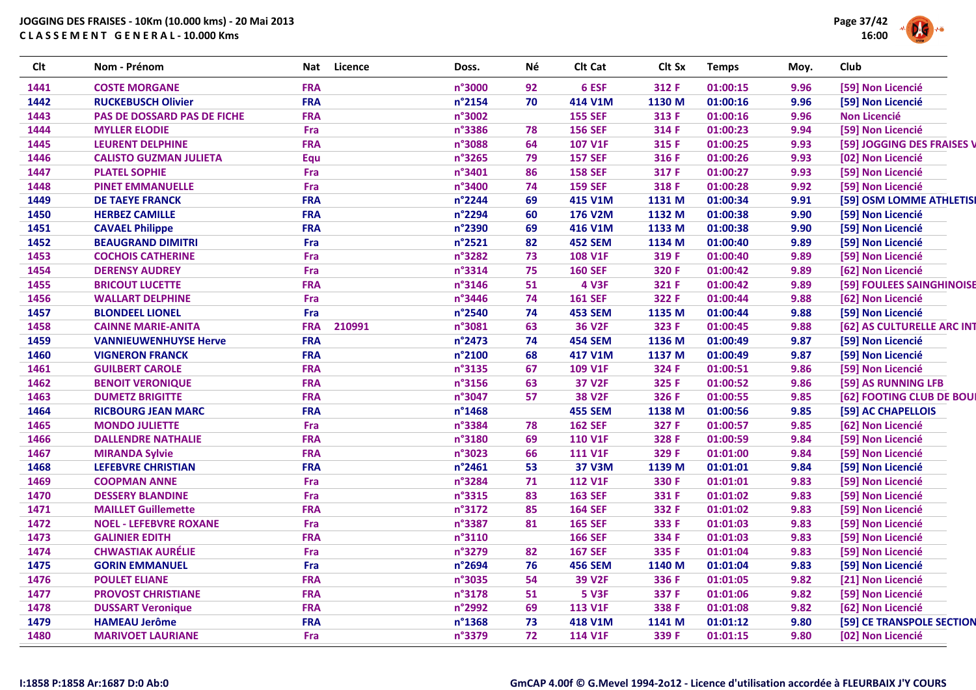

| <b>Clt</b> | Nom - Prénom                       | Nat        | <b>Licence</b><br>Doss. | Né | Clt Cat        | Clt Sx | <b>Temps</b> | Moy. | Club                       |
|------------|------------------------------------|------------|-------------------------|----|----------------|--------|--------------|------|----------------------------|
| 1441       | <b>COSTE MORGANE</b>               | <b>FRA</b> | n°3000                  | 92 | 6 ESF          | 312 F  | 01:00:15     | 9.96 | [59] Non Licencié          |
| 1442       | <b>RUCKEBUSCH Olivier</b>          | <b>FRA</b> | n°2154                  | 70 | 414 V1M        | 1130 M | 01:00:16     | 9.96 | [59] Non Licencié          |
| 1443       | <b>PAS DE DOSSARD PAS DE FICHE</b> | <b>FRA</b> | n°3002                  |    | <b>155 SEF</b> | 313 F  | 01:00:16     | 9.96 | <b>Non Licencié</b>        |
| 1444       | <b>MYLLER ELODIE</b>               | Fra        | n°3386                  | 78 | <b>156 SEF</b> | 314 F  | 01:00:23     | 9.94 | [59] Non Licencié          |
| 1445       | <b>LEURENT DELPHINE</b>            | <b>FRA</b> | n°3088                  | 64 | 107 V1F        | 315 F  | 01:00:25     | 9.93 | [59] JOGGING DES FRAISES V |
| 1446       | <b>CALISTO GUZMAN JULIETA</b>      | Equ        | n°3265                  | 79 | <b>157 SEF</b> | 316 F  | 01:00:26     | 9.93 | [02] Non Licencié          |
| 1447       | <b>PLATEL SOPHIE</b>               | Fra        | n°3401                  | 86 | <b>158 SEF</b> | 317 F  | 01:00:27     | 9.93 | [59] Non Licencié          |
| 1448       | <b>PINET EMMANUELLE</b>            | Fra        | n°3400                  | 74 | <b>159 SEF</b> | 318 F  | 01:00:28     | 9.92 | [59] Non Licencié          |
| 1449       | <b>DE TAEYE FRANCK</b>             | <b>FRA</b> | n°2244                  | 69 | 415 V1M        | 1131 M | 01:00:34     | 9.91 | [59] OSM LOMME ATHLETISI   |
| 1450       | <b>HERBEZ CAMILLE</b>              | <b>FRA</b> | n°2294                  | 60 | 176 V2M        | 1132 M | 01:00:38     | 9.90 | [59] Non Licencié          |
| 1451       | <b>CAVAEL Philippe</b>             | <b>FRA</b> | n°2390                  | 69 | 416 V1M        | 1133 M | 01:00:38     | 9.90 | [59] Non Licencié          |
| 1452       | <b>BEAUGRAND DIMITRI</b>           | Fra        | n°2521                  | 82 | <b>452 SEM</b> | 1134 M | 01:00:40     | 9.89 | [59] Non Licencié          |
| 1453       | <b>COCHOIS CATHERINE</b>           | Fra        | n°3282                  | 73 | <b>108 V1F</b> | 319 F  | 01:00:40     | 9.89 | [59] Non Licencié          |
| 1454       | <b>DERENSY AUDREY</b>              | Fra        | n°3314                  | 75 | <b>160 SEF</b> | 320 F  | 01:00:42     | 9.89 | [62] Non Licencié          |
| 1455       | <b>BRICOUT LUCETTE</b>             | <b>FRA</b> | n°3146                  | 51 | <b>4 V3F</b>   | 321 F  | 01:00:42     | 9.89 | [59] FOULEES SAINGHINOISE  |
| 1456       | <b>WALLART DELPHINE</b>            | Fra        | n°3446                  | 74 | <b>161 SEF</b> | 322 F  | 01:00:44     | 9.88 | [62] Non Licencié          |
| 1457       | <b>BLONDEEL LIONEL</b>             | Fra        | n°2540                  | 74 | <b>453 SEM</b> | 1135 M | 01:00:44     | 9.88 | [59] Non Licencié          |
| 1458       | <b>CAINNE MARIE-ANITA</b>          | <b>FRA</b> | 210991<br>n°3081        | 63 | <b>36 V2F</b>  | 323 F  | 01:00:45     | 9.88 | [62] AS CULTURELLE ARC INT |
| 1459       | <b>VANNIEUWENHUYSE Herve</b>       | <b>FRA</b> | n°2473                  | 74 | <b>454 SEM</b> | 1136 M | 01:00:49     | 9.87 | [59] Non Licencié          |
| 1460       | <b>VIGNERON FRANCK</b>             | <b>FRA</b> | n°2100                  | 68 | 417 V1M        | 1137 M | 01:00:49     | 9.87 | [59] Non Licencié          |
| 1461       | <b>GUILBERT CAROLE</b>             | <b>FRA</b> | n°3135                  | 67 | 109 V1F        | 324 F  | 01:00:51     | 9.86 | [59] Non Licencié          |
| 1462       | <b>BENOIT VERONIQUE</b>            | <b>FRA</b> | n°3156                  | 63 | <b>37 V2F</b>  | 325 F  | 01:00:52     | 9.86 | [59] AS RUNNING LFB        |
| 1463       | <b>DUMETZ BRIGITTE</b>             | <b>FRA</b> | n°3047                  | 57 | <b>38 V2F</b>  | 326 F  | 01:00:55     | 9.85 | [62] FOOTING CLUB DE BOUI  |
| 1464       | <b>RICBOURG JEAN MARC</b>          | <b>FRA</b> | n°1468                  |    | <b>455 SEM</b> | 1138 M | 01:00:56     | 9.85 | [59] AC CHAPELLOIS         |
| 1465       | <b>MONDO JULIETTE</b>              | Fra        | n°3384                  | 78 | <b>162 SEF</b> | 327 F  | 01:00:57     | 9.85 | [62] Non Licencié          |
| 1466       | <b>DALLENDRE NATHALIE</b>          | <b>FRA</b> | n°3180                  | 69 | <b>110 V1F</b> | 328 F  | 01:00:59     | 9.84 | [59] Non Licencié          |
| 1467       | <b>MIRANDA Sylvie</b>              | <b>FRA</b> | n°3023                  | 66 | <b>111 V1F</b> | 329 F  | 01:01:00     | 9.84 | [59] Non Licencié          |
| 1468       | <b>LEFEBVRE CHRISTIAN</b>          | <b>FRA</b> | n°2461                  | 53 | <b>37 V3M</b>  | 1139 M | 01:01:01     | 9.84 | [59] Non Licencié          |
| 1469       | <b>COOPMAN ANNE</b>                | Fra        | n°3284                  | 71 | <b>112 V1F</b> | 330 F  | 01:01:01     | 9.83 | [59] Non Licencié          |
| 1470       | <b>DESSERY BLANDINE</b>            | Fra        | n°3315                  | 83 | <b>163 SEF</b> | 331 F  | 01:01:02     | 9.83 | [59] Non Licencié          |
| 1471       | <b>MAILLET Guillemette</b>         | <b>FRA</b> | n°3172                  | 85 | <b>164 SEF</b> | 332 F  | 01:01:02     | 9.83 | [59] Non Licencié          |
| 1472       | <b>NOEL - LEFEBVRE ROXANE</b>      | Fra        | n°3387                  | 81 | <b>165 SEF</b> | 333 F  | 01:01:03     | 9.83 | [59] Non Licencié          |
| 1473       | <b>GALINIER EDITH</b>              | <b>FRA</b> | n°3110                  |    | <b>166 SEF</b> | 334 F  | 01:01:03     | 9.83 | [59] Non Licencié          |
| 1474       | <b>CHWASTIAK AURÉLIE</b>           | Fra        | n°3279                  | 82 | <b>167 SEF</b> | 335 F  | 01:01:04     | 9.83 | [59] Non Licencié          |
| 1475       | <b>GORIN EMMANUEL</b>              | Fra        | n°2694                  | 76 | <b>456 SEM</b> | 1140 M | 01:01:04     | 9.83 | [59] Non Licencié          |
| 1476       | <b>POULET ELIANE</b>               | <b>FRA</b> | n°3035                  | 54 | <b>39 V2F</b>  | 336 F  | 01:01:05     | 9.82 | [21] Non Licencié          |
| 1477       | <b>PROVOST CHRISTIANE</b>          | <b>FRA</b> | n°3178                  | 51 | <b>5 V3F</b>   | 337 F  | 01:01:06     | 9.82 | [59] Non Licencié          |
| 1478       | <b>DUSSART Veronique</b>           | <b>FRA</b> | n°2992                  | 69 | <b>113 V1F</b> | 338 F  | 01:01:08     | 9.82 | [62] Non Licencié          |
| 1479       | <b>HAMEAU Jerôme</b>               | <b>FRA</b> | n°1368                  | 73 | 418 V1M        | 1141 M | 01:01:12     | 9.80 | [59] CE TRANSPOLE SECTION  |
| 1480       | <b>MARIVOET LAURIANE</b>           | Fra        | n°3379                  | 72 | <b>114 V1F</b> | 339 F  | 01:01:15     | 9.80 | [02] Non Licencié          |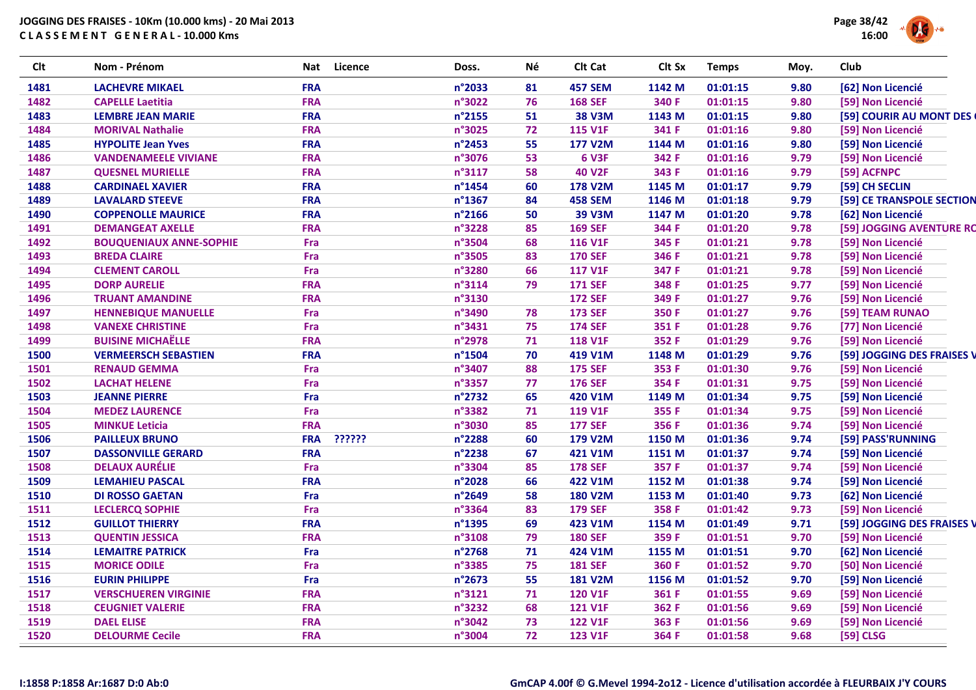

| <b>Clt</b> | Nom - Prénom                   | Nat        | <b>Licence</b> | Doss.  | Νé | Clt Cat        | Clt Sx | <b>Temps</b> | Moy. | Club                       |
|------------|--------------------------------|------------|----------------|--------|----|----------------|--------|--------------|------|----------------------------|
| 1481       | <b>LACHEVRE MIKAEL</b>         | <b>FRA</b> |                | n°2033 | 81 | <b>457 SEM</b> | 1142 M | 01:01:15     | 9.80 | [62] Non Licencié          |
| 1482       | <b>CAPELLE Laetitia</b>        | <b>FRA</b> |                | n°3022 | 76 | <b>168 SEF</b> | 340 F  | 01:01:15     | 9.80 | [59] Non Licencié          |
| 1483       | <b>LEMBRE JEAN MARIE</b>       | <b>FRA</b> |                | n°2155 | 51 | <b>38 V3M</b>  | 1143 M | 01:01:15     | 9.80 | [59] COURIR AU MONT DES    |
| 1484       | <b>MORIVAL Nathalie</b>        | <b>FRA</b> |                | n°3025 | 72 | <b>115 V1F</b> | 341 F  | 01:01:16     | 9.80 | [59] Non Licencié          |
| 1485       | <b>HYPOLITE Jean Yves</b>      | <b>FRA</b> |                | n°2453 | 55 | <b>177 V2M</b> | 1144 M | 01:01:16     | 9.80 | [59] Non Licencié          |
| 1486       | <b>VANDENAMEELE VIVIANE</b>    | <b>FRA</b> |                | n°3076 | 53 | <b>6 V3F</b>   | 342 F  | 01:01:16     | 9.79 | [59] Non Licencié          |
| 1487       | <b>QUESNEL MURIELLE</b>        | <b>FRA</b> |                | n°3117 | 58 | <b>40 V2F</b>  | 343 F  | 01:01:16     | 9.79 | [59] ACFNPC                |
| 1488       | <b>CARDINAEL XAVIER</b>        | <b>FRA</b> |                | n°1454 | 60 | <b>178 V2M</b> | 1145 M | 01:01:17     | 9.79 | [59] CH SECLIN             |
| 1489       | <b>LAVALARD STEEVE</b>         | <b>FRA</b> |                | n°1367 | 84 | <b>458 SEM</b> | 1146 M | 01:01:18     | 9.79 | [59] CE TRANSPOLE SECTION  |
| 1490       | <b>COPPENOLLE MAURICE</b>      | <b>FRA</b> |                | n°2166 | 50 | <b>39 V3M</b>  | 1147 M | 01:01:20     | 9.78 | [62] Non Licencié          |
| 1491       | <b>DEMANGEAT AXELLE</b>        | <b>FRA</b> |                | n°3228 | 85 | <b>169 SEF</b> | 344 F  | 01:01:20     | 9.78 | [59] JOGGING AVENTURE RC   |
| 1492       | <b>BOUQUENIAUX ANNE-SOPHIE</b> | Fra        |                | n°3504 | 68 | <b>116 V1F</b> | 345 F  | 01:01:21     | 9.78 | [59] Non Licencié          |
| 1493       | <b>BREDA CLAIRE</b>            | Fra        |                | n°3505 | 83 | <b>170 SEF</b> | 346 F  | 01:01:21     | 9.78 | [59] Non Licencié          |
| 1494       | <b>CLEMENT CAROLL</b>          | Fra        |                | n°3280 | 66 | <b>117 V1F</b> | 347 F  | 01:01:21     | 9.78 | [59] Non Licencié          |
| 1495       | <b>DORP AURELIE</b>            | <b>FRA</b> |                | n°3114 | 79 | <b>171 SEF</b> | 348 F  | 01:01:25     | 9.77 | [59] Non Licencié          |
| 1496       | <b>TRUANT AMANDINE</b>         | <b>FRA</b> |                | n°3130 |    | <b>172 SEF</b> | 349 F  | 01:01:27     | 9.76 | [59] Non Licencié          |
| 1497       | <b>HENNEBIQUE MANUELLE</b>     | Fra        |                | n°3490 | 78 | <b>173 SEF</b> | 350 F  | 01:01:27     | 9.76 | [59] TEAM RUNAO            |
| 1498       | <b>VANEXE CHRISTINE</b>        | Fra        |                | n°3431 | 75 | <b>174 SEF</b> | 351 F  | 01:01:28     | 9.76 | [77] Non Licencié          |
| 1499       | <b>BUISINE MICHAËLLE</b>       | <b>FRA</b> |                | n°2978 | 71 | <b>118 V1F</b> | 352 F  | 01:01:29     | 9.76 | [59] Non Licencié          |
| 1500       | <b>VERMEERSCH SEBASTIEN</b>    | <b>FRA</b> |                | n°1504 | 70 | 419 V1M        | 1148 M | 01:01:29     | 9.76 | [59] JOGGING DES FRAISES V |
| 1501       | <b>RENAUD GEMMA</b>            | Fra        |                | n°3407 | 88 | <b>175 SEF</b> | 353 F  | 01:01:30     | 9.76 | [59] Non Licencié          |
| 1502       | <b>LACHAT HELENE</b>           | Fra        |                | n°3357 | 77 | <b>176 SEF</b> | 354 F  | 01:01:31     | 9.75 | [59] Non Licencié          |
| 1503       | <b>JEANNE PIERRE</b>           | Fra        |                | n°2732 | 65 | 420 V1M        | 1149 M | 01:01:34     | 9.75 | [59] Non Licencié          |
| 1504       | <b>MEDEZ LAURENCE</b>          | Fra        |                | n°3382 | 71 | <b>119 V1F</b> | 355 F  | 01:01:34     | 9.75 | [59] Non Licencié          |
| 1505       | <b>MINKUE Leticia</b>          | <b>FRA</b> |                | n°3030 | 85 | <b>177 SEF</b> | 356 F  | 01:01:36     | 9.74 | [59] Non Licencié          |
| 1506       | <b>PAILLEUX BRUNO</b>          | <b>FRA</b> | ??????         | n°2288 | 60 | <b>179 V2M</b> | 1150 M | 01:01:36     | 9.74 | [59] PASS'RUNNING          |
| 1507       | <b>DASSONVILLE GERARD</b>      | <b>FRA</b> |                | n°2238 | 67 | 421 V1M        | 1151 M | 01:01:37     | 9.74 | [59] Non Licencié          |
| 1508       | <b>DELAUX AURÉLIE</b>          | Fra        |                | n°3304 | 85 | <b>178 SEF</b> | 357 F  | 01:01:37     | 9.74 | [59] Non Licencié          |
| 1509       | <b>LEMAHIEU PASCAL</b>         | <b>FRA</b> |                | n°2028 | 66 | 422 V1M        | 1152 M | 01:01:38     | 9.74 | [59] Non Licencié          |
| 1510       | <b>DI ROSSO GAETAN</b>         | Fra        |                | n°2649 | 58 | <b>180 V2M</b> | 1153 M | 01:01:40     | 9.73 | [62] Non Licencié          |
| 1511       | <b>LECLERCQ SOPHIE</b>         | Fra        |                | n°3364 | 83 | <b>179 SEF</b> | 358 F  | 01:01:42     | 9.73 | [59] Non Licencié          |
| 1512       | <b>GUILLOT THIERRY</b>         | <b>FRA</b> |                | n°1395 | 69 | 423 V1M        | 1154 M | 01:01:49     | 9.71 | [59] JOGGING DES FRAISES V |
| 1513       | <b>QUENTIN JESSICA</b>         | <b>FRA</b> |                | n°3108 | 79 | <b>180 SEF</b> | 359 F  | 01:01:51     | 9.70 | [59] Non Licencié          |
| 1514       | <b>LEMAITRE PATRICK</b>        | Fra        |                | n°2768 | 71 | 424 V1M        | 1155 M | 01:01:51     | 9.70 | [62] Non Licencié          |
| 1515       | <b>MORICE ODILE</b>            | Fra        |                | n°3385 | 75 | <b>181 SEF</b> | 360 F  | 01:01:52     | 9.70 | [50] Non Licencié          |
| 1516       | <b>EURIN PHILIPPE</b>          | Fra        |                | n°2673 | 55 | <b>181 V2M</b> | 1156 M | 01:01:52     | 9.70 | [59] Non Licencié          |
| 1517       | <b>VERSCHUEREN VIRGINIE</b>    | <b>FRA</b> |                | n°3121 | 71 | <b>120 V1F</b> | 361 F  | 01:01:55     | 9.69 | [59] Non Licencié          |
| 1518       | <b>CEUGNIET VALERIE</b>        | <b>FRA</b> |                | n°3232 | 68 | <b>121 V1F</b> | 362 F  | 01:01:56     | 9.69 | [59] Non Licencié          |
| 1519       | <b>DAEL ELISE</b>              | <b>FRA</b> |                | n°3042 | 73 | <b>122 V1F</b> | 363 F  | 01:01:56     | 9.69 | [59] Non Licencié          |
| 1520       | <b>DELOURME Cecile</b>         | <b>FRA</b> |                | n°3004 | 72 | <b>123 V1F</b> | 364 F  | 01:01:58     | 9.68 | [59] CLSG                  |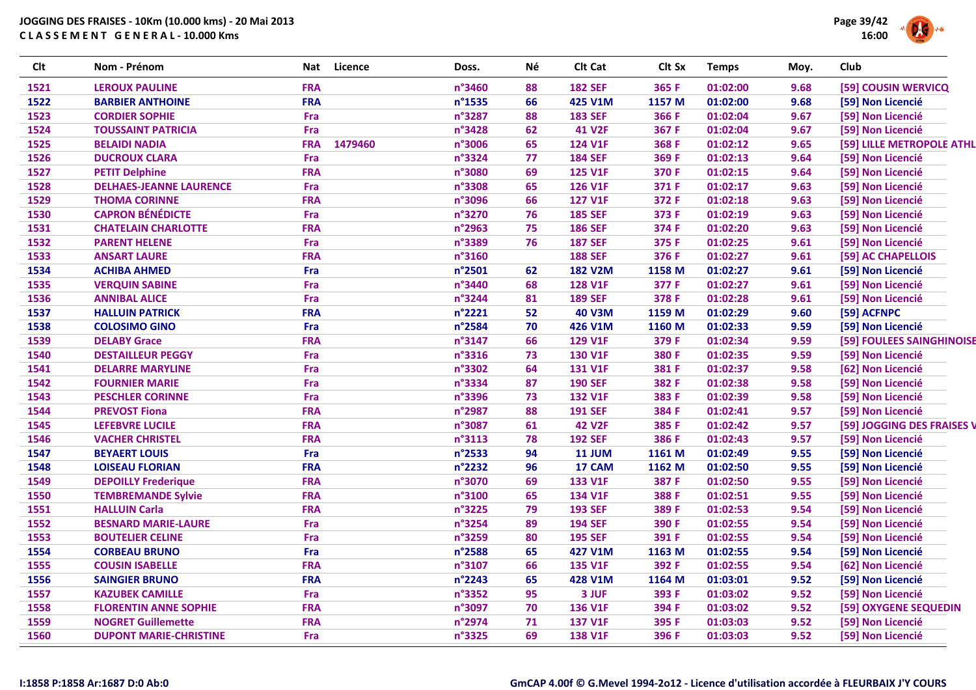

| <b>Clt</b> | Nom - Prénom                   | Nat        | Licence | Doss.  | Νé | Clt Cat        | Clt Sx | <b>Temps</b> | Moy. | Club                       |
|------------|--------------------------------|------------|---------|--------|----|----------------|--------|--------------|------|----------------------------|
| 1521       | <b>LEROUX PAULINE</b>          | <b>FRA</b> |         | n°3460 | 88 | <b>182 SEF</b> | 365 F  | 01:02:00     | 9.68 | [59] COUSIN WERVICQ        |
| 1522       | <b>BARBIER ANTHOINE</b>        | <b>FRA</b> |         | n°1535 | 66 | 425 V1M        | 1157 M | 01:02:00     | 9.68 | [59] Non Licencié          |
| 1523       | <b>CORDIER SOPHIE</b>          | Fra        |         | n°3287 | 88 | <b>183 SEF</b> | 366 F  | 01:02:04     | 9.67 | [59] Non Licencié          |
| 1524       | <b>TOUSSAINT PATRICIA</b>      | Fra        |         | n°3428 | 62 | <b>41 V2F</b>  | 367 F  | 01:02:04     | 9.67 | [59] Non Licencié          |
| 1525       | <b>BELAIDI NADIA</b>           | <b>FRA</b> | 1479460 | n°3006 | 65 | 124 V1F        | 368 F  | 01:02:12     | 9.65 | [59] LILLE METROPOLE ATHL  |
| 1526       | <b>DUCROUX CLARA</b>           | Fra        |         | n°3324 | 77 | <b>184 SEF</b> | 369 F  | 01:02:13     | 9.64 | [59] Non Licencié          |
| 1527       | <b>PETIT Delphine</b>          | <b>FRA</b> |         | n°3080 | 69 | <b>125 V1F</b> | 370 F  | 01:02:15     | 9.64 | [59] Non Licencié          |
| 1528       | <b>DELHAES-JEANNE LAURENCE</b> | Fra        |         | n°3308 | 65 | 126 V1F        | 371 F  | 01:02:17     | 9.63 | [59] Non Licencié          |
| 1529       | <b>THOMA CORINNE</b>           | <b>FRA</b> |         | n°3096 | 66 | <b>127 V1F</b> | 372 F  | 01:02:18     | 9.63 | [59] Non Licencié          |
| 1530       | <b>CAPRON BÉNÉDICTE</b>        | Fra        |         | n°3270 | 76 | <b>185 SEF</b> | 373 F  | 01:02:19     | 9.63 | [59] Non Licencié          |
| 1531       | <b>CHATELAIN CHARLOTTE</b>     | <b>FRA</b> |         | n°2963 | 75 | <b>186 SEF</b> | 374 F  | 01:02:20     | 9.63 | [59] Non Licencié          |
| 1532       | <b>PARENT HELENE</b>           | Fra        |         | n°3389 | 76 | <b>187 SEF</b> | 375 F  | 01:02:25     | 9.61 | [59] Non Licencié          |
| 1533       | <b>ANSART LAURE</b>            | <b>FRA</b> |         | n°3160 |    | <b>188 SEF</b> | 376 F  | 01:02:27     | 9.61 | [59] AC CHAPELLOIS         |
| 1534       | <b>ACHIBA AHMED</b>            | Fra        |         | n°2501 | 62 | <b>182 V2M</b> | 1158 M | 01:02:27     | 9.61 | [59] Non Licencié          |
| 1535       | <b>VERQUIN SABINE</b>          | Fra        |         | n°3440 | 68 | <b>128 V1F</b> | 377 F  | 01:02:27     | 9.61 | [59] Non Licencié          |
| 1536       | <b>ANNIBAL ALICE</b>           | Fra        |         | n°3244 | 81 | <b>189 SEF</b> | 378 F  | 01:02:28     | 9.61 | [59] Non Licencié          |
| 1537       | <b>HALLUIN PATRICK</b>         | <b>FRA</b> |         | n°2221 | 52 | <b>40 V3M</b>  | 1159 M | 01:02:29     | 9.60 | [59] ACFNPC                |
| 1538       | <b>COLOSIMO GINO</b>           | Fra        |         | n°2584 | 70 | 426 V1M        | 1160 M | 01:02:33     | 9.59 | [59] Non Licencié          |
| 1539       | <b>DELABY Grace</b>            | <b>FRA</b> |         | n°3147 | 66 | <b>129 V1F</b> | 379 F  | 01:02:34     | 9.59 | [59] FOULEES SAINGHINOISE  |
| 1540       | <b>DESTAILLEUR PEGGY</b>       | Fra        |         | n°3316 | 73 | <b>130 V1F</b> | 380 F  | 01:02:35     | 9.59 | [59] Non Licencié          |
| 1541       | <b>DELARRE MARYLINE</b>        | Fra        |         | n°3302 | 64 | 131 V1F        | 381 F  | 01:02:37     | 9.58 | [62] Non Licencié          |
| 1542       | <b>FOURNIER MARIE</b>          | Fra        |         | n°3334 | 87 | <b>190 SEF</b> | 382 F  | 01:02:38     | 9.58 | [59] Non Licencié          |
| 1543       | <b>PESCHLER CORINNE</b>        | Fra        |         | n°3396 | 73 | <b>132 V1F</b> | 383 F  | 01:02:39     | 9.58 | [59] Non Licencié          |
| 1544       | <b>PREVOST Fiona</b>           | <b>FRA</b> |         | n°2987 | 88 | <b>191 SEF</b> | 384 F  | 01:02:41     | 9.57 | [59] Non Licencié          |
| 1545       | <b>LEFEBVRE LUCILE</b>         | <b>FRA</b> |         | n°3087 | 61 | <b>42 V2F</b>  | 385 F  | 01:02:42     | 9.57 | [59] JOGGING DES FRAISES \ |
| 1546       | <b>VACHER CHRISTEL</b>         | <b>FRA</b> |         | n°3113 | 78 | <b>192 SEF</b> | 386 F  | 01:02:43     | 9.57 | [59] Non Licencié          |
| 1547       | <b>BEYAERT LOUIS</b>           | Fra        |         | n°2533 | 94 | <b>11 JUM</b>  | 1161 M | 01:02:49     | 9.55 | [59] Non Licencié          |
| 1548       | <b>LOISEAU FLORIAN</b>         | <b>FRA</b> |         | n°2232 | 96 | 17 CAM         | 1162 M | 01:02:50     | 9.55 | [59] Non Licencié          |
| 1549       | <b>DEPOILLY Frederique</b>     | <b>FRA</b> |         | n°3070 | 69 | <b>133 V1F</b> | 387 F  | 01:02:50     | 9.55 | [59] Non Licencié          |
| 1550       | <b>TEMBREMANDE Sylvie</b>      | <b>FRA</b> |         | n°3100 | 65 | 134 V1F        | 388 F  | 01:02:51     | 9.55 | [59] Non Licencié          |
| 1551       | <b>HALLUIN Carla</b>           | <b>FRA</b> |         | n°3225 | 79 | <b>193 SEF</b> | 389 F  | 01:02:53     | 9.54 | [59] Non Licencié          |
| 1552       | <b>BESNARD MARIE-LAURE</b>     | Fra        |         | n°3254 | 89 | <b>194 SEF</b> | 390 F  | 01:02:55     | 9.54 | [59] Non Licencié          |
| 1553       | <b>BOUTELIER CELINE</b>        | Fra        |         | n°3259 | 80 | <b>195 SEF</b> | 391 F  | 01:02:55     | 9.54 | [59] Non Licencié          |
| 1554       | <b>CORBEAU BRUNO</b>           | Fra        |         | n°2588 | 65 | 427 V1M        | 1163 M | 01:02:55     | 9.54 | [59] Non Licencié          |
| 1555       | <b>COUSIN ISABELLE</b>         | <b>FRA</b> |         | n°3107 | 66 | 135 V1F        | 392 F  | 01:02:55     | 9.54 | [62] Non Licencié          |
| 1556       | <b>SAINGIER BRUNO</b>          | <b>FRA</b> |         | n°2243 | 65 | 428 V1M        | 1164 M | 01:03:01     | 9.52 | [59] Non Licencié          |
| 1557       | <b>KAZUBEK CAMILLE</b>         | Fra        |         | n°3352 | 95 | 3 JUF          | 393 F  | 01:03:02     | 9.52 | [59] Non Licencié          |
| 1558       | <b>FLORENTIN ANNE SOPHIE</b>   | <b>FRA</b> |         | n°3097 | 70 | 136 V1F        | 394 F  | 01:03:02     | 9.52 | [59] OXYGENE SEQUEDIN      |
| 1559       | <b>NOGRET Guillemette</b>      | <b>FRA</b> |         | n°2974 | 71 | 137 V1F        | 395 F  | 01:03:03     | 9.52 | [59] Non Licencié          |
| 1560       | <b>DUPONT MARIE-CHRISTINE</b>  | Fra        |         | n°3325 | 69 | <b>138 V1F</b> | 396 F  | 01:03:03     | 9.52 | [59] Non Licencié          |
|            |                                |            |         |        |    |                |        |              |      |                            |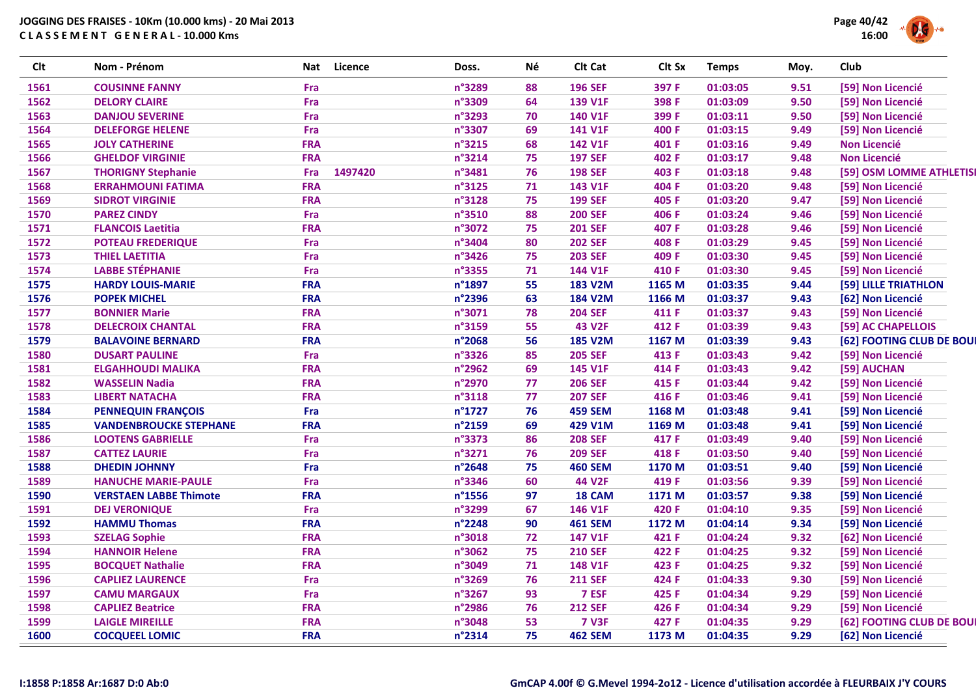

| <b>Clt</b> | Nom - Prénom                  | Nat        | Licence | Doss.  | Né | Clt Cat        | Clt Sx | <b>Temps</b> | Moy. | Club                     |
|------------|-------------------------------|------------|---------|--------|----|----------------|--------|--------------|------|--------------------------|
| 1561       | <b>COUSINNE FANNY</b>         | Fra        |         | n°3289 | 88 | <b>196 SEF</b> | 397 F  | 01:03:05     | 9.51 | [59] Non Licencié        |
| 1562       | <b>DELORY CLAIRE</b>          | Fra        |         | n°3309 | 64 | 139 V1F        | 398 F  | 01:03:09     | 9.50 | [59] Non Licencié        |
| 1563       | <b>DANJOU SEVERINE</b>        | Fra        |         | n°3293 | 70 | 140 V1F        | 399 F  | 01:03:11     | 9.50 | [59] Non Licencié        |
| 1564       | <b>DELEFORGE HELENE</b>       | Fra        |         | n°3307 | 69 | 141 V1F        | 400 F  | 01:03:15     | 9.49 | [59] Non Licencié        |
| 1565       | <b>JOLY CATHERINE</b>         | <b>FRA</b> |         | n°3215 | 68 | 142 V1F        | 401 F  | 01:03:16     | 9.49 | <b>Non Licencié</b>      |
| 1566       | <b>GHELDOF VIRGINIE</b>       | <b>FRA</b> |         | n°3214 | 75 | <b>197 SEF</b> | 402 F  | 01:03:17     | 9.48 | <b>Non Licencié</b>      |
| 1567       | <b>THORIGNY Stephanie</b>     | Fra        | 1497420 | n°3481 | 76 | <b>198 SEF</b> | 403 F  | 01:03:18     | 9.48 | [59] OSM LOMME ATHLETIS  |
| 1568       | <b>ERRAHMOUNI FATIMA</b>      | <b>FRA</b> |         | n°3125 | 71 | 143 V1F        | 404 F  | 01:03:20     | 9.48 | [59] Non Licencié        |
| 1569       | <b>SIDROT VIRGINIE</b>        | <b>FRA</b> |         | n°3128 | 75 | <b>199 SEF</b> | 405 F  | 01:03:20     | 9.47 | [59] Non Licencié        |
| 1570       | <b>PAREZ CINDY</b>            | Fra        |         | n°3510 | 88 | <b>200 SEF</b> | 406 F  | 01:03:24     | 9.46 | [59] Non Licencié        |
| 1571       | <b>FLANCOIS Laetitia</b>      | <b>FRA</b> |         | n°3072 | 75 | <b>201 SEF</b> | 407 F  | 01:03:28     | 9.46 | [59] Non Licencié        |
| 1572       | <b>POTEAU FREDERIQUE</b>      | Fra        |         | n°3404 | 80 | <b>202 SEF</b> | 408 F  | 01:03:29     | 9.45 | [59] Non Licencié        |
| 1573       | <b>THIEL LAETITIA</b>         | Fra        |         | n°3426 | 75 | <b>203 SEF</b> | 409 F  | 01:03:30     | 9.45 | [59] Non Licencié        |
| 1574       | <b>LABBE STÉPHANIE</b>        | Fra        |         | n°3355 | 71 | 144 V1F        | 410 F  | 01:03:30     | 9.45 | [59] Non Licencié        |
| 1575       | <b>HARDY LOUIS-MARIE</b>      | <b>FRA</b> |         | n°1897 | 55 | <b>183 V2M</b> | 1165 M | 01:03:35     | 9.44 | [59] LILLE TRIATHLON     |
| 1576       | <b>POPEK MICHEL</b>           | <b>FRA</b> |         | n°2396 | 63 | <b>184 V2M</b> | 1166 M | 01:03:37     | 9.43 | [62] Non Licencié        |
| 1577       | <b>BONNIER Marie</b>          | <b>FRA</b> |         | n°3071 | 78 | <b>204 SEF</b> | 411 F  | 01:03:37     | 9.43 | [59] Non Licencié        |
| 1578       | <b>DELECROIX CHANTAL</b>      | <b>FRA</b> |         | n°3159 | 55 | <b>43 V2F</b>  | 412 F  | 01:03:39     | 9.43 | [59] AC CHAPELLOIS       |
| 1579       | <b>BALAVOINE BERNARD</b>      | <b>FRA</b> |         | n°2068 | 56 | <b>185 V2M</b> | 1167 M | 01:03:39     | 9.43 | [62] FOOTING CLUB DE BOU |
| 1580       | <b>DUSART PAULINE</b>         | Fra        |         | n°3326 | 85 | <b>205 SEF</b> | 413 F  | 01:03:43     | 9.42 | [59] Non Licencié        |
| 1581       | <b>ELGAHHOUDI MALIKA</b>      | <b>FRA</b> |         | n°2962 | 69 | 145 V1F        | 414 F  | 01:03:43     | 9.42 | [59] AUCHAN              |
| 1582       | <b>WASSELIN Nadia</b>         | <b>FRA</b> |         | n°2970 | 77 | <b>206 SEF</b> | 415 F  | 01:03:44     | 9.42 | [59] Non Licencié        |
| 1583       | <b>LIBERT NATACHA</b>         | <b>FRA</b> |         | n°3118 | 77 | <b>207 SEF</b> | 416 F  | 01:03:46     | 9.41 | [59] Non Licencié        |
| 1584       | <b>PENNEQUIN FRANÇOIS</b>     | Fra        |         | n°1727 | 76 | <b>459 SEM</b> | 1168 M | 01:03:48     | 9.41 | [59] Non Licencié        |
| 1585       | <b>VANDENBROUCKE STEPHANE</b> | <b>FRA</b> |         | n°2159 | 69 | 429 V1M        | 1169 M | 01:03:48     | 9.41 | [59] Non Licencié        |
| 1586       | <b>LOOTENS GABRIELLE</b>      | Fra        |         | n°3373 | 86 | <b>208 SEF</b> | 417 F  | 01:03:49     | 9.40 | [59] Non Licencié        |
| 1587       | <b>CATTEZ LAURIE</b>          | Fra        |         | n°3271 | 76 | <b>209 SEF</b> | 418 F  | 01:03:50     | 9.40 | [59] Non Licencié        |
| 1588       | <b>DHEDIN JOHNNY</b>          | Fra        |         | n°2648 | 75 | <b>460 SEM</b> | 1170 M | 01:03:51     | 9.40 | [59] Non Licencié        |
| 1589       | <b>HANUCHE MARIE-PAULE</b>    | Fra        |         | n°3346 | 60 | <b>44 V2F</b>  | 419 F  | 01:03:56     | 9.39 | [59] Non Licencié        |
| 1590       | <b>VERSTAEN LABBE Thimote</b> | <b>FRA</b> |         | n°1556 | 97 | 18 CAM         | 1171 M | 01:03:57     | 9.38 | [59] Non Licencié        |
| 1591       | <b>DEJ VERONIQUE</b>          | Fra        |         | n°3299 | 67 | 146 V1F        | 420 F  | 01:04:10     | 9.35 | [59] Non Licencié        |
| 1592       | <b>HAMMU Thomas</b>           | <b>FRA</b> |         | n°2248 | 90 | <b>461 SEM</b> | 1172 M | 01:04:14     | 9.34 | [59] Non Licencié        |
| 1593       | <b>SZELAG Sophie</b>          | <b>FRA</b> |         | n°3018 | 72 | 147 V1F        | 421 F  | 01:04:24     | 9.32 | [62] Non Licencié        |
| 1594       | <b>HANNOIR Helene</b>         | <b>FRA</b> |         | n°3062 | 75 | <b>210 SEF</b> | 422 F  | 01:04:25     | 9.32 | [59] Non Licencié        |
| 1595       | <b>BOCQUET Nathalie</b>       | <b>FRA</b> |         | n°3049 | 71 | 148 V1F        | 423 F  | 01:04:25     | 9.32 | [59] Non Licencié        |
| 1596       | <b>CAPLIEZ LAURENCE</b>       | Fra        |         | n°3269 | 76 | <b>211 SEF</b> | 424 F  | 01:04:33     | 9.30 | [59] Non Licencié        |
| 1597       | <b>CAMU MARGAUX</b>           | Fra        |         | n°3267 | 93 | 7 ESF          | 425 F  | 01:04:34     | 9.29 | [59] Non Licencié        |
| 1598       | <b>CAPLIEZ Beatrice</b>       | <b>FRA</b> |         | n°2986 | 76 | <b>212 SEF</b> | 426 F  | 01:04:34     | 9.29 | [59] Non Licencié        |
| 1599       | <b>LAIGLE MIREILLE</b>        | <b>FRA</b> |         | n°3048 | 53 | <b>7 V3F</b>   | 427 F  | 01:04:35     | 9.29 | [62] FOOTING CLUB DE BOU |
| 1600       | <b>COCQUEEL LOMIC</b>         | <b>FRA</b> |         | n°2314 | 75 | <b>462 SEM</b> | 1173 M | 01:04:35     | 9.29 | [62] Non Licencié        |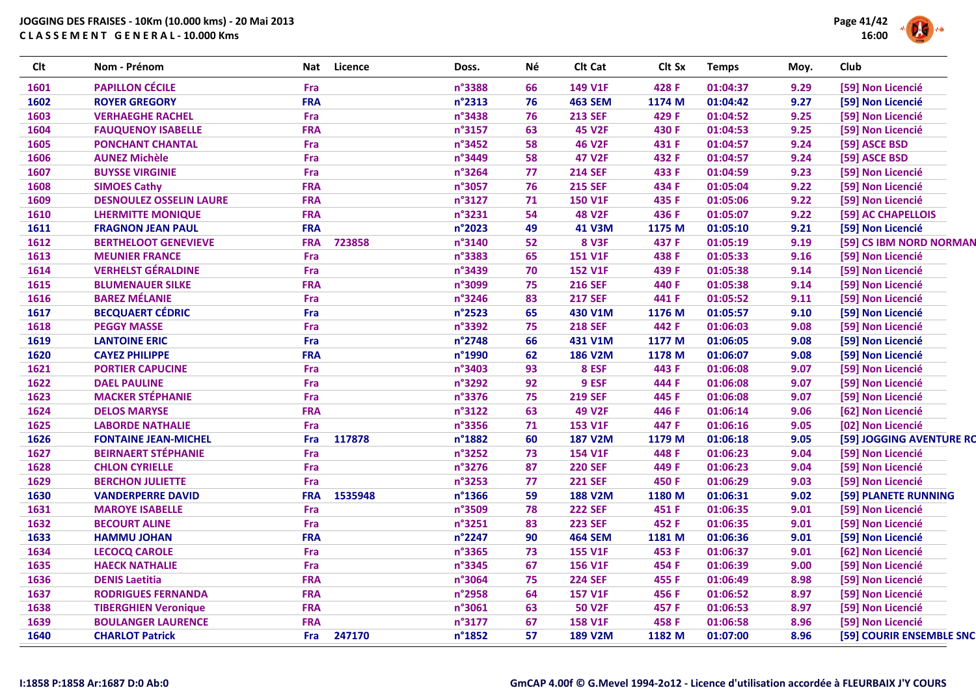

| <b>Clt</b> | Nom - Prénom                   | Nat        | <b>Licence</b> | Doss.  | Né | Clt Cat        | Clt Sx | <b>Temps</b> | Moy. | Club                     |
|------------|--------------------------------|------------|----------------|--------|----|----------------|--------|--------------|------|--------------------------|
| 1601       | <b>PAPILLON CÉCILE</b>         | Fra        |                | n°3388 | 66 | 149 V1F        | 428 F  | 01:04:37     | 9.29 | [59] Non Licencié        |
| 1602       | <b>ROYER GREGORY</b>           | <b>FRA</b> |                | n°2313 | 76 | <b>463 SEM</b> | 1174 M | 01:04:42     | 9.27 | [59] Non Licencié        |
| 1603       | <b>VERHAEGHE RACHEL</b>        | Fra        |                | n°3438 | 76 | <b>213 SEF</b> | 429 F  | 01:04:52     | 9.25 | [59] Non Licencié        |
| 1604       | <b>FAUQUENOY ISABELLE</b>      | <b>FRA</b> |                | n°3157 | 63 | <b>45 V2F</b>  | 430 F  | 01:04:53     | 9.25 | [59] Non Licencié        |
| 1605       | <b>PONCHANT CHANTAL</b>        | Fra        |                | n°3452 | 58 | <b>46 V2F</b>  | 431 F  | 01:04:57     | 9.24 | [59] ASCE BSD            |
| 1606       | <b>AUNEZ Michèle</b>           | Fra        |                | n°3449 | 58 | <b>47 V2F</b>  | 432 F  | 01:04:57     | 9.24 | [59] ASCE BSD            |
| 1607       | <b>BUYSSE VIRGINIE</b>         | Fra        |                | n°3264 | 77 | <b>214 SEF</b> | 433 F  | 01:04:59     | 9.23 | [59] Non Licencié        |
| 1608       | <b>SIMOES Cathy</b>            | <b>FRA</b> |                | n°3057 | 76 | <b>215 SEF</b> | 434 F  | 01:05:04     | 9.22 | [59] Non Licencié        |
| 1609       | <b>DESNOULEZ OSSELIN LAURE</b> | <b>FRA</b> |                | n°3127 | 71 | <b>150 V1F</b> | 435 F  | 01:05:06     | 9.22 | [59] Non Licencié        |
| 1610       | <b>LHERMITTE MONIQUE</b>       | <b>FRA</b> |                | n°3231 | 54 | <b>48 V2F</b>  | 436 F  | 01:05:07     | 9.22 | [59] AC CHAPELLOIS       |
| 1611       | <b>FRAGNON JEAN PAUL</b>       | <b>FRA</b> |                | n°2023 | 49 | 41 V3M         | 1175 M | 01:05:10     | 9.21 | [59] Non Licencié        |
| 1612       | <b>BERTHELOOT GENEVIEVE</b>    | <b>FRA</b> | 723858         | n°3140 | 52 | <b>8 V3F</b>   | 437 F  | 01:05:19     | 9.19 | [59] CS IBM NORD NORMAN  |
| 1613       | <b>MEUNIER FRANCE</b>          | Fra        |                | n°3383 | 65 | <b>151 V1F</b> | 438 F  | 01:05:33     | 9.16 | [59] Non Licencié        |
| 1614       | <b>VERHELST GÉRALDINE</b>      | Fra        |                | n°3439 | 70 | <b>152 V1F</b> | 439 F  | 01:05:38     | 9.14 | [59] Non Licencié        |
| 1615       | <b>BLUMENAUER SILKE</b>        | <b>FRA</b> |                | n°3099 | 75 | <b>216 SEF</b> | 440 F  | 01:05:38     | 9.14 | [59] Non Licencié        |
| 1616       | <b>BAREZ MÉLANIE</b>           | Fra        |                | n°3246 | 83 | <b>217 SEF</b> | 441 F  | 01:05:52     | 9.11 | [59] Non Licencié        |
| 1617       | <b>BECQUAERT CÉDRIC</b>        | Fra        |                | n°2523 | 65 | 430 V1M        | 1176 M | 01:05:57     | 9.10 | [59] Non Licencié        |
| 1618       | <b>PEGGY MASSE</b>             | Fra        |                | n°3392 | 75 | <b>218 SEF</b> | 442 F  | 01:06:03     | 9.08 | [59] Non Licencié        |
| 1619       | <b>LANTOINE ERIC</b>           | Fra        |                | n°2748 | 66 | 431 V1M        | 1177 M | 01:06:05     | 9.08 | [59] Non Licencié        |
| 1620       | <b>CAYEZ PHILIPPE</b>          | <b>FRA</b> |                | n°1990 | 62 | <b>186 V2M</b> | 1178 M | 01:06:07     | 9.08 | [59] Non Licencié        |
| 1621       | <b>PORTIER CAPUCINE</b>        | Fra        |                | n°3403 | 93 | 8 ESF          | 443 F  | 01:06:08     | 9.07 | [59] Non Licencié        |
| 1622       | <b>DAEL PAULINE</b>            | Fra        |                | n°3292 | 92 | 9 ESF          | 444 F  | 01:06:08     | 9.07 | [59] Non Licencié        |
| 1623       | <b>MACKER STÉPHANIE</b>        | Fra        |                | n°3376 | 75 | <b>219 SEF</b> | 445 F  | 01:06:08     | 9.07 | [59] Non Licencié        |
| 1624       | <b>DELOS MARYSE</b>            | <b>FRA</b> |                | n°3122 | 63 | <b>49 V2F</b>  | 446 F  | 01:06:14     | 9.06 | [62] Non Licencié        |
| 1625       | <b>LABORDE NATHALIE</b>        | Fra        |                | n°3356 | 71 | 153 V1F        | 447 F  | 01:06:16     | 9.05 | [02] Non Licencié        |
| 1626       | <b>FONTAINE JEAN-MICHEL</b>    | Fra        | 117878         | n°1882 | 60 | <b>187 V2M</b> | 1179 M | 01:06:18     | 9.05 | [59] JOGGING AVENTURE RC |
| 1627       | <b>BEIRNAERT STÉPHANIE</b>     | Fra        |                | n°3252 | 73 | <b>154 V1F</b> | 448 F  | 01:06:23     | 9.04 | [59] Non Licencié        |
| 1628       | <b>CHLON CYRIELLE</b>          | Fra        |                | n°3276 | 87 | <b>220 SEF</b> | 449 F  | 01:06:23     | 9.04 | [59] Non Licencié        |
| 1629       | <b>BERCHON JULIETTE</b>        | Fra        |                | n°3253 | 77 | <b>221 SEF</b> | 450 F  | 01:06:29     | 9.03 | [59] Non Licencié        |
| 1630       | <b>VANDERPERRE DAVID</b>       | <b>FRA</b> | 1535948        | n°1366 | 59 | <b>188 V2M</b> | 1180 M | 01:06:31     | 9.02 | [59] PLANETE RUNNING     |
| 1631       | <b>MAROYE ISABELLE</b>         | Fra        |                | n°3509 | 78 | <b>222 SEF</b> | 451 F  | 01:06:35     | 9.01 | [59] Non Licencié        |
| 1632       | <b>BECOURT ALINE</b>           | Fra        |                | n°3251 | 83 | <b>223 SEF</b> | 452 F  | 01:06:35     | 9.01 | [59] Non Licencié        |
| 1633       | <b>HAMMU JOHAN</b>             | <b>FRA</b> |                | n°2247 | 90 | <b>464 SEM</b> | 1181 M | 01:06:36     | 9.01 | [59] Non Licencié        |
| 1634       | <b>LECOCQ CAROLE</b>           | Fra        |                | n°3365 | 73 | <b>155 V1F</b> | 453 F  | 01:06:37     | 9.01 | [62] Non Licencié        |
| 1635       | <b>HAECK NATHALIE</b>          | Fra        |                | n°3345 | 67 | <b>156 V1F</b> | 454 F  | 01:06:39     | 9.00 | [59] Non Licencié        |
| 1636       | <b>DENIS Laetitia</b>          | <b>FRA</b> |                | n°3064 | 75 | <b>224 SEF</b> | 455 F  | 01:06:49     | 8.98 | [59] Non Licencié        |
| 1637       | <b>RODRIGUES FERNANDA</b>      | <b>FRA</b> |                | n°2958 | 64 | <b>157 V1F</b> | 456 F  | 01:06:52     | 8.97 | [59] Non Licencié        |
| 1638       | <b>TIBERGHIEN Veronique</b>    | <b>FRA</b> |                | n°3061 | 63 | <b>50 V2F</b>  | 457 F  | 01:06:53     | 8.97 | [59] Non Licencié        |
| 1639       | <b>BOULANGER LAURENCE</b>      | <b>FRA</b> |                | n°3177 | 67 | <b>158 V1F</b> | 458 F  | 01:06:58     | 8.96 | [59] Non Licencié        |
| 1640       | <b>CHARLOT Patrick</b>         | Fra        | 247170         | n°1852 | 57 | <b>189 V2M</b> | 1182 M | 01:07:00     | 8.96 | [59] COURIR ENSEMBLE SNC |